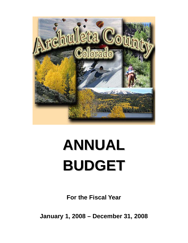

# **ANNUAL BUDGET**

**For the Fiscal Year** 

**January 1, 2008 – December 31, 2008**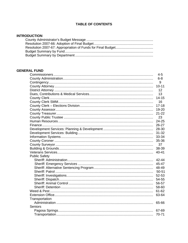# **TABLE OF CONTENTS**

### **INTRODUCTION**

#### **GENERAL FUND**

|                      | $4 - 5$   |
|----------------------|-----------|
|                      | $6 - 8$   |
|                      | 9         |
|                      | $10 - 11$ |
|                      | 12        |
|                      | 13        |
|                      | $14 - 15$ |
|                      | 16        |
|                      | $17 - 18$ |
|                      | 19-20     |
|                      | $21 - 22$ |
|                      | 23        |
|                      | 24-25     |
|                      | 26-27     |
|                      | 28-30     |
|                      | $31 - 32$ |
|                      | 33-34     |
|                      | 35-36     |
|                      | 37        |
|                      | 38-39     |
|                      | 40-41     |
| <b>Public Safety</b> |           |
|                      | 42-44     |
|                      | 45-47     |
|                      | 48-49     |
|                      | 50-51     |
|                      | 52-53     |
|                      | 54-55     |
|                      | 56-57     |
|                      | 58-60     |
|                      | 61-62     |
|                      | 63-64     |
| Transportation       |           |
|                      | 65-66     |
| Seniors              |           |
|                      | 67-69     |
|                      | 70-71     |
|                      |           |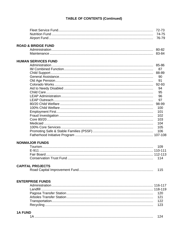# **TABLE OF CONTENTS (Continued)**

|                               | 72-73 |
|-------------------------------|-------|
|                               | 74-75 |
|                               | 76-79 |
|                               |       |
| <b>ROAD &amp; BRIDGE FUND</b> |       |
|                               |       |
|                               | 83-84 |
|                               |       |
| <b>HUMAN SERVICES FUND</b>    |       |
|                               |       |
|                               | 87    |
|                               | 88-89 |
|                               | 90    |
|                               | 91    |
|                               | 92-93 |
|                               | 94    |
|                               | 95    |
|                               | 96    |
|                               | 97    |
|                               | 98-99 |
|                               | 100   |
|                               | 101   |
|                               | 102   |
|                               | 103   |
|                               | 104   |
|                               | 105   |
|                               | 106   |
|                               |       |
|                               |       |
| <b>NONMAJOR FUNDS</b>         |       |
|                               | 109   |
|                               |       |
|                               |       |
|                               | 114   |
|                               |       |
| <b>CAPITAL PROJECTS</b>       |       |
|                               | 115   |
|                               |       |
|                               |       |
| <b>ENTERPRISE FUNDS</b>       |       |
|                               |       |
|                               |       |
|                               | 120   |
|                               | 121   |
|                               | 122   |
|                               | 123   |
|                               |       |
| <b>1A FUND</b>                |       |
|                               | 124   |
|                               |       |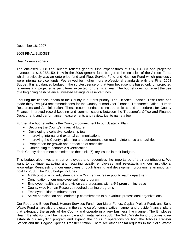December 18, 2007

2008 FINAL BUDGET

Dear Commissioners:

The enclosed 2008 final budget reflects general fund expenditures at \$16,034,563 and projected revenues at \$16,073,150. New in the 2008 general fund budget is the inclusion of the Airport Fund, which previously was an enterprise fund and Fleet Service Fund and Nutrition Fund which previously were internal service funds. We strived for higher more professional standards with the Final 2008 Budget. It is a balanced budget in the strictest sense of that term because it is based only on projected revenues and projected expenditures expected for the fiscal year. The budget does not reflect the use of a beginning cash balance, invested savings or reserve funds.

Ensuring the financial health of the County is our first priority. The Citizen's Financial Task Force has made thirty-five (35) recommendations for the County primarily for Finance, Treasurer's Office, Human Resources and Administration. These recommendations include policies and procedures for County Finance, improved record keeping and communications between the Treasurer's Office and Finance Department, and performance measurements and review, just to name a few.

Further, the budget reflects the County's commitment to our Strategic Plan:

- Securing the County's financial future
- Developing a cohesive leadership team
- Improving internal and external communications
- Improving the County's planning and performance on road maintenance and facilities
- Preparation for growth and protection of amenities
- Contributing to economic diversification

Each County department committed to these six (6) key issues in their budgets.

This budget also invests in our employees and recognizes the importance of their contributions. We want to continue attracting and retaining quality employees and re-establishing our institutional knowledge. Re-investing in our employees through training and development programs is an important goal for 2008. The 2008 budget includes:

- A 2% cost of living adjustment and a 2% merit increase pool to each department
- Continuation of our employee wellness program
- Employee health, dental and vision care programs with a 5% premium increase
- County wide Human Resource required training programs
- Employee tuition reimbursement
- Active participation and leadership commitments to our various professional organizations

Our Road and Bridge Fund, Human Services Fund, Non-Major Funds, Capital Project Fund, and Solid Waste Fund all are also projected in the same careful conservative manner and provide financial plans that safeguard the assets of the County and operate in a very business like manner. The Employee Health Benefit Fund will be made whole and maintained in 2008. The Solid Waste Fund proposes to reestablish our recycling program and expand the hours in operations for both the Arboles Transfer Station and the Pagosa Springs Transfer Station. There are other capital requests in the Solid Waste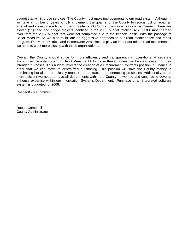budget that will improve services. The County must make improvements to our road system. Although it will take a number of years to fully implement, the goal is for the County to reconstruct or repair all arterial and collector roads, and then maintains all County roads in a reasonable manner. There are eleven (11) road and bridge projects identified in the 2008 budget totaling \$2,737,100, most carried over from the 2007 budget that were not completed due to the financial crisis. With the passage of Ballot Measure 1A we plan to initiate an aggressive approach to our road maintenance and repair program. Our Metro Districts and Homeowner Associations play an important role in road maintenance; we need to work more closely with these organizations.

Overall, the County should strive for more efficiency and transparency in operations. A separate account will be established for Ballot Measure 1A funds so these monies can be clearly used for their intended purposes. This budget reflects the creation of a Procurement/Contracts position in Finance in order that we can move to centralized purchasing. This position will save the County money in purchasing but also more closely monitor our contracts and contracting processes. Additionally, to be more efficient we need to have all departments within the County networked and continue to develop in-house expertise within our Information Systems Department. Purchase of an integrated software system is budgeted for 2008.

Respectfully submitted,

Robert Campbell County Administrator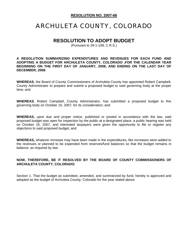#### **RESOLUTION NO. 2007-66**

# ARCHULETA COUNTY, COLORADO

# **RESOLUTION TO ADOPT BUDGET**

(Pursuant to 29-1-108, C.R.S.)

**A RESOLUTION SUMMARIZING EXPENDITURES AND REVENUES FOR EACH FUND AND ADOPTING A BUDGET FOR ARCHULETA COUNTY, COLORADO ,FOR THE CALENDAR YEAR BEGINNING ON THE FIRST DAY OF JANUARY, 2008, AND ENDING ON THE LAST DAY OF DECEMBER, 2008**.

**WHEREAS**, the Board of County Commissioners of Archuleta County has appointed Robert Campbell, County Administrator to prepare and submit a proposed budget to said governing body at the proper time; and

**WHEREAS**, Robert Campbell, County Administrator, has submitted a proposed budget to this governing body on October 15, 2007, for its consideration; and

**WHEREAS,** upon due and proper notice, published or posted in accordance with the law, said proposed budget was open for inspection by the public at a designated place, a public hearing was held on October 16, 2007, and interested taxpayers were given the opportunity to file or register any objections to said proposed budget; and

**WHEREAS,** whatever increase may have been made in the expenditures, like increases were added to the revenues or planned to be expended from reserves/fund balances so that the budget remains in balance, as required by law.

# **NOW, THEREFORE, BE IT RESOLVED BY THE BOARD OF COUNTY COMMISSIONERS OF ARCHULETA COUNTY, COLORADO**;

Section 1. That the budget as submitted, amended, and summarized by fund, hereby is approved and adopted as the budget of Archuleta County, Colorado for the year stated above.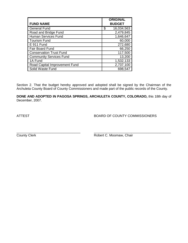| <b>FUND NAME</b>               | <b>ORIGINAL</b><br><b>BUDGET</b> |
|--------------------------------|----------------------------------|
| <b>General Fund</b>            | \$<br>16,034,563                 |
| Road and Bridge Fund           | 2,479,845                        |
| <b>Human Services Fund</b>     | 1,646,647                        |
| <b>Tourism Fund</b>            | 60,000                           |
| E 911 Fund                     | 272,680                          |
| <b>Fair Board Fund</b>         | 66,250                           |
| <b>Conservation Trust Fund</b> | 117,500                          |
| <b>Community Services Fund</b> | 13,200                           |
| 1A Fund                        | 1,532,133                        |
| Road Capital Improvement Fund  | 2,737,100                        |
| Solid Waste Fund               | 698,547                          |

Section 2. That the budget hereby approved and adopted shall be signed by the Chairman of the Archuleta County Board of County Commissioners and made part of the public records of the County.

**DONE AND ADOPTED IN PAGOSA SPRINGS, ARCHULETA COUNTY, COLORADO,** this 18th day of December, 2007.

ATTEST BOARD OF COUNTY COMMISSIONERS

\_\_\_\_\_\_\_\_\_\_\_\_\_\_\_\_\_\_\_\_\_\_\_\_\_\_\_\_\_\_\_\_\_\_ \_\_\_\_\_\_\_\_\_\_\_\_\_\_\_\_\_\_\_\_\_\_\_\_\_\_\_\_\_\_\_\_\_\_\_\_\_\_\_\_\_ County Clerk **County Clerk Robert C. Moomaw, Chair**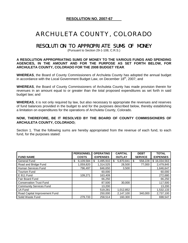# ARCHULETA COUNTY, COLORADO

# RESOLUTION TO APPROPRIATE SUMS OF MONEY

(Pursuant to Section 29-1-108, C.R.S.)

#### **A RESOLUTION APPROPRIATING SUMS OF MONEY TO THE VARIOUS FUNDS AND SPENDING AGENCIES, IN THE AMOUNT AND FOR THE PURPOSE AS SET FORTH BELOW, FOR ARCHULETA COUNTY, COLORADO FOR THE 2008 BUDGET YEAR**.

**WHEREAS**, the Board of County Commissioners of Archuleta County has adopted the annual budget in accordance with the Local Government Budget Law, on December  $18<sup>th</sup>$ , 2007; and

**WHEREAS**, the Board of County Commissioners of Archuleta County has made provision therein for revenues in an amount equal to or greater than the total proposed expenditures as set forth in said budget law; and

**WHEREAS**, it is not only required by law, but also necessary to appropriate the revenues and reserves of fund balances provided in the budget to and for the purposes described below, thereby establishing a limitation on expenditures for the operations of Archuleta County, Colorado.

## **NOW, THEREFORE, BE IT RESOLVED BY THE BOARD OF COUNTY COMMISSIONERS OF ARCHULETA COUNTY, COLORADO;**

Section 1. That the following sums are hereby appropriated from the revenue of each fund, to each fund, for the purposes stated:

|                                | <b>PERSONNEL</b> | <b>OPERATING</b> | <b>CAPITAL</b> | <b>DEBT</b>    | <b>TOTAL</b>      |
|--------------------------------|------------------|------------------|----------------|----------------|-------------------|
| <b>FUND NAME</b>               | <b>COSTS</b>     | <b>EXPENSES</b>  | <b>OUTLAY</b>  | <b>SERVICE</b> | <b>EXPENSES</b>   |
| General Fund                   | 6,109,584<br>\$  | 3,495,910<br>\$  | 5,870,841<br>S | '\$<br>558,228 | 16,034,563<br>\$. |
| Road and Bridge Fund           | 1,059,820        | 1,314,525        | 28,500         | 77,000         | 2,479,845         |
| Human Services Fund            | 796,497          | 846,650          | 3,500          |                | 1,646,647         |
| <b>Tourism Fund</b>            |                  | 60,000           |                |                | 60,000            |
| E 911 Fund                     | 109,271          | 163,409          |                |                | 272,680           |
| <b>Fair Board Fund</b>         |                  | 66,250           |                |                | 66,250            |
| <b>Conservation Trust Fund</b> |                  | 87,500           | 30,000         |                | 117,500           |
| <b>Community Services Fund</b> |                  | 13,200           |                |                | 13,200            |
| 1A Fund                        |                  | 519,281          | 1,012,852      |                | 1,532,133         |
| Road Capital Improvement Fund  |                  | 250,000          | 2,147,100      | 340,000        | 2,737,100         |
| Solid Waste Fund               | 279,733          | 258,514          | 160,300        |                | 698,547           |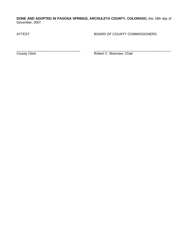**DONE AND ADOPTED IN PAGOSA SPRINGS, ARCHULETA COUNTY, COLORADO,** this 18th day of December, 2007.

ATTEST **BOARD OF COUNTY COMMISSIONERS** 

\_\_\_\_\_\_\_\_\_\_\_\_\_\_\_\_\_\_\_\_\_\_\_\_\_\_\_\_\_\_\_\_\_\_ \_\_\_\_\_\_\_\_\_\_\_\_\_\_\_\_\_\_\_\_\_\_\_\_\_\_\_\_\_\_\_\_\_\_\_\_\_\_\_\_\_ **County Clerk C. Moomaw, Chair**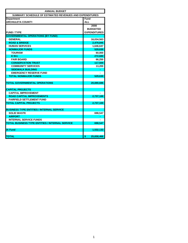| <b>ANNUAL BUDGET</b>                                    |                     |  |  |  |  |
|---------------------------------------------------------|---------------------|--|--|--|--|
| SUMMARY SCHEDULE OF ESTIMATED REVENUES AND EXPENDITURES |                     |  |  |  |  |
| <b>Department</b>                                       | Fund                |  |  |  |  |
| <b>ARCHULETA COUNTY</b>                                 | <b>ALL</b>          |  |  |  |  |
|                                                         | 2008                |  |  |  |  |
|                                                         | <b>BUDGETED</b>     |  |  |  |  |
| <b>FUND / TYPE</b>                                      | <b>EXPENDITURES</b> |  |  |  |  |
| <b>GOVERNMENTAL OPERATIONS (BY FUND)</b>                |                     |  |  |  |  |
| <b>GENERAL</b>                                          | 16,034,563          |  |  |  |  |
| <b>ROAD &amp; BRIDGE</b>                                | 2,479,845           |  |  |  |  |
| <b>HUMAN SERVICES</b>                                   | 1,646,647           |  |  |  |  |
| <b>NONMAJOR FUNDS</b>                                   | 529,630             |  |  |  |  |
| <b>TOURISM</b>                                          | 60,000              |  |  |  |  |
| E 911                                                   | 272,680             |  |  |  |  |
| <b>FAIR BOARD</b>                                       | 66,250              |  |  |  |  |
| <b>CONSERVATION TRUST</b>                               | 117,500             |  |  |  |  |
| <b>COMMUNITY SERVICES</b>                               | 13,200              |  |  |  |  |
| <b>SIDEWALK BUILDING</b>                                |                     |  |  |  |  |
| <b>EMERGENCY RESERVE FUND</b>                           |                     |  |  |  |  |
| <b>TOTAL NONMAJOR FUNDS</b>                             | 529,630             |  |  |  |  |
|                                                         |                     |  |  |  |  |
| <b>TOTAL GOVERNMENTAL OPERATIONS</b>                    | 20,690,686          |  |  |  |  |
|                                                         |                     |  |  |  |  |
| <b>CAPITAL PROJECTS</b>                                 |                     |  |  |  |  |
| <b>CAPITAL IMPROVEMENT</b>                              |                     |  |  |  |  |
| <b>ROAD CAPITAL IMPROVEMENTS</b>                        | 2,737,100           |  |  |  |  |
| <b>FAIRFIELD SETTLEMENT FUND</b>                        |                     |  |  |  |  |
| <b>TOTAL CAPITAL PROJECTS</b>                           | 2,737,100           |  |  |  |  |
|                                                         |                     |  |  |  |  |
| <b>BUSINESS TYPE ENTITIES / INTERNAL SERVICE</b>        |                     |  |  |  |  |
| <b>SOLID WASTE</b>                                      | 698,547             |  |  |  |  |
| <b>AIRPORT</b>                                          |                     |  |  |  |  |
| <b>INTERNAL SERVICE FUNDS</b>                           |                     |  |  |  |  |
| <b>TOTAL BUSINESS TYPE ENTITIES / INTERNAL SERVICE</b>  | 698,547             |  |  |  |  |
|                                                         |                     |  |  |  |  |
| <b>IA Fund</b>                                          | 1,532,133           |  |  |  |  |
|                                                         |                     |  |  |  |  |
| <b>TOTAL</b>                                            | \$<br>25,658,466    |  |  |  |  |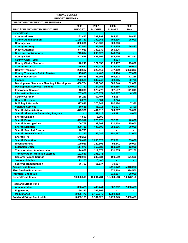| <b>ANNUAL BUDGET</b>                                    |               |               |               |                          |  |  |  |
|---------------------------------------------------------|---------------|---------------|---------------|--------------------------|--|--|--|
| <b>BUDGET SUMMARY</b>                                   |               |               |               |                          |  |  |  |
| DEPARTMENT EXPENDITURE SUMMARY                          |               |               |               |                          |  |  |  |
|                                                         | 2007          | 2008          | 2008          |                          |  |  |  |
| <b>FUND / DEPARTMENT EXPENDITURES</b>                   | <b>BUDGET</b> | <b>BUDGET</b> | <b>BUDGET</b> | Rev                      |  |  |  |
| <b>General Fund</b>                                     |               |               |               |                          |  |  |  |
| <b>Commissioners</b>                                    | 183,490       | 207,991       | 184,131       | 19,492                   |  |  |  |
| <b>County Administration</b>                            | 1,168,753     | 399,968       | 705,296       | 25,000                   |  |  |  |
| Contingency                                             | 300,000       | 150,000       | 200,000       |                          |  |  |  |
| <b>County Attorney</b>                                  | 227,592       | 192,761       | 226,325       | 66,827                   |  |  |  |
| <b>District Attorney</b>                                | 344,029       | 337,139       | 350,625       | $\overline{\phantom{0}}$ |  |  |  |
| <b>Dues and contributions</b>                           | 243,814       | 290,023       | 149,696       |                          |  |  |  |
| <b>County Clerk</b>                                     | 443,626       | 498,904       | 388,116       | 1,577,881                |  |  |  |
| <b>County Clerk - SMM</b>                               |               |               | 3,034         |                          |  |  |  |
| <b>County Clerk - Elections</b>                         | 140,248       | 121,553       | 116,487       | 15,000                   |  |  |  |
| <b>County Assessor</b>                                  | 726,627       | 892,716       | 634,426       | 30,000                   |  |  |  |
| <b>County Treasurer</b>                                 | 298,687       | 320,419       | 277,159       | 6,893,333                |  |  |  |
| <b>County Treasurer - Public Trustee</b>                | 15,813        | 14,409        | 14,414        | 37,000                   |  |  |  |
| <b>Human Resources</b>                                  | 89,886        | 98,306        | 103,302       | 12,256                   |  |  |  |
| <b>Finance</b>                                          | 223,585       | 342,746       | 323,965       | 32,708                   |  |  |  |
| <b>Development Services - Planning &amp; Developmer</b> | 480,774       | 361,502       | 300,040       | 52,000                   |  |  |  |
| <b>Development Services - Building</b>                  | 343,742       | 324,153       | 188,556       | 300,000                  |  |  |  |
| <b>Emergency Services</b>                               | 48,060        | 570,772       | 327,537       | 141,015                  |  |  |  |
| <b>Information Services</b>                             | 257,658       | 420,674       | 345,917       | 6,388                    |  |  |  |
| <b>County Coroner</b>                                   | 56,236        | 67,407        | 64,957        | $\overline{\phantom{0}}$ |  |  |  |
| <b>County Surveyor</b>                                  | 6,276         | 8,334         | 8,274         |                          |  |  |  |
| <b>Building &amp; Grounds</b>                           | 327,846       | 370,842       | 292,174       | 7,320                    |  |  |  |
| <b>Veterans Services</b>                                | 50,628        | 55,015        | 51,074        | 2,400                    |  |  |  |
| <b>Sheriff: Administration</b>                          | 473,936       | 481,916       | 304,607       | 55,000                   |  |  |  |
| <b>Sheriff: Alternative Sentencing Program</b>          |               | 52,128        | 43,991        | 9,000                    |  |  |  |
| <b>Sheriff: Samson</b>                                  | 4,553         | 5,600         |               |                          |  |  |  |
| <b>Sheriff: Patrol</b>                                  | 623,317       | 778,078       | 597,691       | 40,000                   |  |  |  |
| <b>Sheriff: Investigations</b>                          | 106,778       | 139,363       | 131,118       | 25,000                   |  |  |  |
| <b>Sheriff: Dispatch</b>                                | 390,716       | 408,600       | 358,206       | 80,000                   |  |  |  |
| <b>Sheriff: Search &amp; Rescue</b>                     | 40,700        |               |               |                          |  |  |  |
| <b>Sheriff: Animal Control</b>                          | 151,290       | 156,085       | 151,687       | 53,000                   |  |  |  |
| <b>Sheriff: Fire</b>                                    | 148,265       |               |               |                          |  |  |  |
| <b>Sheriff: Detention</b>                               | 1,268,419     | 1,256,073     | 973,711       | 35,000                   |  |  |  |
| <b>Weed and Pest</b>                                    | 129,936       | 149,802       | 92,441        | 30,000                   |  |  |  |
| <b>Extension Office</b>                                 | 117,072       | 160,683       | 153,059       | 12,000                   |  |  |  |
| <b>Transportation: Administration</b>                   | 124,628       | 111,077       | 131,655       | 117,200                  |  |  |  |
| <b>Transportation: Mountain Express</b>                 | 131,546       | 191,971       |               |                          |  |  |  |
| <b>Seniors: Pagosa Springs</b>                          | 248,025       | 246,534       | 199,599       | 171,600                  |  |  |  |
| <b>Seniors: Arboles</b>                                 | 13,170        | 15,400        |               |                          |  |  |  |
| <b>Seniors: Transportation</b>                          | 76,797        | 65,837        | 39,997        |                          |  |  |  |
| <b>Airport Fund totals:</b>                             |               |               | 6,411,172     | 5,818,230                |  |  |  |
| <b>Fleet Service Fund totals:</b>                       |               |               | 870,918       | 378,500                  |  |  |  |
| <b>Nutrition Fund totals:</b>                           |               |               | 319,207       | 30,000                   |  |  |  |
| <b>General Fund totals:</b>                             | 10,026,518    | 10,264,781    | 16,034,563    | 16,073,150               |  |  |  |
|                                                         |               |               |               |                          |  |  |  |
| <b>Road and Bridge Fund</b>                             |               |               |               |                          |  |  |  |
| <b>Administration</b>                                   | 396,471       | 449,744       | 587,392       | 2,483,485                |  |  |  |
|                                                         | 190,220       | 265,806       |               |                          |  |  |  |
| Engineering<br><b>Maintenance</b>                       | 3,066,470     | 2,466,076     | 1,892,453     |                          |  |  |  |
| Road and Bridge Fund totals:                            | 3,653,161     | 3,181,626     | 2,479,845     | 2,483,485                |  |  |  |
|                                                         |               |               |               |                          |  |  |  |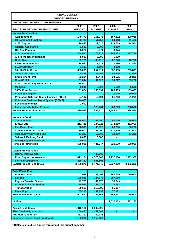| <b>ANNUAL BUDGET</b><br><b>BUDGET SUMMARY</b>    |               |               |               |           |  |
|--------------------------------------------------|---------------|---------------|---------------|-----------|--|
| DEPARTMENT EXPENDITURE SUMMARY                   |               |               |               |           |  |
|                                                  | 2006          | 2007          | 2008          | 2008      |  |
| <b>FUND / DEPARTMENT EXPENDITURES</b>            | <b>BUDGET</b> | <b>BUDGET</b> | <b>BUDGET</b> | Rev       |  |
| <b>Human Services Fund</b>                       |               |               |               |           |  |
| <b>Administration</b>                            | 149,779       | 161,246       | 187,322       | 409,018   |  |
| <b>IM Combined Function</b>                      | 33,739        | 51,252        | 54,943        | 41,482    |  |
| <b>Child Support</b>                             | 118,840       | 122,016       | 133,619       | 114,564   |  |
| <b>General Assistance</b>                        | 1,500         | 2,000         | 2,500         |           |  |
| <b>Old Age Pension</b>                           | 3,074         | 3,074         | 3,074         |           |  |
| <b>Colorado Works</b>                            | 308,011       | 276,919       | 205,953       | 227,756   |  |
| Aid to the Needy Disabled                        | 5,000         | 5,000         | 5.000         |           |  |
| <b>Child Care</b>                                | 39,776        | 40,115        | 27,740        | 13,700    |  |
| <b>LEAP Adminstration</b>                        | 14,040        | 13,171        | 10,696        | 13,884    |  |
| <b>LEAP Outreach</b>                             | 1,103         | 1,103         | 3,188         |           |  |
| 80 / 20 Child Welfare                            | 355,001       | 254,814       | 357,155       | 265,801   |  |
| 100% Child Welfare                               | 45,855        | 137,761       | 52,545        | 52,545    |  |
| <b>Employment First</b>                          | 32,364        | 35,444        | 34,675        | 29,806    |  |
| <b>Core 80 / 20</b>                              | 101,044       | 92.823        | 94,777        | 83,222    |  |
| <b>Child Care Quality Grant (CCQG)</b>           | 14,500        |               |               |           |  |
| <b>Medicaid</b>                                  | 5,000         | 5,500         | 5,500         | 5,500     |  |
| 100% Core Services                               | 161,674       | 168.694       | 163,493       | 163,493   |  |
| <b>Fraud Investigator</b>                        |               |               | 20,000        | 19,000    |  |
| <b>Promoting Safe and Stable Families (PSSF)</b> | 24,197        | 12,424        | 21,200        | 21,200    |  |
| <b>Colorado Business Mgmt System (CBMS)</b>      | 14,426        |               |               |           |  |
| <b>Special Economics</b>                         | 1,000         |               |               |           |  |
| <b>Fatherhood Initiative Program</b>             |               | 173,264       | 263,269       | 233,596   |  |
| <b>Human Services Fund totals:</b>               | 1,429,923     | 1,556,620     | 1,646,647     | 1,694,566 |  |
|                                                  |               |               |               |           |  |
| <b>Nonmajor Funds</b>                            |               |               |               |           |  |
| <b>Tourism Fund</b>                              | 186,000       | 105,000       | 60,000        | 60,000    |  |
| E-911 Fund                                       | 212,425       | 184,222       | 272,680       | 282,000   |  |
| <b>Fair Board Fund</b>                           | 68,300        | 68,325        | 66,250        | 66,250    |  |
| <b>Conservation Trust Fund</b>                   | 80,000        | 105,000       | 117,500       | 117,500   |  |
| <b>Community Services Fund</b>                   | 13,200        | 13,200        | 13,200        | 13,200    |  |
| <b>Sidewalk Building Fund</b>                    | 6,000         | 6,000         |               |           |  |
| <b>Emergency Reserve Fund</b>                    | 100,000       |               |               |           |  |
| <b>Nonmajor Fund totals:</b>                     | 665,925       | 481,747       | 529,630       | 538,950   |  |
|                                                  |               |               |               |           |  |
| <b>Capital Project Funds</b>                     |               |               |               |           |  |
| <b>Capital Improvement</b>                       |               | 400,000       |               |           |  |
| <b>Road Capital Improvement</b>                  | 2,671,124     | 4,570,342     | 2,737,100     | 2,883,300 |  |
| <b>Fairfield Settlement</b>                      | 485,751       | 501,503       |               |           |  |
| <b>Capital Project Fund totals:</b>              | 3,156,875     | 5,471,845     | 2,737,100     | 2,883,300 |  |
|                                                  |               |               |               |           |  |
| <b>Solid Waste Fund</b>                          |               |               |               |           |  |
| Administration                                   | 147,038       | 132,408       | 200,529       | 716,000   |  |
| Landfill                                         | 165,016       | 784,873       | 287,080       |           |  |
| <b>Pagosa Transfer Station</b>                   | 42,721        | 49,178        | 55,949        |           |  |

| Administration                             | 147,038   | 132,408   | 200,529   | 716,000        |
|--------------------------------------------|-----------|-----------|-----------|----------------|
| Landfill                                   | 165,016   | 784,873   | 287,080   |                |
| <b>Pagosa Transfer Station</b>             | 42,721    | 49,178    | 55,949    |                |
| <b>Arboles Transfer Station</b>            | 36,933    | 41,074    | 12,782    |                |
| <b>Transportation</b>                      | 60,685    | 212,995   | 65,027    |                |
| <b>Recycling</b>                           | 55,218    | 109,137   | 77,181    |                |
| <b>Solid Waste Fund totals:</b>            | 507,611   | 1,329,665 | 698,547   | 716,000        |
|                                            |           |           |           |                |
| 1A Fund                                    |           |           | 1,532,133 | 1,532,133      |
|                                            |           |           |           |                |
| <b>Airport Fund totals:</b>                | 1,015,126 | 6,595,596 |           | $\blacksquare$ |
| <b>Fleet Service Fund totals:</b>          | 1,166,860 | 1,259,508 | ۰         |                |
| <b>Nutrition Fund totals:</b>              | 331,397   | 369,145   |           | $\blacksquare$ |
| <b>Employee Benefit Trust Fund totals:</b> | 1,152,000 | 1,150,000 |           |                |

**\* Reflects unaudited figures throughout this budget document.**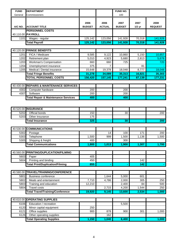| <b>FUND</b> | <b>DEPARTMENT</b>                           |                       |                       | <b>FUND NO.</b>       |                  |                        |
|-------------|---------------------------------------------|-----------------------|-----------------------|-----------------------|------------------|------------------------|
| General     | Commissioners                               |                       |                       | 100                   |                  |                        |
| A/C NO.     | <b>ACCOUNT TITLE</b>                        | 2006<br><b>BUDGET</b> | 2006<br><b>ACTUAL</b> | 2007<br><b>BUDGET</b> | 2007<br>$1/2$ yr | 2008<br><b>REQUEST</b> |
|             | <b>PERSONNEL COSTS</b><br>40.110.00 PAYROLL |                       |                       |                       |                  |                        |
| 1101        | Wages - regular                             | 125, 142              | 123,056               | 141,928               | 70,318           | 141,928                |
|             | <b>Total Payroll</b>                        | 125, 142              | 123,056               | 141,928               | 70,318           | 141,928                |

|      | 40.120.00 FRINGE BENEFITS     |         |         |         |        |         |
|------|-------------------------------|---------|---------|---------|--------|---------|
| 1201 | FICA / Medicare               | 9,585   | 9,122   | 10,860  | 5,150  | 10,857  |
| 1202 | Retirement plan               | 5,010   | 4,923   | 5,680   | 2,813  | 5,678   |
| 1203 | <b>Workman's Compensation</b> | 660     | 660     | 725     |        | 720     |
| 1204 | Unemployment insurance        | 375     |         |         | 81     |         |
| 1205 | Medical / Dental insurance    | 15.648  | 19,378  | 18,048  | 8,777  | 18.048  |
|      | <b>Total Fringe Benefits</b>  | 31,278  | 34,089  | 35,313  | 16,821 | 35,303  |
|      | <b>TOTAL PERSONNEL COSTS</b>  | 156.420 | 157.145 | 177.241 | 87,139 | 177,231 |

|      | 40.430.00 REPAIRS & MAINTENANCE SERVICES       |     |     |  |
|------|------------------------------------------------|-----|-----|--|
| 4302 | Computer hardware                              | 200 | 200 |  |
| 4307 | Software                                       | 200 | 200 |  |
|      | <b>Total Repair &amp; Maintenance Services</b> | 400 | 400 |  |

|      | 40.520.00 INSURANCE         |       |                |       |       |       |
|------|-----------------------------|-------|----------------|-------|-------|-------|
| 5202 | Official bonds              | 150   |                | 30    |       | 200   |
| 5203 | Other Insurance             | 175   |                |       |       |       |
|      | <b>Total Insurance</b>      | 325   | $\blacksquare$ | 30    | ٠     | 200   |
|      |                             |       |                |       |       |       |
|      | 40.530.00 COMMUNICATIONS    |       |                |       |       |       |
| 5302 | Postage                     |       | 14             | 100   | 171   | 200   |
| 5303 | Telephone                   | 1,500 | 999            | 1,500 | 1,136 | 1,500 |
| 5305 | Shipping & freight          | 400   |                | 300   |       |       |
|      | <b>Total Communications</b> | 1,900 | 1,013          | 1,900 | 1,307 | 1,700 |

|      | 40.560.00 PRINTING/DUPLICATION/FILMING |     |  |      |  |
|------|----------------------------------------|-----|--|------|--|
| 5603 | Paper                                  | 405 |  |      |  |
| 5604 | Printing and binding                   | 450 |  | 142. |  |
|      | <b>Total Print/Duplication/Filming</b> | 855 |  | 142  |  |

|      | 40.580.00 TRAVEL/TRAINING/CONFERENCE    |        |       |        |       |       |
|------|-----------------------------------------|--------|-------|--------|-------|-------|
| 5801 | Business conference                     |        | 1.644 | 5.000  | 601   |       |
| 5802 | Meals and entertainment                 | 7.710  | 4.786 | 2.000  | 305   | 250   |
| 5803 | Training and education                  | 12.210 |       | 2.400  | 84    | 500   |
| 5804 | Travel costs                            |        | 2.715 | 4.200  | 1.544 | 250   |
|      | <b>Total Travel/Training/Conference</b> | 19.920 | 9.145 | 13,600 | 2,534 | 1,000 |

|      | 40.610.00 OPERATING SUPPLIES    |       |       |       |     |       |
|------|---------------------------------|-------|-------|-------|-----|-------|
| 6106 | Education / recreation          |       |       | 5.500 |     |       |
| 6120 | Minor capital equipment         | 250   |       |       |     |       |
| 6121 | Office supplies                 | 900   | 878   | 900   | 301 | 1,000 |
| 6126 | Other operating supplies        |       | 162   |       |     |       |
|      | <b>Total Operating Supplies</b> | 1,150 | 1.040 | 6,400 |     | 1,000 |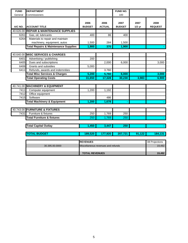| <b>FUND</b>  | <b>DEPARTMENT</b>                                               |                       |                                    | FUND NO.              |                  |                        |
|--------------|-----------------------------------------------------------------|-----------------------|------------------------------------|-----------------------|------------------|------------------------|
| General      | Commissioners                                                   |                       |                                    | 100                   |                  |                        |
| A/C NO.      | <b>ACCOUNT TITLE</b>                                            | 2006<br><b>BUDGET</b> | 2006<br><b>ACTUAL</b>              | 2007<br><b>BUDGET</b> | 2007<br>$1/2$ yr | 2008<br><b>REQUEST</b> |
|              | 40.626.00 REPAIR & MAINTENANCE SUPPLIES                         |                       |                                    |                       |                  |                        |
| 6261         | Gas, oil, lubricants                                            | 400                   | 86                                 | 400                   |                  |                        |
| 6264         | Materials to repair and maintain<br>machinery, equipment, autos | 1,500                 | 284                                | 1,500                 |                  |                        |
|              | <b>Total Repairs &amp; Maintenance Supplies</b>                 | 1,900                 | 370                                | 1,900                 |                  |                        |
|              |                                                                 |                       |                                    |                       |                  |                        |
|              | 40.640.00 MISC SERVICES & CHARGES                               |                       |                                    |                       |                  |                        |
| 6401         | Advertising / publishing                                        | 200                   |                                    |                       |                  |                        |
| 6405         | Dues and subscriptions                                          |                       | 2,000                              | 6,000                 |                  | 3,000                  |
| 6406         | Grants and subsidies                                            | 5,000                 |                                    |                       |                  |                        |
| 6411         | Refunds, awards and indemnities                                 |                       | 3,760                              |                       |                  |                        |
|              | <b>Total Misc Services &amp; Charges</b>                        | 5,200                 | 5,760                              | 6,000                 |                  | 3,000                  |
|              | <b>Total Operating Costs</b>                                    | 31,650                | 17,328                             | 30,230                | 3,983            | 6,900                  |
|              |                                                                 |                       |                                    |                       |                  |                        |
|              | 40.741.00 MACHINERY & EQUIPMENT                                 |                       |                                    |                       |                  |                        |
| 7411         | Computer equipment                                              | 1,200                 | 1,192                              |                       |                  |                        |
| 7412<br>7415 | Office equipment<br>Software                                    |                       | 486                                |                       |                  |                        |
|              |                                                                 |                       |                                    |                       |                  |                        |
|              | <b>Total Machinery &amp; Equipment</b>                          | 1,200                 | 1,678                              |                       |                  |                        |
|              | 40.743.00 FURNITURE & FIXTURES                                  |                       |                                    |                       |                  |                        |
|              |                                                                 |                       |                                    |                       |                  |                        |
| 7431         | Furniture & fixtures                                            | 250                   | 1,769                              | 250                   |                  |                        |
|              | <b>Total Furniture &amp; fixtures</b>                           | 250                   | 1,769                              | 250                   |                  |                        |
|              | <b>Total Capital Outlay</b>                                     | 1,450                 | 3,447                              | 250                   |                  |                        |
|              |                                                                 |                       |                                    |                       |                  |                        |
|              | <b>TOTAL BUDGET</b>                                             | 189,520               | 177,920                            | 207,721               | 91,122           | 184,131                |
|              |                                                                 |                       |                                    |                       |                  |                        |
|              |                                                                 | <b>REVENUES</b>       |                                    |                       |                  | 08 Projections         |
|              | 30.395.00.0000                                                  |                       | Miscellaneous revenues and refunds |                       |                  | 19,492                 |

**TOTAL REVENUES** 19,492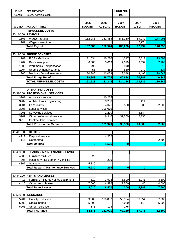| <b>FUND</b> | <b>DEPARTMENT</b>                              |                         |                       | <b>FUND NO.</b>       |          |                |
|-------------|------------------------------------------------|-------------------------|-----------------------|-----------------------|----------|----------------|
| General     | <b>County Administration</b>                   |                         |                       | 100                   |          |                |
|             |                                                |                         |                       |                       |          |                |
|             |                                                |                         |                       |                       | 2007     | 2008           |
| A/C NO.     | <b>ACCOUNT TITLE</b>                           | 2006<br><b>BUDGET</b>   | 2006<br><b>ACTUAL</b> | 2007<br><b>BUDGET</b> | $1/2$ yr | <b>REQUEST</b> |
|             | <b>PERSONNEL COSTS</b>                         |                         |                       |                       |          |                |
|             | 40.110.00 PAYROLL                              |                         |                       |                       |          |                |
|             |                                                |                         |                       |                       |          |                |
| 1101        | Wages - regular                                | 152,085                 | 152,383               | 183,230               | 89,980   | 178,998        |
| 1102        | Wages - overtime                               |                         | 141                   |                       | 2,974    | <sup>0</sup>   |
|             | <b>Total Payroll</b>                           | 152,085                 | 152,524               | 183,230               | 92,954   | 178,998        |
|             |                                                |                         |                       |                       |          |                |
| 40.120.00   | <b>FRINGE BENEFITS</b>                         |                         |                       |                       |          |                |
| 1201        | FICA / Medicare                                | 11,634                  | 10,220                | 14,017                | 6,811    | 13,693         |
| 1202        | Retirement plan                                | 6,083                   | 5,019                 | 7,329                 | 3,599    | 7,160          |
| 1203        | Workman's Compensation                         | 790                     |                       | 940                   |          | 910            |
| 1204        | Unemployment insurance                         | 456                     | 458                   | 550                   | 279      | 537            |
| 1205        | Medical / Dental insurance                     | 20,880                  | 13,028                | 18,048                | 9,492    | 18,048         |
|             | <b>Total Fringe Benefits</b>                   | 39,843                  | 28,724                | 40,884                | 20,181   | 40,348         |
|             | <b>TOTAL PERSONNEL COSTS</b>                   | 191,928                 | 181,248               | 224,114               | 113,135  | 219,346        |
|             |                                                |                         |                       |                       |          |                |
|             | <b>OPERATING COSTS</b>                         |                         |                       |                       |          |                |
|             | 40.320.00 PROFESSIONAL SERVICES                |                         |                       |                       |          |                |
| 3201        | Appraisal services                             |                         | 10,275                |                       |          |                |
| 3202        | Architectural / Engineering                    |                         | 3,290                 |                       | 1,411    | $\Omega$       |
| 3204        | Consultants                                    |                         | 4,071                 | 3,500                 | 338      | 2,500          |
| 3205        | Legal services                                 |                         | 296,079               |                       |          |                |
| 3208        | Surveying services                             |                         | 1,200                 |                       | 3,884    |                |
| 3209        | Other professional services                    |                         | 6,940                 | 32,000                | 5,330    |                |
| 3210        | Contract labor services                        |                         | 65                    |                       |          |                |
|             | <b>Total Professional Services</b>             | $\overline{\mathbf{0}}$ | 321,920               | 35,500                | 10,963   | 2,500          |
|             |                                                |                         |                       |                       |          |                |
| 40.411.00   | <b>UTILITIES</b>                               |                         |                       |                       |          |                |
| 4111        | Disposal services                              |                         | 4,565                 |                       |          |                |
| 4116        | Geothermal                                     |                         |                       |                       |          | 2,500          |
|             | <b>Total Utilities</b>                         | $\mathbf{0}$            | 4,565                 | $\bf{0}$              |          | $\bf{0}$       |
|             |                                                |                         |                       |                       |          |                |
| 40.430.00   | <b>REPAIRS &amp; MAINTENANCE SERVICES</b>      |                         |                       |                       |          |                |
| 4303        | Furniture / fixtures                           | 620                     |                       |                       |          |                |
| 4305        | Machinery / Equipment / Vehicles               |                         | 239                   |                       |          |                |
| 4307        | Software                                       | 5,310                   |                       |                       |          |                |
|             | <b>Total Repair &amp; Maintenance Services</b> | 5,930                   | 239                   | $\mathbf{0}$          |          | 0              |
|             |                                                |                         |                       |                       | $\bf{0}$ |                |
| 40.441.00   | <b>RENTS AND LEASES</b>                        |                         |                       |                       |          |                |
|             |                                                |                         |                       |                       |          |                |
| 4413        | Furniture / fixtures / office equipment        | 510                     | 3,904                 | 6,800                 | 6,941    | 3,600          |
| 4416        | Other rents / leases                           | 7,500                   | 4,496                 | 7,500                 | 40       | 4,000          |
|             | <b>Total Rents/Leases</b>                      | 8,010                   | 8,400                 | 14,300                | 6,981    | 7,600          |
|             |                                                |                         |                       |                       |          |                |
|             | 40.520.00 INSURANCE                            |                         |                       |                       |          |                |
| 5201        | Liability deductible                           | 59,000                  | 160,897               | 56,954                | 56,954   | 57,500         |
| 5202        | Official bonds                                 | 5,000                   |                       | 5,000                 | 119      | 5,000          |
| 5203        | Other Insurance                                | 175                     | 104                   | 175                   |          |                |
|             | <b>Total Insurance</b>                         | 64,175                  | 161,001               | 62,129                | 57,073   | 62,500         |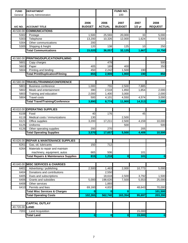| <b>FUND</b>    | <b>DEPARTMENT</b>                               |                       |                       | <b>FUND NO.</b>       |                  |                        |
|----------------|-------------------------------------------------|-----------------------|-----------------------|-----------------------|------------------|------------------------|
| General        | <b>County Administration</b>                    |                       |                       | 100                   |                  |                        |
| A/C NO.        | <b>ACCOUNT TITLE</b>                            | 2006<br><b>BUDGET</b> | 2006<br><b>ACTUAL</b> | 2007<br><b>BUDGET</b> | 2007<br>$1/2$ yr | 2008<br><b>REQUEST</b> |
|                | 40.530.00 COMMUNICATIONS                        |                       |                       |                       |                  |                        |
| 5302           | Postage                                         | 1,500                 | 25,593                | 20,000                | 33               | 5,000                  |
| 5303           | Telephone                                       | 13,200                | 10,326                | 12,000                | 1,624            | 5,500                  |
| 5304           | Other communications                            | 200                   |                       |                       |                  |                        |
| 5305           | Shipping & freight                              | 120                   | 138                   | 125                   | 10               | 250                    |
|                | <b>Total Communications</b>                     | 15,020                | 36,057                | 32,125                | 1,667            | 10,750                 |
|                |                                                 |                       |                       |                       |                  |                        |
| 40.560.00      | <b>PRINTING/DUPLICATION/FILMING</b>             |                       |                       |                       |                  |                        |
| 5601           | Copy charges                                    |                       | 478                   |                       |                  | 500                    |
| 5603           | Paper                                           | 405                   | 189                   | 400                   |                  | 350                    |
| 5604           | Printing and binding                            | 450                   | 2,242                 | 1,500                 | 190              |                        |
|                | <b>Total Print/Duplication/Filming</b>          | 855                   | 2,909                 | 1,900                 | 190              | 850                    |
|                |                                                 |                       |                       |                       |                  |                        |
| 40.580.00      | TRAVEL/TRAINING/CONFERENCE                      |                       |                       |                       |                  |                        |
| 5801           | <b>Business conference</b>                      | 1,000                 | 755                   | 2,500                 | 7,885            |                        |
| 5802           | Meals and entertainment                         | 390                   | 2,518                 | 1,850                 | 1,854            | 2,000                  |
| 5803           | Training and education                          | 2,000                 | 1,400                 | 3,000                 |                  | 2,000                  |
| 5804           | <b>Travel costs</b>                             | 500                   | 4,101                 | 4,550                 | 4,574            | 3,000                  |
|                | <b>Total Travel/Training/Conference</b>         | 3,890                 | 8,774                 | 11,900                | 14,313           | 7,000                  |
|                |                                                 |                       |                       |                       |                  |                        |
| 40.610.00      | <b>OPERATING SUPPLIES</b>                       |                       |                       |                       |                  |                        |
| 6108           | Food                                            | 40                    | 176                   |                       | 45               |                        |
| 6119           | Medical costs / immunizations                   | 130                   |                       | 2,500                 |                  |                        |
| 6121           | Office supplies                                 | 3,200                 | 17,211                | 2,500                 | 4,159            | 10,000                 |
| 6125           | Uniforms                                        |                       |                       | 500                   |                  | 500                    |
| 6126           | Other operating supplies                        | 200                   | 270                   |                       | 205              |                        |
|                | <b>Total Operating Supplies</b>                 | 3,570                 | 17,657                | 5,500                 | 4,409            | 10,500                 |
|                |                                                 |                       |                       |                       |                  |                        |
| 40.626.00      | <b>REPAIR &amp; MAINTENANCE SUPPLIES</b>        |                       |                       |                       |                  |                        |
| 6261           | Gas, oil, lubricants                            | 150                   | 712                   |                       |                  |                        |
| 6264           | Materials to repair and maintain                |                       |                       |                       |                  |                        |
|                | machinery, equipment, autos                     | 665                   | 506                   |                       | 101              |                        |
|                | <b>Total Repairs &amp; Maintenance Supplies</b> | 815                   | 1,218                 | $\mathbf{0}$          | 101              | 0                      |
|                |                                                 |                       |                       |                       |                  |                        |
| 40.640.00      | <b>MISC SERVICES &amp; CHARGES</b>              |                       |                       |                       |                  |                        |
| 6401           | Advertising / publishing                        | 2,500                 | 1,463                 | 2,000                 | 10,773           | 5,000                  |
| 6404           | Donations and contributions                     |                       | 2,550                 |                       |                  |                        |
| 6405           | Dues and subscriptions                          |                       | 18,618                | 2,500                 | 3,792            | 1,500                  |
| 6406           | Grants and subsidies                            | 5,000                 | 198,626               | 7,500                 | 5,553            | 25,000                 |
| 6408           | Other services                                  |                       | 1,893                 |                       |                  |                        |
| 6410           | Permits and fees                                | 69,160                | 4,832                 |                       | 48,643           | 70,000                 |
|                | <b>Total Misc Services &amp; Charges</b>        | $\bf{0}$              | $\mathbf{0}$          | $\mathbf{0}$          |                  | 101,500                |
|                | <b>Total Operating Costs</b>                    | 102,265               | 562,740               | 163,354               | 95,697           | 203,200                |
|                |                                                 |                       |                       |                       |                  |                        |
|                | <b>CAPITAL OUTLAY</b>                           |                       |                       |                       |                  |                        |
| 40.720.00 LAND |                                                 |                       |                       |                       |                  |                        |
| 7201           | <b>Land Acquisition</b>                         |                       |                       |                       | 15,000           |                        |
|                | <b>Total Land</b>                               | $\mathbf{0}$          | $\bf{0}$              | $\boldsymbol{0}$      | 15,000           | 0                      |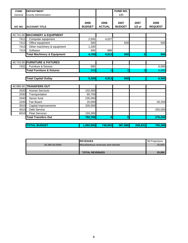| <b>FUND</b> | <b>DEPARTMENT</b>                      |                       |                       | FUND NO.              |                  |                        |
|-------------|----------------------------------------|-----------------------|-----------------------|-----------------------|------------------|------------------------|
| General     | <b>County Administration</b>           |                       |                       | 100                   |                  |                        |
| A/C NO.     | <b>ACCOUNT TITLE</b>                   | 2006<br><b>BUDGET</b> | 2006<br><b>ACTUAL</b> | 2007<br><b>BUDGET</b> | 2007<br>$1/2$ yr | 2008<br><b>REQUEST</b> |
|             |                                        |                       |                       |                       |                  |                        |
|             | 40.741.00 MACHINERY & EQUIPMENT        |                       |                       |                       |                  |                        |
| 7411        | Computer equipment                     | 2,500                 | 4,027                 |                       |                  |                        |
| 7412        | Office equipment                       | 500                   |                       | 500                   |                  | 500                    |
| 7413        | Other machinery & equipment            | 1,200                 |                       |                       |                  |                        |
| 7415        | Software                               | 500                   | 886                   |                       |                  |                        |
|             | <b>Total Machinery &amp; Equipment</b> | 4,700                 | 4,913                 | 500                   | $\overline{0}$   | 500                    |
|             |                                        |                       |                       |                       |                  |                        |
|             | 40.743.00 FURNITURE & FIXTURES         |                       |                       |                       |                  |                        |
| 7431        | Furniture & fixtures                   | 500                   |                       |                       |                  | 6,000                  |
|             | <b>Total Furniture &amp; fixtures</b>  | <b>500</b>            | $\overline{O}$        | $\overline{0}$        | $\overline{0}$   | 6,000                  |
|             |                                        |                       |                       |                       |                  |                        |
|             | <b>Total Capital Outlay</b>            | 5,200                 | 4,913                 | 500                   |                  | 6,500                  |
|             |                                        |                       |                       |                       |                  |                        |
|             | 40.999.00 TRANSFERS OUT                |                       |                       |                       |                  |                        |
| 2020        | <b>Human Services</b>                  | 102,000               |                       |                       |                  |                        |
| 2030        | Transportation                         | 80,700                |                       |                       |                  |                        |
| 2040        | Senior fund                            | 235,000               |                       |                       |                  |                        |
| 2200        | Fair Board                             | 20,000                |                       |                       |                  | 26,250                 |
| 3010        | Capital Improvements                   | 200,000               |                       |                       |                  |                        |
| 4010        | <b>Debt Service</b>                    |                       |                       |                       |                  | 250,000                |
| 6010        | <b>Fleet Services</b>                  | 155,000               |                       |                       |                  |                        |
|             | <b>Total Transfers Out</b>             | 792,700               | $\mathbf{0}$          | $\boldsymbol{0}$      |                  | 276,250                |
|             |                                        |                       |                       |                       |                  |                        |
|             | <b>TOTAL BUDGET</b>                    | 1,092,093             | 748,902               | 387,968               | 208,831          | 705,296                |

|                | <b>IREVENUES</b>                   | 08 Projections |
|----------------|------------------------------------|----------------|
| 30.395.00.0000 | Miscellaneous revenues and refunds | 25,000         |
|                |                                    |                |
|                | <b>TOTAL REVENUES</b>              | 25,000         |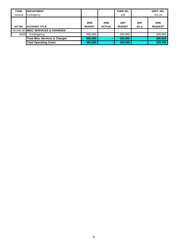| <b>FUND</b> | <b>DEPARTMENT</b>                        |                       |                       | <b>FUND NO.</b>       |                  | DEPT. NO.              |
|-------------|------------------------------------------|-----------------------|-----------------------|-----------------------|------------------|------------------------|
| General     | Contingency                              |                       |                       | 100                   |                  | 415.19                 |
| A/C NO.     | <b>ACCOUNT TITLE</b>                     | 2006<br><b>BUDGET</b> | 2006<br><b>ACTUAL</b> | 2007<br><b>BUDGET</b> | 2007<br>$1/2$ yr | 2008<br><b>REQUEST</b> |
|             | 40.640.00 MISC SERVICES & CHARGES        |                       |                       |                       |                  |                        |
| 6403        | Contingency                              | 300.000               |                       | 150.000               |                  | 200,000                |
|             | <b>Total Misc Services &amp; Charges</b> | 300,000               |                       | 150,000               |                  | 200,000                |
|             | <b>Total Operating Costs</b>             | 300,000               | $\blacksquare$        | 150.000               |                  | 200,000                |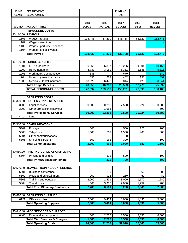| <b>FUND</b> | <b>DEPARTMENT</b>                        |               |                  | FUND NO.      |          |                |
|-------------|------------------------------------------|---------------|------------------|---------------|----------|----------------|
| General     | <b>County Attorney</b>                   |               |                  | 100           |          |                |
|             |                                          |               |                  |               |          |                |
|             |                                          | 2006          | 2006             | 2007          | 2007     | 2008           |
| A/C NO.     | <b>ACCOUNT TITLE</b>                     | <b>BUDGET</b> | <b>ACTUAL</b>    | <b>BUDGET</b> | $1/2$ yr | <b>REQUEST</b> |
|             | <b>PERSONNEL COSTS</b>                   |               |                  |               |          |                |
|             | 40.110.00 PAYROLL                        |               |                  |               |          |                |
| 1101        | Wages - regular                          | 118,433       | 87,230           | 133,788       | 66,120   | 132,773        |
| 1102        | Wages - overtime                         |               |                  |               |          |                |
| 1103        | Wages - part time / seasonal             |               |                  |               |          |                |
| 1104        | Wages - tool allowance                   |               |                  |               |          |                |
|             | <b>Total Payroll</b>                     | 118,433       | 87,230           | 133,788       | 66,120   | 132,773        |
|             |                                          |               |                  |               |          |                |
|             | 40.120.00 FRINGE BENEFITS                |               |                  |               |          |                |
| 1201        | FICA / Medicare                          | 9,060         | 6,357            | 10,236        | 4,804    | 10,158         |
| 1202        | Retirement plan                          | 4,737         | 3,189            | 5,351         | 2,645    | 5,311          |
| 1203        | Workman's Compensation                   | 586           |                  | 670           |          | 680            |
| 1204        | Unemployment insurance                   | 356           | 262              | 402           | 198      | 399            |
| 1205        | Medical / Dental insurance               | 13,920        | 6,478            | 8,844         | 5,123    | 8,844          |
|             | <b>Total Fringe Benefits</b>             | 28,659        | 16,286           | 25,503        | 12,770   | 25,392         |
|             | <b>TOTAL PERSONNEL COSTS</b>             | 147,092       | 103,516          | 159,291       | 78,890   | 158,165        |
|             |                                          |               |                  |               |          |                |
|             | <b>OPERATING COSTS</b>                   |               |                  |               |          |                |
|             | 40.320.00 PROFESSIONAL SERVICES          |               |                  |               |          |                |
| 3205        | Legal services                           | 50,000        | 20,218           | 7,500         | 30,224   | 50,000         |
| 3209        | Other professional services              |               | 1,986            |               |          | 600            |
|             | <b>Total Professional Services</b>       | 50,000        | 22,203           | 7,500         | 30,224   | 50,600         |
| 4414        | Land                                     |               |                  |               |          |                |
|             | 40.530.00 COMMUNICATIONS                 |               |                  |               |          |                |
| 5302        | Postage                                  | 500           |                  | 500           | 126      | 200            |
| 5303        | Telephone                                | 1,500         | 502              | 1,500         | 463      | 800            |
| 5304        | Other communications                     |               |                  | 720           |          |                |
| 5305        | Shipping & freight                       | 300           | 161              | 300           |          | 100            |
|             | <b>Total Communications</b>              | 2,300         | 663              | 3,020         | 589      | 1,100          |
|             |                                          |               |                  |               |          |                |
| 40.560.00   | <b>PRINTING/DUPLICATION/FILMING</b>      |               |                  |               |          |                |
| 5604        | Printing and binding                     |               | $\overline{222}$ | 500           |          | 100            |
|             | <b>Total Print/Duplication/Filming</b>   |               | $\overline{222}$ | 700           |          | 100            |
|             |                                          |               |                  |               |          |                |
|             | 40.580.00 TRAVEL/TRAINING/CONFERENCE     |               |                  |               |          |                |
| 5801        | <b>Business conference</b>               |               | 219              |               | 362      | 200            |
| 5802        | Meals and entertainment                  | 200           | 926              | 250           | 61       | 480            |
| 5803        | Training and education                   | 2,000         | 1,431            | 3,000         | 1,670    | 1,280          |
| 5804        | <b>Travel costs</b>                      | 500           | 3,985            | 2,000         | 1,252    | 900            |
|             | <b>Total Travel/Training/Conference</b>  | 2,700         | 6,561            | 5,250         | 3,346    | 2,860          |
|             |                                          |               |                  |               |          |                |
| 40.610.00   | <b>OPERATING SUPPLIES</b>                |               |                  |               |          |                |
| 6121        | Office supplies                          | 2,500         | 9,404            | 3,000         | 1,831    | 5,000          |
|             | <b>Total Operating Supplies</b>          | 2,500         | 9,404            | 3,000         | 1,831    | 5,000          |
|             |                                          |               |                  |               |          |                |
|             | 40.640.00 MISC SERVICES & CHARGES        |               |                  |               |          |                |
| 6405        | Dues and subscriptions                   | 500           | 2,706            | 13,500        | 2,550    | 6,000          |
|             | <b>Total Misc Services &amp; Charges</b> | 1,000         | 2,706            | 13,500        | 2,550    | 6,000          |
|             | <b>Total Operating Costs</b>             | 74,000        | 41,759           | 32,970        | 38,540   | 65,660         |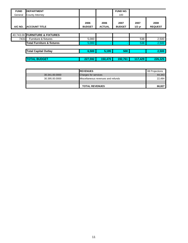| ║<br><b>FUND</b> | <b>DEPARTMENT</b>                     |                       |                       | <b>FUND NO.</b>       |                  |                        |
|------------------|---------------------------------------|-----------------------|-----------------------|-----------------------|------------------|------------------------|
| General          | <b>County Attorney</b>                |                       |                       | 100                   |                  |                        |
| A/C NO.          | <b>ACCOUNT TITLE</b>                  | 2006<br><b>BUDGET</b> | 2006<br><b>ACTUAL</b> | 2007<br><b>BUDGET</b> | 2007<br>$1/2$ yr | 2008<br><b>REQUEST</b> |
|                  |                                       |                       |                       |                       |                  |                        |
|                  | 40.743.00 FURNITURE & FIXTURES        |                       |                       |                       |                  |                        |
| 7431             | Furniture & fixtures                  | 5,000                 |                       |                       | 538              | 2,500                  |
|                  | <b>Total Furniture &amp; fixtures</b> | 5,000                 | ۰                     |                       | 538              | 2,500                  |
|                  | <b>Total Capital Outlay</b>           | 6,500                 | 5,195                 | 500                   |                  | 2,500                  |
|                  | <b>TOTAL BUDGET</b>                   | 227.592               | 150.470               | 192.761               | 117.429          | 226,325                |

|                | <b>REVENUES</b>                    | 08 Projections |
|----------------|------------------------------------|----------------|
| 30.341.00.0000 | <b>Charges for services</b>        | 44.343         |
| 30.395.00.0000 | Miscellaneous revenues and refunds | 22.484         |
|                |                                    |                |
|                | <b>TOTAL REVENUES</b>              | 66.827         |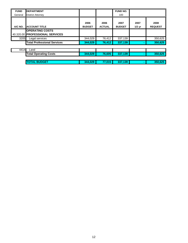| <b>FUND</b> | <b>DEPARTMENT</b>                                         |                       |                       | <b>FUND NO.</b>       |                          |                        |
|-------------|-----------------------------------------------------------|-----------------------|-----------------------|-----------------------|--------------------------|------------------------|
| General     | <b>District Attorney</b>                                  |                       |                       | 100                   |                          |                        |
| A/C NO.     | <b>ACCOUNT TITLE</b>                                      | 2006<br><b>BUDGET</b> | 2006<br><b>ACTUAL</b> | 2007<br><b>BUDGET</b> | 2007<br>$1/2$ yr         | 2008<br><b>REQUEST</b> |
|             | <b>OPERATING COSTS</b><br>40.320.00 PROFESSIONAL SERVICES |                       |                       |                       |                          |                        |
| 3205        | Legal services                                            | 344,029               | 76,412                | 337,139               |                          | 350,625                |
|             | <b>Total Professional Services</b>                        | 344,029               | 76,412                | 337,139               | $\overline{\phantom{a}}$ | 350,625                |
|             |                                                           |                       |                       |                       |                          |                        |
| 4414        | Land                                                      |                       |                       |                       |                          |                        |
|             | <b>Total Operating Costs</b>                              | 344,029               | 76,605                | 337,139               |                          | 350,625                |
|             |                                                           |                       |                       |                       |                          |                        |
|             | <b>TOTAL BUDGET</b>                                       | 344,029               | 77,015                | 337,139               | $\blacksquare$           | 350,625                |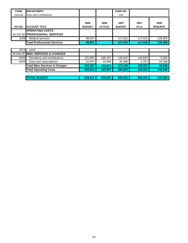| <b>FUND</b> | <b>DEPARTMENT</b>                                         |                       |                       | FUND NO.              |                  |                        |
|-------------|-----------------------------------------------------------|-----------------------|-----------------------|-----------------------|------------------|------------------------|
| General     | Dues and Contributions                                    |                       |                       | 100                   |                  |                        |
| A/C NO.     | <b>ACCOUNT TITLE</b>                                      | 2006<br><b>BUDGET</b> | 2006<br><b>ACTUAL</b> | 2007<br><b>BUDGET</b> | 2007<br>$1/2$ yr | 2008<br><b>REQUEST</b> |
|             | <b>OPERATING COSTS</b><br>40.320.00 PROFESSIONAL SERVICES |                       |                       |                       |                  |                        |
| 3206        | <b>Medical services</b>                                   | 89,507                |                       | 117,915               | 117,915          | 128,858                |
|             | <b>Total Professional Services</b>                        | 89,507                |                       | 117,915               | 117,915          | 128,858                |
|             |                                                           |                       |                       |                       |                  |                        |
| 4414        | Land                                                      |                       |                       |                       |                  |                        |
|             | 40.640.00 IMISC SERVICES & CHARGES                        |                       |                       |                       |                  |                        |
| 6404        | Donations and contributions                               | 131,900               | 188,407               | 146,820               | 146,820          | 5,500                  |
| 6405        | Dues and subscriptions                                    | 22.407                | 15,590                | 25,288                | 3,767            | 15,338                 |
|             |                                                           |                       |                       |                       |                  |                        |

| 04041 | <b>DUTATURE AND CUTTING IONS</b>         | ו טטפ.ו טו | 100.407 | 140.0ZU I | 140.0ZU | ິບ.ບບບ  |
|-------|------------------------------------------|------------|---------|-----------|---------|---------|
| 6405  | Dues and subscriptions                   | 22,407     | 15,590  | 25.288    | 3.767   | 15,338  |
|       | <b>Total Misc Services &amp; Charges</b> | 154.307    | 203.997 | 172.108   | 150.587 | 20.838  |
|       | <b>Total Operating Costs</b>             | 243.814    | 203.997 | 290.023   | 268,502 | 149,696 |
|       |                                          |            |         |           |         |         |
|       | <b>TOTAL BUDGET</b>                      | 243.814    | 203.997 | 290.023   | 268,502 | 149,696 |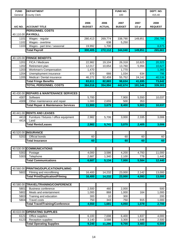| <b>FUND</b> | <b>DEPARTMENT</b>                              |                       |                       | FUND NO.              |          | DEPT. NO.              |
|-------------|------------------------------------------------|-----------------------|-----------------------|-----------------------|----------|------------------------|
| General     | <b>County Clerk</b>                            |                       |                       | 100                   |          | 415.40                 |
|             |                                                |                       |                       |                       |          |                        |
|             |                                                |                       |                       |                       |          |                        |
| A/C NO.     | <b>ACCOUNT TITLE</b>                           | 2006<br><b>BUDGET</b> | 2006<br><b>ACTUAL</b> | 2007<br><b>BUDGET</b> | 2007     | 2008<br><b>REQUEST</b> |
|             |                                                |                       |                       |                       | $1/2$ yr |                        |
|             | <b>PERSONNEL COSTS</b><br>40.110.00 PAYROLL    |                       |                       |                       |          |                        |
|             |                                                |                       |                       |                       |          |                        |
| 1101        | Wages - regular                                | 280,413               | 269,774               | 338,790               | 149,851  | 256,786                |
| 1102        | Wages - overtime                               |                       | 638                   | 5,250                 |          |                        |
| 1103        | Wages - part time / seasonal                   | 19,992                | 1,700                 |                       |          | 8,875                  |
|             | <b>Total Payroll</b>                           | 300,405               | 272,112               | 344,040               | 149,851  | 265,661                |
|             |                                                |                       |                       |                       |          |                        |
|             | 40.120.00 FRINGE BENEFITS                      |                       |                       |                       |          |                        |
| 1201        | FICA / Medicare                                | 22,982                | 19,104                | 26,318                | 10,825   | 20,323                 |
| 1202        | Retirement plan                                | 12,017                | 10,654                | 13,760                | 5,994    | 10,627                 |
| 1203        | Workman's Compensation                         | 1,470                 |                       | 1,770                 |          | 1,360                  |
| 1204        | Unemployment insurance                         | 870                   | 666                   | 1,034                 | 634      | 796                    |
| 1205        | Medical / Dental insurance                     | 46,272                | 52,459                | 55,752                | 24,242   | 40,536                 |
|             | <b>Total Fringe Benefits</b>                   | 83,611                | 82,883                | 98,634                | 41,695   | 73,642                 |
|             | <b>TOTAL PERSONNEL COSTS</b>                   | 384,016               | 354,994               | 442,674               | 191,546  | 339,303                |
|             |                                                |                       |                       |                       |          |                        |
|             | 40.430.00 REPAIRS & MAINTENANCE SERVICES       |                       |                       |                       |          |                        |
| 4307        | Software                                       | 5,700                 |                       | 7,900                 | 5,550    | 10,037                 |
| 4309        | Other maintenance and repair                   | 1,000                 | 2,655                 | 500                   | 353      |                        |
|             | <b>Total Repair &amp; Maintenance Services</b> | 11,900                | 3,679                 | 8,400                 | 5,903    | 10,037                 |
|             |                                                |                       |                       |                       |          |                        |
|             | 40.441.00 RENTS AND LEASES                     |                       |                       |                       |          |                        |
| 4413        | Furniture / fixtures / office equipment        | 2,982                 | 5,706                 | 3,000                 | 2,335    | 3,006                  |
| 4414        | Land                                           |                       |                       |                       |          |                        |
|             | <b>Total Rents/Leases</b>                      | 2,982                 | 5,741                 | 3,070                 | 2,405    | 3,006                  |
|             |                                                |                       |                       |                       |          |                        |
|             | 40.520.00 INSURANCE                            |                       |                       |                       |          |                        |
| 5202        | Official bonds                                 | 60                    |                       | 60                    | 60       | 60                     |
|             | <b>Total Insurance</b>                         | 60                    |                       | 60                    | 60       | 60                     |
|             |                                                |                       |                       |                       |          |                        |
|             | 40.530.00 COMMUNICATIONS                       |                       |                       |                       |          |                        |
| 5302        | Postage                                        | 4,000                 | 3,586                 | 4,200                 | 4,793    | 11,000                 |
| 5303        | Telephone                                      | 2,687                 | 1,340                 | $\overline{2,}100$    | 778      | 1,440                  |
|             | <b>Total Communications</b>                    | 6,687                 | 5,134                 | 7,000                 | 5,584    | 12,440                 |
|             |                                                |                       |                       |                       |          |                        |
| 40.560.00   | PRINTING/DUPLICATION/FILMING                   |                       |                       |                       |          |                        |
| 5602        | Filming and microfilming                       | 16,400                | 14,232                | 23,000                | 2,142    | 13,000                 |
|             | <b>Total Print/Duplication/Filming</b>         | 16,400                | 14,232                | 23,000                | 4,093    | 13,000                 |
|             |                                                |                       |                       |                       |          |                        |
| 40.580.00   | TRAVEL/TRAINING/CONFERENCE                     |                       |                       |                       |          |                        |
| 5801        | <b>Business conference</b>                     | 2,500                 | 460                   | 2,000                 |          | 500                    |
| 5802        | Meals and entertainment                        | 1,000                 | 868                   | 1,000                 | 164      | 1,000                  |
| 5803        | Training and education                         | 300                   | 10                    | 300                   |          | 200                    |
| 5804        | Travel costs                                   | 750                   | 343                   | 750                   | 915      | 1,000                  |
|             | <b>Total Travel/Training/Conference</b>        | 4,550                 | 1,681                 | 4,050                 | 1,079    | 2,700                  |
|             |                                                |                       |                       |                       |          |                        |
| 40.610.00   | <b>OPERATING SUPPLIES</b>                      |                       |                       |                       |          |                        |
| 6121        | Office supplies                                | 6,100                 | 7,698                 | 6,400                 | 1,837    | 4,000                  |
| 6123        | Reception supplies                             | 3,140                 | 3,588                 | 3,300                 | 1,646    | 2,500                  |
|             | <b>Total Operating Supplies</b>                | 9,240                 | 11,286                | 9,700                 | 3,483    | 6,500                  |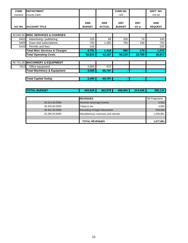| <b>FUND</b> | <b>DEPARTMENT</b>                        |                                    |                       | <b>FUND NO.</b>       |                  | DEPT. NO.              |  |  |
|-------------|------------------------------------------|------------------------------------|-----------------------|-----------------------|------------------|------------------------|--|--|
| General     | <b>County Clerk</b>                      |                                    |                       | 100                   |                  | 415.40                 |  |  |
| A/C NO.     | <b>ACCOUNT TITLE</b>                     | 2006<br><b>BUDGET</b>              | 2006<br><b>ACTUAL</b> | 2007<br><b>BUDGET</b> | 2007<br>$1/2$ yr | 2008<br><b>REQUEST</b> |  |  |
|             | 40.640.00 MISC SERVICES & CHARGES        |                                    |                       |                       |                  |                        |  |  |
| 6401        | Advertising / publishing                 | 225                                | 68                    | 200                   | 74               | 100                    |  |  |
| 6405        | Dues and subscriptions                   | 750                                | 1,350                 | 750                   | 100              | 750                    |  |  |
| 6410        | Permits and fees                         | 316                                |                       |                       |                  | 220                    |  |  |
|             | <b>Total Misc Services &amp; Charges</b> | 4,791                              | 1,418                 | 950                   | 174              | 1,070                  |  |  |
|             | <b>Total Operating Costs</b>             | 56,610                             | 43,187                | 56,230                | 22,780           | 48,813                 |  |  |
|             |                                          |                                    |                       |                       |                  |                        |  |  |
|             | 40.741.00 MACHINERY & EQUIPMENT          |                                    |                       |                       |                  |                        |  |  |
| 7412        | Office equipment                         | 3,000                              | 472                   |                       |                  |                        |  |  |
|             | <b>Total Machinery &amp; Equipment</b>   | 3.000                              | 65,797                |                       |                  |                        |  |  |
|             | <b>Total Capital Outlay</b>              | 3,000                              | 65,797                |                       |                  |                        |  |  |
|             |                                          |                                    |                       |                       |                  |                        |  |  |
|             | <b>TOTAL BUDGET</b>                      | 443,626                            | 463,979               | 498,904               | 214,326          | 388,116                |  |  |
|             |                                          |                                    |                       |                       |                  |                        |  |  |
|             |                                          | <b>REVENUES</b>                    |                       |                       |                  | 08 Projections         |  |  |
|             | 30.314.30.0000                           | Alcoholic beverage license         |                       |                       |                  | 5,000                  |  |  |
|             | 30.335.60.0000                           | Tobacco tax                        |                       |                       |                  | 4,000                  |  |  |
|             | 30.341.20.0000                           | Recording of legal instruments     |                       |                       |                  | 530,000<br>1,038,881   |  |  |
|             | 30.395.00.0000                           | Miscellaneous revenues and refunds |                       |                       |                  |                        |  |  |

**TOTAL REVENUES** 1,577,881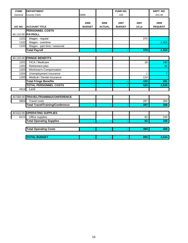| <b>FUND</b> | <b>DEPARTMENT</b>                           |                       |                       | FUND NO.              |                  | DEPT. NO.              |
|-------------|---------------------------------------------|-----------------------|-----------------------|-----------------------|------------------|------------------------|
| General     | <b>County Clerk</b>                         | <b>SMM</b>            |                       | 100                   |                  | 415.40                 |
| A/C NO.     | <b>ACCOUNT TITLE</b>                        | 2006<br><b>BUDGET</b> | 2006<br><b>ACTUAL</b> | 2007<br><b>BUDGET</b> | 2007<br>$1/2$ yr | 2008<br><b>REQUEST</b> |
|             | <b>PERSONNEL COSTS</b><br>40.110.00 PAYROLL |                       |                       |                       |                  |                        |
| 1101        | Wages - regular                             |                       |                       |                       | 370              |                        |
| 1102        | Wages - overtime                            |                       |                       |                       |                  | 2,353                  |
| 1103        | Wages - part time / seasonal                |                       |                       |                       |                  |                        |
|             | <b>Total Payroll</b>                        |                       |                       |                       | 370              | 2,353                  |
|             |                                             |                       |                       |                       |                  |                        |
|             | 40.120.00 FRINGE BENEFITS                   |                       |                       |                       |                  |                        |
| 1201        | FICA / Medicare                             |                       |                       |                       | 28               | 180                    |
| 1202        | Retirement plan                             |                       |                       |                       |                  | 94                     |
| 1203        | Workman's Compensation                      |                       |                       |                       |                  |                        |
| 1204        | Unemployment insurance                      |                       |                       |                       | 1                | 7                      |
| 1205        | Medical / Dental insurance                  |                       |                       |                       | 124              |                        |
|             | <b>Total Fringe Benefits</b>                |                       |                       |                       | 153              | 281                    |
|             | <b>TOTAL PERSONNEL COSTS</b>                |                       |                       |                       | 523              | 2,634                  |
| 4414        | Land                                        |                       |                       |                       |                  |                        |
|             |                                             |                       |                       |                       |                  |                        |
|             | 40.580.00 TRAVEL/TRAINING/CONFERENCE        |                       |                       |                       |                  |                        |
| 5804        | <b>Travel costs</b>                         |                       |                       |                       | 287              | 300                    |
|             | <b>Total Travel/Training/Conference</b>     |                       |                       |                       | 287              | 300                    |
|             |                                             |                       |                       |                       |                  |                        |
|             | 40.610.00 OPERATING SUPPLIES                |                       |                       |                       |                  |                        |
| 6121        | Office supplies                             |                       |                       |                       | 82               | 100                    |
|             | <b>Total Operating Supplies</b>             |                       |                       |                       | 82               | 100                    |
|             |                                             |                       |                       |                       |                  |                        |
|             | <b>Total Operating Costs</b>                |                       |                       |                       | 369              | 400                    |
|             |                                             |                       |                       |                       |                  |                        |
|             | <b>TOTAL BUDGET</b>                         |                       |                       |                       | 892              | 3,034                  |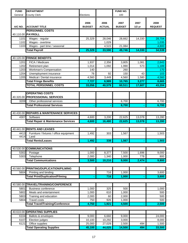| <b>FUND</b> | <b>DEPARTMENT</b>                              |                       |                       | <b>FUND NO.</b>       |                  |                        |
|-------------|------------------------------------------------|-----------------------|-----------------------|-----------------------|------------------|------------------------|
| General     | <b>County Clerk</b>                            | Elections             |                       | 100                   |                  |                        |
| A/C NO.     | <b>ACCOUNT TITLE</b>                           | 2006<br><b>BUDGET</b> | 2006<br><b>ACTUAL</b> | 2007<br><b>BUDGET</b> | 2007<br>$1/2$ yr | 2008<br><b>REQUEST</b> |
|             | <b>PERSONNEL COSTS</b>                         |                       |                       |                       |                  |                        |
| 40.110.00   | <b>PAYROLL</b>                                 |                       |                       |                       |                  |                        |
| 1101        | Wages - regular                                | 25,329                | 28,046                | 28,662                | 14,330           | 28,704                 |
| 1102        | Wages - overtime                               |                       | 1,029                 |                       |                  | 1,035                  |
| 1103        | Wages - part time / seasonal                   |                       | 4,515                 | 21,084                |                  | 4,800                  |
|             | <b>Total Payroll</b>                           | 25,329                | 33,590                | 49,746                | 14,330           | 34,539                 |
|             |                                                |                       |                       |                       |                  |                        |
| 40.120.00   | <b>FRINGE BENEFITS</b>                         |                       |                       |                       |                  |                        |
| 1201        | FICA / Medicare                                | 1,937                 | 2,356                 | 3,805                 | 1,081            | 2,643                  |
| 1202        | Retirement plan                                | 1,014                 | 1,092                 | 1,990                 | 573              | 1,189                  |
| 1203        | <b>Workman's Compensation</b>                  | 140                   |                       | 260                   |                  | 170                    |
| 1204        | Unemployment insurance                         | 76                    | 92                    | 150                   | 43               | 103                    |
| 1205        | Medical / Dental insurance                     | 4,560                 | 3,449                 | 4,560                 | 1,580            | 4,560                  |
|             | <b>Total Fringe Benefits</b>                   | 7,727                 | 6,989                 | 10,765                | 3,277            | 8,665                  |
|             | <b>TOTAL PERSONNEL COSTS</b>                   | 33,056                | 40,579                | 60,511                | 17,607           | 43,204                 |
|             |                                                |                       |                       |                       |                  |                        |
|             | <b>OPERATING COSTS</b>                         |                       |                       |                       |                  |                        |
| 40.320.00   | <b>PROFESSIONAL SERVICES</b>                   |                       |                       |                       |                  |                        |
| 3209        | Other professional services                    |                       |                       | 6,700                 |                  | 6,700                  |
|             | <b>Total Professional Services</b>             |                       |                       | 6,700                 |                  | 6,700                  |
|             |                                                |                       |                       |                       |                  |                        |
|             | 40.430.00 REPAIRS & MAINTENANCE SERVICES       |                       |                       |                       |                  |                        |
| 4307        | Software                                       | 4,600                 | 3,200                 | 22,625                | 13,078           | 13,280                 |
|             | <b>Total Repair &amp; Maintenance Services</b> | 4,600                 | 16,480                | 22,625                | 13,078           | 13,280                 |
|             |                                                |                       |                       |                       |                  |                        |
|             | 40.441.00 RENTS AND LEASES                     |                       |                       |                       |                  |                        |
| 4413        | Furniture / fixtures / office equipment        | 1,492                 | 303                   | 1,567                 |                  | 1,503                  |
| 4414        | Land                                           |                       |                       |                       |                  |                        |
|             | <b>Total Rents/Leases</b>                      | 1,492                 | 338                   | 1,567                 |                  | 1,503                  |
|             |                                                |                       |                       |                       |                  |                        |
| 40.530.00   | <b>COMMUNICATIONS</b>                          |                       |                       |                       |                  |                        |
| 5302        | Postage                                        | 1,000                 | 8,377                 | 7,500                 | 1,696            | 9,000                  |
| 5303        | Telephone                                      | 2,000                 | 1,340                 | 1,000                 | 778              | 800                    |
|             | <b>Total Communications</b>                    | 3,500                 | 10,210                | 9,000                 | 2,474            | 9,800                  |
|             |                                                |                       |                       |                       |                  |                        |
| 40.560.00   | <b>PRINTING/DUPLICATION/FILMING</b>            |                       |                       |                       |                  |                        |
| 5604        | Printing and binding                           |                       | $\overline{716}$      | 1,000                 |                  | 3,600                  |
|             | <b>Total Print/Duplication/Filming</b>         |                       | 716                   | 1,000                 |                  | 3,600                  |
|             |                                                |                       |                       |                       |                  |                        |
| 40.580.00   | TRAVEL/TRAINING/CONFERENCE                     |                       |                       |                       |                  |                        |
| 5801        | <b>Business conference</b>                     | 1,000                 | 325                   | 500                   |                  | 1,000                  |
| 5802        | Meals and entertainment                        | 1,000                 | 610                   | 1,000                 |                  | 500                    |
| 5803        | Training and education                         | 2,000                 | 60                    | 2,000                 |                  | 500                    |
| 5804        | <b>Travel costs</b>                            | 750                   | 926                   | 1,000                 |                  | 500                    |
|             | <b>Total Travel/Training/Conference</b>        | 4,750                 | 1,921                 | 4,500                 |                  | 2,500                  |
|             |                                                |                       |                       |                       |                  |                        |
| 40.610.00   | <b>OPERATING SUPPLIES</b>                      |                       |                       |                       |                  |                        |
| 6104        | Ballots & envelopes                            | 9,000                 | 6,660                 | 9,000                 |                  | 24,000                 |
| 6107        | Election judges                                | 10,100                | 10,292                | 3,000                 |                  | 8,000                  |
| 6121        | Office supplies                                | 25,000                | 27,029                | 2,500                 | 494              | 1,500                  |
|             | <b>Total Operating Supplies</b>                | 45,100                | 44,025                | 14,500                | 494              | 33,500                 |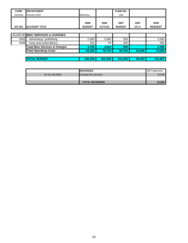| <b>FUND</b> | <b>IDEPARTMENT</b>                       |                       |                       | <b>FUND NO.</b>       |                  |                        |
|-------------|------------------------------------------|-----------------------|-----------------------|-----------------------|------------------|------------------------|
| General     | <b>County Clerk</b>                      | Elections             |                       | 100                   |                  |                        |
| A/C NO.     | <b>ACCOUNT TITLE</b>                     | 2006<br><b>BUDGET</b> | 2006<br><b>ACTUAL</b> | 2007<br><b>BUDGET</b> | 2007<br>$1/2$ yr | 2008<br><b>REQUEST</b> |
|             |                                          |                       |                       |                       |                  |                        |
|             | 40.640.00 MISC SERVICES & CHARGES        |                       |                       |                       |                  |                        |
| 6401        | Advertising / publishing                 | 2,000                 | 2,994                 | 500                   |                  | 2,000                  |
| 6405        | Dues and subscriptions                   | 250                   | 50                    | 400                   |                  | 400                    |
|             | <b>Total Misc Services &amp; Charges</b> | 4,750                 | 3,044                 | 900                   |                  | 2,400                  |
|             | <b>Total Operating Costs</b>             | 64,192                | 76,734                | 60,792                | 16,046           | 73,283                 |
|             |                                          |                       |                       |                       |                  |                        |
|             | <b>TOTAL BUDGET</b>                      | 140.248               | 201,038               | 121,553               | 38,263           | 116,487                |

|                | <b>IREVENUES</b>            | 08 Projections |
|----------------|-----------------------------|----------------|
| 30.341.00.0000 | <b>Charges for services</b> | 15,000         |
|                |                             |                |
|                | <b>TOTAL REVENUES</b>       | 15,000         |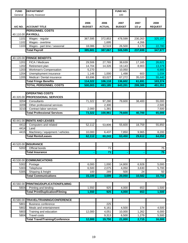| <b>FUND</b>  | <b>DEPARTMENT</b>                                      |                       |                       | FUND NO.              |                  |                        |
|--------------|--------------------------------------------------------|-----------------------|-----------------------|-----------------------|------------------|------------------------|
| General      | <b>County Assessor</b>                                 |                       |                       | 100                   |                  |                        |
| A/C NO.      | <b>ACCOUNT TITLE</b>                                   | 2006<br><b>BUDGET</b> | 2006<br><b>ACTUAL</b> | 2007<br><b>BUDGET</b> | 2007<br>$1/2$ yr | 2008<br><b>REQUEST</b> |
|              | <b>PERSONNEL COSTS</b>                                 |                       |                       |                       |                  |                        |
|              | 40.110.00 PAYROLL                                      |                       |                       |                       |                  |                        |
| 1101         | Wages - regular                                        | 367,595               | 372,853               | 478,599               | 230,263          | 325,197                |
| 1102         | Wages - overtime                                       |                       | 1,695                 |                       | 4,266            |                        |
| 1103         | Wages - part time / seasonal                           | 18,086                | 12,519                | 26,500                | 3,170            | 22,780                 |
|              | <b>Total Payroll</b>                                   | 385,681               | 387,067               | 506,599               | 237,699          | 347,977                |
|              |                                                        |                       |                       |                       |                  |                        |
| 40.120.00    | <b>FRINGE BENEFITS</b>                                 |                       |                       |                       |                  |                        |
| 1201         | FICA / Medicare                                        | 29,506                | 27,765                | 38,639                | 17,165           | 26,621                 |
| 1202         | Retirement plan                                        | 14,704                | 14,326                | 19,143                | 8,903            | 13,379                 |
| 1203         | <b>Workman's Compensation</b>                          | 5,270                 |                       | 10,050                |                  | 6,900                  |
| 1204         | Unemployment insurance                                 | 1,146                 | 1,000                 | 1,498                 | 603              | 1,034                  |
| 1205         | Medical / Dental insurance                             | 63,696                | 63,027                | 67,272                | 35,020           | 55,440                 |
|              | <b>Total Fringe Benefits</b>                           | 114,322               | 106,118               | 136,602               | 61,691           | 103,374                |
|              | <b>TOTAL PERSONNEL COSTS</b>                           | 500,003               | 493,185               | 643,201               | 299,389          | 451,351                |
|              |                                                        |                       |                       |                       |                  |                        |
|              | <b>OPERATING COSTS</b>                                 |                       |                       |                       |                  |                        |
| 40.320.00    | <b>PROFESSIONAL SERVICES</b>                           |                       |                       |                       |                  |                        |
| 3204         | Consultants                                            | 71,322                | 97,280                | 79,600                | 38,400           | 55,000                 |
| 3209<br>3210 | Other professional services<br>Contract labor services |                       | 2,300                 |                       |                  | 2,500                  |
|              |                                                        | 2,000<br>73,322       | 1,381                 |                       | 40,700           | 7,500                  |
|              | <b>Total Professional Services</b>                     |                       | 100,961               | 79,600                |                  | 65,000                 |
| 40.441.00    | <b>RENTS AND LEASES</b>                                |                       |                       |                       |                  |                        |
| 4412         | Computers and related                                  | 52,112                | 53,806                | 55,600                | 18,759           | 55,850                 |
| 4414         | Land                                                   |                       |                       |                       |                  |                        |
| 4415         | Machinery / equipment / vehicles                       | 10,000                | 6,437                 | 7,850                 | 9,965            | 8,200                  |
|              | <b>Total Rents/Leases</b>                              | 62,112                | 60,243                | 63,450                | 29,612           | 64,050                 |
|              |                                                        |                       |                       |                       |                  |                        |
|              | 40.520.00 INSURANCE                                    |                       |                       |                       |                  |                        |
| 5202         | Official bonds                                         |                       | 71                    |                       |                  | 75                     |
|              | <b>Total Insurance</b>                                 |                       | 71                    |                       |                  | 75                     |
|              |                                                        |                       |                       |                       |                  |                        |
| 40.530.00    | <b>COMMUNICATIONS</b>                                  |                       |                       |                       |                  |                        |
| 5302         | Postage                                                | 6,000                 | 1,000                 | 14,800                | 6,928            | 5,000                  |
| 5303         | Telephone                                              | 6,500                 | 2,075                 | 4,050                 | 3,630            | 5,700                  |
| 5305         | Shipping & freight                                     | 100                   | 289                   | 500                   | 24               | 50                     |
|              | <b>Total Communications</b>                            | 15,100                | 3,699                 | 20,050                | 10,582           | 10,750                 |
|              |                                                        |                       |                       |                       |                  |                        |
| 40.560.00    | <b>PRINTING/DUPLICATION/FILMING</b>                    |                       |                       |                       |                  |                        |
| 5604         | Printing and binding                                   | 1,550                 | 925                   | $\overline{4,000}$    | 653              | 1,500                  |
|              | <b>Total Print/Duplication/Filming</b>                 | 1,550                 | 925                   | 4,000                 | 653              | 1,500                  |
|              |                                                        |                       |                       |                       |                  |                        |
| 40.580.00    | <b>TRAVEL/TRAINING/CONFERENCE</b>                      |                       |                       |                       |                  |                        |
| 5801         | <b>Business conference</b>                             |                       | 225                   |                       |                  |                        |
| 5802         | Meals and entertainment                                |                       | 6,161                 | 4,500                 | 174              | 4,500                  |
| 5803         | Training and education                                 | 12,000                | 4,051                 | 10,000                | 1,262            | 6,000                  |
| 5804         | <b>Travel costs</b>                                    |                       | 9,313                 | 6,500                 | 1,279            | 5,500                  |
|              | <b>Total Travel/Training/Conference</b>                | 12,000                | 19,750                | 21,000                | 2,715            | 16,000                 |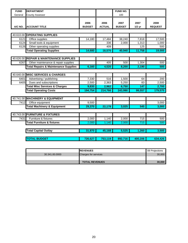| <b>FUND</b> | <b>DEPARTMENT</b>                               |                       |                       | <b>FUND NO.</b>       |                  |                        |
|-------------|-------------------------------------------------|-----------------------|-----------------------|-----------------------|------------------|------------------------|
| General     | <b>County Assessor</b>                          |                       |                       | 100                   |                  |                        |
| A/C NO.     | <b>ACCOUNT TITLE</b>                            | 2006<br><b>BUDGET</b> | 2006<br><b>ACTUAL</b> | 2007<br><b>BUDGET</b> | 2007<br>$1/2$ yr | 2008<br><b>REQUEST</b> |
|             |                                                 |                       |                       |                       |                  |                        |
|             | 40.610.00 OPERATING SUPPLIES                    |                       |                       |                       |                  |                        |
| 6121        | Office supplies                                 | 14,180                | 17,484                | 38,240                | 7,818            | 17,500                 |
| 6124        | Small tools & equipment                         |                       | 336                   | 2,000                 | 1,313            | 1,000                  |
| 6126        | Other operating supplies                        |                       | 409                   |                       | 125              | 500                    |
|             | <b>Total Operating Supplies</b>                 | 14,680                | 18,570                | 40,940                | 11,758           | 19,000                 |
|             |                                                 |                       |                       |                       |                  |                        |
|             | 40.626.00 REPAIR & MAINTENANCE SUPPLIES         |                       |                       |                       |                  |                        |
| 6267        | Other maintenance & repair supplies             |                       | 405                   | 500                   | 1,304            | 500                    |
|             | <b>Total Repairs &amp; Maintenance Supplies</b> | 6,160                 | 4,520                 | 8,200                 | 2,190            | 500                    |
|             |                                                 |                       |                       |                       |                  |                        |
|             | 40.640.00 MISC SERVICES & CHARGES               |                       |                       |                       |                  |                        |
| 6401        | Advertising / publishing                        | 7,330                 | 516                   | 1,500                 | 64               | 200                    |
| 6405        | Dues and subscriptions                          | 2,500                 | 2,363                 | 5,250                 | 83               | 2,500                  |
|             | <b>Total Misc Services &amp; Charges</b>        | 9,830                 | 2,962                 | 6,750                 | 147              | 2,700                  |
|             | <b>Total Operating Costs</b>                    | 194,754               | 214,766               | 243,990               | 99,557           | 179,575                |
|             |                                                 |                       |                       |                       |                  |                        |
|             | 40.741.00 MACHINERY & EQUIPMENT                 |                       |                       |                       |                  |                        |
| 7412        | Office equipment                                | 9,500                 |                       |                       |                  | 3,000                  |
|             | <b>Total Machinery &amp; Equipment</b>          | 29,370                | 22,178                | 3,025                 | 545              | 3,000                  |
|             |                                                 |                       |                       |                       |                  |                        |
|             | 40.743.00 FURNITURE & FIXTURES                  |                       |                       |                       |                  |                        |
| 7431        | Furniture & fixtures                            | 2,000                 | 1,140                 | 2,000                 | 715              | 500                    |
|             | <b>Total Furniture &amp; fixtures</b>           | 2,000                 | 1,140                 | 2,000                 | 715              | 500                    |
|             |                                                 |                       |                       |                       |                  |                        |
|             | <b>Total Capital Outlay</b>                     | 31,870                | 45,168                | 5,525                 | 1,260            | 3,500                  |
|             | <b>TOTAL BUDGET</b>                             | 726,627               | 753,119               | 892,716               | 400,206          | 634,426                |

|                | <b>IREVENUES</b>            | 08 Projections |
|----------------|-----------------------------|----------------|
| 30.341.00.0000 | <b>Charges for services</b> | 30,000         |
|                |                             |                |
|                | <b>TOTAL REVENUES</b>       | 30.000         |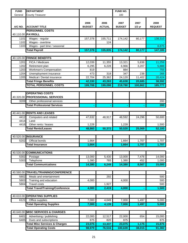| <b>FUND</b>       | <b>DEPARTMENT</b>                                  |                       |                       | FUND NO.              |                  |                        |
|-------------------|----------------------------------------------------|-----------------------|-----------------------|-----------------------|------------------|------------------------|
| General           | <b>County Treasurer</b>                            |                       |                       | 100                   |                  |                        |
| A/C NO.           | <b>ACCOUNT TITLE</b>                               | 2006<br><b>BUDGET</b> | 2006<br><b>ACTUAL</b> | 2007<br><b>BUDGET</b> | 2007<br>$1/2$ yr | 2008<br><b>REQUEST</b> |
|                   | <b>PERSONNEL COSTS</b>                             |                       |                       |                       |                  |                        |
|                   | 40.110.00 PAYROLL                                  |                       |                       |                       |                  |                        |
| 1101              | Wages - regular                                    | 157,378               | 155,711               | 174,142               | 80,177           | 138,310                |
| 1102              | Wages - overtime                                   |                       | 124                   |                       |                  |                        |
| 1103              | Wages - part time / seasonal                       |                       |                       |                       |                  | 8,875                  |
|                   | <b>Total Payroll</b>                               | 157,378               | 155,835               | 174,142               | 80,177           | 147,185                |
|                   |                                                    |                       |                       |                       |                  |                        |
| 40.120.00<br>1201 | <b>FRINGE BENEFITS</b><br>FICA / Medicare          | 12,039                | 11,355                | 13,321                | 5,838            | 11,259                 |
| 1202              | Retirement plan                                    | 6,295                 | 6,228                 | 6,966                 | 3,207            | 5,888                  |
| 1203              | Workman's Compensation                             | 819                   |                       | 884                   |                  | 755                    |
| 1204              | Unemployment insurance                             | 473                   | 318                   | 347                   | 238              | 266                    |
| 1205              | Medical / Dental insurance                         | 22,704                | 25,362                | 24,120                | 11,402           | 20,424                 |
|                   | <b>Total Fringe Benefits</b>                       | 42,330                | 43,263                | 45,638                | 20,685           | 38,592                 |
|                   | <b>OTAL PERSONNEL COSTS</b>                        | 199,708               | 199,098               | 219,780               | 100,862          | 185,777                |
|                   |                                                    |                       |                       |                       |                  |                        |
|                   | <b>OPERATING COSTS</b>                             |                       |                       |                       |                  |                        |
|                   | 40.320.00 PROFESSIONAL SERVICES                    |                       |                       |                       |                  |                        |
| 3209              | Other professional services                        |                       |                       |                       |                  | 200                    |
|                   | <b>Total Professional Services</b>                 |                       |                       |                       |                  | 200                    |
|                   |                                                    |                       |                       |                       |                  |                        |
|                   | 40.441.00 RENTS AND LEASES                         |                       |                       |                       |                  |                        |
| 4412              | Computers and related                              | 47,632                | 48,917                | 48,592                | 24,296           | 50,600                 |
| 4414              | Land                                               |                       |                       |                       |                  |                        |
| 4416              | Other rents / leases                               | 1,228                 |                       | 1,228                 |                  | 1,500                  |
|                   | <b>Total Rents/Leases</b>                          | 48,860                | 50,372                | 50,520                | 25,069           | 52,100                 |
|                   | 40.520.00 INSURANCE                                |                       |                       |                       |                  |                        |
| 5202              | Official bonds                                     | 1,664                 |                       | 1,664                 | 1,707            | 1,707                  |
|                   | <b>Total Insurance</b>                             | 1,664                 |                       | 1,664                 | 1,707            | 1,707                  |
|                   |                                                    |                       |                       |                       |                  |                        |
|                   | 40.530.00 COMMUNICATIONS                           |                       |                       |                       |                  |                        |
| 5302              | Postage                                            | 13,000                | 5,430                 | 13,000                | 7,476            | 14,000                 |
| 5303              | Telephone                                          | 1,380                 | 765                   | 1,380                 | 452              | 1,000                  |
|                   | <b>Total Communications</b>                        | 14,380                | 6,249                 | 14,380                | 8,567            | 15,000                 |
|                   |                                                    |                       |                       |                       |                  |                        |
| 40.580.00         | <b>TRAVEL/TRAINING/CONFERENCE</b>                  |                       |                       |                       |                  |                        |
| 5802              | Meals and entertainment                            |                       | 292                   |                       |                  | 500                    |
| 5803              | Training and education                             | 4,000                 |                       | 4,000                 |                  | 500                    |
| 5804              | <b>Travel costs</b>                                |                       | 1,927                 |                       |                  | 500                    |
|                   | <b>Total Travel/Training/Conference</b>            | 4,000                 | 2,419                 | 4,000                 |                  | 1,500                  |
|                   |                                                    |                       |                       |                       |                  |                        |
|                   | 40.610.00 OPERATING SUPPLIES                       |                       |                       |                       |                  |                        |
| 6121              | Office supplies<br><b>Total Operating Supplies</b> | 7,000<br>7,000        | 4,049<br>4,139        | 7,000<br>7,000        | 1,497<br>1,497   | 5,000<br>5,000         |
|                   |                                                    |                       |                       |                       |                  |                        |
|                   | 40.640.00 MISC SERVICES & CHARGES                  |                       |                       |                       |                  |                        |
| 6401              | Advertising / publishing                           | 22,000                | 12,517                | 22,000                | 654              | 15,000                 |
| 6405              | Dues and subscriptions                             | 875                   | 820                   | 875                   |                  | 875                    |
|                   | <b>Total Misc Services &amp; Charges</b>           | 23,075                | 13,337                | 23,075                | 1,175            | 15,875                 |
|                   | <b>Total Operating Costs</b>                       | 98,979                | 76,516                | 100,639               | 38,015           | 91,382                 |
|                   |                                                    |                       |                       |                       |                  |                        |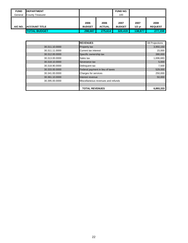| <b>FUND</b> | <b>IDEPARTMENT</b>      |               |               | <b>FUND NO.</b> |          |                |
|-------------|-------------------------|---------------|---------------|-----------------|----------|----------------|
| General     | <b>County Treasurer</b> |               |               | 100             |          |                |
|             |                         |               |               |                 |          |                |
|             |                         | 2006          | 2006          | 2007            | 2007     | 2008           |
| A/C NO.     | <b>ACCOUNT TITLE</b>    | <b>BUDGET</b> | <b>ACTUAL</b> | <b>BUDGET</b>   | $1/2$ yr | <b>REQUEST</b> |
|             | <b>TOTAL BUDGET</b>     | 298.687       | 275.614       | 320.419         | 138,877  | 277,159        |

|                | <b>REVENUES</b>                    | 08 Projections |
|----------------|------------------------------------|----------------|
| 30.311.10.0000 | Property tax                       | 3,950,150      |
| 30.311.11.0000 | <b>Current tax interest</b>        | 15,000         |
| 30.312.00.0000 | Specific ownership tax             | 390,000        |
| 30.313.00.0000 | Sales tax                          | 1,696,683      |
| 30.318.10.0000 | Severance tax                      | 5,000          |
| 30.318.90.0000 | Delinguent tax                     | 7,500          |
| 30.333.00.0000 | Federal payment in lieu of taxes   | 529,000        |
| 30.341.00.0000 | Charges for services               | 250,000        |
| 30.361.10.0000 | Interest revenue                   | 50,000         |
| 30.395.00.0000 | Miscellaneous revenues and refunds |                |
|                |                                    |                |
|                | <b>TOTAL REVENUES</b>              | 6,893,333      |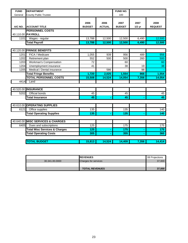| <b>FUND</b> | <b>DEPARTMENT</b>                        |                       |                       | FUND NO.              |                  |                        |
|-------------|------------------------------------------|-----------------------|-----------------------|-----------------------|------------------|------------------------|
| General     | <b>County Public Trustee</b>             |                       |                       | 100                   |                  |                        |
| A/C NO.     | <b>ACCOUNT TITLE</b>                     | 2006<br><b>BUDGET</b> | 2006<br><b>ACTUAL</b> | 2007<br><b>BUDGET</b> | 2007<br>$1/2$ yr | 2008<br><b>REQUEST</b> |
|             | <b>PERSONNEL COSTS</b>                   |                       |                       |                       |                  |                        |
|             | 40.110.00 PAYROLL                        |                       |                       |                       |                  |                        |
| 1101        | Wages - regular                          | 13,788                | 12,500                | 12,500                | 6,490            | 12,500                 |
|             | <b>Total Payroll</b>                     | 13,788                | 12,500                | 12,500                | 6,490            | 12,500                 |
|             |                                          |                       |                       |                       |                  |                        |
|             | 40.120.00 FRINGE BENEFITS                |                       |                       |                       |                  |                        |
| 1201        | FICA / Medicare                          | 1,055                 | 939                   | 956                   | 489              | 956                    |
| 1202        | Retirement plan                          | 552                   | 500                   | 500                   | 260              | 500                    |
| 1203        | Workman's Compensation                   | 72                    |                       | 60                    |                  | 60                     |
| 1204        | Unemployment insurance                   | 41                    |                       | 38                    | 19               | 38                     |
| 1205        | Medical / Dental insurance               |                       | 586                   |                       | 98               |                        |
|             | <b>Total Fringe Benefits</b>             | 1,720                 | 2,025                 | 1,554                 | 866              | 1,554                  |
|             | <b>TOTAL PERSONNEL COSTS</b>             | 15,508                | 14,524                | 14,054                | 7,356            | 14,054                 |
| 4414        | Land                                     |                       |                       |                       |                  |                        |
|             |                                          |                       |                       |                       |                  |                        |
|             | 40.520.00 INSURANCE                      |                       |                       |                       |                  |                        |
| 5202        | Official bonds                           | 45                    |                       | 45                    |                  | 45                     |
|             | <b>Total Insurance</b>                   | 45                    |                       | 45                    |                  | 45                     |
|             |                                          |                       |                       |                       |                  |                        |
|             | 40.610.00 OPERATING SUPPLIES             |                       |                       |                       |                  |                        |
| 6121        | Office supplies                          | 135                   |                       | 135                   |                  | 140                    |
|             | <b>Total Operating Supplies</b>          | 135                   |                       | 135                   |                  | 140                    |
|             |                                          |                       |                       |                       |                  |                        |
|             | 40.640.00 MISC SERVICES & CHARGES        |                       |                       |                       |                  |                        |
| 6405        | Dues and subscriptions                   | 125                   |                       | $\frac{175}{175}$     |                  | 175                    |
|             | <b>Total Misc Services &amp; Charges</b> | 125                   |                       | 175                   |                  | 175                    |
|             | <b>Total Operating Costs</b>             | 305                   |                       | 355                   |                  | 360                    |
|             |                                          |                       |                       |                       |                  |                        |
|             | <b>TOTAL BUDGET</b>                      | 15,813                | 14,524                | 14,409                | 7,356            | 14,414                 |

|                | <b>IREVENUES</b>            | 08 Projections |
|----------------|-----------------------------|----------------|
| 30.341.00.0000 | <b>Charges for services</b> | 37,000         |
|                |                             |                |
|                | <b>TOTAL REVENUES</b>       | 37,000         |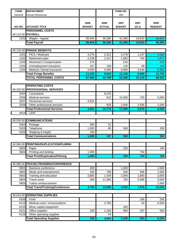| <b>FUND</b>  | <b>DEPARTMENT</b>                                      |                       |                       | FUND NO.              |                  |                        |
|--------------|--------------------------------------------------------|-----------------------|-----------------------|-----------------------|------------------|------------------------|
| General      | <b>Human Resources</b>                                 |                       |                       | 100                   |                  |                        |
| A/C NO.      | <b>ACCOUNT TITLE</b>                                   | 2006<br><b>BUDGET</b> | 2006<br><b>ACTUAL</b> | 2007<br><b>BUDGET</b> | 2007<br>$1/2$ yr | 2008<br><b>REQUEST</b> |
|              | <b>PERSONNEL COSTS</b>                                 |                       |                       |                       |                  |                        |
|              | 40.110.00 PAYROLL                                      |                       |                       |                       |                  |                        |
| 1101         | Wages - regular                                        | 55,944                | 35,285                | 41,560                | 18,620           | 46,800                 |
|              | <b>Total Payroll</b>                                   | 55,944                | 35,285                | 41,560                | 18,620           | 46,800                 |
|              |                                                        |                       |                       |                       |                  |                        |
|              | 40.120.00 FRINGE BENEFITS                              |                       |                       |                       |                  |                        |
| 1201         | FICA / Medicare                                        | 4,279                 | 2,521                 | 3,179                 | 1,247            | 3,580                  |
| 1202         | Retirement plan                                        | 2,238                 | 1,411                 | 1,662                 | 745              | 1,872                  |
| 1203         | Workman's Compensation                                 | 276                   |                       | 210                   |                  | 240                    |
| 1204         | Unemployment insurance                                 | 167                   | 106                   | 125                   | 56               | 140                    |
| 1205         | Medical / Dental insurance                             | 4,560                 | 5,466                 | 6,960                 | 3,648            | 6,960                  |
|              | <b>Total Fringe Benefits</b>                           | 11,520                | 9,504                 | 12,136                | 5,696            | 12,792                 |
|              | <b>TOTAL PERSONNEL COSTS</b>                           | 67,464                | 44,789                | 53,696                | 24,316           | 59,592                 |
|              |                                                        |                       |                       |                       |                  |                        |
| 40.320.00    | <b>OPERATING COSTS</b><br><b>PROFESSIONAL SERVICES</b> |                       |                       |                       |                  |                        |
| 3204         | Consultants                                            |                       | 9,233                 |                       |                  |                        |
| 3206         | <b>Medical services</b>                                |                       | 615                   | 15,000                | 740              | 5,000                  |
| 3207         | Personnel services                                     | 4,922                 |                       |                       |                  |                        |
| 3209         | Other professional services                            |                       | 928                   | 2,000                 | 2,936            | 1,000                  |
|              | <b>Total Professional Services</b>                     | 4,922                 | 10,776                | 17,000                | 3,676            | 6,000                  |
| 4414         | Land                                                   |                       |                       |                       |                  |                        |
|              |                                                        |                       |                       |                       |                  |                        |
|              | 40.530.00 COMMUNICATIONS                               |                       |                       |                       |                  |                        |
| 5302         | Postage                                                | 300                   | 22                    |                       |                  |                        |
| 5303<br>5305 | Telephone<br>Shipping & freight                        | 1,000<br>100          | 85                    | 500                   |                  | 250                    |
|              | <b>Total Communications</b>                            | 1,400                 | 107                   | 500                   |                  | 250                    |
|              |                                                        |                       |                       |                       |                  |                        |
|              | 40.560.00 PRINTING/DUPLICATION/FILMING                 |                       |                       |                       |                  |                        |
| 5603         | Paper                                                  |                       |                       | 250                   |                  | 100                    |
| 5604         | Printing and binding                                   | 1,000                 |                       |                       | 754              |                        |
|              | <b>Total Print/Duplication/Filming</b>                 | 1,000                 |                       | 250                   | 754              | 100                    |
|              |                                                        |                       |                       |                       |                  |                        |
|              | 40.580.00 TRAVEL/TRAINING/CONFERENCE                   |                       |                       |                       |                  |                        |
| 5801         | <b>Business conference</b>                             | 400                   |                       | 1,000                 |                  | 1,500                  |
| 5802         | Meals and entertainment                                | 200                   | 799                   | 500                   | 496              | 1,000                  |
| 5803         | Training and education                                 | 3,800                 | 1,429                 | 2,000                 | 1,893            | 3,000                  |
| 5804         | <b>Travel costs</b>                                    | 300                   | 11,360                | 750                   | 5,586            | 9,500                  |
| 5805         | Tuition reimbursement                                  |                       |                       |                       |                  | 1,000                  |
|              | <b>Total Travel/Training/Conference</b>                | 4,700                 | 13,588                | 4,250                 | 7,975            | 16,000                 |
|              |                                                        |                       |                       |                       |                  |                        |
|              | 40.610.00 OPERATING SUPPLIES                           |                       |                       |                       |                  |                        |
| 6108         | Food                                                   |                       |                       |                       | 206              | 200                    |
| 6119         | Medical costs / immunizations                          |                       | 2,765                 |                       | 50               | 5,500                  |
| 6120         | Minor capital equipment                                |                       |                       | 400                   |                  |                        |
| 6121         | Office supplies                                        | 150                   | 1,183                 | 800                   | 337              | 500                    |
| 6126         | Other operating supplies                               |                       | 54                    |                       |                  |                        |
|              | <b>Total Operating Supplies</b>                        | 150                   | 4,002                 | 1,200                 | 593              | 6,200                  |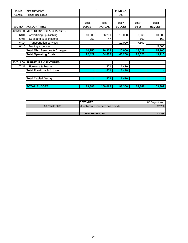| <b>FUND</b> | <b>DEPARTMENT</b>                        |                       |                       | FUND NO.              |                  |                        |
|-------------|------------------------------------------|-----------------------|-----------------------|-----------------------|------------------|------------------------|
| General     | <b>Human Resources</b>                   |                       |                       | 100                   |                  |                        |
| A/C NO.     | <b>ACCOUNT TITLE</b>                     | 2006<br><b>BUDGET</b> | 2006<br><b>ACTUAL</b> | 2007<br><b>BUDGET</b> | 2007<br>$1/2$ yr | 2008<br><b>REQUEST</b> |
|             | 40.640.00 MISC SERVICES & CHARGES        |                       |                       |                       |                  |                        |
| 6401        | Advertising / publishing                 | 10,000                | 26,281                | 10,000                | 8,368            | 10,000                 |
| 6405        | Dues and subscriptions                   | 250                   | 47                    |                       | 160              | 160                    |
| 6414        | <b>Transportation services</b>           |                       |                       | 10,000                | 7,500            |                        |
| 6416        | Moving expenses                          |                       |                       |                       |                  | 5,000                  |
|             | <b>Total Misc Services &amp; Charges</b> | 10,250                | 26,328                | 20,000                | 16,028           | 15,160                 |
|             | <b>Total Operating Costs</b>             | 22,422                | 54,802                | 43,200                | 29,026           | 43,710                 |
|             | 40.743.00 FURNITURE & FIXTURES           |                       |                       |                       |                  |                        |
| 7431        | Furniture & fixtures                     |                       | 471                   | 1,410                 |                  |                        |
|             | <b>Total Furniture &amp; fixtures</b>    |                       | 471                   | 1,410                 |                  |                        |
|             | <b>Total Capital Outlay</b>              |                       | 471                   | 1,410                 |                  |                        |
|             | <b>TOTAL BUDGET</b>                      | 89,886                | 100,062               | 98,306                | 53,342           | 103,302                |

|                | <b>REVENUES</b>                    | 08 Projections |
|----------------|------------------------------------|----------------|
| 30.395.00.0000 | Miscellaneous revenues and refunds | 12,256         |
|                |                                    |                |
|                | <b>TOTAL REVENUES</b>              | 12.256         |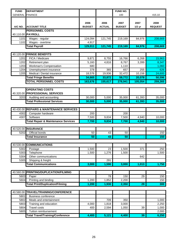| <b>FUND</b>    | <b>DEPARTMENT</b>                              |                 |               | FUND NO.      |                 |                |
|----------------|------------------------------------------------|-----------------|---------------|---------------|-----------------|----------------|
| <b>GENERAL</b> | <b>FINANCE</b>                                 |                 |               | 100           |                 | 415.10         |
|                |                                                |                 |               |               |                 |                |
|                |                                                | 2006            | 2006          | 2007          | 2007            | 2008           |
| A/C NO.        | <b>ACCOUNT TITLE</b>                           | <b>BUDGET</b>   | <b>ACTUAL</b> | <b>BUDGET</b> | $1/2$ yr        | <b>REQUEST</b> |
|                | <b>PERSONNEL COSTS</b>                         |                 |               |               |                 |                |
|                | 40.110.00 PAYROLL                              |                 |               |               |                 |                |
| 1101           | Wages - regular                                | 124,094         | 121,745       | 219,169       | 84,976          | 208,669        |
| 1102           | Wages - overtime                               | 4,917           |               |               |                 |                |
|                | <b>Total Payroll</b>                           | 129,011         | 121,745       | 219,169       | 84,976          | 208,669        |
|                |                                                |                 |               |               |                 |                |
| 40.120.00      | <b>FRINGE BENEFITS</b>                         |                 |               |               |                 |                |
| 1201           | FICA / Medicare                                | 9,871           | 8,755         | 16,766        | 6,268           | 15,963         |
| 1202           | Retirement plan                                | 5,160           | 4,816         | 8,767         | 3,399           | 8,347          |
| 1203           | Workman's Compensation                         | 680             |               | 1,110         |                 | 1,060          |
| 1204           | Unemployment insurance                         | 378             | 365           | 657           | 255             | 626            |
| 1205           | Medical / Dental insurance                     | 18,576          | 19,936        | 32,472        | 10,156          | 24,600         |
|                | <b>Total Fringe Benefits</b>                   | 34,665          | 33,872        | 59,772        | 20,078          | 50,596         |
|                | <b>TOTAL PERSONNEL COSTS</b>                   | 163,676         | 155,617       | 278,941       | 105,054         | 259,265        |
|                |                                                |                 |               |               |                 |                |
|                | <b>OPERATING COSTS</b>                         |                 |               |               |                 |                |
|                | 40.320.00 PROFESSIONAL SERVICES                |                 |               |               |                 |                |
| 3203           | Auditing and accounting                        | 30,000          | 5,000         | 35,000        | 61,393          | 35,000         |
|                | <b>Total Professional Services</b>             | 30,000          | 5,000         | 35,000        | 61,393          | 35,000         |
|                |                                                |                 |               |               |                 |                |
| 40.430.00      | <b>REPAIRS &amp; MAINTENANCE SERVICES</b>      |                 |               |               |                 |                |
| 4302           | Computer hardware                              | 200             |               | 200           |                 |                |
| 4307           | Software                                       | 7,500           | 9,834         | 7,500         | 4,940           | 10,000         |
|                | <b>Total Repair &amp; Maintenance Services</b> | 7,700           | 9,834         | 7,700         | 4,940           | 10,000         |
|                |                                                |                 |               |               |                 |                |
| 40.520.00      | <b>INSURANCE</b>                               |                 |               |               |                 |                |
| 5202           | <b>Official bonds</b>                          | 50              | 43            | 50            |                 | 150            |
|                | <b>Total Insurance</b>                         | $\overline{50}$ | 43            | 50            |                 | 150            |
|                |                                                |                 |               |               |                 |                |
|                | 40.530.00 COMMUNICATIONS                       |                 |               |               |                 |                |
| 5302           | Postage                                        | 1,500           | 23            | 1,500         | 371             | 250            |
| 5303           | Telephone                                      | 1,500           | 1,276         | 1,500         |                 | 1,500          |
| 5304           | Other communications                           |                 |               |               | 642             |                |
| 5305           | Shipping & freight                             |                 | 291           |               |                 |                |
|                | <b>Total Communications</b>                    | 3,000           | 1,590         | 3,000         | 1,013           | 1,750          |
|                |                                                |                 |               |               |                 |                |
| 40.560.00      | PRINTING/DUPLICATION/FILMING                   |                 |               |               |                 |                |
| 5603           | Paper                                          |                 | 78            | 150           | 29              | 150            |
| 5604           | Printing and binding                           | 1,200           | 1,852         | 2,200         |                 | 150            |
|                | <b>Total Print/Duplication/Filming</b>         | 1,200           | 1,930         | 2,350         | $\overline{29}$ | 300            |
|                |                                                |                 |               |               |                 |                |
| 40.580.00      | TRAVEL/TRAINING/CONFERENCE                     |                 |               |               |                 |                |
| 5801           | <b>Business conference</b>                     |                 |               |               |                 |                |
| 5802           | Meals and entertainment                        |                 | 709           | 350           |                 | 1,000          |
| 5803           | Training and education                         | 4,000           | 1,818         | 3,000         |                 | 2,250          |
| 5804           | Travel costs                                   | 400             | 2,594         | 1,050         | 39              | 1,000          |
| 5805           | Tuition reimbursement                          |                 |               |               |                 | 2,000          |
|                | <b>Total Travel/Training/Conference</b>        | 4,400           | 5,121         | 4,400         | 39              | 6,250          |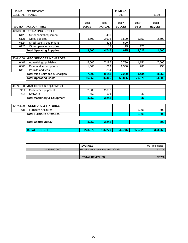| <b>FUND</b>            | <b>DEPARTMENT</b>                        |                       |                       | <b>FUND NO.</b>       |                  |                        |
|------------------------|------------------------------------------|-----------------------|-----------------------|-----------------------|------------------|------------------------|
| <b>GENERAL FINANCE</b> |                                          |                       |                       | 100                   |                  | 415.10                 |
| A/C NO.                | <b>ACCOUNT TITLE</b>                     | 2006<br><b>BUDGET</b> | 2006<br><b>ACTUAL</b> | 2007<br><b>BUDGET</b> | 2007<br>$1/2$ yr | 2008<br><b>REQUEST</b> |
|                        | 40.610.00 OPERATING SUPPLIES             |                       |                       |                       |                  |                        |
| 6120                   | Minor capital equipment                  |                       | 400                   |                       |                  |                        |
| 6121                   | Office supplies                          | 3,500                 | 3,916                 | 3,500                 | 1,852            | 2,500                  |
| 6124                   | Small tools & equipment                  |                       | 416                   | 500                   |                  |                        |
| 6126                   | Other operating supplies                 |                       | 13                    | 25                    | 175              |                        |
|                        | <b>Total Operating Supplies</b>          | 3,500                 | 4,745                 | 4,025                 | 2,027            | 2,500                  |
|                        |                                          |                       |                       |                       |                  |                        |
|                        | 40.640.00 MISC SERVICES & CHARGES        |                       |                       |                       |                  |                        |
| 6401                   | Advertising / publishing                 | 5,500                 | 7,185                 | 5,780                 | 1,151            | 7,500                  |
| 6405                   | Dues and subscriptions                   | 1,500                 | 624                   | 1,500                 | 283              | 750                    |
| 6410                   | Permits and fees                         |                       | 334                   |                       |                  |                        |
|                        | <b>Total Misc Services &amp; Charges</b> | 7,000                 | 8,143                 | 7,280                 | 1,434            | 8,250                  |
|                        | <b>Total Operating Costs</b>             | 56,850                | 36,405                | 63,805                | 70,875           | 64,200                 |
|                        |                                          |                       |                       |                       |                  |                        |
|                        | 40.741.00 MACHINERY & EQUIPMENT          |                       |                       |                       |                  |                        |
| 7411                   | Computer equipment                       | 2,500                 | 2,657                 |                       |                  |                        |
| 7415                   | Software                                 | 550                   | 591                   |                       | 30               |                        |
|                        | <b>Total Machinery &amp; Equipment</b>   | 3,050                 | 3,248                 |                       | 30               |                        |
|                        |                                          |                       |                       |                       |                  |                        |
|                        | 40.743.00 FURNITURE & FIXTURES           |                       |                       |                       |                  |                        |
| 7431                   | Furniture & fixtures                     |                       |                       |                       | 5,906            | 500                    |
|                        | <b>Total Furniture &amp; fixtures</b>    |                       |                       |                       | 5,906            | 500                    |
|                        | <b>Total Capital Outlay</b>              | 3,050                 | 3,248                 |                       |                  | 500                    |
|                        |                                          |                       |                       |                       |                  |                        |
|                        | <b>TOTAL BUDGET</b>                      | 223,576               | 195,270               | 342,746               | 175,929          | 323,965                |

|                | <b>IREVENUES</b>                           | .08 Proiections |
|----------------|--------------------------------------------|-----------------|
| 30.395.00.0000 | <b>IMiscellaneous revenues and refunds</b> | 32.708          |
|                |                                            |                 |
|                | <b>TOTAL REVENUES</b>                      | 32.708          |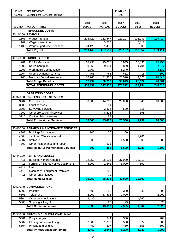| <b>FUND</b>  | <b>DEPARTMENT</b>                                              |                       |                       | FUND NO.              |                   |                        |
|--------------|----------------------------------------------------------------|-----------------------|-----------------------|-----------------------|-------------------|------------------------|
| General      | Development Services: Planning                                 |                       |                       | 100                   |                   |                        |
| A/C NO.      | <b>ACCOUNT TITLE</b>                                           | 2006<br><b>BUDGET</b> | 2006<br><b>ACTUAL</b> | 2007<br><b>BUDGET</b> | 2007<br>$1/2$ yr  | 2008<br><b>REQUEST</b> |
|              | <b>PERSONNEL COSTS</b>                                         |                       |                       |                       |                   |                        |
|              | 40.110.00 PAYROLL                                              |                       |                       |                       |                   |                        |
| 1101         | Wages - regular                                                | 224,720               | 232,547               | 220,197               | 123,931           | 199,414                |
| 1102         | Wages - overtime                                               |                       | 3,556                 |                       | 5,817             |                        |
| 1103         | Wages - part time / seasonal                                   | 14,425                | 21,495                |                       | 8,909             |                        |
|              | <b>Total Payroll</b>                                           | 239,145               | 257,598               | 220,197               | 138,657           | 199,414                |
|              |                                                                |                       |                       |                       |                   |                        |
|              | 40.120.00 FRINGE BENEFITS                                      |                       |                       |                       |                   |                        |
| 1201         | FICA / Medicare                                                | 18,296                | 19,006                | 16,845                | 10,331            | 15,255                 |
| 1202         | Retirement plan                                                | 9,566                 | 9,064                 | 8,809                 | 4,704             | 7,977                  |
| 1203         | Workman's Compensation                                         | 1,767                 |                       | 5,240                 |                   | 4,130                  |
| 1204<br>1205 | Unemployment insurance<br>Medical / Dental insurance           | 705<br>36,960         | 763<br>31,385         | 661<br>26,520         | 416<br>9,626      | 599<br>20,640          |
|              |                                                                |                       |                       |                       |                   |                        |
|              | <b>Total Fringe Benefits</b><br><b>TOTAL PERSONNEL COSTS</b>   | 67,294<br>306,439     | 60,218<br>317,816     | 58,075<br>278,272     | 25,077<br>163,734 | 48,601<br>248,015      |
|              |                                                                |                       |                       |                       |                   |                        |
|              | <b>OPERATING COSTS</b>                                         |                       |                       |                       |                   |                        |
|              | 40.320.00 PROFESSIONAL SERVICES                                |                       |                       |                       |                   |                        |
| 3204         | Consultants                                                    | 100,000               | 14,269                | 20,000                | 46                | 10,000                 |
| 3205         | Legal services                                                 |                       | 14                    |                       |                   |                        |
| 3208         | Surveying services                                             |                       | 2,804                 | 500                   | 815               |                        |
| 3209         | Other professional services                                    |                       | 8,226                 |                       | 398               |                        |
| 3210         | Contract labor services                                        |                       | 87                    |                       |                   |                        |
|              | <b>Total Professional Services</b>                             | 100,000               | 25,400                | 20,500                | 1,259             | 10,000                 |
|              |                                                                |                       |                       |                       |                   |                        |
|              | 40.430.00 REPAIRS & MAINTENANCE SERVICES                       |                       |                       |                       |                   |                        |
| 4301         | Buildings / structures                                         | 100                   | 55                    | 100                   |                   |                        |
| 4304         | Janitorial / Waste removal                                     |                       |                       |                       | 1,981             |                        |
| 4307         | Software                                                       | 500                   |                       | 1,500                 | 2,800             | 1,500                  |
| 4309         | Other maintenance and repair                                   |                       | 201                   |                       |                   |                        |
|              | <b>Total Repair &amp; Maintenance Services</b>                 | 600                   | 256                   | 1,600                 | 4,781             | 1,500                  |
|              |                                                                |                       |                       |                       |                   |                        |
|              | 40.441.00 RENTS AND LEASES                                     |                       |                       |                       |                   |                        |
| 4411         | Buildings / improvements                                       | 32,250                | 26,171                | 37,000                | 18,912            |                        |
| 4413         | Furniture / fixtures / office equipment                        | 4,000                 | 1,842                 | 3,000                 | 690               |                        |
| 4414         | Land                                                           |                       |                       |                       |                   |                        |
| 4415         | Machinery / equipment / vehicles                               |                       | 148                   |                       |                   |                        |
| 4416         | Other rents / leases                                           |                       | 70                    |                       |                   |                        |
|              | <b>Total Rents/Leases</b>                                      | 36,250                | 28,231                | 40,000                | 19,602            |                        |
|              |                                                                |                       |                       |                       |                   |                        |
|              | 40.530.00 COMMUNICATIONS                                       |                       |                       |                       |                   |                        |
| 5302         | Postage                                                        | 600                   | 52                    | 300                   | 242               | 300                    |
| 5303         | Telephone                                                      | 2,000                 | 13,533                | 2,000                 |                   | 2,000                  |
| 5304         | Other communications                                           | 2,435                 |                       |                       | 1,262             |                        |
| 5305         | Shipping & freight                                             |                       | 25                    | 25                    |                   | 25                     |
|              | <b>Total Communications</b>                                    | 5,035                 | 13,610                | 2,325                 | 1,504             | 2,325                  |
|              |                                                                |                       |                       |                       |                   |                        |
|              |                                                                |                       |                       |                       |                   |                        |
| 40.560.00    | <b>PRINTING/DUPLICATION/FILMING</b>                            |                       |                       |                       |                   |                        |
| 5601         | Copy charges                                                   |                       | 344                   | 330                   |                   | 200                    |
| 5602         | Filming and microfilming                                       | 2,000                 | 1,090                 | 500                   | 377               | 500                    |
| 5604         | Printing and binding<br><b>Total Print/Duplication/Filming</b> | 450<br>2,450          | 607<br>2,041          | 450                   | 655<br>1,032      | 500<br>1,200           |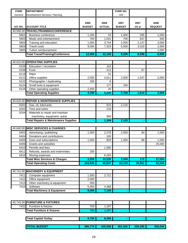| <b>FUND</b>  | <b>DEPARTMENT</b>                                           |                       |                       | <b>FUND NO.</b>       |                  |                        |
|--------------|-------------------------------------------------------------|-----------------------|-----------------------|-----------------------|------------------|------------------------|
| General      | Development Services: Planning                              |                       |                       | 100                   |                  |                        |
| A/C NO.      | <b>ACCOUNT TITLE</b>                                        | 2006<br><b>BUDGET</b> | 2006<br><b>ACTUAL</b> | 2007<br><b>BUDGET</b> | 2007<br>$1/2$ yr | 2008<br><b>REQUEST</b> |
| 40.580.00    | TRAVEL/TRAINING/CONFERENCE                                  |                       |                       |                       |                  |                        |
| 5801         | <b>Business conference</b>                                  | 1,200                 | 53                    | 1,000                 | 295              | 1,000                  |
| 5802         | Meals and entertainment                                     | 700                   | 1,041                 | 700                   | 837              | 500                    |
| 5803         | Training and education                                      | 1,000                 | 3,744                 | 2,000                 | 2,147            | 3,000                  |
| 5804         | <b>Travel costs</b>                                         | 9,500                 | 7,323                 | 5,500                 | 3,319            | 2,500                  |
| 5805         | Tuition reimbursement                                       |                       |                       |                       |                  | 1,000                  |
|              | <b>Total Travel/Training/Conference</b>                     | 12,400                | 12,160                | 9,200                 | 6,598            | 8,000                  |
|              |                                                             |                       |                       |                       |                  |                        |
| 40.610.00    | <b>OPERATING SUPPLIES</b>                                   |                       |                       |                       |                  |                        |
| 6106         | Education / recreation                                      |                       | 163                   |                       |                  |                        |
| 6108         | Food                                                        |                       | 212                   |                       | 67               |                        |
| 6118         | Maps                                                        |                       | 31                    |                       |                  |                        |
| 6121         | Office supplies                                             | 2,000                 | 4,611                 | 2,500                 | 1,547            | 2,000                  |
| 6122         | Photographic / duplicating                                  | 200                   | 6                     |                       |                  |                        |
| 6124         | Small tools & equipment                                     |                       | 177                   | 200                   |                  |                        |
| 6126         | Other operating supplies                                    | 2,500                 | 20                    |                       |                  |                        |
|              | <b>Total Operating Supplies</b>                             | 4,700                 | 5,220                 | 2,700                 | 1,614            | 2,000                  |
|              |                                                             |                       |                       |                       |                  |                        |
| 40.626.00    | <b>REPAIR &amp; MAINTENANCE SUPPLIES</b>                    |                       |                       |                       |                  |                        |
| 6261         | Gas, oil, lubricants                                        |                       | 621                   | 2,125                 |                  |                        |
| 6262         | Tires and tubes                                             |                       | 218                   |                       |                  |                        |
| 6264         | Materials to repair and maintain                            |                       |                       |                       |                  |                        |
|              | machinery, equipment, autos                                 |                       | 560                   |                       |                  |                        |
|              | <b>Total Repairs &amp; Maintenance Supplies</b>             |                       | 1,399                 | 2,125                 |                  |                        |
|              |                                                             |                       |                       |                       |                  |                        |
| 40.640.00    | <b>MISC SERVICES &amp; CHARGES</b>                          |                       |                       |                       |                  |                        |
| 6401         | Advertising / publishing                                    | 1,500                 | 2,278                 | 2,500                 | 84               | 1,000                  |
| 6404         | Donations and contributions                                 |                       | 100                   |                       |                  |                        |
| 6405         | Dues and subscriptions                                      | 1,500                 | 829                   | 1,000                 | 88               | 1,000                  |
| 6406         | Grants and subsidies                                        |                       |                       |                       |                  | 25,000                 |
| 6410         | Permits and fees                                            |                       | 1,060                 |                       |                  |                        |
| 6411<br>6416 | Refunds, awards and indemnities                             | 200                   | 6,263                 |                       |                  |                        |
|              | Moving expenses<br><b>Total Misc Services &amp; Charges</b> | 3,200                 | 10,530                | 3,500                 | 172              | 27,000                 |
|              | <b>Total Operating Costs</b>                                |                       | 98,847                | 83,230                | 36,561           | 52,025                 |
|              |                                                             | 164,635               |                       |                       |                  |                        |
|              | <b>MACHINERY &amp; EQUIPMENT</b>                            |                       |                       |                       |                  |                        |
| 40.741.00    |                                                             |                       |                       |                       |                  |                        |
| 7411         | Computer equipment<br>Office equipment                      | 1,500                 | 2,721                 |                       |                  |                        |
| 7412<br>7413 | Other machinery & equipment                                 | 2,000<br>500          |                       |                       |                  |                        |
| 7415         | Software                                                    | 5,000                 | 4,388                 |                       |                  |                        |
|              | <b>Total Machinery &amp; Equipment</b>                      | 9,000                 | 7,109                 |                       |                  |                        |
|              |                                                             |                       |                       |                       |                  |                        |
|              |                                                             |                       |                       |                       |                  |                        |
|              | 40.743.00 FURNITURE & FIXTURES                              |                       |                       |                       |                  |                        |
| 7431         | Furniture & fixtures                                        | 700                   | 1,287                 |                       |                  |                        |
|              | <b>Total Furniture &amp; fixtures</b>                       | 700                   | 1,287                 |                       |                  |                        |
|              |                                                             |                       |                       |                       |                  |                        |
|              |                                                             |                       |                       |                       |                  |                        |
|              | <b>Total Capital Outlay</b>                                 | 9,700                 | 8,396                 |                       |                  |                        |
|              |                                                             |                       |                       |                       |                  |                        |
|              | <b>TOTAL BUDGET</b>                                         | 480,774               | 425,058               | 361,502               | 200, 295         | 300,040                |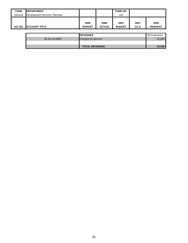| <b>FUND</b> | <b>IDEPARTMENT</b>             |               |               | <b>FUND NO.</b> |          |                |
|-------------|--------------------------------|---------------|---------------|-----------------|----------|----------------|
| General     | Development Services: Planning |               |               | 100             |          |                |
|             |                                |               |               |                 |          |                |
|             |                                | 2006          | 2006          | 2007            | 2007     | 2008           |
| A/C NO.     | <b>ACCOUNT TITLE</b>           | <b>BUDGET</b> | <b>ACTUAL</b> | <b>BUDGET</b>   | $1/2$ yr | <b>REQUEST</b> |
|             |                                |               |               |                 |          |                |
|             |                                | _ _ _ ._ _ _  |               |                 |          | .              |

|                | <b>IREVENUES</b>            | 08 Projections |
|----------------|-----------------------------|----------------|
| 30.341.00.0000 | <b>Charges for services</b> | 52,000         |
|                |                             |                |
|                | <b>TOTAL REVENUES</b>       | 52,000         |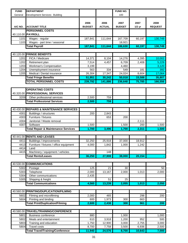| <b>FUND</b>  | <b>DEPARTMENT</b>                                    |                       |                       | <b>FUND NO.</b>       |                  |                        |
|--------------|------------------------------------------------------|-----------------------|-----------------------|-----------------------|------------------|------------------------|
| General      | Development Services: Building                       |                       |                       | 100                   |                  |                        |
| A/C NO.      | <b>ACCOUNT TITLE</b>                                 | 2006<br><b>BUDGET</b> | 2006<br><b>ACTUAL</b> | 2007<br><b>BUDGET</b> | 2007<br>$1/2$ yr | 2008<br><b>REQUEST</b> |
|              | <b>PERSONNEL COSTS</b>                               |                       |                       |                       |                  |                        |
|              | 40.110.00 PAYROLL                                    |                       |                       |                       |                  |                        |
| 1101         | Wages - regular                                      | 187,841               | 111,644               | 167,709               | 60,197           | 130,749                |
| 1103         | Wages - part time / seasonal<br><b>Total Payroll</b> | 187,841               | 111,644               | 18,921<br>186,630     | 60,197           |                        |
|              |                                                      |                       |                       |                       |                  | 130,749                |
| 40.120.00    | <b>FRINGE BENEFITS</b>                               |                       |                       |                       |                  |                        |
| 1201         | FICA / Medicare                                      | 14,371                | 8,104                 | 14,276                | 4,395            | 10,002                 |
| 1202         | Retirement plan                                      | 7,514                 | 4,457                 | 6,709                 | 2,408            | 5,229                  |
| 1203         | Workman's Compensation                               | 3,199                 |                       | 4,460                 |                  | 3,120                  |
| 1204         | Unemployment insurance                               | 563                   | 334                   | 549                   | 181              | 392                    |
| 1205         | Medical / Dental insurance                           | 26,304                | 17,347                | $\overline{2}4,024$   | 8,604            | 17,064                 |
|              | <b>Total Fringe Benefits</b>                         | 51,951                | 30,242                | 50,018                | 15,588           | 35,807                 |
|              | <b>TOTAL PERSONNEL COSTS</b>                         | 239,792               | 141,886               | 236,648               | 75,785           | 166,556                |
|              |                                                      |                       |                       |                       |                  |                        |
|              | <b>OPERATING COSTS</b>                               |                       |                       |                       |                  |                        |
|              | 40.320.00 PROFESSIONAL SERVICES                      |                       |                       |                       |                  |                        |
| 3209         | Other professional services                          | 2,500                 | 759                   |                       |                  |                        |
|              | <b>Total Professional Services</b>                   | 2,500                 | 759                   |                       |                  |                        |
|              |                                                      |                       |                       |                       |                  |                        |
| 40.430.00    | <b>REPAIRS &amp; MAINTENANCE SERVICES</b>            |                       |                       |                       |                  |                        |
| 4301         | Buildings / structures                               | 200                   | $\overline{2,843}$    |                       |                  |                        |
| 4303         | Furniture / fixtures                                 |                       | 653                   | 200                   |                  |                        |
| 4304         | Janitorial / Waste removal                           |                       |                       |                       | 2,111            |                        |
| 4307         | Software                                             | 1,500                 |                       | 1,500                 | 200              | 1,500                  |
|              | <b>Total Repair &amp; Maintenance Services</b>       | 1,700                 | 3,496                 | 1,700                 | 2,311            | 1,500                  |
|              |                                                      |                       |                       |                       |                  |                        |
| 40.441.00    | <b>RENTS AND LEASES</b>                              |                       |                       |                       |                  |                        |
| 4411         | Buildings / improvements                             | 32,250                | 25,918                | 37,000                | 18,912           |                        |
| 4413<br>4414 | Furniture / fixtures / office equipment<br>Land      | 4,000                 | 1,842                 | 1,000                 | 1,242            |                        |
| 4415         | Machinery / equipment / vehicles                     |                       | 148                   |                       |                  |                        |
|              | <b>Total Rents/Leases</b>                            | 36,250                | 27,908                | 38,000                | 20,154           |                        |
|              |                                                      |                       |                       |                       |                  |                        |
| 40.530.00    | <b>COMMUNICATIONS</b>                                |                       |                       |                       |                  |                        |
| 5302         | Postage                                              | 125                   | 21                    | 30                    |                  | 50                     |
| 5303         | Telephone                                            | 2,000                 | 13,167                | 2,000                 | 1,013            | 2,000                  |
| 5304         | Other communications                                 | 2,435                 |                       |                       |                  |                        |
| 5305         | Shipping & freight                                   |                       | 51                    | 25                    |                  |                        |
|              | <b>Total Communications</b>                          | 4,560                 | 13,239                | 2,055                 | 1,013            | 2,050                  |
|              |                                                      |                       |                       |                       |                  |                        |
| 40.560.00    | <b>PRINTING/DUPLICATION/FILMING</b>                  |                       |                       |                       |                  |                        |
| 5602         | Filming and microfilming                             | 2,000                 | 465                   |                       | 298              | 200                    |
| 5604         | Printing and binding                                 | 600                   | 1,973                 | 300                   | 663              |                        |
|              | <b>Total Print/Duplication/Filming</b>               | 2,600                 | 2,438                 | 300                   | 961              | 200                    |
|              |                                                      |                       |                       |                       |                  |                        |
| 40.580.00    | <b>TRAVEL/TRAINING/CONFERENCE</b>                    |                       |                       |                       |                  |                        |
| 5801         | <b>Business conference</b>                           | 880                   |                       | 1,000                 |                  | 1,000                  |
| 5802         | Meals and entertainment                              | 610                   | 3,918                 | 1,200                 | 952              | 500                    |
| 5803         | Training and education                               | 1,750                 | 12,900                | 3,000                 | 2,755            | 3,000                  |
| 5804         | <b>Travel costs</b>                                  | 8,700                 | 7,758                 | 3,500                 | 6,936            | 2,500                  |
|              | <b>Total Travel/Training/Conference</b>              | 11,940                | 24,576                | 8,700                 | 10,643           | 7,000                  |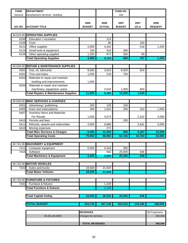| <b>FUND</b> | <b>DEPARTMENT</b>                               |                      |               | <b>FUND NO.</b> |          |                |  |
|-------------|-------------------------------------------------|----------------------|---------------|-----------------|----------|----------------|--|
| General     | Development Services: Building                  |                      |               | 100             |          |                |  |
|             |                                                 |                      |               |                 |          |                |  |
|             |                                                 | 2006                 | 2006          | 2007            | 2007     | 2008           |  |
| A/C NO.     | <b>ACCOUNT TITLE</b>                            | <b>BUDGET</b>        | <b>ACTUAL</b> | <b>BUDGET</b>   | $1/2$ yr | <b>REQUEST</b> |  |
|             |                                                 |                      |               |                 |          |                |  |
|             | 40.610.00 OPERATING SUPPLIES                    |                      |               |                 |          |                |  |
| 6106        | Education / recreation                          |                      | 114           |                 |          |                |  |
| 6108        | Food                                            |                      | 80            |                 | 160      |                |  |
| 6121        | Office supplies                                 | 2,000                | 4,342         |                 | 518      | 1,250          |  |
| 6124        | Small tools & equipment                         | 150                  | 516           | 300             |          |                |  |
| 6126        | Other operating supplies                        | 1,250                | 671           | 300             | 89       |                |  |
|             | <b>Total Operating Supplies</b>                 | 3,400                | 5,723         | 600             | 767      | 1,250          |  |
|             |                                                 |                      |               |                 |          |                |  |
| 40.626.00   | <b>REPAIR &amp; MAINTENANCE SUPPLIES</b>        |                      |               |                 |          |                |  |
| 6261        | Gas, oil, lubricants                            | 8,500                | 3,610         | 8,500           | 824      |                |  |
| 6262        | Tires and tubes                                 | 1,500                | 218           | 700             |          |                |  |
| 6263        | Materials to repair and maintain                |                      |               |                 |          |                |  |
|             | building and improvements                       | 1,000                |               |                 |          |                |  |
| 6264        | Materials to repair and maintain                |                      |               |                 |          |                |  |
|             | machinery, equipment, autos                     |                      | 2,632         | 1,000           | 804      |                |  |
|             | <b>Total Repairs &amp; Maintenance Supplies</b> | 11,000               | 6,460         | 10,200          | 1,628    |                |  |
|             |                                                 |                      |               |                 |          |                |  |
| 40.640.00   | <b>MISC SERVICES &amp; CHARGES</b>              |                      |               |                 |          |                |  |
| 6401        | Advertising / publishing                        | 200                  | 135           | 100             |          |                |  |
| 6405        | Dues and subscriptions                          | 300                  | 1,024         | 300             | 324      | 1,000          |  |
| 6407        | Inventory Items and Materials                   |                      |               |                 |          |                |  |
|             | For Resale                                      | 1,000                | 4,074         |                 | 2,322    | 4,000          |  |
| 6410        | Permits and fees                                |                      |               | 200             |          |                |  |
| 6411        | Refunds, awards and indemnities                 | 4,500                | 6,888         |                 | 2,641    | 5,000          |  |
| 6416        | Moving expenses                                 |                      | 272           |                 |          |                |  |
|             | <b>Total Misc Services &amp; Charges</b>        | 6,000                | 12,393        | 600             | 5,287    | 10,000         |  |
|             | <b>otal Operating Costs</b>                     | 79,950               | 96,992        | 62,155          | 42,764   | 22,000         |  |
|             |                                                 |                      |               |                 |          |                |  |
|             | 40.741.00 MACHINERY & EQUIPMENT                 |                      |               |                 |          |                |  |
| 7411        | Computer equipment                              | 5,500                | 5,418         | 350             |          |                |  |
| 7415        | Software                                        |                      | 562           | 25,000          | 636      |                |  |
|             | <b>Total Machinery &amp; Equipment</b>          | 5,500                | 5,980         | 25,350          | 636      |                |  |
|             |                                                 |                      |               |                 |          |                |  |
|             | 40.742.00 MOTOR VEHICLES                        |                      |               |                 |          |                |  |
| 7422        | Autos and trucks                                | 18,500               | 21,044        |                 |          |                |  |
|             | <b>Total Motor Vehicles</b>                     | 18,500               | 21,044        |                 |          |                |  |
|             |                                                 |                      |               |                 |          |                |  |
| 40.743.00   | <b>FURNITURE &amp; FIXTURES</b>                 |                      |               |                 |          |                |  |
| 7431        | Furniture & fixtures                            |                      | 1,228         |                 |          |                |  |
|             | <b>Total Furniture &amp; fixtures</b>           |                      | 1,228         |                 |          |                |  |
|             |                                                 |                      |               |                 |          |                |  |
|             |                                                 |                      |               |                 |          |                |  |
|             | <b>Total Capital Outlay</b>                     | 24,000               | 28,252        | 25,350          | 636      |                |  |
|             |                                                 |                      |               |                 |          |                |  |
|             | <b>TOTAL BUDGET</b>                             | 343,742              | 267,130       | 324,153         | 119,185  | 188,556        |  |
|             |                                                 |                      |               |                 |          |                |  |
|             |                                                 | <b>REVENUES</b>      |               |                 |          | 08 Projections |  |
|             | 30.341.00.0000                                  | Charges for services |               |                 |          | 300,000        |  |
|             |                                                 |                      |               |                 |          |                |  |
|             | <b>TOTAL REVENUES</b><br>300,000                |                      |               |                 |          |                |  |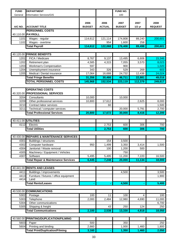| <b>FUND</b>  | <b>DEPARTMENT</b>                                              |                       |                       | FUND NO.              |               |                        |
|--------------|----------------------------------------------------------------|-----------------------|-----------------------|-----------------------|---------------|------------------------|
| General      | Information Services/GIS                                       |                       |                       | 100                   |               |                        |
|              |                                                                |                       |                       |                       |               |                        |
|              |                                                                |                       |                       |                       |               |                        |
| A/C NO.      | <b>ACCOUNT TITLE</b>                                           | 2006<br><b>BUDGET</b> | 2006<br><b>ACTUAL</b> | 2007<br><b>BUDGET</b> | 2007          | 2008<br><b>REQUEST</b> |
|              | <b>PERSONNEL COSTS</b>                                         |                       |                       |                       | $1/2$ yr      |                        |
|              | 40.110.00 PAYROLL                                              |                       |                       |                       |               |                        |
|              |                                                                |                       |                       |                       |               |                        |
| 1101<br>1102 | Wages - regular                                                | 114,612               | 121,114<br>954        | 174,808               | 89,240        | 200,601                |
|              | Wages - overtime                                               |                       |                       | 1,600                 | 258           | 200,601                |
|              | <b>Total Payroll</b>                                           | 114,612               | 122,068               | 176,408               | 89,498        |                        |
|              | 40.120.00 FRINGE BENEFITS                                      |                       |                       |                       |               |                        |
|              |                                                                |                       |                       |                       |               |                        |
| 1201         | FICA / Medicare                                                | 8,767                 | 9,137                 | 13,495                | 6,606         | 15,346                 |
| 1202         | Retirement plan                                                | 4,585                 | 4,315                 | 7,055                 | 3,570         | 8,023                  |
| 1203         | Workman's Compensation                                         | 597                   |                       | 900                   |               | 1,020                  |
| 1204<br>1205 | Unemployment insurance<br>Medical / Dental insurance           | 343<br>17,064         | 326<br>16,688         | 529<br>24,732         | 269<br>12,436 | 603<br>24,024          |
|              |                                                                | 31,356                | 30,466                | 46,711                |               | 49,016                 |
|              | <b>Total Fringe Benefits</b>                                   |                       |                       |                       | 22,881        |                        |
|              | <b>TOTAL PERSONNEL COSTS</b>                                   | 145,968               | 152,534               | 223,119               | 112,379       | 249,617                |
|              |                                                                |                       |                       |                       |               |                        |
|              | <b>OPERATING COSTS</b>                                         |                       |                       |                       |               |                        |
|              | 40.320.00 PROFESSIONAL SERVICES                                |                       |                       |                       |               |                        |
| 3204         | Consultants                                                    | 10,000                |                       | 10,000                |               |                        |
| 3209         | Other professional services                                    | 10,800                | 17,612                |                       | 2,625         | 8,000                  |
| 3210         | Contract labor services                                        |                       | 60                    |                       |               | 1,500                  |
| 3211         | Technical / computer services                                  |                       |                       | 20,000                | 5,791         | 2,700                  |
|              | <b>Total Professional Services</b>                             | 20,800                | 17,672                | 30,000                | 8,416         | 12,200                 |
|              | 40.411.00 UTILITIES                                            |                       |                       |                       |               |                        |
| 4112         | Electric                                                       |                       |                       |                       |               |                        |
|              |                                                                |                       | 2,753                 | 600                   | 306           | 700<br>700             |
|              | <b>Total Utilities</b>                                         |                       | 2,753                 | 600                   | 306           |                        |
|              | 40.430.00 REPAIRS & MAINTENANCE SERVICES                       |                       |                       |                       |               |                        |
|              |                                                                |                       |                       |                       |               |                        |
| 4301         | Buildings / structures                                         |                       | 154                   | 3,500                 |               |                        |
| 4302         | Computer hardware                                              | 950                   | 1,499                 | 3,350                 | 3,414         | 1,500                  |
| 4304<br>4305 | Janitorial / Waste removal<br>Machinery / Equipment / Vehicles |                       | 100                   | 1,200                 | 500           |                        |
| 4307         | Software                                                       | 5,495                 | 5,495                 | 750<br>11,200         | 7,220         | 16,500                 |
|              | <b>Total Repair &amp; Maintenance Services</b>                 | 6,445                 | 7,248                 | 20,000                | 11,134        | 18,000                 |
|              |                                                                |                       |                       |                       |               |                        |
|              | 40.441.00 RENTS AND LEASES                                     |                       |                       |                       |               |                        |
| 4411         | Buildings / improvements                                       |                       |                       | 4,500                 |               | 3,500                  |
| 4413         | Furniture / fixtures / office equipment                        |                       |                       |                       |               | 1,900                  |
| 4414         | Land                                                           |                       |                       |                       |               |                        |
|              | <b>Total Rents/Leases</b>                                      |                       |                       | 4,500                 |               | 5,400                  |
|              |                                                                |                       |                       |                       |               |                        |
|              | 40.530.00 COMMUNICATIONS                                       |                       |                       |                       |               |                        |
| 5302         | Postage                                                        | 100                   | 11                    | 100                   | 4             | 100                    |
| 5303         | Telephone                                                      | 2,000                 | 2,484                 | 12,980                | 4,690         | 11,000                 |
| 5304         | Other communications                                           |                       |                       |                       |               | 6,700                  |
| 5305         | Shipping & freight                                             |                       | 43                    | 250                   | 124           | 250                    |
|              | <b>Total Communications</b>                                    | 2,100                 | 2,538                 | 13,330                | 4,818         | 18,050                 |
|              |                                                                |                       |                       |                       |               |                        |
|              | 40.560.00 PRINTING/DUPLICATION/FILMING                         |                       |                       |                       |               |                        |
| 5603         | Paper                                                          | 500                   |                       | 350                   |               | 250                    |

5604 Printing and binding 2,660 1,000 1,460 1,800 **Total Print/Duplication/Filming 1,160** 1,350 1,460 2,050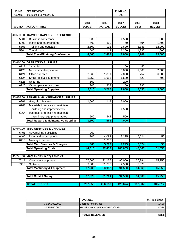| <b>FUND</b>  | <b>DEPARTMENT</b>                                               |                       |                       | FUND NO.              |                  |                        |
|--------------|-----------------------------------------------------------------|-----------------------|-----------------------|-----------------------|------------------|------------------------|
| General      | <b>Information Services/GIS</b>                                 |                       |                       | 100                   |                  |                        |
| A/C NO.      | <b>ACCOUNT TITLE</b>                                            | 2006<br><b>BUDGET</b> | 2006<br><b>ACTUAL</b> | 2007<br><b>BUDGET</b> | 2007<br>$1/2$ yr | 2008<br><b>REQUEST</b> |
|              |                                                                 |                       |                       |                       |                  |                        |
|              | 40.580.00 TRAVEL/TRAINING/CONFERENCE                            |                       |                       |                       |                  |                        |
| 5801         | <b>Business conference</b>                                      | 900                   |                       | 1,500                 |                  | 500                    |
| 5802         | Meals and entertainment                                         | 500                   | 350                   | 750                   | 594              | 1,500                  |
| 5803<br>5804 | Training and education<br><b>Travel costs</b>                   | 2,600<br>500          | 991<br>1,142          | 7,600<br>1,200        | 3,383<br>1,230   | 12,000<br>1,000        |
|              | <b>Total Travel/Training/Conference</b>                         | 4,500                 | 2,483                 | 11,050                | 5,207            | 15,000                 |
|              |                                                                 |                       |                       |                       |                  |                        |
| 40.610.00    | <b>OPERATING SUPPLIES</b>                                       |                       |                       |                       |                  |                        |
| 6117         | Janitorial                                                      |                       |                       | 150                   | 57               |                        |
| 6120         | Minor capital equipment                                         |                       |                       | 5,000                 | 1,063            | 2,500                  |
| 6121         | Office supplies                                                 | 2,860                 | 1,881                 | 2,000                 | 757              | 6,500                  |
| 6124         | Small tools & equipment                                         | 1,750                 | 1,658                 | 1,500                 | 522              | 600                    |
| 6125         | Uniforms                                                        | 100                   |                       | 200                   |                  |                        |
| 6126         | Other operating supplies                                        | 300                   | 227                   | 150                   | 296              |                        |
|              | <b>Total Operating Supplies</b>                                 | 5,010                 | 3,766                 | 9,000                 | 2,695            | 9,600                  |
|              |                                                                 |                       |                       |                       |                  |                        |
|              | 40.626.00 REPAIR & MAINTENANCE SUPPLIES                         |                       |                       |                       |                  |                        |
| 6261         | Gas, oil, lubricants                                            | 1,000                 | 119                   | 2,000                 |                  |                        |
| 6263         | Materials to repair and maintain                                |                       |                       |                       |                  |                        |
|              | building and improvements                                       |                       |                       | 1,500                 |                  |                        |
| 6264         | Materials to repair and maintain<br>machinery, equipment, autos | 500                   | 542                   | 500                   |                  |                        |
|              | <b>Total Repairs &amp; Maintenance Supplies</b>                 | 1,500                 | 661                   | 4,000                 |                  |                        |
|              |                                                                 |                       |                       |                       |                  |                        |
|              | 40.640.00 MISC SERVICES & CHARGES                               |                       |                       |                       |                  |                        |
| 6401         | Advertising / publishing                                        | 200                   |                       |                       |                  |                        |
| 6405         | Dues and subscriptions                                          | 300                   | 4,093                 | 9,225                 | 6,524            | 50                     |
| 6416         | Moving expenses                                                 |                       | 1,206                 |                       |                  |                        |
|              | <b>Total Misc Services &amp; Charges</b>                        | 500                   | 5,299                 | 9,225                 | 6,524            | 50                     |
|              | <b>Total Operating Costs</b>                                    | 44,015                | 42,419                | 103,055               | 40,560           | 81,050                 |
|              |                                                                 |                       |                       |                       |                  |                        |
| 40.741.00    | <b>MACHINERY &amp; EQUIPMENT</b>                                |                       |                       |                       |                  |                        |
| 7411         | Computer equipment                                              | 57,600                | 32,136                | 90,000                | 26,384           | 15,250                 |
| 7415         | Software                                                        | 9,600                 | 21,796                | 4,500                 | 8,579            |                        |
|              | <b>Total Machinery &amp; Equipment</b>                          | 67,200                | 53,932                | 94,500                | 34,963           | 15,250                 |
|              | <b>Total Capital Outlay</b>                                     | 67,675                | 61,204                | 94,500                | 34,963           | 15,250                 |
|              | <b>TOTAL BUDGET</b>                                             | 257,658               | 256,156               | 420,674               | 187,902          | 345,917                |
|              |                                                                 |                       |                       |                       |                  |                        |
|              |                                                                 |                       |                       |                       |                  |                        |

|                | <b>IREVENUES</b>                   | 08 Projections |
|----------------|------------------------------------|----------------|
| 30.341.00.0000 | <b>Charges for services</b>        | 1.500          |
| 30.395.00.0000 | Miscellaneous revenues and refunds | 4.888          |
|                |                                    |                |
|                | <b>TOTAL REVENUES</b>              | 6,388          |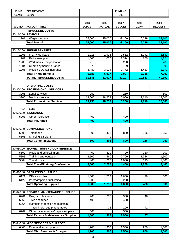| <b>FUND</b>  | <b>DEPARTMENT</b>                                         |                       |                       | FUND NO.              |                            |                        |
|--------------|-----------------------------------------------------------|-----------------------|-----------------------|-----------------------|----------------------------|------------------------|
| General      | Coroner                                                   |                       |                       | 100                   |                            |                        |
| A/C NO.      | <b>ACCOUNT TITLE</b>                                      | 2006<br><b>BUDGET</b> | 2006<br><b>ACTUAL</b> | 2007<br><b>BUDGET</b> | 2007<br>$1/2$ yr           | 2008<br><b>REQUEST</b> |
|              | <b>PERSONNEL COSTS</b>                                    |                       |                       |                       |                            |                        |
|              | 40.110.00 PAYROLL                                         |                       |                       |                       |                            |                        |
| 1101         | Wages - regular                                           | 25,000                | 25,000                | 33,100                | 16,239                     | 33,100                 |
|              | <b>Total Payroll</b>                                      | 25,000                | 25,000                | 33,100                | 16,239                     | 33,100                 |
|              |                                                           |                       |                       |                       |                            |                        |
|              | 40.120.00 FRINGE BENEFITS                                 |                       |                       |                       |                            |                        |
| 1201<br>1202 | FICA / Medicare                                           | 1,913                 | 1,913                 | 2,532                 | 1,242                      | 2,532                  |
| 1203         | Retirement plan<br>Workman's Compensation                 | 1,000<br>218          | 1,000                 | 1,324<br>280          | 650                        | 1,324<br>280           |
| 1204         | Unemployment insurance                                    | 75                    |                       | 99                    |                            | 99                     |
| 1205         | Medical / Dental insurance                                | 3,480                 | 3,104                 | 2,772                 | 1,433                      | 2,772                  |
|              | <b>Total Fringe Benefits</b>                              | 6,686                 | 6,017                 | 7,007                 | 3,325                      | 7,007                  |
|              | <b>TOTAL PERSONNEL COSTS</b>                              | 31,686                | 31,017                | 40,107                | 19,563                     | 40,107                 |
|              |                                                           |                       |                       |                       |                            |                        |
|              | <b>OPERATING COSTS</b><br>40.320.00 PROFESSIONAL SERVICES |                       |                       |                       |                            |                        |
| 3205         | Legal services                                            | 250                   |                       | 250                   |                            | 500                    |
| 3206         | Medical services                                          | 13,000                | 18,259                | 15,000                | 7,610                      | 19,000                 |
|              | <b>Total Professional Services</b>                        | 13,250                | 18,259                | 15,250                | 7,610                      | 19,500                 |
|              |                                                           |                       |                       |                       |                            |                        |
| 4414         | Land                                                      |                       |                       |                       |                            |                        |
|              | 40.520.00 INSURANCE                                       |                       |                       |                       |                            |                        |
| 5203         | Other Insurance                                           | 400                   |                       | 400                   |                            |                        |
|              | <b>Total Insurance</b>                                    | 400                   |                       | 400                   |                            |                        |
|              |                                                           |                       |                       |                       |                            |                        |
|              | 40.530.00 COMMUNICATIONS                                  |                       |                       |                       |                            |                        |
| 5303         | Telephone                                                 | 800                   | 493                   | 800                   | 156                        | 250                    |
| 5305         | Shipping & freight                                        |                       | 9                     |                       |                            |                        |
|              | <b>Total Communications</b>                               | 800                   | 502                   | 800                   | 156                        | 250                    |
|              |                                                           |                       |                       |                       |                            |                        |
|              | 40.580.00 TRAVEL/TRAINING/CONFERENCE                      |                       |                       |                       |                            |                        |
| 5802         | Meals and entertainment                                   | 400                   | 819                   | 700                   | 310                        | 900                    |
| 5803         | Training and education                                    | 2,500                 | 560                   | 2,700                 | 1,384                      | 1,500                  |
| 5804         | <b>Travel costs</b>                                       | 400                   | 888                   | 1,000                 | 195                        | 1,000                  |
|              | <b>Total Travel/Training/Conference</b>                   | 3,300                 | 2,267                 | 4,400                 | 1,889                      | 3,400                  |
|              |                                                           |                       |                       |                       |                            |                        |
| 40.610.00    | <b>OPERATING SUPPLIES</b>                                 |                       |                       |                       |                            |                        |
| 6121         | Office supplies                                           | 1,600                 | 1,712                 | 1,600                 | 426                        | 500                    |
| 6122         | Photographic / duplicating                                | 200                   |                       | 200                   |                            |                        |
|              | <b>Total Operating Supplies</b>                           | 1,800                 | 1,712                 | 1,800                 | 426                        | 500                    |
| 40.626.00    | <b>REPAIR &amp; MAINTENANCE SUPPLIES</b>                  |                       |                       |                       |                            |                        |
|              |                                                           |                       |                       |                       |                            |                        |
| 6261<br>6262 | Gas, oil, lubricants<br>Tires and tubes                   | 900<br>400            | 286                   | 900<br>400            | 46                         |                        |
| 6264         | Materials to repair and maintain                          |                       |                       |                       |                            |                        |
|              | machinery, equipment, autos                               |                       | 38                    | 100                   | 41                         |                        |
| 6267         | Other maintenance & repair supplies                       | 500                   |                       | 500                   |                            |                        |
|              | <b>Total Repairs &amp; Maintenance Supplies</b>           | 1,800                 | 324                   | 1,900                 | $\overline{\overline{87}}$ |                        |
|              |                                                           |                       |                       |                       |                            |                        |
|              | 40.640.00 MISC SERVICES & CHARGES                         |                       |                       |                       |                            |                        |
| 6405         | Dues and subscriptions                                    | 1,200                 | 900                   | 1,500                 | 900                        | 1,000                  |
|              | <b>Total Misc Services &amp; Charges</b>                  | 1,200                 | 900                   | 1,500                 | 900                        | 1,000                  |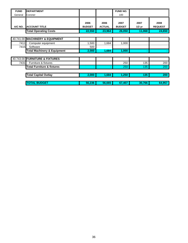| <b>FUND</b> | <b>DEPARTMENT</b>                      |               |               | FUND NO.      |          |                |
|-------------|----------------------------------------|---------------|---------------|---------------|----------|----------------|
| General     | Coroner                                |               |               | 100           |          |                |
|             |                                        | 2006          | 2006          | 2007          | 2007     | 2008           |
| A/C NO.     | <b>ACCOUNT TITLE</b>                   | <b>BUDGET</b> | <b>ACTUAL</b> | <b>BUDGET</b> | $1/2$ yr | <b>REQUEST</b> |
|             | <b>Total Operating Costs</b>           | 22,550        | 23,964        | 26,050        | 11,068   | 24,650         |
|             |                                        |               |               |               |          |                |
|             | 40.741.00 MACHINERY & EQUIPMENT        |               |               |               |          |                |
| 7411        | Computer equipment                     | 1,500         | 1,684         | 1,000         |          |                |
| 7415        | Software                               | 500           |               |               |          |                |
|             | <b>Total Machinery &amp; Equipment</b> | 2,000         | 1,684         | 1,000         |          |                |
|             |                                        |               |               |               |          |                |
|             | 40.743.00 FURNITURE & FIXTURES         |               |               |               |          |                |
| 7431        | Furniture & fixtures                   |               |               | 250           | 135      | 200            |
|             | <b>Total Furniture &amp; fixtures</b>  |               |               | 250           | 135      | 200            |
|             |                                        |               |               |               |          |                |
|             | <b>Total Capital Outlay</b>            | 2,000         | 1,684         | 1,250         | 135      | 200            |
|             |                                        |               |               |               |          |                |
|             | <b>TOTAL BUDGET</b>                    | 56,236        | 56,665        | 67,407        | 30,766   | 64,957         |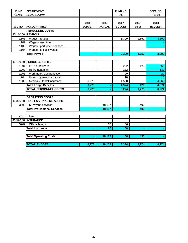| <b>FUND</b> | <b>DEPARTMENT</b>                  |               |               | FUND NO.      |          | DEPT. NO.       |
|-------------|------------------------------------|---------------|---------------|---------------|----------|-----------------|
| General     | <b>County Surveyor</b>             |               |               | 100           |          | 419.90          |
|             |                                    |               |               |               |          |                 |
|             |                                    | 2006          | 2006          | 2007          | 2007     | 2008            |
| A/C NO.     | <b>ACCOUNT TITLE</b>               | <b>BUDGET</b> | <b>ACTUAL</b> | <b>BUDGET</b> | $1/2$ yr | <b>REQUEST</b>  |
|             | <b>PERSONNEL COSTS</b>             |               |               |               |          |                 |
|             | 40.110.00 PAYROLL                  |               |               |               |          |                 |
| 1101        | Wages - regular                    |               |               | 3,300         | 1,650    | 3,300           |
| 1102        | Wages - overtime                   |               |               |               |          |                 |
| 1103        | Wages - part time / seasonal       |               |               |               |          |                 |
| 1104        | Wages - tool allowance             |               |               |               |          |                 |
|             | <b>Total Payroll</b>               |               |               | 3,300         | 1,650    | 3,300           |
|             |                                    |               |               |               |          |                 |
|             | 40.120.00 FRINGE BENEFITS          |               |               |               |          |                 |
| 1201        | FICA / Medicare                    |               |               | 252           | 126      | 252             |
| 1202        | Retirement plan                    |               |               | 132           |          | 132             |
| 1203        | Workman's Compensation             |               |               | 20            |          | 20              |
| 1204        | Unemployment insurance             |               |               | 10            |          | 10 <sup>1</sup> |
| 1205        | Medical / Dental insurance         | 6,276         |               | 4,560         |          | 4,560           |
|             | <b>Total Fringe Benefits</b>       | 6,276         |               | 4,974         | 126      | 4,974           |
|             | <b>TOTAL PERSONNEL COSTS</b>       | 6,276         |               | 8,274         | 1,776    | 8,274           |
|             |                                    |               |               |               |          |                 |
|             | <b>OPERATING COSTS</b>             |               |               |               |          |                 |
|             | 40.320.00 PROFESSIONAL SERVICES    |               |               |               |          |                 |
| 3208        | Surveying services                 |               | 18,117        |               | 498      |                 |
|             | <b>Total Professional Services</b> |               | 18,117        |               | 498      |                 |
|             |                                    |               |               |               |          |                 |
| 4414        | Land                               |               |               |               |          |                 |
|             | 40.520.00 INSURANCE                |               |               |               |          |                 |
| 5202        | Official bonds                     |               | 60            | 60            |          |                 |
|             | <b>Total Insurance</b>             |               | 60            | 60            |          |                 |
|             |                                    |               |               |               |          |                 |
|             | <b>Total Operating Costs</b>       |               | 18,177        | 60            | 498      |                 |
|             |                                    |               |               |               |          |                 |
|             | <b>TOTAL BUDGET</b>                | 6,276         | 18,177        | 8,334         | 2,274    | 8,274           |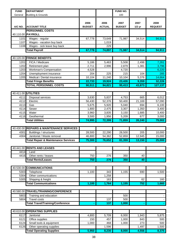| <b>FUND</b>  | <b>DEPARTMENT</b>                              |                       |                       | <b>FUND NO.</b>       |                  |                        |
|--------------|------------------------------------------------|-----------------------|-----------------------|-----------------------|------------------|------------------------|
| General      | <b>Building &amp; Grounds</b>                  |                       |                       | 100                   |                  |                        |
| A/C NO.      | <b>ACCOUNT TITLE</b>                           | 2006<br><b>BUDGET</b> | 2006<br><b>ACTUAL</b> | 2007<br><b>BUDGET</b> | 2007<br>$1/2$ yr | 2008<br><b>REQUEST</b> |
|              | <b>PERSONNEL COSTS</b>                         |                       |                       |                       |                  |                        |
|              | 40.110.00 PAYROLL                              |                       |                       |                       |                  |                        |
| 1101         | Wages - regular                                | 67,778                | 73,649                | 71,987                | 34,514           | 94,911                 |
| 1107         | Wages - vacation buy back                      |                       | 1,019                 |                       |                  |                        |
| 1108         | Wages - sick leave buy back                    |                       | 229                   |                       |                  |                        |
|              | <b>Total Payroll</b>                           | 67,778                | 74,897                | 71,987                | 34,514           | 94,911                 |
| 40.120.00    | <b>FRINGE BENEFITS</b>                         |                       |                       |                       |                  |                        |
| 1201         | FICA / Medicare                                | 5,186                 | 5,463                 | 5,508                 | 2,498            | 7,261                  |
| 1202         | Retirement plan                                | 2,711                 | 2,996                 | 2,879                 | 1,381            | 3,796                  |
| 1203         | Workman's Compensation                         | 4,528                 |                       | 4,720                 |                  | 6,220                  |
| 1204         | Unemployment insurance                         | 204                   | 225                   | 215                   | 104              | 285                    |
| 1205         | Medical / Dental insurance                     | 10,104                | 11,240                | 10,104                | 5,376            | 14,664                 |
|              | <b>Total Fringe Benefits</b>                   | 22,733                | 19,924                | 23,426                | 9,359            | 32,226                 |
|              | <b>TOTAL PERSONNEL COSTS</b>                   | 90,511                | 94,821                | 95,413                | 43,873           | 127,137                |
|              |                                                |                       |                       |                       |                  |                        |
|              | 40.411.00 UTILITIES                            |                       |                       |                       |                  |                        |
| 4111         | <b>Disposal services</b>                       | 3,630                 | 5,837                 | 4,753                 | 665              | 6,012                  |
| 4112         | Electric                                       | 56,430                | 52,376                | 50,400                | 21,169           | 57,090                 |
| 4113         | Gas                                            | 5,675                 | 5,920                 | 5,040                 | 694              | 6,100                  |
| 4114         | Sewer                                          | 1,800                 | 2,475                 | 3,307                 | 1,350            | 3,400                  |
| 4115         | Water                                          | 3,960                 | 3,835                 | 3,150                 | 1,685            | 3,400                  |
| 4116         | Geothermal                                     | 3,500                 | 1,956                 | 5,209                 | 677              | 3,000                  |
|              | <b>Total Utilities</b>                         | 74,995                | 72,399                | 71,859                | 26,240           | 79,002                 |
|              |                                                |                       |                       |                       |                  |                        |
|              | 40.430.00 REPAIRS & MAINTENANCE SERVICES       |                       |                       |                       |                  |                        |
| 4301         | Buildings / structures                         | 28,500                | 22,290                | 28,500                | 205              | 10,000                 |
| 4304         | Janitorial / Waste removal                     | 46,800                | 54,362                | 52,859                | 12,945           | 15,000                 |
|              | <b>Total Repair &amp; Maintenance Services</b> | 75,300                | 76,652                | 81,359                | 13,150           | 25,000                 |
|              |                                                |                       |                       |                       |                  |                        |
|              | 40.441.00 RENTS AND LEASES                     |                       |                       |                       |                  |                        |
| 4414         | Land                                           |                       |                       |                       |                  |                        |
| 4416         | Other rents / leases                           | 750                   | 276                   | 350                   | 40               |                        |
|              | <b>Total Rents/Leases</b>                      | 750                   | 276                   | 350                   | 40               |                        |
|              | 40.530.00 COMMUNICATIONS                       |                       |                       |                       |                  |                        |
|              |                                                |                       |                       |                       |                  |                        |
| 5303<br>5304 | Telephone<br>Other communications              | 1,100                 | 343<br>1,258          | 1,155                 | 690              | 1,500                  |
| 5305         | Shipping & freight                             |                       | 163                   |                       | 62               | 160                    |
|              | <b>Total Communications</b>                    | 1,100                 | 1,764                 | 1,155                 | 752              | 1,660                  |
|              |                                                |                       |                       |                       |                  |                        |
| 40.580.00    | TRAVEL/TRAINING/CONFERENCE                     |                       |                       |                       |                  |                        |
| 5803         | Training and education                         |                       |                       | 500                   |                  |                        |
| 5804         | <b>Travel costs</b>                            |                       | 137                   | 500                   |                  |                        |
|              | <b>Total Travel/Training/Conference</b>        |                       | 137                   | 1,000                 |                  |                        |
|              |                                                |                       |                       |                       |                  |                        |
|              | 40.610.00 OPERATING SUPPLIES                   |                       |                       |                       |                  |                        |
| 6117         | Janitorial                                     | 4,800                 | 5,709                 | 6,000                 | 1,943            | 5,875                  |
| 6121         | Office supplies                                | 150                   | 457                   | 1,000                 | 843              | 500                    |
| 6124         | Small tools & equipment                        | 1,000                 | 468                   | 1,000                 | 273              | 500                    |
| 6126         | Other operating supplies                       |                       | 1,596                 |                       | 1,497            | 1,500                  |
|              | <b>Total Operating Supplies</b>                | 5,950                 | 8,230                 | 8,000                 | 4,556            | 8,375                  |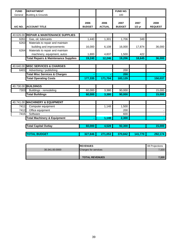| <b>FUND</b> | <b>DEPARTMENT</b>                                               |                       |                       | FUND NO.              |                  |                        |
|-------------|-----------------------------------------------------------------|-----------------------|-----------------------|-----------------------|------------------|------------------------|
| General     | <b>Building &amp; Grounds</b>                                   |                       |                       | 100                   |                  |                        |
| A/C NO.     | <b>ACCOUNT TITLE</b>                                            | 2006<br><b>BUDGET</b> | 2006<br><b>ACTUAL</b> | 2007<br><b>BUDGET</b> | 2007<br>$1/2$ yr | 2008<br><b>REQUEST</b> |
| 40.626.00   | <b>REPAIR &amp; MAINTENANCE SUPPLIES</b>                        |                       |                       |                       |                  |                        |
| 6261        | Gas, oil, lubricants                                            | 1,440                 | 1,301                 | 1,706                 | 349              |                        |
| 6263        | Materials to repair and maintain<br>building and improvements   | 16,000                | 6,108                 | 16,000                | 17,874           | 36,000                 |
| 6264        | Materials to repair and maintain<br>machinery, equipment, autos | 1,800                 | 4,837                 | 1,500                 | 422              |                        |
|             | <b>Total Repairs &amp; Maintenance Supplies</b>                 | 19,240                | 12,246                | 19,206                | 18,645           | 36,000                 |
| 40.640.00   | <b>MISC SERVICES &amp; CHARGES</b>                              |                       |                       |                       |                  |                        |
| 6401        | Advertising / publishing                                        |                       |                       | 200                   |                  |                        |
|             | <b>Total Misc Services &amp; Charges</b>                        |                       |                       | 200                   |                  |                        |
|             | <b>Total Operating Costs</b>                                    | 177,335               | 171,704               | 183,129               |                  | 150,037                |
|             |                                                                 |                       |                       |                       |                  |                        |
|             | 40.730.00 BUILDINGS                                             |                       |                       |                       |                  |                        |
| 7303        | Buildings - remodeling                                          | 60,000                | 3,380                 | 90,000                |                  | 15,000                 |
|             | <b>Total Buildings</b>                                          | 60,000                | 3,380                 | 90,000                |                  | 15,000                 |
| 40.741.00   | <b>MACHINERY &amp; EQUIPMENT</b>                                |                       |                       |                       |                  |                        |
| 7411        | Computer equipment                                              |                       | 1,148                 | 1,500                 |                  |                        |
| 7412        | Office equipment                                                |                       |                       | 200                   |                  |                        |
| 7415        | Software                                                        |                       |                       | 600                   |                  |                        |
|             | <b>Total Machinery &amp; Equipment</b>                          |                       | 1,148                 | 2,300                 |                  |                        |
|             | <b>Total Capital Outlay</b>                                     | 60,000                | 4,528                 | 92,300                |                  | 15,000                 |
|             | <b>TOTAL BUDGET</b>                                             | 327,846               | 271,053               | 370,842               | 141,770          | 292,174                |

|                | <b>IREVENUES</b>            | 08 Projections |
|----------------|-----------------------------|----------------|
| 30.341.00.0000 | <b>Charges for services</b> | 7,320          |
|                |                             |                |
|                | <b>TOTAL REVENUES</b>       | 7.320          |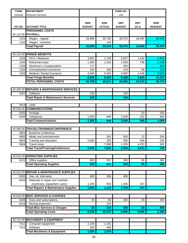| <b>FUND</b>  | <b>DEPARTMENT</b>                                            |                       |                       | FUND NO.              |                  |                        |
|--------------|--------------------------------------------------------------|-----------------------|-----------------------|-----------------------|------------------|------------------------|
| General      | <b>Veterans Services</b>                                     |                       |                       | 100                   |                  |                        |
| A/C NO.      | <b>ACCOUNT TITLE</b>                                         | 2006<br><b>BUDGET</b> | 2006<br><b>ACTUAL</b> | 2007<br><b>BUDGET</b> | 2007<br>$1/2$ yr | 2008<br><b>REQUEST</b> |
|              | <b>PERSONNEL COSTS</b>                                       |                       |                       |                       |                  |                        |
|              | 40.110.00 PAYROLL                                            |                       |                       |                       |                  |                        |
| 1101         | Wages - regular                                              | 33,998                | 35,793                | 39,576                | 18,690           | 38,459                 |
| 1102         | Wages - overtime                                             |                       | 126                   |                       |                  |                        |
|              | <b>Total Payroll</b>                                         | 33,998                | 35,919                | 39,576                | 18,690           | 38,459                 |
|              |                                                              |                       |                       |                       |                  |                        |
|              | 40.120.00 FRINGE BENEFITS                                    |                       |                       |                       |                  |                        |
| 1201         | FICA / Medicare                                              | 2,601                 | 2,748                 | 3,027                 | 1,430            | 2,942                  |
| 1202         | Retirement plan                                              | 1,360                 | 1,432                 | 1,583                 | 748              | 1,538                  |
| 1203         | Workman's Compensation                                       | 177                   |                       | 200                   |                  | 200                    |
| 1204<br>1205 | Unemployment insurance<br>Medical / Dental insurance         | 102                   | 108<br>5,304          | 119                   | 56<br>2,448      | 115<br>5,520           |
|              |                                                              | 4,560                 |                       | 4,560                 |                  |                        |
|              | <b>Total Fringe Benefits</b><br><b>TOTAL PERSONNEL COSTS</b> | 8,800                 | 9,592                 | 9,489                 | 4,682            | 10,315                 |
|              |                                                              | 42,798                | 45,511                | 49,065                | 23,372           | 48,774                 |
|              |                                                              |                       |                       |                       |                  |                        |
|              | 40.430.00 REPAIRS & MAINTENANCE SERVICES                     |                       |                       |                       |                  |                        |
| 4307         | Software                                                     | 100                   |                       | 100                   |                  |                        |
|              | <b>Total Repair &amp; Maintenance Services</b>               | 100                   |                       | 100                   |                  |                        |
| 4414         | Land                                                         |                       |                       |                       |                  |                        |
|              | 40.530.00 COMMUNICATIONS                                     |                       |                       |                       |                  |                        |
|              |                                                              |                       |                       |                       |                  |                        |
| 5302<br>5303 | Postage<br>Telephone                                         | 1,500                 | 846                   | 1,500                 | 53<br>332        | 100<br>900             |
|              | <b>Total Communications</b>                                  | 1,500                 | 846                   | 1,500                 | 385              | 1,000                  |
|              |                                                              |                       |                       |                       |                  |                        |
|              | 40.580.00 TRAVEL/TRAINING/CONFERENCE                         |                       |                       |                       |                  |                        |
| 5801         | <b>Business conference</b>                                   |                       |                       |                       |                  |                        |
| 5802         | Meals and entertainment                                      |                       | 343                   | 500                   | 12               | 200                    |
| 5803         | Training and education                                       | 2,500                 | 250                   | 350                   | 548              | 100                    |
| 5804         | <b>Travel costs</b>                                          |                       | 7,089                 | 1,200                 | 4,253            | 400                    |
|              | <b>Total Travel/Training/Conference</b>                      | 2,500                 | 7,682                 | 2,050                 | 4,813            | 700                    |
|              |                                                              |                       |                       |                       |                  |                        |
|              | 40.610.00 OPERATING SUPPLIES                                 |                       |                       |                       |                  |                        |
| 6121         | Office supplies                                              | 500                   | $\overline{307}$      | 300                   | 95               | 300                    |
|              | <b>Total Operating Supplies</b>                              | 500                   | 307                   | 300                   | 95               | 300                    |
|              |                                                              |                       |                       |                       |                  |                        |
| 40.626.00    | <b>REPAIR &amp; MAINTENANCE SUPPLIES</b>                     |                       |                       |                       |                  |                        |
| 6261         | Gas, oil, lubricants                                         | 400                   | 268                   | 400                   |                  |                        |
| 6264         | Materials to repair and maintain                             |                       |                       |                       |                  |                        |
|              | machinery, equipment, autos                                  | 1,200                 | 855                   | 1,300                 | 247              |                        |
|              | <b>Total Repairs &amp; Maintenance Supplies</b>              | 1,600                 | 1,123                 | 1,700                 | 247              |                        |
|              |                                                              |                       |                       |                       |                  |                        |
|              | 40.640.00 MISC SERVICES & CHARGES                            |                       |                       |                       |                  |                        |
| 6405         | Dues and subscriptions                                       | 30                    | 80                    | 300                   | 20               | 300                    |
| 6416         | Moving expenses                                              |                       | 234                   |                       |                  |                        |
|              | <b>Total Misc Services &amp; Charges</b>                     | 30                    | 314                   | 300                   | $\overline{20}$  | 300                    |
|              | <b>Total Operating Costs</b>                                 | 6,230                 | 10,272                | 5,950                 | 5,560            | 2,300                  |
|              |                                                              |                       |                       |                       |                  |                        |
|              | 40.741.00 MACHINERY & EQUIPMENT                              |                       |                       |                       |                  |                        |
| 7411         | Computer equipment                                           | 1,100                 | 1,192                 |                       |                  |                        |
| 7415         | Software                                                     | 500                   | 486                   |                       |                  |                        |
|              | <b>Total Machinery &amp; Equipment</b>                       | 1,600                 | 1,678                 |                       |                  |                        |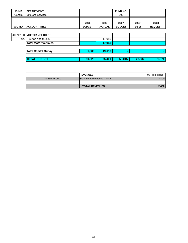| ║<br><b>FUND</b> | <b>DEPARTMENT</b>           |                       |                       | <b>FUND NO.</b>       |                  |                        |
|------------------|-----------------------------|-----------------------|-----------------------|-----------------------|------------------|------------------------|
| General          | <b>Veterans Services</b>    |                       |                       | 100                   |                  |                        |
| A/C NO.          | <b>ACCOUNT TITLE</b>        | 2006<br><b>BUDGET</b> | 2006<br><b>ACTUAL</b> | 2007<br><b>BUDGET</b> | 2007<br>$1/2$ yr | 2008<br><b>REQUEST</b> |
|                  |                             |                       |                       |                       |                  |                        |
|                  | 40.742.00 MOTOR VEHICLES    |                       |                       |                       |                  |                        |
| 7422             | Autos and trucks            |                       | 17,940                |                       |                  |                        |
|                  | <b>Total Motor Vehicles</b> |                       | 17,940                | $\blacksquare$        |                  |                        |
|                  |                             |                       |                       |                       |                  |                        |
|                  | <b>Total Capital Outlay</b> | 1,600                 | 19,618                | $\sim$                | $\sim$           |                        |
|                  | <b>TOTAL BUDGET</b>         | 50,628                | 75,401                | 55,015                | 28,932           | 51,074                 |

|                | <b>IREVENUES</b>           | 08 Projections |
|----------------|----------------------------|----------------|
| 30.335.41.0000 | State shared revenue - VSO | 2.400          |
|                |                            |                |
|                | <b>TOTAL REVENUES</b>      | 2.400          |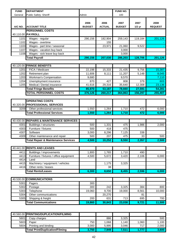| <b>FUND</b> | <b>DEPARTMENT</b>                              |                       |                       | FUND NO.              |                  |                        |
|-------------|------------------------------------------------|-----------------------|-----------------------|-----------------------|------------------|------------------------|
| General     | Public Safety: Sheriff                         | Admin                 |                       | 100                   |                  |                        |
| A/C NO.     | <b>ACCOUNT TITLE</b>                           | 2006<br><b>BUDGET</b> | 2006<br><b>ACTUAL</b> | 2007<br><b>BUDGET</b> | 2007<br>$1/2$ yr | 2008<br><b>REQUEST</b> |
|             | <b>PERSONNEL COSTS</b>                         |                       |                       |                       |                  |                        |
|             | 40.110.00 PAYROLL                              |                       |                       |                       |                  |                        |
| 1101        | Wages - regular                                | 290,156               | 182,904               | 259,143               | 119,184          | 201,126                |
| 1102        | Wages - overtime                               |                       | 155                   |                       |                  |                        |
| 1103        | Wages - part time / seasonal                   |                       | 23,971                | 21,060                | 9,522            |                        |
| 1107        | Wages - vacation buy back                      |                       |                       | 3,000                 |                  |                        |
| 1108        | Wages - sick leave buy back                    |                       |                       | 3,000                 |                  |                        |
|             | <b>Total Payroll</b>                           | 290,156               | 207,030               | 286,203               | 128,706          | 201,126                |
|             |                                                |                       |                       |                       |                  |                        |
|             | 40.120.00 FRINGE BENEFITS                      |                       |                       |                       |                  |                        |
| 1201        | FICA / Medicare                                | 22,198                | 15,333                | 21,435                | 9,756            | 15,387                 |
| 1202        | Retirement plan                                | 11,606                | 8,111                 | 11,207                | 5,148            | 8,045                  |
| 1203        | <b>Workman's Compensation</b>                  | 9,680                 |                       | 9,570                 |                  | 7,110                  |
| 1204        | Unemployment insurance                         | 870                   | 427                   | 808                   | 379              | 603                    |
| 1205        | Medical / Dental insurance                     | 41,616                | 29,316                | 35,640                | 12,308           | 23,136                 |
|             | <b>Total Fringe Benefits</b>                   | 85,970                | 53,187                | 78,660                | 27,591           | 54,281                 |
|             | <b>TOTAL PERSONNEL COSTS</b>                   | 376,126               | 260,217               | 364,863               | 156,297          | 255,407                |
|             |                                                |                       |                       |                       |                  |                        |
|             | <b>OPERATING COSTS</b>                         |                       |                       |                       |                  |                        |
|             | 40.320.00 PROFESSIONAL SERVICES                |                       |                       |                       |                  |                        |
| 3209        | Other professional services                    | 1,550                 | 1,264                 | 1,710                 | 472              | 6,000                  |
|             | <b>Total Professional Services</b>             | 1,550                 | 1,264                 | 1,710                 | 472              | 6,000                  |
|             |                                                |                       |                       |                       |                  |                        |
| 40.430.00   | <b>REPAIRS &amp; MAINTENANCE SERVICES</b>      |                       |                       |                       |                  |                        |
| 4301        | Buildings / structures                         | 500                   | 1,331                 | 475                   | 1,986            | 2,000                  |
| 4303        | Furniture / fixtures                           | 500                   | 418                   | 475                   |                  |                        |
| 4307        | Software                                       | 3,000                 | 8,296                 | 7,125                 | 338              |                        |
| 4309        | Other maintenance and repair                   | 500                   | 207                   | 475                   | 33               | 500                    |
|             | <b>Total Repair &amp; Maintenance Services</b> | 4,500                 | 10,252                | 8,550                 | 2,357            | 2,500                  |
|             |                                                |                       |                       |                       |                  |                        |
|             | 40.441.00 RENTS AND LEASES                     |                       |                       |                       |                  |                        |
| 4411        | Buildings / improvements                       | 1,800                 | 1,765                 | 1,710                 | 490              |                        |
| 4413        | Furniture / fixtures / office equipment        | 4,500                 | 5,672                 | 3,420                 | 2,106            | 6,000                  |
| 4414        | Land                                           |                       |                       |                       |                  |                        |
| 4415        | Machinery / equipment / vehicles               |                       | 1,175                 | 3,325                 |                  |                        |
| 4416        | Other rents / leases                           |                       | 38                    |                       |                  |                        |
|             | <b>Total Rents/Leases</b>                      | 6,300                 | 8,650                 | 8,455                 | 2,596            | 6,000                  |
|             |                                                |                       |                       |                       |                  |                        |
| 40.530.00   | <b>COMMUNICATIONS</b>                          |                       |                       |                       |                  |                        |
| 5301        | Pagers                                         | 300                   |                       |                       |                  |                        |
| 5302        | Postage                                        | 300                   | 242                   | 3,325                 | 384              | 800                    |
| 5303        | Telephone                                      | 19,060                | 9,700                 | 19,000                | 8,561            | 10,000                 |
| 5304        | Other communications                           |                       | 20,270                |                       | 81               |                        |
| 5305        | Shipping & freight                             | 200                   | 631                   | 713                   | 695              | 700                    |
|             | <b>Total Communications</b>                    | 19,860                | 30,843                | 23,038                | 9,721            | 11,500                 |
|             |                                                |                       |                       |                       |                  |                        |
|             |                                                |                       |                       |                       |                  |                        |
|             | 40.560.00 PRINTING/DUPLICATION/FILMING         |                       |                       |                       |                  |                        |

| 5601 | Copy charges                           |                  | 886   | 3,325 |      | 500   |
|------|----------------------------------------|------------------|-------|-------|------|-------|
| 5603 | Paper                                  | 750 <sub>1</sub> | .068  | 1.140 | .060 | 1.100 |
| 5604 | Printing and binding                   | 3.000            | 5.995 | 3.046 | 717  | 2.000 |
|      | <b>Total Print/Duplication/Filming</b> | 3.750            | 7,949 | 7,511 | 777  | 3,600 |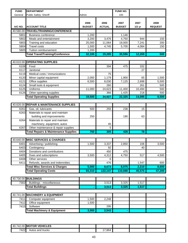| <b>FUND</b>  | <b>DEPARTMENT</b>                               |               |               | FUND NO.      |                 |                |
|--------------|-------------------------------------------------|---------------|---------------|---------------|-----------------|----------------|
| General      | Public Safety: Sheriff                          | Admin         |               | 100           |                 |                |
|              |                                                 |               |               |               |                 |                |
|              |                                                 | 2006          | 2006          | 2007          | 2007            | 2008           |
| A/C NO.      | <b>ACCOUNT TITLE</b>                            | <b>BUDGET</b> | <b>ACTUAL</b> | <b>BUDGET</b> | $1/2$ yr        | <b>REQUEST</b> |
|              | 40.580.00 TRAVEL/TRAINING/CONFERENCE            |               |               |               |                 |                |
| 5801         | <b>Business conference</b>                      | 1,200         |               | 1,146         |                 |                |
| 5802         | Meals and entertainment                         | 3,200         | 3,476         | 4,750         | 944             | 150            |
| 5803         | Training and education                          | 25,000        | 11,064        | 19,000        | 7,241           | 200            |
| 5804         | <b>Travel costs</b>                             | 1,500         | 4,745         | 5,700         | 4,084           | 150            |
| 5805         | Tuition reimbursement                           | 1,200         |               |               |                 |                |
|              | <b>Total Travel/Training/Conference</b>         | 32,100        | 19,285        | 30,596        | 12,269          | 500            |
|              |                                                 |               |               |               |                 |                |
|              | 40.610.00 OPERATING SUPPLIES                    |               |               |               |                 |                |
| 6108         | Food                                            |               | 394           | 475           | 332             |                |
| 6117         | Janitorial                                      |               |               |               | 27              |                |
| 6119         | Medical costs / immunizations                   |               | 75            |               |                 |                |
| 6120         | Minor capital equipment                         | 2,000         | 1,179         | 1,900         | 65              | 1,500          |
| 6121         | Office supplies                                 | 6,500         | 8,030         | 7,125         | 2,698           | 5,500          |
| 6124         | Small tools & equipment                         |               | 260           |               | 261             | 500            |
| 6125         | Uniforms                                        | 11,000        | 24,623        | 11,400        | 10,494          | 500            |
| 6126         | Other operating supplies                        |               | 366           | 1,425         | 218             | 500            |
|              | <b>Total Operating Supplies</b>                 | 19,500        | 34,927        | 22,325        | 14,095          | 8,500          |
|              |                                                 |               |               |               |                 |                |
| 40.626.00    | <b>REPAIR &amp; MAINTENANCE SUPPLIES</b>        |               |               |               |                 |                |
| 6261         | Gas, oil, lubricants                            | 500           | 255           | 238           | 15              |                |
| 6263         | Materials to repair and maintain                |               |               |               |                 |                |
|              | building and improvements                       | 250           |               | 190           | 63              |                |
| 6264         | Materials to repair and maintain                |               |               |               |                 |                |
|              | machinery, equipment, autos                     |               | 45            |               |                 |                |
| 6267         | Other maintenance & repair supplies             |               | 5             |               |                 |                |
|              | <b>Total Repairs &amp; Maintenance Supplies</b> | 750           | 305           | 428           | $\overline{78}$ |                |
|              |                                                 |               |               |               |                 |                |
| 40.640.00    | <b>MISC SERVICES &amp; CHARGES</b>              |               |               |               |                 |                |
| 6401         | Advertising / publishing                        | 1,500         | 3,337         | 2,850         | 106             | 3,500          |
| 6403         | Contingency                                     |               | 92            |               | 40              |                |
| 6404         | Donations and contributions                     |               | 450           | 475           |                 |                |
| 6405         | Dues and subscriptions<br>Other services        | 3,500         | 4,312<br>6    | 4,750         | 517             | 4,500          |
| 6408<br>6411 | Refunds, awards and indemnities                 |               | 476           |               | 1,547           | 600            |
|              | <b>Total Misc Services &amp; Charges</b>        | 5,000         | 8,673         | 8,075         | 2,210           | 8,600          |
|              | <b>Total Operating Costs</b>                    | 93,310        | 122,147       | 110,688       | 45,575          | 47,200         |
|              |                                                 |               |               |               |                 |                |
|              | 40.730.00 BUILDINGS                             |               |               |               |                 |                |
| 7302         | Buildings - miscellaneous                       |               | 3,513         | 3,325         | 1,517           |                |
|              |                                                 |               | 3,513         |               | 1,517           |                |
|              | <b>Total Buildings</b>                          |               |               | 3,325         |                 |                |
| 40.741.00    | <b>MACHINERY &amp; EQUIPMENT</b>                |               |               |               |                 |                |
| 7411         | Computer equipment                              | 1,500         |               |               |                 |                |
| 7412         | Office equipment                                | 1,500         | 2,248         |               |                 |                |
| 7415         | Software                                        |               | 295           |               |                 |                |
|              | <b>Total Machinery &amp; Equipment</b>          | 3,000         | 2,543         |               |                 |                |
|              |                                                 |               |               |               |                 |                |

| 40.742.00 | <b>IMOTOR VEHICLES</b> |        |  |  |
|-----------|------------------------|--------|--|--|
| 7422      | Autos and trucks       | 17,864 |  |  |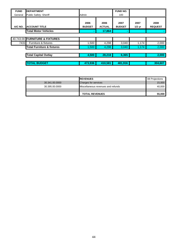| <b>FUND</b> | <b>DEPARTMENT</b>                     |                       |                       | <b>FUND NO.</b>       |                  |                        |
|-------------|---------------------------------------|-----------------------|-----------------------|-----------------------|------------------|------------------------|
| General     | Public Safety: Sheriff                | Admin                 |                       | 100                   |                  |                        |
| A/C NO.     | <b>ACCOUNT TITLE</b>                  | 2006<br><b>BUDGET</b> | 2006<br><b>ACTUAL</b> | 2007<br><b>BUDGET</b> | 2007<br>$1/2$ yr | 2008<br><b>REQUEST</b> |
|             | <b>Total Motor Vehicles</b>           |                       | 17,864                | $\blacksquare$        |                  |                        |
|             |                                       |                       |                       |                       |                  |                        |
|             | 40.743.00 FURNITURE & FIXTURES        |                       |                       |                       |                  |                        |
| 7431        | Furniture & fixtures                  | 1,500                 | 4,298                 | 3,040                 | 1,174            | 2,000                  |
|             | <b>Total Furniture &amp; fixtures</b> | 1,500                 | 4,298                 | 3,040                 | 1,174            | 2,000                  |
|             |                                       |                       |                       |                       |                  |                        |
|             | <b>Total Capital Outlay</b>           | 4,500                 | 28,218                | 6,365                 |                  | 2,000                  |
|             |                                       |                       |                       |                       |                  |                        |
|             | <b>TOTAL BUDGET</b>                   | 473,936               | 410.581               | 481,916               |                  | 304.607                |

|                | <b>REVENUES</b>                    | 08 Projections |
|----------------|------------------------------------|----------------|
| 30.341.00.0000 | <b>Charges for services</b>        | 15,000         |
| 30.395.00.0000 | Miscellaneous revenues and refunds | 40,000         |
|                |                                    |                |
|                | <b>TOTAL REVENUES</b>              | 55,000         |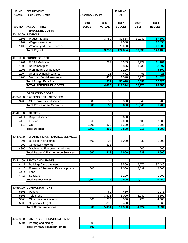| General<br>A/C NO.<br>40.110.00 PAYROLL<br>1101<br>1102<br>1103<br>40.120.00<br>1201<br>1202<br>1203<br>1204<br>1205 | Public Safety: Sheriff<br><b>ACCOUNT TITLE</b><br><b>PERSONNEL COSTS</b><br>Wages - regular<br>Wages - overtime<br>Wages - part time / seasonal<br><b>Total Payroll</b><br><b>FRINGE BENEFITS</b><br>FICA / Medicare<br>Retirement plan<br>Workman's Compensation<br>Unemployment insurance<br>Medical / Dental insurance<br><b>Total Fringe Benefits</b><br><b>TOTAL PERSONNEL COSTS</b><br><b>OPERATING COSTS</b><br>40.320.00 PROFESSIONAL SERVICES | <b>Emergency Services</b><br>2006<br><b>BUDGET</b> | 2006<br><b>ACTUAL</b><br>3,759<br>3,759<br>282<br>150<br>11<br>468<br>911<br>4,670 | 100<br>2007<br><b>BUDGET</b><br>89,884<br>7,000<br>78,000<br>174,884<br>13,383<br>3,876<br>7,190<br>471<br>11,520<br>36,440<br>211,324 | 2007<br>$1/2$ yr<br>30,939<br>30,939<br>2,272<br>1,238<br>93<br>3,228<br>6,831<br>37,770 | 2008<br><b>REQUEST</b><br>87,600<br>12,330<br>46,230<br>146,160<br>11,181<br>3,997<br>5,100<br>428<br>11,520<br>32,226<br>178,386 |
|----------------------------------------------------------------------------------------------------------------------|--------------------------------------------------------------------------------------------------------------------------------------------------------------------------------------------------------------------------------------------------------------------------------------------------------------------------------------------------------------------------------------------------------------------------------------------------------|----------------------------------------------------|------------------------------------------------------------------------------------|----------------------------------------------------------------------------------------------------------------------------------------|------------------------------------------------------------------------------------------|-----------------------------------------------------------------------------------------------------------------------------------|
|                                                                                                                      |                                                                                                                                                                                                                                                                                                                                                                                                                                                        |                                                    |                                                                                    |                                                                                                                                        |                                                                                          |                                                                                                                                   |
|                                                                                                                      |                                                                                                                                                                                                                                                                                                                                                                                                                                                        |                                                    |                                                                                    |                                                                                                                                        |                                                                                          |                                                                                                                                   |
|                                                                                                                      |                                                                                                                                                                                                                                                                                                                                                                                                                                                        |                                                    |                                                                                    |                                                                                                                                        |                                                                                          |                                                                                                                                   |
|                                                                                                                      |                                                                                                                                                                                                                                                                                                                                                                                                                                                        |                                                    |                                                                                    |                                                                                                                                        |                                                                                          |                                                                                                                                   |
|                                                                                                                      |                                                                                                                                                                                                                                                                                                                                                                                                                                                        |                                                    |                                                                                    |                                                                                                                                        |                                                                                          |                                                                                                                                   |
|                                                                                                                      |                                                                                                                                                                                                                                                                                                                                                                                                                                                        |                                                    |                                                                                    |                                                                                                                                        |                                                                                          |                                                                                                                                   |
|                                                                                                                      |                                                                                                                                                                                                                                                                                                                                                                                                                                                        |                                                    |                                                                                    |                                                                                                                                        |                                                                                          |                                                                                                                                   |
|                                                                                                                      |                                                                                                                                                                                                                                                                                                                                                                                                                                                        |                                                    |                                                                                    |                                                                                                                                        |                                                                                          |                                                                                                                                   |
|                                                                                                                      |                                                                                                                                                                                                                                                                                                                                                                                                                                                        |                                                    |                                                                                    |                                                                                                                                        |                                                                                          |                                                                                                                                   |
|                                                                                                                      |                                                                                                                                                                                                                                                                                                                                                                                                                                                        |                                                    |                                                                                    |                                                                                                                                        |                                                                                          |                                                                                                                                   |
|                                                                                                                      |                                                                                                                                                                                                                                                                                                                                                                                                                                                        |                                                    |                                                                                    |                                                                                                                                        |                                                                                          |                                                                                                                                   |
|                                                                                                                      |                                                                                                                                                                                                                                                                                                                                                                                                                                                        |                                                    |                                                                                    |                                                                                                                                        |                                                                                          |                                                                                                                                   |
|                                                                                                                      |                                                                                                                                                                                                                                                                                                                                                                                                                                                        |                                                    |                                                                                    |                                                                                                                                        |                                                                                          |                                                                                                                                   |
|                                                                                                                      |                                                                                                                                                                                                                                                                                                                                                                                                                                                        |                                                    |                                                                                    |                                                                                                                                        |                                                                                          |                                                                                                                                   |
|                                                                                                                      |                                                                                                                                                                                                                                                                                                                                                                                                                                                        |                                                    |                                                                                    |                                                                                                                                        |                                                                                          |                                                                                                                                   |
|                                                                                                                      |                                                                                                                                                                                                                                                                                                                                                                                                                                                        |                                                    |                                                                                    |                                                                                                                                        |                                                                                          |                                                                                                                                   |
|                                                                                                                      |                                                                                                                                                                                                                                                                                                                                                                                                                                                        |                                                    |                                                                                    |                                                                                                                                        |                                                                                          |                                                                                                                                   |
|                                                                                                                      |                                                                                                                                                                                                                                                                                                                                                                                                                                                        |                                                    |                                                                                    |                                                                                                                                        |                                                                                          |                                                                                                                                   |
|                                                                                                                      |                                                                                                                                                                                                                                                                                                                                                                                                                                                        |                                                    |                                                                                    |                                                                                                                                        |                                                                                          |                                                                                                                                   |
| 3209                                                                                                                 | Other professional services                                                                                                                                                                                                                                                                                                                                                                                                                            | 1,800                                              | 50                                                                                 | 8,800                                                                                                                                  | 55,840                                                                                   | 51,700                                                                                                                            |
|                                                                                                                      | <b>Total Professional Services</b>                                                                                                                                                                                                                                                                                                                                                                                                                     | 1,800                                              | 50                                                                                 | 8,800                                                                                                                                  | 55,840                                                                                   | 51,700                                                                                                                            |
|                                                                                                                      |                                                                                                                                                                                                                                                                                                                                                                                                                                                        |                                                    |                                                                                    |                                                                                                                                        |                                                                                          |                                                                                                                                   |
| 40.411.00 UTILITIES                                                                                                  |                                                                                                                                                                                                                                                                                                                                                                                                                                                        |                                                    |                                                                                    |                                                                                                                                        |                                                                                          |                                                                                                                                   |
| 4111                                                                                                                 | Disposal services                                                                                                                                                                                                                                                                                                                                                                                                                                      |                                                    |                                                                                    | 600                                                                                                                                    |                                                                                          |                                                                                                                                   |
| 4112                                                                                                                 | Electric                                                                                                                                                                                                                                                                                                                                                                                                                                               | 360                                                |                                                                                    | 2,000                                                                                                                                  | 103                                                                                      | 2,000                                                                                                                             |
| 4113                                                                                                                 | Gas                                                                                                                                                                                                                                                                                                                                                                                                                                                    | 1,200                                              | 362                                                                                | 1,200                                                                                                                                  | 815                                                                                      | 1,200                                                                                                                             |
|                                                                                                                      | <b>Total Utilities</b>                                                                                                                                                                                                                                                                                                                                                                                                                                 | 1,560                                              | 362                                                                                | 3,800                                                                                                                                  | 918                                                                                      | 3,200                                                                                                                             |
|                                                                                                                      |                                                                                                                                                                                                                                                                                                                                                                                                                                                        |                                                    |                                                                                    |                                                                                                                                        |                                                                                          |                                                                                                                                   |
| 40.430.00                                                                                                            | <b>REPAIRS &amp; MAINTENANCE SERVICES</b>                                                                                                                                                                                                                                                                                                                                                                                                              |                                                    |                                                                                    |                                                                                                                                        |                                                                                          |                                                                                                                                   |
| 4301                                                                                                                 | Buildings / structures                                                                                                                                                                                                                                                                                                                                                                                                                                 | 500                                                | 94                                                                                 | 1,000                                                                                                                                  | 39                                                                                       | 1,000                                                                                                                             |
| 4302                                                                                                                 | Computer hardware                                                                                                                                                                                                                                                                                                                                                                                                                                      |                                                    | 325                                                                                |                                                                                                                                        |                                                                                          |                                                                                                                                   |
| 4305                                                                                                                 | Machinery / Equipment / Vehicles                                                                                                                                                                                                                                                                                                                                                                                                                       |                                                    |                                                                                    |                                                                                                                                        | 200                                                                                      | 1,500                                                                                                                             |
|                                                                                                                      | <b>Total Repair &amp; Maintenance Services</b>                                                                                                                                                                                                                                                                                                                                                                                                         | 500                                                | 419                                                                                | 1,000                                                                                                                                  | 239                                                                                      | 2,500                                                                                                                             |
|                                                                                                                      |                                                                                                                                                                                                                                                                                                                                                                                                                                                        |                                                    |                                                                                    |                                                                                                                                        |                                                                                          |                                                                                                                                   |
| 40.441.00                                                                                                            | <b>RENTS AND LEASES</b>                                                                                                                                                                                                                                                                                                                                                                                                                                |                                                    |                                                                                    |                                                                                                                                        |                                                                                          |                                                                                                                                   |
| 4411                                                                                                                 | Buildings / improvements                                                                                                                                                                                                                                                                                                                                                                                                                               |                                                    |                                                                                    | 8,500                                                                                                                                  | 7,775                                                                                    | 37,440                                                                                                                            |
| 4413                                                                                                                 | Furniture / fixtures / office equipment                                                                                                                                                                                                                                                                                                                                                                                                                | 1,800                                              |                                                                                    | 2,000                                                                                                                                  | 2,699                                                                                    | 3,000                                                                                                                             |
| 4414<br>4417                                                                                                         | Land                                                                                                                                                                                                                                                                                                                                                                                                                                                   |                                                    |                                                                                    | 1,100                                                                                                                                  |                                                                                          | 1,000                                                                                                                             |
|                                                                                                                      | Software                                                                                                                                                                                                                                                                                                                                                                                                                                               | 1,800                                              |                                                                                    | 10,500                                                                                                                                 | 10,474                                                                                   | 40,440                                                                                                                            |
|                                                                                                                      | <b>Total Rents/Leases</b>                                                                                                                                                                                                                                                                                                                                                                                                                              |                                                    |                                                                                    |                                                                                                                                        |                                                                                          |                                                                                                                                   |
| 40.530.00                                                                                                            | <b>COMMUNICATIONS</b>                                                                                                                                                                                                                                                                                                                                                                                                                                  |                                                    |                                                                                    |                                                                                                                                        |                                                                                          |                                                                                                                                   |
| 5301                                                                                                                 |                                                                                                                                                                                                                                                                                                                                                                                                                                                        |                                                    | 60                                                                                 | 450                                                                                                                                    |                                                                                          | 1,071                                                                                                                             |
| 5303                                                                                                                 | Pagers<br>Telephone                                                                                                                                                                                                                                                                                                                                                                                                                                    |                                                    | 3,328                                                                              | 6,000                                                                                                                                  | 3,149                                                                                    | 3,600                                                                                                                             |
| 5304                                                                                                                 | Other communications                                                                                                                                                                                                                                                                                                                                                                                                                                   | 500                                                | 1,270                                                                              | 4,500                                                                                                                                  | 975                                                                                      | 4,500                                                                                                                             |
| 5305                                                                                                                 | Shipping & freight                                                                                                                                                                                                                                                                                                                                                                                                                                     |                                                    | 393                                                                                | 400                                                                                                                                    |                                                                                          | 360                                                                                                                               |
|                                                                                                                      | <b>Total Communications</b>                                                                                                                                                                                                                                                                                                                                                                                                                            | 500                                                | 5,051                                                                              | 11,350                                                                                                                                 | 4,124                                                                                    | 9,531                                                                                                                             |
|                                                                                                                      |                                                                                                                                                                                                                                                                                                                                                                                                                                                        |                                                    |                                                                                    |                                                                                                                                        |                                                                                          |                                                                                                                                   |

|      | 40.560.00 PRINTING/DUPLICATION/FILMING |     |  |  |
|------|----------------------------------------|-----|--|--|
| 5604 | Printing and binding                   | 500 |  |  |
|      | <b>Total Print/Duplication/Filming</b> |     |  |  |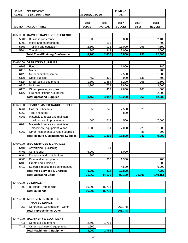| <b>FUND</b> | <b>DEPARTMENT</b>                               |                           |               | <b>FUND NO.</b> |          |                |
|-------------|-------------------------------------------------|---------------------------|---------------|-----------------|----------|----------------|
|             |                                                 |                           |               | 100             |          |                |
| General     | Public Safety: Sheriff                          | <b>Emergency Services</b> |               |                 |          |                |
|             |                                                 |                           |               |                 |          |                |
|             |                                                 | 2006                      | 2006          | 2007            | 2007     | 2008           |
| A/C NO.     | <b>ACCOUNT TITLE</b>                            | <b>BUDGET</b>             | <b>ACTUAL</b> | <b>BUDGET</b>   | $1/2$ yr | <b>REQUEST</b> |
|             |                                                 |                           |               |                 |          |                |
| 40.580.00   | TRAVEL/TRAINING/CONFERENCE                      |                           |               |                 |          |                |
| 5801        | <b>Business conference</b>                      | 800                       |               | 800             |          | 2,400          |
| 5802        | Meals and entertainment                         |                           | 158           |                 |          | 400            |
| 5803        | Training and education                          | 2,500                     | 936           | 11,000          | 298      | 7,500          |
| 5804        | <b>Travel costs</b>                             | 800                       | 1,342         | 2,000           |          | 2,000          |
|             | <b>Total Travel/Training/Conference</b>         | 4,100                     | 2,436         | 13,800          | 298      | 12,300         |
|             |                                                 |                           |               |                 |          |                |
| 40.610.00   | <b>OPERATING SUPPLIES</b>                       |                           |               |                 |          |                |
| 6108        | Food                                            |                           |               | 1,000           |          | 780            |
| 6118        | Maps                                            |                           |               |                 |          | 900            |
| 6120        | Minor capital equipment                         |                           |               | 2,500           |          | 1,500          |
| 6121        | Office supplies                                 | 450                       | 492           | 900             | 136      | 600            |
| 6124        | Small tools & equipment                         | 1,800                     | 1,384         | 5,200           | 265      | 1,500          |
| 6125        | Uniforms                                        | 1,200                     | 1,709         | 3,800           |          | 3,600          |
| 6126        | Other operating supplies                        |                           | 462           | 2,850           | 165      | 1,400          |
| 6127        | Fire hose, fittings & supplies                  |                           |               |                 |          | 2,000          |
|             | <b>Total Operating Supplies</b>                 | 3,450                     | 4,047         | 16,250          | 566      | 12,280         |
|             |                                                 |                           |               |                 |          |                |
| 40.626.00   | <b>REPAIR &amp; MAINTENANCE SUPPLIES</b>        |                           |               |                 |          |                |
| 6261        | Gas, oil, lubricants                            | 550                       | 248           | 7,500           | 29       |                |
| 6262        | Tires and tubes                                 |                           |               | 800             |          |                |
| 6263        | Materials to repair and maintain                |                           |               |                 |          |                |
|             | building and improvements                       | 500                       | 513           | 500             |          | 7,500          |
| 6264        | Materials to repair and maintain                |                           |               |                 |          |                |
|             | machinery, equipment, autos                     | 1,300                     | 631           | 7,000           | 229      | 1,500          |
| 6267        | Other maintenance & repair supplies             |                           |               |                 | 88       | 300            |
|             | <b>Total Repairs &amp; Maintenance Supplies</b> | 2,350                     | 1,392         | 15,800          | 346      | 9,300          |
|             |                                                 |                           |               |                 |          |                |
|             | 40.640.00 MISC SERVICES & CHARGES               |                           |               |                 |          |                |
| 6401        | Advertising / publishing                        |                           | 54            |                 |          |                |
| 6403        | Contingency                                     | 5,000                     |               | 5,000           |          |                |
| 6404        | Donations and contributions                     | 300                       |               |                 |          |                |
| 6405        | Dues and subscriptions                          |                           | 360           | 1,300           |          | 900            |
| 6406        | Grants and subsidies                            |                           |               |                 |          | 1,000          |
| 6412        | Search & rescue mission expenses                |                           |               | 4,500           |          | 6,000          |
|             | <b>Total Misc Services &amp; Charges</b>        | 5,300                     | 414           | 10,800          |          | 7,900          |
|             | <b>Total Operating Costs</b>                    | 21,860                    | 14,170        | 92,100          | 72,805   | 149,151        |
|             |                                                 |                           |               |                 |          |                |
|             | 40.730.00 BUILDINGS                             |                           |               |                 |          |                |
| 7303        | Buildings - remodeling                          | 16,000                    | 16,716        |                 |          |                |
|             | <b>Total Buildings</b>                          | 16,000                    | 16,716        |                 |          |                |
|             |                                                 |                           |               |                 |          |                |
| 40.735.00   | <b>IMPROVEMENTS OTHER</b>                       |                           |               |                 |          |                |
|             | <b>THAN BUILDINGS</b>                           |                           |               |                 |          |                |
| 7353        | <b>Contractual Construction - Other</b>         |                           |               | 263,748         |          |                |
|             | <b>Total Improvements Other</b>                 |                           |               | 263,748         |          |                |
|             |                                                 |                           |               |                 |          |                |
| 40.741.00   | <b>MACHINERY &amp; EQUIPMENT</b>                |                           |               |                 |          |                |
| 7411        | Computer equipment                              | 2,500                     | 1,755         |                 |          |                |
| 7413        | Other machinery & equipment                     | 1,500                     |               |                 |          |                |
|             | <b>Total Machinery &amp; Equipment</b>          | 4,000                     | 1,755         | ÷               |          |                |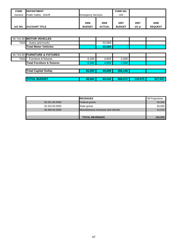| <b>FUND</b>   | <b>IDEPARTMENT</b>     |                           |               | <b>FUND NO.</b> |          |                |
|---------------|------------------------|---------------------------|---------------|-----------------|----------|----------------|
| II<br>General | Public Safety: Sheriff | <b>Emergency Services</b> |               | 100             |          |                |
|               |                        |                           |               |                 |          |                |
|               |                        | 2006                      | 2006          | 2007            | 2007     | 2008           |
| A/C NO.       | <b>IACCOUNT TITLE</b>  | <b>BUDGET</b>             | <b>ACTUAL</b> | <b>BUDGET</b>   | $1/2$ yr | <b>REQUEST</b> |

|      | 40.742.00 MOTOR VEHICLES              |        |        |                |                |         |
|------|---------------------------------------|--------|--------|----------------|----------------|---------|
| 7422 | Autos and trucks                      |        | 22,569 |                |                |         |
|      | <b>Total Motor Vehicles</b>           |        | 22,569 | $\blacksquare$ |                |         |
|      |                                       |        |        |                |                |         |
|      | 40.743.00 FURNITURE & FIXTURES        |        |        |                |                |         |
| 7431 | Furniture & fixtures                  | 6,200  | 4,659  | 2,500          |                |         |
|      | <b>Total Furniture &amp; fixtures</b> | 6,200  | 4,659  | 2,500          | ۰              |         |
|      |                                       |        |        |                |                |         |
|      | <b>Total Capital Outlay</b>           | 26,200 | 45,699 | 266,248        | $\blacksquare$ |         |
|      |                                       |        |        |                |                |         |
|      | <b>TOTAL BUDGET</b>                   | 48,060 | 64,540 | 569,672        | 110,575        | 327,537 |

|                | <b>IREVENUES</b>                   | 08 Projections |
|----------------|------------------------------------|----------------|
| 30.331.00.0000 | <b>Federal grants</b>              | 50,000         |
| 30.334.00.0000 | State grants                       | 60,000         |
| 30.395.00.0000 | Miscellaneous revenues and refunds | 31,015         |
|                |                                    |                |
|                | <b>TOTAL REVENUES</b>              | 141,015        |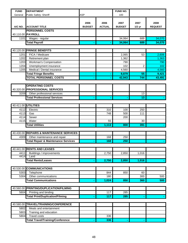| <b>FUND</b>  | <b>DEPARTMENT</b>                              |                       |                       | FUND NO.              |                  |                        |
|--------------|------------------------------------------------|-----------------------|-----------------------|-----------------------|------------------|------------------------|
| General      | Public Safety: Sheriff                         | <b>ASP</b>            |                       | 100                   |                  |                        |
| A/C NO.      | <b>ACCOUNT TITLE</b>                           | 2006<br><b>BUDGET</b> | 2006<br><b>ACTUAL</b> | 2007<br><b>BUDGET</b> | 2007<br>$1/2$ yr | 2008<br><b>REQUEST</b> |
|              | <b>PERSONNEL COSTS</b>                         |                       |                       |                       |                  |                        |
|              | 40.110.00 PAYROLL                              |                       |                       |                       |                  |                        |
| 1101         | Wages - regular                                |                       |                       | 34,064                | 689              | 34,070                 |
|              | <b>Total Payroll</b>                           |                       |                       | 34,064                | 689              | 34,070                 |
|              |                                                |                       |                       |                       |                  |                        |
|              | 40.120.00 FRINGE BENEFITS                      |                       |                       |                       |                  |                        |
| 1201         | FICA / Medicare                                |                       |                       | 2,065                 | 53               | 2,606                  |
| 1202         | Retirement plan                                |                       |                       | 1,362                 |                  | 1,363                  |
| 1203         | Workman's Compensation                         |                       |                       | 790                   |                  | 790                    |
| 1204         | Unemployment insurance                         |                       |                       | 102                   | $\overline{c}$   | 102                    |
| 1205         | Medical / Dental insurance                     |                       |                       | 4,560                 |                  | 4,560                  |
|              | <b>Total Fringe Benefits</b>                   | ۰                     | ٠                     | 8,879                 | $\overline{55}$  | 9,421                  |
|              | <b>TOTAL PERSONNEL COSTS</b>                   |                       |                       | 42,943                | 744              | 43,491                 |
|              |                                                |                       |                       |                       |                  |                        |
|              | <b>OPERATING COSTS</b>                         |                       |                       |                       |                  |                        |
|              | 40.320.00 PROFESSIONAL SERVICES                |                       |                       |                       |                  |                        |
| 3209         | Other professional services                    |                       |                       |                       | 13               |                        |
|              | <b>Total Professional Services</b>             |                       |                       |                       | $\overline{13}$  |                        |
|              | 40.411.00 UTILITIES                            |                       |                       |                       |                  |                        |
|              |                                                |                       |                       |                       |                  |                        |
| 4112         | Electric                                       |                       | 310                   | 100                   | 250              |                        |
| 4113         | Gas<br>Sewer                                   |                       | 748                   | 500<br>200            | 111              |                        |
| 4114<br>4115 | Water                                          |                       | 55                    |                       | 30               |                        |
|              | <b>Total Utilities</b>                         |                       | 1,113                 | 800                   | 391              |                        |
|              |                                                |                       |                       |                       |                  |                        |
| 40.430.00    | <b>REPAIRS &amp; MAINTENANCE SERVICES</b>      |                       |                       |                       |                  |                        |
| 4309         | Other maintenance and repair                   |                       | 168                   | 250                   |                  |                        |
|              | <b>Total Repair &amp; Maintenance Services</b> |                       | 168                   | 250                   |                  |                        |
|              |                                                |                       |                       |                       |                  |                        |
|              | 40.441.00 RENTS AND LEASES                     |                       |                       |                       |                  |                        |
| 4411         | Buildings / improvements                       |                       | 2,750                 | 2,850                 | 1,016            |                        |
| 4414         | Land                                           |                       |                       |                       |                  |                        |
|              | <b>Total Rents/Leases</b>                      |                       | 2,750                 | 2,850                 | 1,016            |                        |
|              |                                                |                       |                       |                       |                  |                        |
|              | 40.530.00 COMMUNICATIONS                       |                       |                       |                       |                  |                        |
| 5303         | Telephone                                      |                       | 844                   | 850                   | 60               |                        |
| 5304         | Other communications                           |                       | 180                   |                       | 300              | 500                    |
|              | <b>Total Communications</b>                    |                       | 1,024                 | 850                   | 360              | 500                    |
|              |                                                |                       |                       |                       |                  |                        |
| 40.560.00    | <b>PRINTING/DUPLICATION/FILMING</b>            |                       |                       |                       |                  |                        |
| 5604         | Printing and binding                           |                       | 117                   | 285                   |                  |                        |
|              | <b>Total Print/Duplication/Filming</b>         |                       | 117                   | 285                   |                  |                        |
|              |                                                |                       |                       |                       |                  |                        |
| 40.580.00    | TRAVEL/TRAINING/CONFERENCE                     |                       |                       |                       |                  |                        |
| 5802         | Meals and entertainment                        |                       |                       |                       |                  |                        |
| 5803         | Training and education                         |                       |                       |                       |                  |                        |
| 5804         | <b>Travel costs</b>                            |                       | 336                   |                       |                  |                        |
|              | <b>Total Travel/Training/Conference</b>        |                       | 336                   |                       |                  |                        |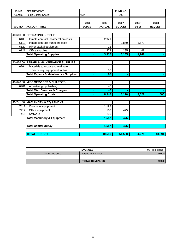| <b>FUND</b> | <b>DEPARTMENT</b>                               |                       |                       | <b>FUND NO.</b>       |                  |                        |
|-------------|-------------------------------------------------|-----------------------|-----------------------|-----------------------|------------------|------------------------|
| General     | Public Safety: Sheriff                          | <b>ASP</b>            |                       | 100                   |                  |                        |
| A/C NO.     | <b>ACCOUNT TITLE</b>                            | 2006<br><b>BUDGET</b> | 2006<br><b>ACTUAL</b> | 2007<br><b>BUDGET</b> | 2007<br>$1/2$ yr | 2008<br><b>REQUEST</b> |
|             | 40.610.00 OPERATING SUPPLIES                    |                       |                       |                       |                  |                        |
| 6109        | Inmate contract incarceration costs             |                       | 2,921                 |                       |                  |                        |
| 6110        | Inmate contract transport costs                 |                       |                       | 2,850                 | 1,679            |                        |
| 6120        | Minor capital equipment                         |                       | 21                    |                       |                  |                        |
| 6121        | Office supplies                                 |                       | 373                   | 285                   | 68               |                        |
|             | <b>Total Operating Supplies</b>                 |                       | 3,315                 | 3,135                 | 1,747            |                        |
|             |                                                 |                       |                       |                       |                  |                        |
|             | 40.626.00 REPAIR & MAINTENANCE SUPPLIES         |                       |                       |                       |                  |                        |
| 6264        | Materials to repair and maintain                |                       |                       |                       |                  |                        |
|             | machinery, equipment, autos                     |                       | 80                    |                       |                  |                        |
|             | <b>Total Repairs &amp; Maintenance Supplies</b> |                       | 80                    |                       |                  |                        |
|             |                                                 |                       |                       |                       |                  |                        |
|             | 40.640.00 MISC SERVICES & CHARGES               |                       |                       |                       |                  |                        |
| 6401        | Advertising / publishing                        |                       | 45                    |                       |                  |                        |
|             | <b>Total Misc Services &amp; Charges</b>        |                       | 45                    |                       |                  |                        |
|             | <b>Total Operating Costs</b>                    |                       | 8,948                 | 8,170                 | 3,527            | 500                    |
|             |                                                 |                       |                       |                       |                  |                        |
|             | 40.741.00 MACHINERY & EQUIPMENT                 |                       |                       |                       |                  |                        |
| 7411        | Computer equipment                              |                       | 1,192                 |                       |                  |                        |
| 7412        | Office equipment                                |                       | 100                   | 475                   |                  |                        |
| 7415        | Software                                        |                       | 295                   |                       |                  |                        |
|             | <b>Total Machinery &amp; Equipment</b>          |                       | 1,587                 | 475                   |                  |                        |
|             | <b>Total Capital Outlay</b>                     |                       | 1,587                 | 475                   |                  |                        |
|             |                                                 |                       |                       |                       |                  |                        |
|             | <b>TOTAL BUDGET</b>                             |                       | 10,536                | 51,588                | 4,271            | 43,991                 |

|                | <b>REVENUES</b>             | 08 Projections |
|----------------|-----------------------------|----------------|
| 30.341.00.0000 | <b>Charges for services</b> | 9.000          |
|                |                             |                |
|                | <b>TOTAL REVENUES</b>       | 9.000          |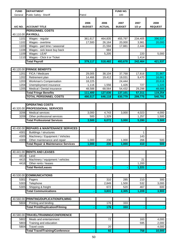| <b>FUND</b> | <b>DEPARTMENT</b>                                        |                       |                       | FUND NO.              |                  |                        |
|-------------|----------------------------------------------------------|-----------------------|-----------------------|-----------------------|------------------|------------------------|
| General     | Public Safety: Sheriff                                   | Patrol                |                       | 100                   |                  |                        |
| A/C NO.     | <b>ACCOUNT TITLE</b>                                     | 2006<br><b>BUDGET</b> | 2006<br><b>ACTUAL</b> | 2007<br><b>BUDGET</b> | 2007<br>$1/2$ yr | 2008<br><b>REQUEST</b> |
|             | <b>PERSONNEL COSTS</b>                                   |                       |                       |                       |                  |                        |
|             | 40.110.00 PAYROLL                                        |                       |                       |                       |                  |                        |
| 1101        | Wages - regular                                          | 361,617               | 464,835               | 455,797               | 234,405          | 396,537                |
| 1102        | Wages - overtime                                         | 17,500                | 26,164                | 20,000                | 3,981            | 20,000                 |
| 1103        | Wages - part time / seasonal                             |                       | 21,594                | 17,881                | 2,444            |                        |
| 1108        | Wages - sick leave buy back                              |                       | 684                   |                       |                  |                        |
| 1109        | Wages - LEAF                                             |                       | 5,205                 |                       | 220              | 5,000                  |
| 1110        | Wages - Click it or Ticket                               |                       |                       |                       | 1,414            |                        |
|             | <b>Total Payroll</b>                                     | 379,117               | 518,482               | 493,678               | 242,464          | 421,537                |
|             |                                                          |                       |                       |                       |                  |                        |
|             | 40.120.00 FRINGE BENEFITS                                |                       |                       |                       |                  |                        |
| 1201        | FICA / Medicare                                          | 29,005                | 38,104                | 37,768                | 17,816           | 31,867                 |
| 1202        | Retirement plan                                          | 14,466                | 19,412                | 19,031                | 9,470            | 16,661                 |
| 1203        | Workman's Compensation                                   | 18,225                |                       | 24,444                |                  | 20,618                 |
| 1204        | Unemployment insurance                                   | 1,116                 | 1,556                 | 1,426                 | 727              | 1,220                  |
| 1205        | Medical / Dental insurance                               | 48,588                | 68,564                | 54,432                | 29,298           | 48,888                 |
|             | <b>Total Fringe Benefits</b>                             | 111,400               | 127,636               | 137,101               | 57,311           | 119,254                |
|             | <b>TOTAL PERSONNEL COSTS</b>                             | 490,517               | 646,118               | 630,779               | 299,775          | 540,791                |
|             |                                                          |                       |                       |                       |                  |                        |
|             | <b>OPERATING COSTS</b>                                   |                       |                       |                       |                  |                        |
|             | 40.320.00 PROFESSIONAL SERVICES                          |                       |                       |                       |                  |                        |
| 3206        | <b>Medical services</b>                                  | 3,000                 | 4,743                 | 3,000                 | 4,023            | 4,000                  |
| 3209        | Other professional services                              | 500                   | 1,329                 |                       | 1,257            | 1,500                  |
|             | <b>Total Professional Services</b>                       | 3,500                 | 6,072                 | 3,000                 | 5,280            | 5,500                  |
|             |                                                          |                       |                       |                       |                  |                        |
|             | 40.430.00 REPAIRS & MAINTENANCE SERVICES                 |                       |                       |                       |                  |                        |
| 4301        | Buildings / structures                                   |                       |                       |                       | 1                |                        |
| 4305        | Machinery / Equipment / Vehicles                         |                       |                       |                       | 143              |                        |
| 4309        | Other maintenance and repair                             | 1,000                 | 230                   | 1,000                 | 266              | 500                    |
|             | <b>Total Repair &amp; Maintenance Services</b>           | 1,000                 | 230                   | 1,000                 | 410              | 500                    |
|             |                                                          |                       |                       |                       |                  |                        |
|             | 40.441.00 RENTS AND LEASES                               |                       |                       |                       |                  |                        |
| 4414        | Land                                                     |                       |                       |                       |                  |                        |
| 4415        | Machinery / equipment / vehicles<br>Other rents / leases |                       |                       |                       | 21<br>1,200      |                        |
| 4416        |                                                          |                       |                       |                       |                  |                        |
|             | <b>Total Rents/Leases</b>                                |                       |                       |                       | 1,221            |                        |
|             | <b>COMMUNICATIONS</b>                                    |                       |                       |                       |                  |                        |
| 40.530.00   |                                                          |                       |                       |                       |                  |                        |
| 5301        | Pagers                                                   |                       | 310                   | 285                   | 210              | 300                    |
| 5303        | Telephone                                                |                       | 2,849<br>672          | 1,500<br>520          | 532<br>467       | 3,000                  |
| 5305        | Shipping & freight                                       |                       |                       |                       |                  | 600                    |
|             | <b>Total Communications</b>                              |                       | 3,831                 | 2,305                 | 1,209            | 3,900                  |
|             | 40.560.00 PRINTING/DUPLICATION/FILMING                   |                       |                       |                       |                  |                        |
|             |                                                          |                       |                       |                       |                  |                        |
| 5604        | Printing and binding                                     |                       | 176                   | 333                   |                  |                        |
|             | <b>Total Print/Duplication/Filming</b>                   |                       | 176                   | 333                   |                  |                        |
|             |                                                          |                       |                       |                       |                  |                        |
| 40.580.00   | TRAVEL/TRAINING/CONFERENCE                               |                       |                       |                       |                  |                        |
| 5802        | Meals and entertainment                                  |                       | 72                    |                       | 163              | 4,000                  |
| 5803        | Training and education                                   |                       |                       |                       | 595              | 2,000                  |
| 5804        | <b>Travel costs</b>                                      |                       | 20                    |                       |                  | 4,000                  |
|             | <b>Total Travel/Training/Conference</b>                  |                       | 92                    |                       | 758              | 10,000                 |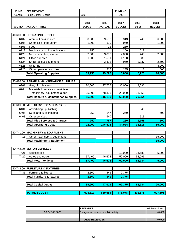| <b>FUND</b> | <b>DEPARTMENT</b>                               |               |               | FUND NO.      |          |                |
|-------------|-------------------------------------------------|---------------|---------------|---------------|----------|----------------|
| General     | Public Safety: Sheriff                          | Patrol        |               | 100           |          |                |
|             |                                                 |               |               |               |          |                |
|             |                                                 | 2006          | 2006          | 2007          | 2007     | 2008           |
| A/C NO.     | <b>ACCOUNT TITLE</b>                            | <b>BUDGET</b> | <b>ACTUAL</b> | <b>BUDGET</b> | $1/2$ yr | <b>REQUEST</b> |
|             |                                                 |               |               |               |          |                |
|             | 40.610.00 OPERATING SUPPLIES                    |               |               |               |          |                |
| 6102        | Ammunition & related                            | 8,500         | 9,556         | 8,313         | 740      | 6,000          |
| 6105        | Chemicals / laboratory                          | 1,000         | 679           | 950           |          | 1,000          |
| 6108        | Food                                            |               | 18            | 250           |          |                |
| 6119        | Medical costs / immunizations                   | 150           |               | 250           | 519      |                |
| 6120        | Minor capital equipment                         | 2,500         | 3,898         | 2,850         | 440      | 2,500          |
| 6121        | Office supplies                                 | 1,000         | 1,531         | 1,188         | 688      |                |
| 6124        | Small tools & equipment                         |               | 3,328         | 950           | 2,837    | 2,500          |
| 6125        | Uniforms                                        |               |               |               |          | 4,000          |
| 6126        | Other operating supplies                        |               | 215           | 285           | 3        | 500            |
|             | <b>Total Operating Supplies</b>                 | 13,150        | 19,225        | 15,036        | 5,226    | 16,500         |
|             |                                                 |               |               |               |          |                |
|             | 40.626.00 REPAIR & MAINTENANCE SUPPLIES         |               |               |               |          |                |
| 6261        | Gas, oil, lubricants                            | 30,000        | 37,775        | 35,000        | 8,096    |                |
| 6264        | Materials to repair and maintain                |               |               |               |          |                |
|             | machinery, equipment, autos                     | 25,000        | 78,335        | 28,000        | 11,958   |                |
|             | <b>Total Repairs &amp; Maintenance Supplies</b> | 55,000        | 116,110       | 63,000        | 20,054   |                |
|             |                                                 |               |               |               |          |                |
|             | 40.640.00 MISC SERVICES & CHARGES               |               |               |               |          |                |
| 6401        | Advertising / publishing                        |               |               |               | 645      |                |
| 6405        | Dues and subscriptions                          | 250           | 147           | 250           |          | 500            |
| 6408        | Other services                                  |               | 640           |               | 513      |                |
|             | <b>Total Misc Services &amp; Charges</b>        | 250           | 787           | 250           | 1,158    | 500            |
|             | <b>Total Operating Costs</b>                    | 72,900        | 146,522       | 84,924        | 35,316   | 36,900         |
|             |                                                 |               |               |               |          |                |
|             | 40.741.00 MACHINERY & EQUIPMENT                 |               |               |               |          |                |
| 7413        | Other machinery & equipment                     |               |               |               |          | 15,000         |
|             | <b>Total Machinery &amp; Equipment</b>          |               |               |               |          | 15,000         |
|             |                                                 |               |               |               |          |                |
|             | 40.742.00 MOTOR VEHICLES                        |               |               |               |          |                |
| 7421        | Accessories                                     |               |               | 10,000        | 14,688   | 5,000          |
| 7422        | Autos and trucks                                | 57,400        | 46,673        | 50,000        | 52,096   |                |
|             | <b>Total Motor Vehicles</b>                     | 57,400        | 46,673        | 60,000        | 66,784   | 5,000          |
|             |                                                 |               |               |               |          |                |
|             | 40.743.00 FURNITURE & FIXTURES                  |               |               |               |          |                |
| 7431        | Furniture & fixtures                            | 2,500         | 341           | 2,375         |          |                |
|             | <b>Total Furniture &amp; fixtures</b>           | 2,500         | 341           | 2,375         |          |                |
|             |                                                 |               |               |               |          |                |
|             | <b>Total Capital Outlay</b>                     | 59,900        | 47,014        | 62,375        | 66,784   | 20,000         |
|             |                                                 |               |               |               |          |                |
|             | <b>TOTAL BUDGET</b>                             | 623,317       | 839,654       | 778,078       | 401,875  | 597,691        |
|             |                                                 |               |               |               |          |                |

|                | <b>IREVENUES</b>                     | <b>08 Projections</b> |
|----------------|--------------------------------------|-----------------------|
| 30.342.00.0000 | Charges for services - public safety | 40.000                |
|                |                                      |                       |
|                | <b>TOTAL REVENUES</b>                | 40.000                |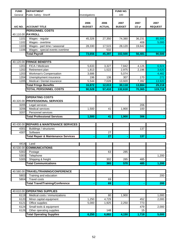| <b>FUND</b>  | <b>DEPARTMENT</b>                                        |                       |                       | <b>FUND NO.</b>       |                  |                        |
|--------------|----------------------------------------------------------|-----------------------|-----------------------|-----------------------|------------------|------------------------|
| General      | Public Safety: Sheriff                                   | Investigations        |                       | 100                   |                  |                        |
| A/C NO.      | <b>ACCOUNT TITLE</b>                                     | 2006<br><b>BUDGET</b> | 2006<br><b>ACTUAL</b> | 2007<br><b>BUDGET</b> | 2007<br>$1/2$ yr | 2007<br><b>REQUEST</b> |
|              | <b>PERSONNEL COSTS</b>                                   |                       |                       |                       |                  |                        |
|              | 40.110.00 PAYROLL                                        |                       |                       |                       |                  |                        |
| 1101         | Wages - regular                                          | 45,326                | 27,350                | 74,380                | 36,231           | 85,500                 |
| 1102         | Wages - overtime                                         |                       |                       |                       | 408              | 5,000                  |
| 1103         | Wages - part time / seasonal                             | 28,330                | 17,515                | 28,120                | 19,842           |                        |
| 1106         | Wages - special events overtime                          |                       | 532                   |                       |                  |                        |
|              | <b>Total Payroll</b>                                     | 73,656                | 45,397                | 102,500               | 56,481           | 90,500                 |
|              |                                                          |                       |                       |                       |                  |                        |
|              | 40.120.00 FRINGE BENEFITS                                |                       |                       |                       |                  |                        |
| 1201         | FICA / Medicare                                          | 5,633                 | 3,327                 | 7,842                 | 4,126            | 6,924                  |
| 1202         | Retirement plan                                          | 1,813                 | 1,522                 | 2,975                 | 2,196            | 3,620                  |
| 1203         | Workman's Compensation                                   | 3,686                 |                       | 5,074                 |                  | 4,482                  |
| 1204         | Unemployment insurance                                   | 196                   | 136                   | 307                   | 170              | 272                    |
| 1205         | Medical / Dental insurance                               | 5,544                 | 7,028                 | 13,920                | 7,392            | 13,920                 |
|              | <b>Total Fringe Benefits</b>                             | 16,872                | 12,013                | 30,118                | 13,884           | 29,218                 |
|              | <b>TOTAL PERSONNEL COSTS</b>                             | 90,528                | 57,410                | 132,618               | 70,365           | 119,718                |
|              | <b>OPERATING COSTS</b>                                   |                       |                       |                       |                  |                        |
|              | 40.320.00 PROFESSIONAL SERVICES                          |                       |                       |                       |                  |                        |
|              | 3205 Legal services                                      |                       |                       |                       |                  |                        |
| 3206         | Medical services                                         | 1,500                 | 41                    | 1,900                 | 206<br>100       |                        |
| 3207         | Personnel services                                       |                       |                       |                       |                  |                        |
|              | <b>Total Professional Services</b>                       | 1,500                 | 41                    | 1,900                 | 306              |                        |
|              |                                                          |                       |                       |                       |                  |                        |
|              | 40.430.00 REPAIRS & MAINTENANCE SERVICES                 |                       |                       |                       |                  |                        |
| 4301         | Buildings / structures                                   |                       |                       |                       | 137              |                        |
| 4307         | Software                                                 |                       | 27                    |                       |                  |                        |
|              | <b>Total Repair &amp; Maintenance Services</b>           |                       | 27                    |                       | 137              |                        |
|              |                                                          |                       |                       |                       |                  |                        |
| 4414         | Land                                                     |                       |                       |                       |                  |                        |
|              | 40.530.00 COMMUNICATIONS                                 |                       |                       |                       |                  |                        |
| 5302         | Postage                                                  |                       | 63                    | 285                   |                  |                        |
| 5303         | Telephone                                                |                       |                       |                       |                  | 1,200                  |
| 5305         | Shipping & freight                                       |                       | 302                   | 285                   | 485              |                        |
|              | <b>Total Communications</b>                              |                       | 365                   | 570                   | 485              | 1,200                  |
|              |                                                          |                       |                       |                       |                  |                        |
|              | 40.580.00 TRAVEL/TRAINING/CONFERENCE                     |                       |                       |                       |                  |                        |
| 5803         | Training and education                                   |                       |                       |                       |                  | 200                    |
| 5804         | <b>Travel costs</b>                                      |                       | 69                    |                       |                  |                        |
|              | <b>Total Travel/Training/Conference</b>                  |                       | 69                    |                       |                  | 200                    |
|              |                                                          |                       |                       |                       |                  |                        |
| 40.610.00    | <b>OPERATING SUPPLIES</b>                                |                       |                       |                       |                  |                        |
| 6119<br>6120 | Medical costs / immunizations<br>Minor capital equipment |                       | 80                    | 1,900                 | 452              | 1,000<br>2,000         |
| 6121         | Office supplies                                          | 1,250<br>5,000        | 4,729<br>1,925        | 2,250                 | 773              |                        |
| 6124         | Small tools & equipment                                  |                       |                       |                       | 479              | 2,000                  |
| 6126         | Other operating supplies                                 |                       | 148                   |                       | 15               |                        |
|              | <b>Total Operating Supplies</b>                          | 6,250                 | 6,882                 | 4,150                 | 1,719            | 5,000                  |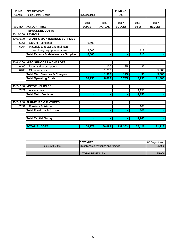| <b>FUND</b> | <b>DEPARTMENT</b>                                               |                       |                       | <b>FUND NO.</b>       |                  |                        |
|-------------|-----------------------------------------------------------------|-----------------------|-----------------------|-----------------------|------------------|------------------------|
| General     | Public Safety: Sheriff                                          | Investigations        |                       | 100                   |                  |                        |
| A/C NO.     | <b>ACCOUNT TITLE</b>                                            | 2006<br><b>BUDGET</b> | 2006<br><b>ACTUAL</b> | 2007<br><b>BUDGET</b> | 2007<br>$1/2$ yr | 2007<br><b>REQUEST</b> |
|             | <b>PERSONNEL COSTS</b><br>40.110.00 PAYROLL                     |                       |                       |                       |                  |                        |
|             | 40.626.00 REPAIR & MAINTENANCE SUPPLIES                         |                       |                       |                       |                  |                        |
| 6261        | Gas, oil, lubricants                                            | 6,500                 |                       |                       |                  |                        |
| 6264        | Materials to repair and maintain<br>machinery, equipment, autos | 2,000                 |                       |                       | 113              |                        |
|             | <b>Total Repairs &amp; Maintenance Supplies</b>                 | 8,500                 |                       |                       | 113              |                        |
|             |                                                                 |                       |                       |                       |                  |                        |
|             | 40.640.00 MISC SERVICES & CHARGES                               |                       |                       |                       |                  |                        |
| 6405        | Dues and subscriptions                                          |                       | 100                   | 125                   | 35               |                        |
| 6408        | Other services                                                  |                       | 1,200                 |                       |                  | 5,000                  |
|             | <b>Total Misc Services &amp; Charges</b>                        |                       | 1,300                 | 125                   | 35               | 5,000                  |
|             | <b>Total Operating Costs</b>                                    | 16,250                | 8,683                 | 6,745                 | 2,795            | 11,400                 |
|             |                                                                 |                       |                       |                       |                  |                        |
|             | 40.742.00 MOTOR VEHICLES                                        |                       |                       |                       |                  |                        |
| 7421        | Accessories                                                     |                       |                       |                       | 4,155            |                        |
|             | <b>Total Motor Vehicles</b>                                     |                       |                       |                       | 4,155            |                        |
|             |                                                                 |                       |                       |                       |                  |                        |
|             | 40.743.00 FURNITURE & FIXTURES                                  |                       |                       |                       |                  |                        |
| 7431        | Furniture & fixtures                                            |                       |                       |                       | 108              |                        |
|             | <b>Total Furniture &amp; fixtures</b>                           |                       |                       |                       | 108              |                        |
|             |                                                                 |                       |                       |                       |                  |                        |
|             | <b>Total Capital Outlay</b>                                     |                       |                       |                       | 4,263            |                        |
|             | <b>TOTAL BUDGET</b>                                             | 106,778               | 66,093                | 139,363               | 77,423           | 131,118                |

|                | <b>REVENUES</b>                    | .08 Proiections |
|----------------|------------------------------------|-----------------|
| 30.395.00.0000 | Miscellaneous revenues and refunds | 25,000          |
|                |                                    |                 |
|                | <b>TOTAL REVENUES</b>              | 25,000          |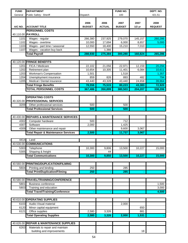| <b>FUND</b>  | <b>DEPARTMENT</b>                                |                       |                       | FUND NO.              |                  | DEPT. NO.              |
|--------------|--------------------------------------------------|-----------------------|-----------------------|-----------------------|------------------|------------------------|
| General      | Public Safety: Sheriff                           | Dispatch              |                       | 100                   |                  | 421.51                 |
| A/C NO.      | <b>ACCOUNT TITLE</b>                             | 2006<br><b>BUDGET</b> | 2006<br><b>ACTUAL</b> | 2007<br><b>BUDGET</b> | 2007<br>$1/2$ yr | 2008<br><b>REQUEST</b> |
|              | <b>PERSONNEL COSTS</b>                           |                       |                       |                       |                  |                        |
|              | 40.110.00 PAYROLL                                |                       |                       |                       |                  |                        |
| 1101         | Wages - regular                                  | 266,380               | 237,925               | 279,070               | 145,157          | 260,286                |
| 1102         | Wages - overtime                                 | 10,000                | 17,694                | 6,000                 | 8,657            | 5,000                  |
| 1103         | Wages - part time / seasonal                     | 12,550                | 18,400                | 15,210                | 7,010            |                        |
| 1107         | Wages - vacation buy back                        |                       | 1,366                 |                       |                  |                        |
|              | <b>Total Payroll</b>                             | 288,930               | 275,384               | 300,280               | 160,824          | 265,286                |
|              | 40.120.00 FRINGE BENEFITS                        |                       |                       |                       |                  |                        |
| 1201         | FICA / Medicare                                  | 22,102                | 21,056                | 22,971                | 12,159           | 20,294                 |
| 1202         | Retirement plan                                  | 10,654                | 10,305                | 11,401                | 6,084            | 10,611                 |
| 1203         | Workman's Compensation                           | 1,501                 |                       | 1,518                 |                  | 1,357                  |
| 1204         | Unemployment insurance                           | 859                   | 826                   | 893                   | 482              | 794                    |
| 1205         | Medical / Dental insurance                       | 43,440                | 43,328                | 43,440                | 24,658           | 39,864                 |
|              | <b>Total Fringe Benefits</b>                     | 78,556                | 75,515                | 80,223                | 43,383           | 72,920                 |
|              | <b>TOTAL PERSONNEL COSTS</b>                     | 367,486               | 350,899               | 380,503               | 204,207          | 338,206                |
|              |                                                  |                       |                       |                       |                  |                        |
|              | <b>OPERATING COSTS</b>                           |                       |                       |                       |                  |                        |
|              | 40.320.00 PROFESSIONAL SERVICES                  |                       |                       |                       |                  |                        |
| 3209         | Other professional services                      | 500                   |                       | 500                   |                  |                        |
|              | <b>Total Professional Services</b>               | 500                   |                       | 500                   |                  |                        |
|              |                                                  |                       |                       |                       |                  |                        |
|              | 40.430.00 REPAIRS & MAINTENANCE SERVICES         |                       |                       |                       |                  |                        |
| 4302         | Computer hardware                                | 500                   |                       | 712                   |                  |                        |
| 4307         | Software                                         | 2,000                 |                       | 1,425                 |                  |                        |
| 4309         | Other maintenance and repair                     |                       |                       | 9,600                 | 3,067            |                        |
|              | <b>Total Repair &amp; Maintenance Services</b>   | 2,500                 |                       | 11,737                | 3,067            |                        |
|              |                                                  |                       |                       |                       |                  |                        |
| 4414         | Land                                             |                       |                       |                       |                  |                        |
|              | 40.530.00 COMMUNICATIONS                         |                       |                       |                       |                  |                        |
| 5303         | Telephone                                        | 10,300                | 9,806                 | 13,500                | 10,227           | 15,000                 |
| 5305         | Shipping & freight                               |                       | 44                    |                       |                  |                        |
|              | <b>Total Communications</b>                      | 10,300                | 9,850                 | 13,500                | 10,227           | 15,000                 |
|              |                                                  |                       |                       |                       |                  |                        |
|              | 40.560.00 PRINTING/DUPLICATION/FILMING           |                       |                       |                       |                  |                        |
| 5604         | Printing and binding                             | 250                   |                       | 285                   |                  |                        |
|              | <b>Total Print/Duplication/Filming</b>           | 250                   |                       | 285                   |                  |                        |
|              |                                                  |                       |                       |                       |                  |                        |
|              | 40.580.00 TRAVEL/TRAINING/CONFERENCE             |                       |                       |                       |                  |                        |
| 5801         | <b>Business conference</b>                       |                       |                       |                       |                  | 1,500                  |
| 5803         | Training and education                           |                       |                       |                       |                  | 3,000                  |
|              | <b>Total Travel/Training/Conference</b>          |                       |                       |                       |                  | 4,500                  |
|              | 40.610.00 OPERATING SUPPLIES                     |                       |                       |                       |                  |                        |
|              |                                                  |                       |                       |                       |                  |                        |
| 6103<br>6120 | Audio-Visual material<br>Minor capital equipment |                       |                       | 2,000                 | 650              |                        |
| 6121         | Office supplies                                  | 2,580                 | 3,326                 |                       | 881              |                        |
|              | <b>Total Operating Supplies</b>                  | 2,580                 | 3,326                 | 2,000                 | 1,531            |                        |
|              |                                                  |                       |                       |                       |                  |                        |
|              | 40.626.00 REPAIR & MAINTENANCE SUPPLIES          |                       |                       |                       |                  |                        |
| 6263         | Materials to repair and maintain                 |                       |                       |                       |                  |                        |
|              | building and improvements                        |                       |                       |                       | 18               |                        |
|              |                                                  |                       |                       |                       |                  |                        |
|              |                                                  | 54                    |                       |                       |                  |                        |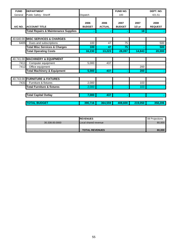| <b>FUND</b> | <b>DEPARTMENT</b>                               |                 |               | <b>FUND NO.</b> |                 | DEPT. NO.      |
|-------------|-------------------------------------------------|-----------------|---------------|-----------------|-----------------|----------------|
| General     | Public Safety: Sheriff                          | <b>Dispatch</b> |               | 100             |                 | 421.51         |
|             |                                                 |                 |               |                 |                 |                |
|             |                                                 | 2006            | 2006          | 2007            | 2007            | 2008           |
| A/C NO.     | <b>ACCOUNT TITLE</b>                            | <b>BUDGET</b>   | <b>ACTUAL</b> | <b>BUDGET</b>   | $1/2$ yr        | <b>REQUEST</b> |
|             | <b>Total Repairs &amp; Maintenance Supplies</b> |                 |               |                 | 18 <sup>1</sup> |                |
|             |                                                 |                 |               |                 |                 |                |
|             | 40.640.00 MISC SERVICES & CHARGES               |                 |               |                 |                 |                |
| 6405        | Dues and subscriptions                          | 100             | 47            | 75              |                 | 500            |
|             | <b>Total Misc Services &amp; Charges</b>        | 100             | 47            | 75              |                 | 500            |
|             | <b>Total Operating Costs</b>                    | 16,230          | 13,223        | 28,097          | 14,843          | 20,000         |
|             |                                                 |                 |               |                 |                 |                |
|             | 40.741.00 MACHINERY & EQUIPMENT                 |                 |               |                 |                 |                |
| 7411        | Computer equipment                              | 5,000           | 437           |                 |                 |                |
| 7412        | Office equipment                                |                 |               |                 | 200             |                |
|             | <b>Total Machinery &amp; Equipment</b>          | 5,000           | 437           | ۰               | 200             |                |
|             |                                                 |                 |               |                 |                 |                |
|             | 40.743.00 FURNITURE & FIXTURES                  |                 |               |                 |                 |                |
| 7431        | Furniture & fixtures                            | 2,000           |               |                 | 103             |                |
|             | <b>Total Furniture &amp; fixtures</b>           | 2,000           |               |                 | 103             |                |
|             |                                                 |                 |               |                 |                 |                |
|             | <b>Total Capital Outlay</b>                     | 7,000           | 437           |                 |                 |                |
|             |                                                 |                 |               |                 |                 |                |
|             | <b>TOTAL BUDGET</b>                             | 390,716         | 364,559       | 408,600         | 219,050         | 358,206        |

|                | <b>IREVENUES</b>            | 08 Projections |
|----------------|-----------------------------|----------------|
| 30.338.00.0000 | <b>Local shared revenue</b> | 80,000         |
|                |                             |                |
|                | <b>TOTAL REVENUES</b>       | 80.000         |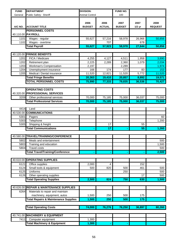| <b>FUND</b>  | <b>DEPARTMENT</b>                               | <b>DIVISION:</b>      |                       | FUND NO.              |                  |                        |
|--------------|-------------------------------------------------|-----------------------|-----------------------|-----------------------|------------------|------------------------|
| General      | Public Safety: Sheriff                          | <b>Animal Control</b> |                       | 100                   |                  |                        |
| A/C NO.      | <b>ACCOUNT TITLE</b>                            | 2006<br><b>BUDGET</b> | 2006<br><b>ACTUAL</b> | 2007<br><b>BUDGET</b> | 2007<br>$1/2$ yr | 2008<br><b>REQUEST</b> |
|              | <b>PERSONNEL COSTS</b>                          |                       |                       |                       |                  |                        |
|              | 40.110.00 PAYROLL                               |                       |                       |                       |                  |                        |
| 1101         | Wages - regular                                 | 55,627                | 57,216                | 58,978                | 26,966           | 50,856                 |
| 1102         | Wages - overtime                                |                       | 707                   |                       | 678              |                        |
|              | <b>Total Payroll</b>                            | 55,627                | 57,923                | 58,978                | 27,644           | 50,856                 |
|              |                                                 |                       |                       |                       |                  |                        |
| 40.120.00    | <b>FRINGE BENEFITS</b>                          |                       |                       |                       |                  |                        |
| 1201         | FICA / Medicare                                 | 4,255                 | 4,127                 | 4,511                 | 1,958            | 3,890                  |
| 1202         | Retirement plan                                 | 2,225                 | 2,289                 | 2,360                 | 1,079            | 2,034                  |
| 1203         | Workman's Compensation                          | 2,197                 |                       | 2,289                 |                  | 1,974                  |
| 1204         | Unemployment insurance                          | 166                   | 174                   | 177                   | 83               | 153                    |
| 1205         | Medical / Dental insurance                      | 11,520                | 12,821                | 11,520                | 5,772            | 11,520                 |
|              | <b>Total Fringe Benefits</b>                    | 20,363                | 19,410                | 20,857                | 8,892            | 19,571                 |
|              | <b>TOTAL PERSONNEL COSTS</b>                    | 75,990                | 77,333                | 79,835                | 36,536           | 70,427                 |
|              |                                                 |                       |                       |                       |                  |                        |
|              | <b>OPERATING COSTS</b>                          |                       |                       |                       |                  |                        |
| 40.320.00    | <b>PROFESSIONAL SERVICES</b>                    |                       |                       |                       |                  |                        |
| 3209         | Other professional services                     | 70,000                | 75,185                | 75,000                | 36,037           | 75,000                 |
|              | <b>Total Professional Services</b>              | 70,000                | 75,185                | 75,000                | 36,037           | 75,000                 |
|              |                                                 |                       |                       |                       |                  |                        |
| 4414         | Land                                            |                       |                       |                       |                  |                        |
| 40.530.00    | <b>COMMUNICATIONS</b>                           |                       |                       |                       |                  |                        |
| 5301         | Pagers                                          |                       |                       |                       |                  | 60                     |
| 5303         | Telephone                                       |                       |                       |                       |                  | 1,200                  |
| 5305         | Shipping & freight                              |                       | 17                    |                       | 55               |                        |
|              | <b>Total Communications</b>                     |                       | 17                    |                       | 55               | 1,260                  |
|              |                                                 |                       |                       |                       |                  |                        |
|              | 40.580.00 TRAVEL/TRAINING/CONFERENCE            |                       |                       |                       |                  |                        |
| 5802         | Meals and entertainment                         |                       |                       |                       |                  | 500                    |
| 5803         | Training and education                          |                       |                       |                       |                  | 1,500                  |
| 5804         | <b>Travel costs</b>                             |                       |                       |                       |                  | 500                    |
|              | <b>Total Travel/Training/Conference</b>         |                       |                       |                       |                  | 2,500                  |
|              | 40.610.00 OPERATING SUPPLIES                    |                       |                       |                       |                  |                        |
|              |                                                 |                       | 4                     |                       | 152              |                        |
| 6121<br>6124 | Office supplies<br>Small tools & equipment      | 2,000<br>500          | 820                   | 500                   | 461              | 500                    |
| 6125         | Uniforms                                        |                       |                       | 250                   |                  | 500                    |
| 6126         | Other operating supplies                        |                       |                       |                       | 17               | 500                    |
|              | <b>Total Operating Supplies</b>                 | 2,500                 | 824                   | 750                   | 630              | 1,500                  |
|              |                                                 |                       |                       |                       |                  |                        |
| 40.626.00    | <b>REPAIR &amp; MAINTENANCE SUPPLIES</b>        |                       |                       |                       |                  |                        |
| 6264         | Materials to repair and maintain                |                       |                       |                       |                  |                        |
|              | machinery, equipment, autos                     | 1,500                 | 250                   | 500                   | 175              |                        |
|              | <b>Total Repairs &amp; Maintenance Supplies</b> | 1,500                 | 250                   | 500                   | 175              |                        |
|              |                                                 |                       |                       |                       |                  |                        |
|              | <b>Total Operating Costs</b>                    | 74,000                | 76,276                | 76,250                | 36,897           | 80,260                 |
|              |                                                 |                       |                       |                       |                  |                        |
| 40.741.00    | <b>MACHINERY &amp; EQUIPMENT</b>                |                       |                       |                       |                  |                        |
| 7411         | Computer equipment                              | 1,300                 |                       |                       |                  |                        |
|              | <b>Total Machinery &amp; Equipment</b>          | 1,300                 |                       |                       |                  |                        |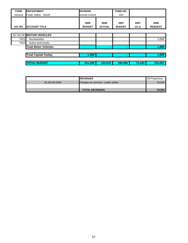| <b>FUND</b> | <b>DEPARTMENT</b>           | <b>DIVISION:</b>      |                       | <b>FUND NO.</b>       |                  |                        |
|-------------|-----------------------------|-----------------------|-----------------------|-----------------------|------------------|------------------------|
| General     | Public Safety: Sheriff      |                       | <b>Animal Control</b> |                       |                  |                        |
| A/C NO.     | <b>ACCOUNT TITLE</b>        | 2006<br><b>BUDGET</b> | 2006<br><b>ACTUAL</b> | 2007<br><b>BUDGET</b> | 2007<br>$1/2$ yr | 2008<br><b>REQUEST</b> |
|             |                             |                       |                       |                       |                  |                        |
|             | 40.742.00 MOTOR VEHICLES    |                       |                       |                       |                  |                        |
| 7421        | Accessories                 |                       |                       |                       |                  | 1,000                  |
| 7422        | Autos and trucks            |                       |                       |                       |                  |                        |
|             | <b>Total Motor Vehicles</b> |                       | $\blacksquare$        | $\blacksquare$        |                  | 1,000                  |
|             | <b>Total Capital Outlay</b> | 1,300                 | $\sim$                | $\sim$                | $\sim$           | 1,000                  |
|             | <b>TOTAL BUDGET</b>         | 151,290               | 153,610               | 156,085               | 73.433           | 151,687                |

|                | <b>IREVENUES</b>                     | 08 Projections |
|----------------|--------------------------------------|----------------|
| 30.342.00.0000 | Charges for services - public safety | 53,000         |
|                |                                      |                |
|                | <b>TOTAL REVENUES</b>                | 53,000         |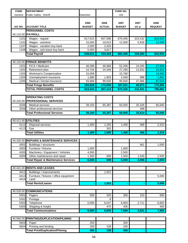| <b>FUND</b> | <b>DEPARTMENT</b>                              |               |               | FUND NO.      |          |                |
|-------------|------------------------------------------------|---------------|---------------|---------------|----------|----------------|
| General     | Public Safety: Sheriff                         | Detention     |               | 100           |          |                |
|             |                                                |               |               |               |          |                |
|             |                                                | 2006          | 2006          | 2007          | 2007     | 2008           |
| A/C NO.     | <b>ACCOUNT TITLE</b>                           | <b>BUDGET</b> | <b>ACTUAL</b> | <b>BUDGET</b> | $1/2$ yr | <b>REQUEST</b> |
|             | <b>PERSONNEL COSTS</b>                         |               |               |               |          |                |
|             | 40.110.00 PAYROLL                              |               |               |               |          |                |
| 1101        | Wages - regular                                | 617,615       | 607,598       | 670,405       | 323,432  | 610,925        |
| 1102        | Wages - overtime                               | 15,000        | 19,615        | 12,000        | 5,928    | 12,000         |
| 1107        | Wages - vacation buy back                      | 2,000         | 3,333         |               |          |                |
| 1108        | Wages - sick leave buy back                    | 5,000         | 3,817         |               |          |                |
|             | <b>Total Payroll</b>                           | 639,615       | 634,363       | 682,405       | 329,360  | 622,925        |
|             |                                                |               |               |               |          |                |
|             | 40.120.00 FRINGE BENEFITS                      |               |               |               |          |                |
| 1201        | FICA / Medicare                                | 48,398        | 46,966        | 52,206        | 24,285   | 47,656         |
| 1202        | Retirement plan                                | 24,704        | 24,346        | 27,295        | 12,832   | 24,915         |
| 1203        | Workman's Compensation                         | 15,058        |               | 15,780        |          | 14,500         |
| 1204        | Unemployment insurance                         | 1,880         | 1,903         | 2,040         | 988      | 1,861          |
| 1205        | Medical / Dental insurance                     | 93,888        | 99,835        | 90,600        | 47,966   | 87,024         |
|             | <b>Total Fringe Benefits</b>                   | 183,928       | 173,050       | 187,921       | 86,071   | 175,956        |
|             | <b>TOTAL PERSONNEL COSTS</b>                   | 823,543       | 807,413       | 870,326       | 415,431  | 798,881        |
|             |                                                |               |               |               |          |                |
|             | <b>OPERATING COSTS</b>                         |               |               |               |          |                |
|             | 40.320.00 PROFESSIONAL SERVICES                |               |               |               |          |                |
| 3206        | Medical services                               | 39,150        | 65,387        | 60,000        | 25,326   | 65,000         |
| 3209        | Other professional services                    |               |               |               | 488      |                |
|             | <b>Total Professional Services</b>             | 39,150        | 65,387        | 60,000        | 25,814   | 65,000         |
|             |                                                |               |               |               |          |                |
|             | 40.411.00 UTILITIES                            |               |               |               |          |                |
| 4111        | Disposal services                              | 1,400         | 1,293         | 1,400         | 466      | 2,310          |
| 4113        | Gas                                            |               | 302           |               |          |                |
|             | <b>Total Utilities</b>                         | 1,400         | 1,595         | 1,400         | 466      | 2,310          |
|             |                                                |               |               |               |          |                |
|             | 40.430.00 REPAIRS & MAINTENANCE SERVICES       |               |               |               |          |                |
|             | 4301 Buildings / structures                    |               |               |               | 461      | 1,000          |
| 4303        | Furniture / fixtures                           | 1,000         |               | 1,000         |          |                |
| 4305        | Machinery / Equipment / Vehicles               | 4,000         |               | 2,500         |          |                |
| 4309        | Other maintenance and repair                   | 1,500         | 689           | 1,500         | 1,545    | 2,500          |
|             | <b>Total Repair &amp; Maintenance Services</b> | 6,500         | 689           | 5,000         | 2,006    | 3,500          |
|             |                                                |               |               |               |          |                |
|             | 40.441.00 RENTS AND LEASES                     |               |               |               |          |                |
| 4411        | Buildings / improvements                       |               | 1,922         |               |          |                |
| 4413        | Furniture / fixtures / office equipment        |               |               |               |          | 5,000          |
| 4414        | Land                                           |               |               |               |          |                |
|             | <b>Total Rents/Leases</b>                      |               | 1,922         |               |          | 5,000          |
|             |                                                |               |               |               |          |                |
|             | 40.530.00 COMMUNICATIONS                       |               |               |               |          |                |
| 5301        | Pagers                                         | 500           | 320           | 300           | 310      | 600            |
| 5302        | Postage                                        |               | 8             |               |          |                |
| 5303        | Telephone                                      | 6,000         | 6,047         | 6,800         | 2,711    | 6,800          |
| 5305        | Shipping & freight                             |               | 470           | 400           |          | 400            |
|             | <b>Total Communications</b>                    | 6,500         | 6,845         | 7,500         | 3,021    | 7,800          |
|             |                                                |               |               |               |          |                |
|             | 40.560.00 PRINTING/DUPLICATION/FILMING         |               |               |               |          |                |
|             | 5603 Paper                                     | 250           |               | 300           |          |                |
|             |                                                |               |               |               |          |                |

5604 Printing and binding 200 158 200 Total Print/Duplication/Filming **450 158 500**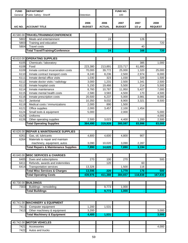| Public Safety: Sheriff<br>100<br>Detention<br>General<br>2008<br>2006<br>2006<br>2007<br>2007<br><b>ACTUAL</b><br><b>ACCOUNT TITLE</b><br><b>BUDGET</b><br><b>BUDGET</b><br><b>REQUEST</b><br>A/C NO.<br>$1/2$ yr<br>40.580.00<br>TRAVEL/TRAINING/CONFERENCE<br>5802<br>Meals and entertainment<br>24<br>126<br>5803<br>720<br>Training and education<br><b>Travel costs</b><br>5804<br>40<br><b>Total Travel/Training/Conference</b><br>720<br>$\overline{24}$<br>166<br><b>OPERATING SUPPLIES</b><br>40.610.00<br>6105<br>Chemicals / laboratory<br>1,000<br>385<br>6108<br>Food<br>223,717<br>61,880<br>223,380<br>213,891<br>6109<br>Inmate contract incarceration costs<br>70,000<br>39,772<br>25,000<br>1,320<br>25,000<br>6110<br>8,240<br>8,236<br>2,500<br>2,974<br>8,000<br>Inmate contract transport costs<br>6111<br>Inmate dental office visits<br>323<br>1,030<br>1,030<br>329<br>1,500<br>6112<br>Inmate doctor visits / radiology<br>3,000<br>1,231<br>2,500<br>1,341<br>2,500<br>214<br>6113<br>Inmate hospital costs<br>5,150<br>19,466<br>5,500<br>5,500<br>6114<br>8,760<br>10,787<br>11,950<br>5,427<br>7,000<br>Inmate maintenance<br>2,580<br>6115<br>Inmate mental health costs<br>3,583<br>4,500<br>170<br>4,500<br>3,981<br>6116<br>20,500<br>6,237<br>5,000<br>8,000<br>Inmate prescription costs<br>6117<br>Janitorial<br>10,350<br>9,032<br>8,900<br>3,321<br>8,500<br>6119<br>Medical costs / immunizations<br>2,000<br>890<br>1,500<br>6121<br>Office supplies<br>2,000<br>3,457<br>2,100<br>1,454<br>6124<br>Small tools & equipment<br>5,000<br>2,000<br>5,000<br>6125<br>Uniforms<br>4,000<br>6126<br>Other operating supplies<br>2,500<br>3,023<br>4,400<br>1,200<br>2,500<br>364,490<br>83,000<br><b>Total Operating Supplies</b><br>300,597<br>83,996<br>319,928<br><b>REPAIR &amp; MAINTENANCE SUPPLIES</b><br>40.626.00<br>6261<br>Gas, oil, lubricants<br>4,800<br>4,600<br>4,800<br>907<br>6264<br>Materials to repair and maintain<br>machinery, equipment, autos<br>2,287<br>3,090<br>10,020<br>3,090<br>Total Repairs & Maintenance Supplies<br>7,890  <br>14,620<br>7,890<br>3,194<br>40.640.00<br><b>MISC SERVICES &amp; CHARGES</b><br>Dues and subscriptions<br>270<br>270<br>500<br>6405<br>100<br>Refunds, awards and indemnities<br>6411<br>120<br>60<br>116<br>6414<br><b>Transportation services</b><br>13,326<br>1,500<br><b>Total Misc Services &amp; Charges</b><br>13,596<br>220<br>1,770<br>176<br>167,830<br><b>Total Operating Costs</b><br>439,976<br>411,388<br>118,838<br>384,657<br>40.730.00 BUILDINGS<br>Buildings - remodeling<br>7303<br>9,773<br>1,000<br><b>Total Buildings</b><br>1,000<br>9,773<br>40.741.00 MACHINERY & EQUIPMENT<br>7411<br>1,200<br>1,531<br>Computer equipment<br>7413<br>Other machinery & equipment<br>3,000<br>3,200 | <b>FUND</b> | <b>DEPARTMENT</b>                      |       |       | <b>FUND NO.</b> |       |
|---------------------------------------------------------------------------------------------------------------------------------------------------------------------------------------------------------------------------------------------------------------------------------------------------------------------------------------------------------------------------------------------------------------------------------------------------------------------------------------------------------------------------------------------------------------------------------------------------------------------------------------------------------------------------------------------------------------------------------------------------------------------------------------------------------------------------------------------------------------------------------------------------------------------------------------------------------------------------------------------------------------------------------------------------------------------------------------------------------------------------------------------------------------------------------------------------------------------------------------------------------------------------------------------------------------------------------------------------------------------------------------------------------------------------------------------------------------------------------------------------------------------------------------------------------------------------------------------------------------------------------------------------------------------------------------------------------------------------------------------------------------------------------------------------------------------------------------------------------------------------------------------------------------------------------------------------------------------------------------------------------------------------------------------------------------------------------------------------------------------------------------------------------------------------------------------------------------------------------------------------------------------------------------------------------------------------------------------------------------------------------------------------------------------------------------------------------------------------------------------------------------------------------------------------------------------------------------------------------------------------------------------------------------------------------------------------------------------------------------------------------------------------------------------------------------------|-------------|----------------------------------------|-------|-------|-----------------|-------|
|                                                                                                                                                                                                                                                                                                                                                                                                                                                                                                                                                                                                                                                                                                                                                                                                                                                                                                                                                                                                                                                                                                                                                                                                                                                                                                                                                                                                                                                                                                                                                                                                                                                                                                                                                                                                                                                                                                                                                                                                                                                                                                                                                                                                                                                                                                                                                                                                                                                                                                                                                                                                                                                                                                                                                                                                                     |             |                                        |       |       |                 |       |
|                                                                                                                                                                                                                                                                                                                                                                                                                                                                                                                                                                                                                                                                                                                                                                                                                                                                                                                                                                                                                                                                                                                                                                                                                                                                                                                                                                                                                                                                                                                                                                                                                                                                                                                                                                                                                                                                                                                                                                                                                                                                                                                                                                                                                                                                                                                                                                                                                                                                                                                                                                                                                                                                                                                                                                                                                     |             |                                        |       |       |                 |       |
|                                                                                                                                                                                                                                                                                                                                                                                                                                                                                                                                                                                                                                                                                                                                                                                                                                                                                                                                                                                                                                                                                                                                                                                                                                                                                                                                                                                                                                                                                                                                                                                                                                                                                                                                                                                                                                                                                                                                                                                                                                                                                                                                                                                                                                                                                                                                                                                                                                                                                                                                                                                                                                                                                                                                                                                                                     |             |                                        |       |       |                 |       |
|                                                                                                                                                                                                                                                                                                                                                                                                                                                                                                                                                                                                                                                                                                                                                                                                                                                                                                                                                                                                                                                                                                                                                                                                                                                                                                                                                                                                                                                                                                                                                                                                                                                                                                                                                                                                                                                                                                                                                                                                                                                                                                                                                                                                                                                                                                                                                                                                                                                                                                                                                                                                                                                                                                                                                                                                                     |             |                                        |       |       |                 |       |
|                                                                                                                                                                                                                                                                                                                                                                                                                                                                                                                                                                                                                                                                                                                                                                                                                                                                                                                                                                                                                                                                                                                                                                                                                                                                                                                                                                                                                                                                                                                                                                                                                                                                                                                                                                                                                                                                                                                                                                                                                                                                                                                                                                                                                                                                                                                                                                                                                                                                                                                                                                                                                                                                                                                                                                                                                     |             |                                        |       |       |                 |       |
|                                                                                                                                                                                                                                                                                                                                                                                                                                                                                                                                                                                                                                                                                                                                                                                                                                                                                                                                                                                                                                                                                                                                                                                                                                                                                                                                                                                                                                                                                                                                                                                                                                                                                                                                                                                                                                                                                                                                                                                                                                                                                                                                                                                                                                                                                                                                                                                                                                                                                                                                                                                                                                                                                                                                                                                                                     |             |                                        |       |       |                 |       |
|                                                                                                                                                                                                                                                                                                                                                                                                                                                                                                                                                                                                                                                                                                                                                                                                                                                                                                                                                                                                                                                                                                                                                                                                                                                                                                                                                                                                                                                                                                                                                                                                                                                                                                                                                                                                                                                                                                                                                                                                                                                                                                                                                                                                                                                                                                                                                                                                                                                                                                                                                                                                                                                                                                                                                                                                                     |             |                                        |       |       |                 |       |
|                                                                                                                                                                                                                                                                                                                                                                                                                                                                                                                                                                                                                                                                                                                                                                                                                                                                                                                                                                                                                                                                                                                                                                                                                                                                                                                                                                                                                                                                                                                                                                                                                                                                                                                                                                                                                                                                                                                                                                                                                                                                                                                                                                                                                                                                                                                                                                                                                                                                                                                                                                                                                                                                                                                                                                                                                     |             |                                        |       |       |                 |       |
|                                                                                                                                                                                                                                                                                                                                                                                                                                                                                                                                                                                                                                                                                                                                                                                                                                                                                                                                                                                                                                                                                                                                                                                                                                                                                                                                                                                                                                                                                                                                                                                                                                                                                                                                                                                                                                                                                                                                                                                                                                                                                                                                                                                                                                                                                                                                                                                                                                                                                                                                                                                                                                                                                                                                                                                                                     |             |                                        |       |       |                 |       |
|                                                                                                                                                                                                                                                                                                                                                                                                                                                                                                                                                                                                                                                                                                                                                                                                                                                                                                                                                                                                                                                                                                                                                                                                                                                                                                                                                                                                                                                                                                                                                                                                                                                                                                                                                                                                                                                                                                                                                                                                                                                                                                                                                                                                                                                                                                                                                                                                                                                                                                                                                                                                                                                                                                                                                                                                                     |             |                                        |       |       |                 |       |
|                                                                                                                                                                                                                                                                                                                                                                                                                                                                                                                                                                                                                                                                                                                                                                                                                                                                                                                                                                                                                                                                                                                                                                                                                                                                                                                                                                                                                                                                                                                                                                                                                                                                                                                                                                                                                                                                                                                                                                                                                                                                                                                                                                                                                                                                                                                                                                                                                                                                                                                                                                                                                                                                                                                                                                                                                     |             |                                        |       |       |                 |       |
|                                                                                                                                                                                                                                                                                                                                                                                                                                                                                                                                                                                                                                                                                                                                                                                                                                                                                                                                                                                                                                                                                                                                                                                                                                                                                                                                                                                                                                                                                                                                                                                                                                                                                                                                                                                                                                                                                                                                                                                                                                                                                                                                                                                                                                                                                                                                                                                                                                                                                                                                                                                                                                                                                                                                                                                                                     |             |                                        |       |       |                 |       |
|                                                                                                                                                                                                                                                                                                                                                                                                                                                                                                                                                                                                                                                                                                                                                                                                                                                                                                                                                                                                                                                                                                                                                                                                                                                                                                                                                                                                                                                                                                                                                                                                                                                                                                                                                                                                                                                                                                                                                                                                                                                                                                                                                                                                                                                                                                                                                                                                                                                                                                                                                                                                                                                                                                                                                                                                                     |             |                                        |       |       |                 |       |
|                                                                                                                                                                                                                                                                                                                                                                                                                                                                                                                                                                                                                                                                                                                                                                                                                                                                                                                                                                                                                                                                                                                                                                                                                                                                                                                                                                                                                                                                                                                                                                                                                                                                                                                                                                                                                                                                                                                                                                                                                                                                                                                                                                                                                                                                                                                                                                                                                                                                                                                                                                                                                                                                                                                                                                                                                     |             |                                        |       |       |                 |       |
|                                                                                                                                                                                                                                                                                                                                                                                                                                                                                                                                                                                                                                                                                                                                                                                                                                                                                                                                                                                                                                                                                                                                                                                                                                                                                                                                                                                                                                                                                                                                                                                                                                                                                                                                                                                                                                                                                                                                                                                                                                                                                                                                                                                                                                                                                                                                                                                                                                                                                                                                                                                                                                                                                                                                                                                                                     |             |                                        |       |       |                 |       |
|                                                                                                                                                                                                                                                                                                                                                                                                                                                                                                                                                                                                                                                                                                                                                                                                                                                                                                                                                                                                                                                                                                                                                                                                                                                                                                                                                                                                                                                                                                                                                                                                                                                                                                                                                                                                                                                                                                                                                                                                                                                                                                                                                                                                                                                                                                                                                                                                                                                                                                                                                                                                                                                                                                                                                                                                                     |             |                                        |       |       |                 |       |
|                                                                                                                                                                                                                                                                                                                                                                                                                                                                                                                                                                                                                                                                                                                                                                                                                                                                                                                                                                                                                                                                                                                                                                                                                                                                                                                                                                                                                                                                                                                                                                                                                                                                                                                                                                                                                                                                                                                                                                                                                                                                                                                                                                                                                                                                                                                                                                                                                                                                                                                                                                                                                                                                                                                                                                                                                     |             |                                        |       |       |                 |       |
|                                                                                                                                                                                                                                                                                                                                                                                                                                                                                                                                                                                                                                                                                                                                                                                                                                                                                                                                                                                                                                                                                                                                                                                                                                                                                                                                                                                                                                                                                                                                                                                                                                                                                                                                                                                                                                                                                                                                                                                                                                                                                                                                                                                                                                                                                                                                                                                                                                                                                                                                                                                                                                                                                                                                                                                                                     |             |                                        |       |       |                 |       |
|                                                                                                                                                                                                                                                                                                                                                                                                                                                                                                                                                                                                                                                                                                                                                                                                                                                                                                                                                                                                                                                                                                                                                                                                                                                                                                                                                                                                                                                                                                                                                                                                                                                                                                                                                                                                                                                                                                                                                                                                                                                                                                                                                                                                                                                                                                                                                                                                                                                                                                                                                                                                                                                                                                                                                                                                                     |             |                                        |       |       |                 |       |
|                                                                                                                                                                                                                                                                                                                                                                                                                                                                                                                                                                                                                                                                                                                                                                                                                                                                                                                                                                                                                                                                                                                                                                                                                                                                                                                                                                                                                                                                                                                                                                                                                                                                                                                                                                                                                                                                                                                                                                                                                                                                                                                                                                                                                                                                                                                                                                                                                                                                                                                                                                                                                                                                                                                                                                                                                     |             |                                        |       |       |                 |       |
|                                                                                                                                                                                                                                                                                                                                                                                                                                                                                                                                                                                                                                                                                                                                                                                                                                                                                                                                                                                                                                                                                                                                                                                                                                                                                                                                                                                                                                                                                                                                                                                                                                                                                                                                                                                                                                                                                                                                                                                                                                                                                                                                                                                                                                                                                                                                                                                                                                                                                                                                                                                                                                                                                                                                                                                                                     |             |                                        |       |       |                 |       |
|                                                                                                                                                                                                                                                                                                                                                                                                                                                                                                                                                                                                                                                                                                                                                                                                                                                                                                                                                                                                                                                                                                                                                                                                                                                                                                                                                                                                                                                                                                                                                                                                                                                                                                                                                                                                                                                                                                                                                                                                                                                                                                                                                                                                                                                                                                                                                                                                                                                                                                                                                                                                                                                                                                                                                                                                                     |             |                                        |       |       |                 |       |
|                                                                                                                                                                                                                                                                                                                                                                                                                                                                                                                                                                                                                                                                                                                                                                                                                                                                                                                                                                                                                                                                                                                                                                                                                                                                                                                                                                                                                                                                                                                                                                                                                                                                                                                                                                                                                                                                                                                                                                                                                                                                                                                                                                                                                                                                                                                                                                                                                                                                                                                                                                                                                                                                                                                                                                                                                     |             |                                        |       |       |                 |       |
|                                                                                                                                                                                                                                                                                                                                                                                                                                                                                                                                                                                                                                                                                                                                                                                                                                                                                                                                                                                                                                                                                                                                                                                                                                                                                                                                                                                                                                                                                                                                                                                                                                                                                                                                                                                                                                                                                                                                                                                                                                                                                                                                                                                                                                                                                                                                                                                                                                                                                                                                                                                                                                                                                                                                                                                                                     |             |                                        |       |       |                 |       |
|                                                                                                                                                                                                                                                                                                                                                                                                                                                                                                                                                                                                                                                                                                                                                                                                                                                                                                                                                                                                                                                                                                                                                                                                                                                                                                                                                                                                                                                                                                                                                                                                                                                                                                                                                                                                                                                                                                                                                                                                                                                                                                                                                                                                                                                                                                                                                                                                                                                                                                                                                                                                                                                                                                                                                                                                                     |             |                                        |       |       |                 |       |
|                                                                                                                                                                                                                                                                                                                                                                                                                                                                                                                                                                                                                                                                                                                                                                                                                                                                                                                                                                                                                                                                                                                                                                                                                                                                                                                                                                                                                                                                                                                                                                                                                                                                                                                                                                                                                                                                                                                                                                                                                                                                                                                                                                                                                                                                                                                                                                                                                                                                                                                                                                                                                                                                                                                                                                                                                     |             |                                        |       |       |                 |       |
|                                                                                                                                                                                                                                                                                                                                                                                                                                                                                                                                                                                                                                                                                                                                                                                                                                                                                                                                                                                                                                                                                                                                                                                                                                                                                                                                                                                                                                                                                                                                                                                                                                                                                                                                                                                                                                                                                                                                                                                                                                                                                                                                                                                                                                                                                                                                                                                                                                                                                                                                                                                                                                                                                                                                                                                                                     |             |                                        |       |       |                 |       |
|                                                                                                                                                                                                                                                                                                                                                                                                                                                                                                                                                                                                                                                                                                                                                                                                                                                                                                                                                                                                                                                                                                                                                                                                                                                                                                                                                                                                                                                                                                                                                                                                                                                                                                                                                                                                                                                                                                                                                                                                                                                                                                                                                                                                                                                                                                                                                                                                                                                                                                                                                                                                                                                                                                                                                                                                                     |             |                                        |       |       |                 |       |
|                                                                                                                                                                                                                                                                                                                                                                                                                                                                                                                                                                                                                                                                                                                                                                                                                                                                                                                                                                                                                                                                                                                                                                                                                                                                                                                                                                                                                                                                                                                                                                                                                                                                                                                                                                                                                                                                                                                                                                                                                                                                                                                                                                                                                                                                                                                                                                                                                                                                                                                                                                                                                                                                                                                                                                                                                     |             |                                        |       |       |                 |       |
|                                                                                                                                                                                                                                                                                                                                                                                                                                                                                                                                                                                                                                                                                                                                                                                                                                                                                                                                                                                                                                                                                                                                                                                                                                                                                                                                                                                                                                                                                                                                                                                                                                                                                                                                                                                                                                                                                                                                                                                                                                                                                                                                                                                                                                                                                                                                                                                                                                                                                                                                                                                                                                                                                                                                                                                                                     |             |                                        |       |       |                 |       |
|                                                                                                                                                                                                                                                                                                                                                                                                                                                                                                                                                                                                                                                                                                                                                                                                                                                                                                                                                                                                                                                                                                                                                                                                                                                                                                                                                                                                                                                                                                                                                                                                                                                                                                                                                                                                                                                                                                                                                                                                                                                                                                                                                                                                                                                                                                                                                                                                                                                                                                                                                                                                                                                                                                                                                                                                                     |             |                                        |       |       |                 |       |
|                                                                                                                                                                                                                                                                                                                                                                                                                                                                                                                                                                                                                                                                                                                                                                                                                                                                                                                                                                                                                                                                                                                                                                                                                                                                                                                                                                                                                                                                                                                                                                                                                                                                                                                                                                                                                                                                                                                                                                                                                                                                                                                                                                                                                                                                                                                                                                                                                                                                                                                                                                                                                                                                                                                                                                                                                     |             |                                        |       |       |                 |       |
|                                                                                                                                                                                                                                                                                                                                                                                                                                                                                                                                                                                                                                                                                                                                                                                                                                                                                                                                                                                                                                                                                                                                                                                                                                                                                                                                                                                                                                                                                                                                                                                                                                                                                                                                                                                                                                                                                                                                                                                                                                                                                                                                                                                                                                                                                                                                                                                                                                                                                                                                                                                                                                                                                                                                                                                                                     |             |                                        |       |       |                 |       |
|                                                                                                                                                                                                                                                                                                                                                                                                                                                                                                                                                                                                                                                                                                                                                                                                                                                                                                                                                                                                                                                                                                                                                                                                                                                                                                                                                                                                                                                                                                                                                                                                                                                                                                                                                                                                                                                                                                                                                                                                                                                                                                                                                                                                                                                                                                                                                                                                                                                                                                                                                                                                                                                                                                                                                                                                                     |             |                                        |       |       |                 |       |
|                                                                                                                                                                                                                                                                                                                                                                                                                                                                                                                                                                                                                                                                                                                                                                                                                                                                                                                                                                                                                                                                                                                                                                                                                                                                                                                                                                                                                                                                                                                                                                                                                                                                                                                                                                                                                                                                                                                                                                                                                                                                                                                                                                                                                                                                                                                                                                                                                                                                                                                                                                                                                                                                                                                                                                                                                     |             |                                        |       |       |                 |       |
|                                                                                                                                                                                                                                                                                                                                                                                                                                                                                                                                                                                                                                                                                                                                                                                                                                                                                                                                                                                                                                                                                                                                                                                                                                                                                                                                                                                                                                                                                                                                                                                                                                                                                                                                                                                                                                                                                                                                                                                                                                                                                                                                                                                                                                                                                                                                                                                                                                                                                                                                                                                                                                                                                                                                                                                                                     |             |                                        |       |       |                 |       |
|                                                                                                                                                                                                                                                                                                                                                                                                                                                                                                                                                                                                                                                                                                                                                                                                                                                                                                                                                                                                                                                                                                                                                                                                                                                                                                                                                                                                                                                                                                                                                                                                                                                                                                                                                                                                                                                                                                                                                                                                                                                                                                                                                                                                                                                                                                                                                                                                                                                                                                                                                                                                                                                                                                                                                                                                                     |             |                                        |       |       |                 |       |
|                                                                                                                                                                                                                                                                                                                                                                                                                                                                                                                                                                                                                                                                                                                                                                                                                                                                                                                                                                                                                                                                                                                                                                                                                                                                                                                                                                                                                                                                                                                                                                                                                                                                                                                                                                                                                                                                                                                                                                                                                                                                                                                                                                                                                                                                                                                                                                                                                                                                                                                                                                                                                                                                                                                                                                                                                     |             |                                        |       |       |                 |       |
|                                                                                                                                                                                                                                                                                                                                                                                                                                                                                                                                                                                                                                                                                                                                                                                                                                                                                                                                                                                                                                                                                                                                                                                                                                                                                                                                                                                                                                                                                                                                                                                                                                                                                                                                                                                                                                                                                                                                                                                                                                                                                                                                                                                                                                                                                                                                                                                                                                                                                                                                                                                                                                                                                                                                                                                                                     |             |                                        |       |       |                 | 500   |
|                                                                                                                                                                                                                                                                                                                                                                                                                                                                                                                                                                                                                                                                                                                                                                                                                                                                                                                                                                                                                                                                                                                                                                                                                                                                                                                                                                                                                                                                                                                                                                                                                                                                                                                                                                                                                                                                                                                                                                                                                                                                                                                                                                                                                                                                                                                                                                                                                                                                                                                                                                                                                                                                                                                                                                                                                     |             |                                        |       |       |                 |       |
|                                                                                                                                                                                                                                                                                                                                                                                                                                                                                                                                                                                                                                                                                                                                                                                                                                                                                                                                                                                                                                                                                                                                                                                                                                                                                                                                                                                                                                                                                                                                                                                                                                                                                                                                                                                                                                                                                                                                                                                                                                                                                                                                                                                                                                                                                                                                                                                                                                                                                                                                                                                                                                                                                                                                                                                                                     |             |                                        |       |       |                 |       |
|                                                                                                                                                                                                                                                                                                                                                                                                                                                                                                                                                                                                                                                                                                                                                                                                                                                                                                                                                                                                                                                                                                                                                                                                                                                                                                                                                                                                                                                                                                                                                                                                                                                                                                                                                                                                                                                                                                                                                                                                                                                                                                                                                                                                                                                                                                                                                                                                                                                                                                                                                                                                                                                                                                                                                                                                                     |             |                                        |       |       |                 |       |
|                                                                                                                                                                                                                                                                                                                                                                                                                                                                                                                                                                                                                                                                                                                                                                                                                                                                                                                                                                                                                                                                                                                                                                                                                                                                                                                                                                                                                                                                                                                                                                                                                                                                                                                                                                                                                                                                                                                                                                                                                                                                                                                                                                                                                                                                                                                                                                                                                                                                                                                                                                                                                                                                                                                                                                                                                     |             |                                        |       |       |                 |       |
|                                                                                                                                                                                                                                                                                                                                                                                                                                                                                                                                                                                                                                                                                                                                                                                                                                                                                                                                                                                                                                                                                                                                                                                                                                                                                                                                                                                                                                                                                                                                                                                                                                                                                                                                                                                                                                                                                                                                                                                                                                                                                                                                                                                                                                                                                                                                                                                                                                                                                                                                                                                                                                                                                                                                                                                                                     |             |                                        |       |       |                 |       |
|                                                                                                                                                                                                                                                                                                                                                                                                                                                                                                                                                                                                                                                                                                                                                                                                                                                                                                                                                                                                                                                                                                                                                                                                                                                                                                                                                                                                                                                                                                                                                                                                                                                                                                                                                                                                                                                                                                                                                                                                                                                                                                                                                                                                                                                                                                                                                                                                                                                                                                                                                                                                                                                                                                                                                                                                                     |             |                                        |       |       |                 |       |
|                                                                                                                                                                                                                                                                                                                                                                                                                                                                                                                                                                                                                                                                                                                                                                                                                                                                                                                                                                                                                                                                                                                                                                                                                                                                                                                                                                                                                                                                                                                                                                                                                                                                                                                                                                                                                                                                                                                                                                                                                                                                                                                                                                                                                                                                                                                                                                                                                                                                                                                                                                                                                                                                                                                                                                                                                     |             |                                        |       |       |                 |       |
|                                                                                                                                                                                                                                                                                                                                                                                                                                                                                                                                                                                                                                                                                                                                                                                                                                                                                                                                                                                                                                                                                                                                                                                                                                                                                                                                                                                                                                                                                                                                                                                                                                                                                                                                                                                                                                                                                                                                                                                                                                                                                                                                                                                                                                                                                                                                                                                                                                                                                                                                                                                                                                                                                                                                                                                                                     |             |                                        |       |       |                 |       |
|                                                                                                                                                                                                                                                                                                                                                                                                                                                                                                                                                                                                                                                                                                                                                                                                                                                                                                                                                                                                                                                                                                                                                                                                                                                                                                                                                                                                                                                                                                                                                                                                                                                                                                                                                                                                                                                                                                                                                                                                                                                                                                                                                                                                                                                                                                                                                                                                                                                                                                                                                                                                                                                                                                                                                                                                                     |             |                                        |       |       |                 |       |
|                                                                                                                                                                                                                                                                                                                                                                                                                                                                                                                                                                                                                                                                                                                                                                                                                                                                                                                                                                                                                                                                                                                                                                                                                                                                                                                                                                                                                                                                                                                                                                                                                                                                                                                                                                                                                                                                                                                                                                                                                                                                                                                                                                                                                                                                                                                                                                                                                                                                                                                                                                                                                                                                                                                                                                                                                     |             | <b>Total Machinery &amp; Equipment</b> | 4,400 | 1,531 |                 | 3,000 |

|      | <b>40.742.00 MOTOR VEHICLES</b> |  |  |      |
|------|---------------------------------|--|--|------|
| 7421 | Accessories                     |  |  | .000 |
| 7422 | Autos and trucks                |  |  |      |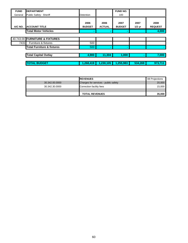| <b>FUND</b> | <b>DEPARTMENT</b>                     |                       |                       | <b>FUND NO.</b>       |                  |                        |
|-------------|---------------------------------------|-----------------------|-----------------------|-----------------------|------------------|------------------------|
| General     | Public Safety: Sheriff                | Detention             |                       | 100                   |                  |                        |
| A/C NO.     | <b>ACCOUNT TITLE</b>                  | 2006<br><b>BUDGET</b> | 2006<br><b>ACTUAL</b> | 2007<br><b>BUDGET</b> | 2007<br>$1/2$ yr | 2008<br><b>REQUEST</b> |
|             | <b>Total Motor Vehicles</b>           |                       |                       |                       |                  | 4,000                  |
|             |                                       |                       |                       |                       |                  |                        |
|             | 40.743.00 FURNITURE & FIXTURES        |                       |                       |                       |                  |                        |
| 7431        | Furniture & fixtures                  | 500                   |                       |                       |                  |                        |
|             | <b>Total Furniture &amp; fixtures</b> | 500                   |                       |                       |                  |                        |
|             |                                       |                       |                       |                       |                  |                        |
|             | <b>Total Capital Outlay</b>           | 4,900                 | 11,304                | 1,000                 | ۰                | 7,000                  |
|             |                                       |                       |                       |                       |                  |                        |
|             | <b>TOTAL BUDGET</b>                   | 1,268,419             | 1,230,105             | 1,255,983             | 534,269          | 973,711                |

|                | <b>IREVENUES</b>                     | 08 Projections |
|----------------|--------------------------------------|----------------|
| 30.342.00.0000 | Charges for services - public safety | 20,000         |
| 30.342.30.0000 | Correction facility fees             | 15,000         |
|                |                                      |                |
|                | <b>TOTAL REVENUES</b>                | 35,000         |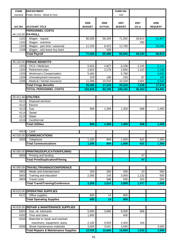| <b>FUND</b>  | <b>DEPARTMENT</b>                                           |                       |                       | FUND NO.              |                  |                        |
|--------------|-------------------------------------------------------------|-----------------------|-----------------------|-----------------------|------------------|------------------------|
| General      | Public Works: Weed & Pest                                   |                       |                       | 100                   |                  |                        |
| A/C NO.      | <b>ACCOUNT TITLE</b>                                        | 2006<br><b>BUDGET</b> | 2006<br><b>ACTUAL</b> | 2007<br><b>BUDGET</b> | 2007<br>$1/2$ yr | 2008<br><b>REQUEST</b> |
|              | <b>PERSONNEL COSTS</b>                                      |                       |                       |                       |                  |                        |
|              | 40.110.00 PAYROLL                                           |                       |                       |                       |                  |                        |
| 1101         | Wages - regular                                             | 66,306                | 56,426                | 71,092                | 28,814           | 41,807                 |
| 1102         | Wages - overtime                                            |                       |                       |                       | 290              |                        |
| 1103<br>1108 | Wages - part time / seasonal<br>Wages - sick leave buy back | 11,150                | 8,423<br>539          | 11,750                |                  | 25,006                 |
|              | <b>Total Payroll</b>                                        | 77,456                | 65,388                | 82,842                | 29,104           | 66,813                 |
|              |                                                             |                       |                       |                       |                  |                        |
|              | 40.120.00 FRINGE BENEFITS                                   |                       |                       |                       |                  |                        |
| 1201         | FICA / Medicare                                             | 5,926                 | 4,827                 | 6,338                 | 2,105            | 5,111                  |
| 1202         | Retirement plan                                             | 2,653                 | 2,279                 | 2,845                 | 1,153            | 2,188                  |
| 1203         | Workman's Compensation                                      | 5,484                 |                       | 5,780                 |                  | 4,650                  |
| 1204         | Unemployment insurance                                      | 229                   | 196                   | 243                   | 87               | 185                    |
| 1205         | Medical / Dental insurance                                  | 11,088                | 10,016                | 10,104                | 3,904            | 5,544                  |
|              | <b>Total Fringe Benefits</b>                                | 25,380                | 17,318                | 25,310                | 7,249            | 17,678                 |
|              | <b>TOTAL PERSONNEL COSTS</b>                                | 102,836               | 82,706                | 108,152               | 36,353           | 84,491                 |
|              |                                                             |                       |                       |                       |                  |                        |
|              | 40.411.00 UTILITIES                                         |                       |                       |                       |                  |                        |
| 4111         | Disposal services                                           |                       |                       |                       |                  |                        |
| 4112         | Electric                                                    |                       |                       |                       |                  |                        |
| 4113         | Gas                                                         | 900                   | 1,269                 | 1,300                 | 698              | 1,400                  |
| 4114         | Sewer                                                       |                       |                       |                       |                  |                        |
| 4115<br>4116 | Water<br>Geothermal                                         |                       |                       |                       |                  |                        |
|              | <b>Total Utilities</b>                                      | 900                   | 1,269                 | 1,300                 | 698              | 1,400                  |
|              |                                                             |                       |                       |                       |                  |                        |
| 4414         | Land                                                        |                       |                       |                       |                  |                        |
|              | 40.530.00 COMMUNICATIONS                                    |                       |                       |                       |                  |                        |
| 5303         | Telephone                                                   | 1,200                 | 809                   | 1,000                 | 621              | 1,300                  |
|              | <b>Total Communications</b>                                 | 1,200                 | 809                   | 1,000                 | 621              | 1,300                  |
|              |                                                             |                       |                       |                       |                  |                        |
|              | 40.560.00 PRINTING/DUPLICATION/FILMING                      |                       |                       |                       |                  |                        |
| 5604         | Printing and binding                                        |                       |                       |                       | 47               |                        |
|              | <b>Total Print/Duplication/Filming</b>                      |                       |                       |                       | 47               |                        |
|              |                                                             |                       |                       |                       |                  |                        |
|              | 40.580.00 TRAVEL/TRAINING/CONFERENCE                        |                       |                       |                       |                  |                        |
| 5802         | Meals and entertainment                                     | 200                   | 283                   | 400                   | 23               | 500                    |
| 5803         | Training and education                                      | 2,000                 | 143                   | 3,000                 | 1,132            | 500                    |
| 5804         | <b>Travel costs</b>                                         |                       | 588                   | 500                   | 322              | 500                    |
|              | <b>Total Travel/Training/Conference</b>                     | 2,200                 | 1,014                 | 3,900                 | 1,477            | 1,500                  |
|              | 40.610.00 OPERATING SUPPLIES                                |                       |                       |                       |                  |                        |
| 6121         | Office supplies                                             | 600                   | 14                    | 600                   |                  |                        |
|              | <b>Total Operating Supplies</b>                             | 600                   | 14                    | 600                   |                  |                        |
|              |                                                             |                       |                       |                       |                  |                        |
|              | 40.626.00 REPAIR & MAINTENANCE SUPPLIES                     |                       |                       |                       |                  |                        |
| 6261         | Gas, oil, lubricants                                        | 5,000                 | 3,695                 | 8,000                 | 906              |                        |
| 6262         | Tires and tubes                                             | 1,900                 |                       | 600                   |                  |                        |
| 6264         | Materials to repair and maintain                            |                       |                       |                       |                  |                        |
|              | machinery, equipment, autos                                 | 2,100                 | 5,933                 | 2,500                 | 104              |                        |
| 6266         | Street maintenance materials                                | 3,000                 | 3,041                 | 3,500                 |                  | 3,500                  |
|              | <b>Total Repairs &amp; Maintenance Supplies</b>             | 12,000                | 12,669                | 14,600                | 1,010            | 3,500                  |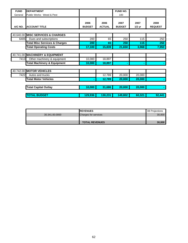| <b>FUND</b> | <b>DEPARTMENT</b>                        |                       |                       | FUND NO.              |                  |                        |
|-------------|------------------------------------------|-----------------------|-----------------------|-----------------------|------------------|------------------------|
| General     | Public Works: Weed & Pest                |                       |                       | 100                   |                  |                        |
| A/C NO.     | <b>ACCOUNT TITLE</b>                     | 2006<br><b>BUDGET</b> | 2006<br><b>ACTUAL</b> | 2007<br><b>BUDGET</b> | 2007<br>$1/2$ yr | 2008<br><b>REQUEST</b> |
|             | 40.640.00 MISC SERVICES & CHARGES        |                       |                       |                       |                  |                        |
| 6405        | Dues and subscriptions                   | 200                   | 65                    | 250                   | 115              | 250                    |
|             | <b>Total Misc Services &amp; Charges</b> | 200                   | 65                    | 250                   | 115              | 250                    |
|             | <b>Total Operating Costs</b>             | 17,100                | 15,839                | 21,650                | 3,968            | 7,950                  |
|             |                                          |                       |                       |                       |                  |                        |
|             | 40.741.00 MACHINERY & EQUIPMENT          |                       |                       |                       |                  |                        |
| 7413        | Other machinery & equipment              | 10,000                | 18,897                |                       |                  |                        |
|             | <b>Total Machinery &amp; Equipment</b>   | 10,000                | 18,897                | $\blacksquare$        | ۰                |                        |
|             |                                          |                       |                       |                       |                  |                        |
|             | 40.742.00 MOTOR VEHICLES                 |                       |                       |                       |                  |                        |
| 7422        | Autos and trucks                         |                       | 12,789                | 20,000                | 20,000           |                        |
|             | <b>Total Motor Vehicles</b>              |                       | 12,789                | 20,000                | 20,000           |                        |
|             |                                          |                       |                       |                       |                  |                        |
|             | <b>Total Capital Outlay</b>              | 10,000                | 31,686                | 20,000                | 20,000           |                        |
|             |                                          |                       |                       |                       |                  |                        |
|             | <b>TOTAL BUDGET</b>                      | 129,936               | 130,231               | 149,802               | 60,321           | 92,441                 |

|                | <b>IREVENUES</b>            | 08 Projections |
|----------------|-----------------------------|----------------|
| 30.341.00.0000 | <b>Charges for services</b> | 30,000         |
|                |                             |                |
|                | <b>TOTAL REVENUES</b>       | 30.000         |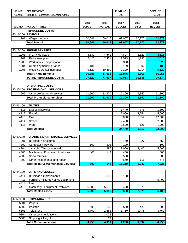| <b>FUND</b>  | <b>DEPARTMENT</b>                                    |                       |                       | FUND NO.              |                  | DEPT. NO.              |
|--------------|------------------------------------------------------|-----------------------|-----------------------|-----------------------|------------------|------------------------|
| General      | <b>Culture &amp; Recreation: Extension Office</b>    |                       |                       | 100                   |                  | 461.20                 |
| A/C NO.      | <b>ACCOUNT TITLE</b>                                 | 2006<br><b>BUDGET</b> | 2006<br><b>ACTUAL</b> | 2007<br><b>BUDGET</b> | 2007<br>$1/2$ yr | 2008<br><b>REQUEST</b> |
|              | <b>PERSONNEL COSTS</b>                               |                       |                       |                       |                  |                        |
|              | 40.110.00 PAYROLL                                    |                       |                       |                       |                  |                        |
| 1101         | Wages - regular                                      | 60,641                | 60,016                | 63,057                | 30,770           | 62,879                 |
|              | <b>Total Payroll</b>                                 | 60,641                | 60,016                | 63,057                | 30,770           | 62,879                 |
|              |                                                      |                       |                       |                       |                  |                        |
| 40.120.00    | <b>FRINGE BENEFITS</b>                               |                       |                       |                       |                  |                        |
| 1201         | FICA / Medicare                                      | 4,639                 | 4,541                 | 4,824                 | 2,329            | 4,811                  |
| 1202         | Retirement plan                                      | 2,425                 | 2,401                 | 2,523                 | 1,231            | 2,515                  |
| 1203         | Workman's Compensation                               | 316                   |                       | 320                   |                  | 320                    |
| 1204         | Unemployment insurance<br>Medical / Dental insurance | 181<br>9,120          | 180                   | 189                   | 92               | 189                    |
| 1205         |                                                      |                       | 10,469                | 9,120                 | 4,914            | 9,120                  |
|              | <b>Total Fringe Benefits</b>                         | 16,681                | 17,591                | 16,976                | 8,566            | 16,955                 |
|              | <b>TOTAL PERSONNEL COSTS</b>                         | 77,322                | 77,607                | 80,033                | 39,336           | 79,834                 |
|              |                                                      |                       |                       |                       |                  |                        |
|              | <b>OPERATING COSTS</b>                               |                       |                       |                       |                  |                        |
| 40.320.00    | <b>PROFESSIONAL SERVICES</b>                         |                       |                       |                       |                  |                        |
| 3209         | Other professional services                          | 11,900                | 11,900                | 12,200                | 5,350            | 11,300                 |
|              | <b>Total Professional Services</b>                   | 11,900                | 11,900                | 12,200                | 5,350            | 11,300                 |
|              |                                                      |                       |                       |                       |                  |                        |
| 40.411.00    | <b>UTILITIES</b>                                     |                       |                       |                       |                  |                        |
| 4111         | Disposal services                                    |                       |                       | 1,440                 | 376              | 1,600                  |
| 4112         | Electric                                             |                       |                       | 12,000                | 2,254            | 5,000                  |
| 4113         | Gas                                                  |                       |                       | 5,000                 | 3,057            | 12,000                 |
| 4114         | Sewer                                                |                       |                       | 2,400                 |                  | 2,500                  |
| 4115         | Water                                                |                       |                       | 3,600                 | 126              | 1,200                  |
|              | <b>Total Utilities</b>                               |                       |                       | 24,440                | 5,813            | 22,300                 |
|              |                                                      |                       |                       |                       |                  |                        |
| 40.430.00    | <b>REPAIRS &amp; MAINTENANCE SERVICES</b>            |                       |                       |                       |                  |                        |
| 4301         | Buildings / structures                               |                       |                       | 450                   | 327              | 550                    |
| 4302         | Computer hardware                                    | 100                   | 206                   | 100                   |                  | 100                    |
| 4304         | Janitorial / Waste removal                           |                       | 295                   | 13,000                | 2,400            | 5,000                  |
| 4305         | Machinery / Equipment / Vehicles<br>Snow removal     | 400                   | 144                   | 400                   |                  | 400                    |
| 4308<br>4309 | Other maintenance and repair                         |                       |                       | 500<br>660            | 116              | 500<br>675             |
|              | <b>Total Repair &amp; Maintenance Services</b>       | 500                   | 645                   | 15,110                | 2,843            | 7,225                  |
|              |                                                      |                       |                       |                       |                  |                        |
| 40.441.00    | <b>RENTS AND LEASES</b>                              |                       |                       |                       |                  |                        |
| 4411         | Buildings / improvements                             |                       |                       |                       |                  |                        |
| 4413         | Furniture / fixtures / office equipment              |                       | 100                   | 100                   |                  | 5,400                  |
| 4414         | Land                                                 |                       |                       |                       |                  |                        |
| 4415         | Machinery / equipment / vehicles                     | 5,200                 | 5,585                 | 5,400                 | 2,379            |                        |
|              | <b>Total Rents/Leases</b>                            | 5,200                 | 5,685                 | 5,500                 | 2,379            | 5,400                  |
|              |                                                      |                       |                       |                       |                  |                        |
| 40.530.00    | <b>COMMUNICATIONS</b>                                |                       |                       |                       |                  |                        |
| 5301         | Pagers                                               |                       |                       |                       |                  |                        |
| 5302         | Postage                                              | 500                   | 233                   | 500                   | 421              | 500                    |
| 5303         | Telephone                                            | 3,750                 | 1,561                 | 3,750                 | 1,476            | 3,750                  |
| 5304         | Other communications                                 |                       | 3,078                 |                       |                  |                        |
| 5305         | Shipping & freight                                   |                       | 39                    |                       |                  |                        |
|              | <b>Total Communications</b>                          | 4,250                 | 4,911                 | 4,250                 | 1,897            | 4,250                  |
|              |                                                      |                       |                       |                       |                  |                        |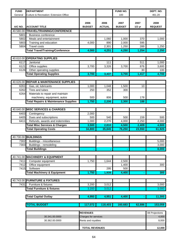| Culture & Recreation: Extension Office<br>461.20<br>General<br>100<br>2006<br>2006<br>2007<br>2007<br>2008<br>A/C NO.<br><b>ACCOUNT TITLE</b><br><b>BUDGET</b><br><b>ACTUAL</b><br><b>BUDGET</b><br>$1/2$ yr<br><b>REQUEST</b><br>TRAVEL/TRAINING/CONFERENCE<br>40.580.00<br>5801<br><b>Business conference</b><br>5802<br>1,060<br>1,000<br>370<br>1,000<br>Meals and entertainment<br>5803<br>4,000<br>2,000<br>595<br>Training and education<br>890<br><b>Travel costs</b><br>2,301<br>1,250<br>5804<br>289<br>1,250<br><b>Total Travel/Training/Conference</b><br>2,250<br>4,251<br>4,250<br>1,254<br>4,000<br><b>OPERATING SUPPLIES</b><br>40.610.00<br>6117<br>Janitorial<br>111<br>511<br>1,000<br>6121<br>Office supplies<br>3,600<br>3,700<br>3,326<br>3,700<br>876<br>Other operating supplies<br>6126<br>30<br>100<br>4,700<br><b>Total Operating Supplies</b><br>3,700<br>3,700<br>3,437<br>1,417<br><b>REPAIR &amp; MAINTENANCE SUPPLIES</b><br>40.626.00<br>1,000<br>6261<br>Gas, oil, lubricants<br>1,048<br>1,500<br>10<br>6262<br>Tires and tubes<br>352<br>250<br>300<br>6264<br>Materials to repair and maintain<br>machinery, equipment, autos<br>500<br>806<br>500<br>178<br><b>Total Repairs &amp; Maintenance Supplies</b><br>1,750<br>2,206<br>2,300<br>188<br>40.640.00 MISC SERVICES & CHARGES<br>6403<br>2,000<br>Contingency<br>Dues and subscriptions<br>6405<br>500<br>540<br>500<br>159<br>500<br>Refunds, awards and indemnities<br>6411<br>2,270<br>2,250<br>4,000<br>1,000<br>4,000<br><b>Total Misc Services &amp; Charges</b><br>3,500<br>2,810<br>2,409<br>4,500<br>4,500<br>61,925<br>34,800<br>35,845<br>76,250<br>23,550<br><b>Total Operating Costs</b><br>40.730.00 BUILDINGS<br>Buildings - miscellaneous<br>7302<br>5,000<br>7303<br>Buildings - remodeling<br>3,000<br><b>Total Buildings</b><br>8,000<br>40.741.00<br><b>MACHINERY &amp; EQUIPMENT</b><br>1,750<br>7411<br>Computer equipment<br>1,644<br>2,500<br>7412<br>Office equipment<br>1,400<br>300<br>295<br>7415<br>Software<br>500<br>1,750<br>4,400<br>300<br><b>Total Machinery &amp; Equipment</b><br>1,939<br><b>FURNITURE &amp; FIXTURES</b><br>40.743.00<br>Furniture & fixtures<br>3,200<br>3,000<br>7431<br>3,012<br><b>Total Furniture &amp; fixtures</b><br>3,200<br>3,012<br>3,000<br>4,950<br><b>Total Capital Outlay</b><br>4,951<br>4,400<br>11,300<br><b>TOTAL BUDGET</b><br>117,072<br>118,403<br>160,683<br>62,886<br>153,059<br><b>REVENUES</b><br>08 Projections | <b>FUND</b> | <b>DEPARTMENT</b> |  | FUND NO. | DEPT. NO. |
|----------------------------------------------------------------------------------------------------------------------------------------------------------------------------------------------------------------------------------------------------------------------------------------------------------------------------------------------------------------------------------------------------------------------------------------------------------------------------------------------------------------------------------------------------------------------------------------------------------------------------------------------------------------------------------------------------------------------------------------------------------------------------------------------------------------------------------------------------------------------------------------------------------------------------------------------------------------------------------------------------------------------------------------------------------------------------------------------------------------------------------------------------------------------------------------------------------------------------------------------------------------------------------------------------------------------------------------------------------------------------------------------------------------------------------------------------------------------------------------------------------------------------------------------------------------------------------------------------------------------------------------------------------------------------------------------------------------------------------------------------------------------------------------------------------------------------------------------------------------------------------------------------------------------------------------------------------------------------------------------------------------------------------------------------------------------------------------------------------------------------------------------------------------------------------------------------------------------------------------------------------------------------------------------------------------------------------------------------------------------------------------------------------------------------------------------------------------------------------------------|-------------|-------------------|--|----------|-----------|
|                                                                                                                                                                                                                                                                                                                                                                                                                                                                                                                                                                                                                                                                                                                                                                                                                                                                                                                                                                                                                                                                                                                                                                                                                                                                                                                                                                                                                                                                                                                                                                                                                                                                                                                                                                                                                                                                                                                                                                                                                                                                                                                                                                                                                                                                                                                                                                                                                                                                                              |             |                   |  |          |           |
|                                                                                                                                                                                                                                                                                                                                                                                                                                                                                                                                                                                                                                                                                                                                                                                                                                                                                                                                                                                                                                                                                                                                                                                                                                                                                                                                                                                                                                                                                                                                                                                                                                                                                                                                                                                                                                                                                                                                                                                                                                                                                                                                                                                                                                                                                                                                                                                                                                                                                              |             |                   |  |          |           |
|                                                                                                                                                                                                                                                                                                                                                                                                                                                                                                                                                                                                                                                                                                                                                                                                                                                                                                                                                                                                                                                                                                                                                                                                                                                                                                                                                                                                                                                                                                                                                                                                                                                                                                                                                                                                                                                                                                                                                                                                                                                                                                                                                                                                                                                                                                                                                                                                                                                                                              |             |                   |  |          |           |
|                                                                                                                                                                                                                                                                                                                                                                                                                                                                                                                                                                                                                                                                                                                                                                                                                                                                                                                                                                                                                                                                                                                                                                                                                                                                                                                                                                                                                                                                                                                                                                                                                                                                                                                                                                                                                                                                                                                                                                                                                                                                                                                                                                                                                                                                                                                                                                                                                                                                                              |             |                   |  |          |           |
|                                                                                                                                                                                                                                                                                                                                                                                                                                                                                                                                                                                                                                                                                                                                                                                                                                                                                                                                                                                                                                                                                                                                                                                                                                                                                                                                                                                                                                                                                                                                                                                                                                                                                                                                                                                                                                                                                                                                                                                                                                                                                                                                                                                                                                                                                                                                                                                                                                                                                              |             |                   |  |          |           |
|                                                                                                                                                                                                                                                                                                                                                                                                                                                                                                                                                                                                                                                                                                                                                                                                                                                                                                                                                                                                                                                                                                                                                                                                                                                                                                                                                                                                                                                                                                                                                                                                                                                                                                                                                                                                                                                                                                                                                                                                                                                                                                                                                                                                                                                                                                                                                                                                                                                                                              |             |                   |  |          |           |
|                                                                                                                                                                                                                                                                                                                                                                                                                                                                                                                                                                                                                                                                                                                                                                                                                                                                                                                                                                                                                                                                                                                                                                                                                                                                                                                                                                                                                                                                                                                                                                                                                                                                                                                                                                                                                                                                                                                                                                                                                                                                                                                                                                                                                                                                                                                                                                                                                                                                                              |             |                   |  |          |           |
|                                                                                                                                                                                                                                                                                                                                                                                                                                                                                                                                                                                                                                                                                                                                                                                                                                                                                                                                                                                                                                                                                                                                                                                                                                                                                                                                                                                                                                                                                                                                                                                                                                                                                                                                                                                                                                                                                                                                                                                                                                                                                                                                                                                                                                                                                                                                                                                                                                                                                              |             |                   |  |          |           |
|                                                                                                                                                                                                                                                                                                                                                                                                                                                                                                                                                                                                                                                                                                                                                                                                                                                                                                                                                                                                                                                                                                                                                                                                                                                                                                                                                                                                                                                                                                                                                                                                                                                                                                                                                                                                                                                                                                                                                                                                                                                                                                                                                                                                                                                                                                                                                                                                                                                                                              |             |                   |  |          |           |
|                                                                                                                                                                                                                                                                                                                                                                                                                                                                                                                                                                                                                                                                                                                                                                                                                                                                                                                                                                                                                                                                                                                                                                                                                                                                                                                                                                                                                                                                                                                                                                                                                                                                                                                                                                                                                                                                                                                                                                                                                                                                                                                                                                                                                                                                                                                                                                                                                                                                                              |             |                   |  |          |           |
|                                                                                                                                                                                                                                                                                                                                                                                                                                                                                                                                                                                                                                                                                                                                                                                                                                                                                                                                                                                                                                                                                                                                                                                                                                                                                                                                                                                                                                                                                                                                                                                                                                                                                                                                                                                                                                                                                                                                                                                                                                                                                                                                                                                                                                                                                                                                                                                                                                                                                              |             |                   |  |          |           |
|                                                                                                                                                                                                                                                                                                                                                                                                                                                                                                                                                                                                                                                                                                                                                                                                                                                                                                                                                                                                                                                                                                                                                                                                                                                                                                                                                                                                                                                                                                                                                                                                                                                                                                                                                                                                                                                                                                                                                                                                                                                                                                                                                                                                                                                                                                                                                                                                                                                                                              |             |                   |  |          |           |
|                                                                                                                                                                                                                                                                                                                                                                                                                                                                                                                                                                                                                                                                                                                                                                                                                                                                                                                                                                                                                                                                                                                                                                                                                                                                                                                                                                                                                                                                                                                                                                                                                                                                                                                                                                                                                                                                                                                                                                                                                                                                                                                                                                                                                                                                                                                                                                                                                                                                                              |             |                   |  |          |           |
|                                                                                                                                                                                                                                                                                                                                                                                                                                                                                                                                                                                                                                                                                                                                                                                                                                                                                                                                                                                                                                                                                                                                                                                                                                                                                                                                                                                                                                                                                                                                                                                                                                                                                                                                                                                                                                                                                                                                                                                                                                                                                                                                                                                                                                                                                                                                                                                                                                                                                              |             |                   |  |          |           |
|                                                                                                                                                                                                                                                                                                                                                                                                                                                                                                                                                                                                                                                                                                                                                                                                                                                                                                                                                                                                                                                                                                                                                                                                                                                                                                                                                                                                                                                                                                                                                                                                                                                                                                                                                                                                                                                                                                                                                                                                                                                                                                                                                                                                                                                                                                                                                                                                                                                                                              |             |                   |  |          |           |
|                                                                                                                                                                                                                                                                                                                                                                                                                                                                                                                                                                                                                                                                                                                                                                                                                                                                                                                                                                                                                                                                                                                                                                                                                                                                                                                                                                                                                                                                                                                                                                                                                                                                                                                                                                                                                                                                                                                                                                                                                                                                                                                                                                                                                                                                                                                                                                                                                                                                                              |             |                   |  |          |           |
|                                                                                                                                                                                                                                                                                                                                                                                                                                                                                                                                                                                                                                                                                                                                                                                                                                                                                                                                                                                                                                                                                                                                                                                                                                                                                                                                                                                                                                                                                                                                                                                                                                                                                                                                                                                                                                                                                                                                                                                                                                                                                                                                                                                                                                                                                                                                                                                                                                                                                              |             |                   |  |          |           |
|                                                                                                                                                                                                                                                                                                                                                                                                                                                                                                                                                                                                                                                                                                                                                                                                                                                                                                                                                                                                                                                                                                                                                                                                                                                                                                                                                                                                                                                                                                                                                                                                                                                                                                                                                                                                                                                                                                                                                                                                                                                                                                                                                                                                                                                                                                                                                                                                                                                                                              |             |                   |  |          |           |
|                                                                                                                                                                                                                                                                                                                                                                                                                                                                                                                                                                                                                                                                                                                                                                                                                                                                                                                                                                                                                                                                                                                                                                                                                                                                                                                                                                                                                                                                                                                                                                                                                                                                                                                                                                                                                                                                                                                                                                                                                                                                                                                                                                                                                                                                                                                                                                                                                                                                                              |             |                   |  |          |           |
|                                                                                                                                                                                                                                                                                                                                                                                                                                                                                                                                                                                                                                                                                                                                                                                                                                                                                                                                                                                                                                                                                                                                                                                                                                                                                                                                                                                                                                                                                                                                                                                                                                                                                                                                                                                                                                                                                                                                                                                                                                                                                                                                                                                                                                                                                                                                                                                                                                                                                              |             |                   |  |          |           |
|                                                                                                                                                                                                                                                                                                                                                                                                                                                                                                                                                                                                                                                                                                                                                                                                                                                                                                                                                                                                                                                                                                                                                                                                                                                                                                                                                                                                                                                                                                                                                                                                                                                                                                                                                                                                                                                                                                                                                                                                                                                                                                                                                                                                                                                                                                                                                                                                                                                                                              |             |                   |  |          |           |
|                                                                                                                                                                                                                                                                                                                                                                                                                                                                                                                                                                                                                                                                                                                                                                                                                                                                                                                                                                                                                                                                                                                                                                                                                                                                                                                                                                                                                                                                                                                                                                                                                                                                                                                                                                                                                                                                                                                                                                                                                                                                                                                                                                                                                                                                                                                                                                                                                                                                                              |             |                   |  |          |           |
|                                                                                                                                                                                                                                                                                                                                                                                                                                                                                                                                                                                                                                                                                                                                                                                                                                                                                                                                                                                                                                                                                                                                                                                                                                                                                                                                                                                                                                                                                                                                                                                                                                                                                                                                                                                                                                                                                                                                                                                                                                                                                                                                                                                                                                                                                                                                                                                                                                                                                              |             |                   |  |          |           |
|                                                                                                                                                                                                                                                                                                                                                                                                                                                                                                                                                                                                                                                                                                                                                                                                                                                                                                                                                                                                                                                                                                                                                                                                                                                                                                                                                                                                                                                                                                                                                                                                                                                                                                                                                                                                                                                                                                                                                                                                                                                                                                                                                                                                                                                                                                                                                                                                                                                                                              |             |                   |  |          |           |
|                                                                                                                                                                                                                                                                                                                                                                                                                                                                                                                                                                                                                                                                                                                                                                                                                                                                                                                                                                                                                                                                                                                                                                                                                                                                                                                                                                                                                                                                                                                                                                                                                                                                                                                                                                                                                                                                                                                                                                                                                                                                                                                                                                                                                                                                                                                                                                                                                                                                                              |             |                   |  |          |           |
|                                                                                                                                                                                                                                                                                                                                                                                                                                                                                                                                                                                                                                                                                                                                                                                                                                                                                                                                                                                                                                                                                                                                                                                                                                                                                                                                                                                                                                                                                                                                                                                                                                                                                                                                                                                                                                                                                                                                                                                                                                                                                                                                                                                                                                                                                                                                                                                                                                                                                              |             |                   |  |          |           |
|                                                                                                                                                                                                                                                                                                                                                                                                                                                                                                                                                                                                                                                                                                                                                                                                                                                                                                                                                                                                                                                                                                                                                                                                                                                                                                                                                                                                                                                                                                                                                                                                                                                                                                                                                                                                                                                                                                                                                                                                                                                                                                                                                                                                                                                                                                                                                                                                                                                                                              |             |                   |  |          |           |
|                                                                                                                                                                                                                                                                                                                                                                                                                                                                                                                                                                                                                                                                                                                                                                                                                                                                                                                                                                                                                                                                                                                                                                                                                                                                                                                                                                                                                                                                                                                                                                                                                                                                                                                                                                                                                                                                                                                                                                                                                                                                                                                                                                                                                                                                                                                                                                                                                                                                                              |             |                   |  |          |           |
|                                                                                                                                                                                                                                                                                                                                                                                                                                                                                                                                                                                                                                                                                                                                                                                                                                                                                                                                                                                                                                                                                                                                                                                                                                                                                                                                                                                                                                                                                                                                                                                                                                                                                                                                                                                                                                                                                                                                                                                                                                                                                                                                                                                                                                                                                                                                                                                                                                                                                              |             |                   |  |          |           |
|                                                                                                                                                                                                                                                                                                                                                                                                                                                                                                                                                                                                                                                                                                                                                                                                                                                                                                                                                                                                                                                                                                                                                                                                                                                                                                                                                                                                                                                                                                                                                                                                                                                                                                                                                                                                                                                                                                                                                                                                                                                                                                                                                                                                                                                                                                                                                                                                                                                                                              |             |                   |  |          |           |
|                                                                                                                                                                                                                                                                                                                                                                                                                                                                                                                                                                                                                                                                                                                                                                                                                                                                                                                                                                                                                                                                                                                                                                                                                                                                                                                                                                                                                                                                                                                                                                                                                                                                                                                                                                                                                                                                                                                                                                                                                                                                                                                                                                                                                                                                                                                                                                                                                                                                                              |             |                   |  |          |           |
|                                                                                                                                                                                                                                                                                                                                                                                                                                                                                                                                                                                                                                                                                                                                                                                                                                                                                                                                                                                                                                                                                                                                                                                                                                                                                                                                                                                                                                                                                                                                                                                                                                                                                                                                                                                                                                                                                                                                                                                                                                                                                                                                                                                                                                                                                                                                                                                                                                                                                              |             |                   |  |          |           |
|                                                                                                                                                                                                                                                                                                                                                                                                                                                                                                                                                                                                                                                                                                                                                                                                                                                                                                                                                                                                                                                                                                                                                                                                                                                                                                                                                                                                                                                                                                                                                                                                                                                                                                                                                                                                                                                                                                                                                                                                                                                                                                                                                                                                                                                                                                                                                                                                                                                                                              |             |                   |  |          |           |
|                                                                                                                                                                                                                                                                                                                                                                                                                                                                                                                                                                                                                                                                                                                                                                                                                                                                                                                                                                                                                                                                                                                                                                                                                                                                                                                                                                                                                                                                                                                                                                                                                                                                                                                                                                                                                                                                                                                                                                                                                                                                                                                                                                                                                                                                                                                                                                                                                                                                                              |             |                   |  |          |           |
|                                                                                                                                                                                                                                                                                                                                                                                                                                                                                                                                                                                                                                                                                                                                                                                                                                                                                                                                                                                                                                                                                                                                                                                                                                                                                                                                                                                                                                                                                                                                                                                                                                                                                                                                                                                                                                                                                                                                                                                                                                                                                                                                                                                                                                                                                                                                                                                                                                                                                              |             |                   |  |          |           |
|                                                                                                                                                                                                                                                                                                                                                                                                                                                                                                                                                                                                                                                                                                                                                                                                                                                                                                                                                                                                                                                                                                                                                                                                                                                                                                                                                                                                                                                                                                                                                                                                                                                                                                                                                                                                                                                                                                                                                                                                                                                                                                                                                                                                                                                                                                                                                                                                                                                                                              |             |                   |  |          |           |
|                                                                                                                                                                                                                                                                                                                                                                                                                                                                                                                                                                                                                                                                                                                                                                                                                                                                                                                                                                                                                                                                                                                                                                                                                                                                                                                                                                                                                                                                                                                                                                                                                                                                                                                                                                                                                                                                                                                                                                                                                                                                                                                                                                                                                                                                                                                                                                                                                                                                                              |             |                   |  |          |           |
|                                                                                                                                                                                                                                                                                                                                                                                                                                                                                                                                                                                                                                                                                                                                                                                                                                                                                                                                                                                                                                                                                                                                                                                                                                                                                                                                                                                                                                                                                                                                                                                                                                                                                                                                                                                                                                                                                                                                                                                                                                                                                                                                                                                                                                                                                                                                                                                                                                                                                              |             |                   |  |          |           |
|                                                                                                                                                                                                                                                                                                                                                                                                                                                                                                                                                                                                                                                                                                                                                                                                                                                                                                                                                                                                                                                                                                                                                                                                                                                                                                                                                                                                                                                                                                                                                                                                                                                                                                                                                                                                                                                                                                                                                                                                                                                                                                                                                                                                                                                                                                                                                                                                                                                                                              |             |                   |  |          |           |
|                                                                                                                                                                                                                                                                                                                                                                                                                                                                                                                                                                                                                                                                                                                                                                                                                                                                                                                                                                                                                                                                                                                                                                                                                                                                                                                                                                                                                                                                                                                                                                                                                                                                                                                                                                                                                                                                                                                                                                                                                                                                                                                                                                                                                                                                                                                                                                                                                                                                                              |             |                   |  |          |           |
|                                                                                                                                                                                                                                                                                                                                                                                                                                                                                                                                                                                                                                                                                                                                                                                                                                                                                                                                                                                                                                                                                                                                                                                                                                                                                                                                                                                                                                                                                                                                                                                                                                                                                                                                                                                                                                                                                                                                                                                                                                                                                                                                                                                                                                                                                                                                                                                                                                                                                              |             |                   |  |          |           |
|                                                                                                                                                                                                                                                                                                                                                                                                                                                                                                                                                                                                                                                                                                                                                                                                                                                                                                                                                                                                                                                                                                                                                                                                                                                                                                                                                                                                                                                                                                                                                                                                                                                                                                                                                                                                                                                                                                                                                                                                                                                                                                                                                                                                                                                                                                                                                                                                                                                                                              |             |                   |  |          |           |
|                                                                                                                                                                                                                                                                                                                                                                                                                                                                                                                                                                                                                                                                                                                                                                                                                                                                                                                                                                                                                                                                                                                                                                                                                                                                                                                                                                                                                                                                                                                                                                                                                                                                                                                                                                                                                                                                                                                                                                                                                                                                                                                                                                                                                                                                                                                                                                                                                                                                                              |             |                   |  |          |           |
|                                                                                                                                                                                                                                                                                                                                                                                                                                                                                                                                                                                                                                                                                                                                                                                                                                                                                                                                                                                                                                                                                                                                                                                                                                                                                                                                                                                                                                                                                                                                                                                                                                                                                                                                                                                                                                                                                                                                                                                                                                                                                                                                                                                                                                                                                                                                                                                                                                                                                              |             |                   |  |          |           |
|                                                                                                                                                                                                                                                                                                                                                                                                                                                                                                                                                                                                                                                                                                                                                                                                                                                                                                                                                                                                                                                                                                                                                                                                                                                                                                                                                                                                                                                                                                                                                                                                                                                                                                                                                                                                                                                                                                                                                                                                                                                                                                                                                                                                                                                                                                                                                                                                                                                                                              |             |                   |  |          |           |
|                                                                                                                                                                                                                                                                                                                                                                                                                                                                                                                                                                                                                                                                                                                                                                                                                                                                                                                                                                                                                                                                                                                                                                                                                                                                                                                                                                                                                                                                                                                                                                                                                                                                                                                                                                                                                                                                                                                                                                                                                                                                                                                                                                                                                                                                                                                                                                                                                                                                                              |             |                   |  |          |           |
|                                                                                                                                                                                                                                                                                                                                                                                                                                                                                                                                                                                                                                                                                                                                                                                                                                                                                                                                                                                                                                                                                                                                                                                                                                                                                                                                                                                                                                                                                                                                                                                                                                                                                                                                                                                                                                                                                                                                                                                                                                                                                                                                                                                                                                                                                                                                                                                                                                                                                              |             |                   |  |          |           |
|                                                                                                                                                                                                                                                                                                                                                                                                                                                                                                                                                                                                                                                                                                                                                                                                                                                                                                                                                                                                                                                                                                                                                                                                                                                                                                                                                                                                                                                                                                                                                                                                                                                                                                                                                                                                                                                                                                                                                                                                                                                                                                                                                                                                                                                                                                                                                                                                                                                                                              |             |                   |  |          |           |
|                                                                                                                                                                                                                                                                                                                                                                                                                                                                                                                                                                                                                                                                                                                                                                                                                                                                                                                                                                                                                                                                                                                                                                                                                                                                                                                                                                                                                                                                                                                                                                                                                                                                                                                                                                                                                                                                                                                                                                                                                                                                                                                                                                                                                                                                                                                                                                                                                                                                                              |             |                   |  |          |           |
|                                                                                                                                                                                                                                                                                                                                                                                                                                                                                                                                                                                                                                                                                                                                                                                                                                                                                                                                                                                                                                                                                                                                                                                                                                                                                                                                                                                                                                                                                                                                                                                                                                                                                                                                                                                                                                                                                                                                                                                                                                                                                                                                                                                                                                                                                                                                                                                                                                                                                              |             |                   |  |          |           |
|                                                                                                                                                                                                                                                                                                                                                                                                                                                                                                                                                                                                                                                                                                                                                                                                                                                                                                                                                                                                                                                                                                                                                                                                                                                                                                                                                                                                                                                                                                                                                                                                                                                                                                                                                                                                                                                                                                                                                                                                                                                                                                                                                                                                                                                                                                                                                                                                                                                                                              |             |                   |  |          |           |

|                | <b>IREVENUES</b>            | 08 Projections |
|----------------|-----------------------------|----------------|
| 30.341.00.0000 | <b>Charges for services</b> | 4,000          |
| 30.362.00.0000 | <b>Rents and royalties</b>  | 8.000          |
|                |                             |                |
|                | <b>TOTAL REVENUES</b>       | 12,000         |
|                |                             |                |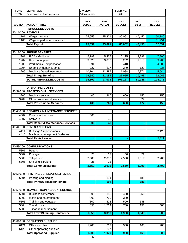| <b>FUND</b> | <b>DEPARTMENT</b>                              | <b>DIVISION:</b>      |                       | FUND NO.              |                  |                        |
|-------------|------------------------------------------------|-----------------------|-----------------------|-----------------------|------------------|------------------------|
| <b>TRAN</b> | Public Works: Transportation                   | Administration        |                       | 203                   |                  |                        |
| A/C NO.     | <b>ACCOUNT TITLE</b>                           | 2006<br><b>BUDGET</b> | 2006<br><b>ACTUAL</b> | 2007<br><b>BUDGET</b> | 2007<br>$1/2$ yr | 2008<br><b>REQUEST</b> |
|             | <b>PERSONNEL COSTS</b>                         |                       |                       |                       |                  |                        |
|             | 40.110.00 PAYROLL                              |                       |                       |                       |                  |                        |
| 1101        | Wages - regular                                | 75,659                | 75,821                | 80,062                | 40,450           | 50,780                 |
| 1103        | Wages - part time / seasonal                   |                       |                       |                       |                  | 51,251                 |
|             | <b>Total Payroll</b>                           | 75,659                | 75,821                | 80,062                | 40,450           | 102,031                |
|             |                                                |                       |                       |                       |                  |                        |
|             | 40.120.00 FRINGE BENEFITS                      |                       |                       |                       |                  |                        |
| 1201        | FICA / Medicare                                | 5,789                 | 5,437                 | 6,125                 | 2,883            | 7,805                  |
| 1202        | Retirement plan                                | 3,026                 | 3,033                 | 3,202                 | 1,618            | 3,780                  |
| 1203        | Workman's Compensation                         | 394                   |                       | 410                   |                  | 4,680                  |
| 1204        | Unemployment insurance                         | 227                   | 227                   | 240                   | 121              | 236                    |
| 1205        | Medical / Dental insurance                     | 10,104                | 12,487                | 11,088                | 5,874            | 5,544                  |
|             | <b>Total Fringe Benefits</b>                   | 19,540                | 21,184                | 21,065                | 10,496           | 22,045                 |
|             | <b>TOTAL PERSONNEL COSTS</b>                   | 95,199                | 97,005                | 101,127               | 50,946           | 124,076                |
|             |                                                |                       |                       |                       |                  |                        |
|             | <b>OPERATING COSTS</b>                         |                       |                       |                       |                  |                        |
|             | 40.320.00 PROFESSIONAL SERVICES                |                       |                       |                       |                  |                        |
| 3206        | <b>Medical services</b>                        | 400                   | 260                   | 600                   | 150              | 150                    |
| 3209        | Other professional services                    |                       |                       |                       | 27               |                        |
|             | <b>Total Professional Services</b>             | 400                   | 260                   | 600                   | 177              | 150                    |
|             |                                                |                       |                       |                       |                  |                        |
|             | 40.430.00 REPAIRS & MAINTENANCE SERVICES       |                       |                       |                       |                  |                        |
| 4302        | Computer hardware                              | 300                   |                       |                       |                  |                        |
| 4307        | Software                                       |                       | 40                    |                       |                  |                        |
|             | <b>Total Repair &amp; Maintenance Services</b> | 300                   | 40                    |                       |                  |                        |
|             | 40.441.00 RENTS AND LEASES                     |                       |                       |                       |                  |                        |
| 4411        | Buildings / improvements                       |                       |                       |                       |                  | 2,429                  |
| 4415        | Machinery / equipment / vehicles               |                       |                       |                       |                  |                        |
|             | <b>Total Rents/Leases</b>                      |                       |                       |                       |                  | 2,429                  |
|             |                                                |                       |                       |                       |                  |                        |
|             | 40.530.00 COMMUNICATIONS                       |                       |                       |                       |                  |                        |
| 5301        | Pagers                                         |                       |                       |                       |                  |                        |
| 5302        | Postage                                        | 25                    | 17                    | 50                    | 72               |                        |
| 5303        | Telephone                                      | 2,500                 | 2,037                 | 2,500                 | 1,019            | 2,700                  |
| 5305        | Shipping & freight                             | 25                    | 18                    |                       |                  |                        |
|             | <b>Total Communications</b>                    | 2,550                 | 2,072                 | 2,550                 | 1,091            | 2,700                  |
|             |                                                |                       |                       |                       |                  |                        |
| 40.560.00   | PRINTING/DUPLICATION/FILMING                   |                       |                       |                       |                  |                        |
| 5604        | Printing and binding                           |                       | 194                   |                       | 185              |                        |
|             | <b>Total Print/Duplication/Filming</b>         |                       | 194                   |                       | 185              |                        |
|             |                                                |                       |                       |                       |                  |                        |
| 40.580.00   | TRAVEL/TRAINING/CONFERENCE                     |                       |                       |                       |                  |                        |
| 5801        | <b>Business conference</b>                     | 500                   | 185                   | 400                   | 250              |                        |
| 5802        | Meals and entertainment                        | 300                   | 799                   | 300                   |                  |                        |
| 5803        | Training and education                         | 800                   | 628                   | 500                   | 648              |                        |
| 5804        | <b>Travel costs</b>                            | 350                   | 1,704                 | 700                   | 150              | 500                    |
| 5805        | Tuition reimbursement                          |                       |                       |                       |                  |                        |
|             | <b>Total Travel/Training/Conference</b>        | 1,950                 | 3,316                 | 1,900                 | 1,048            | 500                    |
|             |                                                |                       |                       |                       |                  |                        |
|             | 40.610.00 OPERATING SUPPLIES                   |                       |                       |                       |                  |                        |
| 6121        | Office supplies                                | 1,200                 | 812                   | 900                   | 163              | 200                    |
| 6126        | Other operating supplies                       |                       | 267                   |                       |                  |                        |
|             | <b>Total Operating Supplies</b>                | 1,200                 | 1,079                 | 900                   | 163              | 200                    |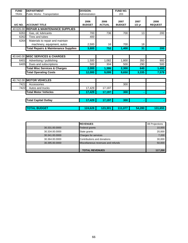| <b>FUND</b> | <b>DEPARTMENT</b>                               | <b>DIVISION:</b>      |                       | <b>FUND NO.</b>       |                  |                        |
|-------------|-------------------------------------------------|-----------------------|-----------------------|-----------------------|------------------|------------------------|
| <b>TRAN</b> | Public Works: Transportation                    | Administration        |                       | 203                   |                  |                        |
| A/C NO.     | <b>ACCOUNT TITLE</b>                            | 2006<br><b>BUDGET</b> | 2006<br><b>ACTUAL</b> | 2007<br><b>BUDGET</b> | 2007<br>$1/2$ yr | 2008<br><b>REQUEST</b> |
|             | 40.626.00 REPAIR & MAINTENANCE SUPPLIES         |                       |                       |                       |                  |                        |
| 6261        | Gas, oil, lubricants                            | 700                   | 736                   | 700                   | 13               | 200                    |
| 6262        | Tires and tubes                                 | 400                   |                       |                       |                  |                        |
| 6264        | Materials to repair and maintain                |                       |                       |                       |                  |                        |
|             | machinery, equipment, autos                     | 2,500                 | 16                    | 700                   | 18               |                        |
|             | <b>Total Repairs &amp; Maintenance Supplies</b> | 3,600                 | 752                   | 1,400                 | 31               | 200                    |
|             |                                                 |                       |                       |                       |                  |                        |
|             | 40.640.00 MISC SERVICES & CHARGES               |                       |                       |                       |                  |                        |
| 6401        | Advertising / publishing                        | 1,500                 | 1,082                 | 1,800                 | 350              | 900                    |
| 6405        | Dues and subscriptions                          | 500                   | 304                   | 500                   | 290              | 500                    |
|             | <b>Total Misc Services &amp; Charges</b>        | 2,000                 | 1,386                 | 2,300                 | 640              | 1,400                  |
|             | <b>Total Operating Costs</b>                    | 12,000                | 9,099                 | 9,650                 | 3,335            | 7,579                  |
|             |                                                 |                       |                       |                       |                  |                        |
|             | 40.742.00 MOTOR VEHICLES                        |                       |                       |                       |                  |                        |
| 7421        | Accessories                                     |                       |                       | 300                   |                  |                        |
| 7422        | Autos and trucks                                | 17,429                | 17,197                |                       |                  |                        |
|             | <b>Total Motor Vehicles</b>                     | 17,429                | 17,197                | 300                   | ۰                |                        |
|             | <b>Total Capital Outlay</b>                     | 17,429                | 17,197                | 300                   | ٠                |                        |
|             | <b>TOTAL BUDGET</b>                             | 124,628               | 123,301               | 111.077               | 54,280           | 131,655                |

|                | <b>REVENUES</b>                    | 08 Projections |
|----------------|------------------------------------|----------------|
| 30.331.00.0000 | <b>Federal grants</b>              | 10,000         |
| 30.334.00.0000 | State grants                       | 20,000         |
| 30.341.00.0000 | Charges for services               | 7,200          |
| 30.364.00.0000 | Contributions and donations        | 30,000         |
| 30.395.00.0000 | Miscellaneous revenues and refunds | 50,000         |
|                |                                    |                |
|                | <b>TOTAL REVENUES</b>              | 117,200        |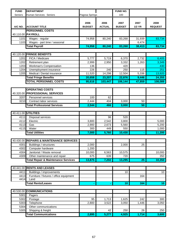| <b>FUND</b>  | <b>DEPARTMENT</b>                              |                |               | FUND NO.        |                 |                 |
|--------------|------------------------------------------------|----------------|---------------|-----------------|-----------------|-----------------|
| Seniors      | Human Services: Seniors                        | Pagosa Springs |               | 100             |                 |                 |
|              |                                                |                |               |                 |                 |                 |
|              |                                                | 2006           | 2006          | 2007            | 2007            | 2008            |
| A/C NO.      | <b>ACCOUNT TITLE</b>                           | <b>BUDGET</b>  | <b>ACTUAL</b> | <b>BUDGET</b>   | <b>1/2 YR</b>   | <b>REQUEST</b>  |
|              | <b>PERSONNEL COSTS</b>                         |                |               |                 |                 |                 |
|              | 40.110.00 PAYROLL                              |                |               |                 |                 |                 |
| 1101         | Wages - regular                                | 74,958         | 80,240        | 83,268          | 31,939          | 83,734          |
| 1103         | Wages - part time / seasonal                   |                |               |                 | 6,474           |                 |
|              | <b>Total Payroll</b>                           | 74,958         | 80,240        | 83,268          | 38,413          | 83,734          |
|              |                                                |                |               |                 |                 |                 |
|              | 40.120.00 FRINGE BENEFITS                      |                |               |                 |                 |                 |
| 1201         | FICA / Medicare                                | 5,777          | 5,719         | 6,370           | 2,732           | 6,405           |
| 1202         | Retirement plan                                | 2,999          | 2,950         | 3,332           | 1,263           | 3,349           |
| 1203         | Workman's Compensation                         | 136            |               | 420             |                 | 430             |
| 1204         | Unemployment insurance                         | 226            | 240           | 250             | 115             | 251             |
| 1205         | Medical / Dental insurance                     | 11,520         | 14,298        | 12,504          | 5,336           | 13,920          |
|              | <b>Total Fringe Benefits</b>                   | 20,658         | 23,207        | 22,876          | 9,446           | 24,355          |
|              | <b>TOTAL PERSONNEL COSTS</b>                   | 95,616         | 103,447       | 106,144         | 47,859          | 108,089         |
|              |                                                |                |               |                 |                 |                 |
|              | <b>OPERATING COSTS</b>                         |                |               |                 |                 |                 |
|              | 40.320.00 PROFESSIONAL SERVICES                |                |               |                 |                 |                 |
| 3207         | Personnel services                             | 100            | 62            |                 |                 |                 |
| 3210         | Contract labor services                        | 2,444          | 404           | 3,000           | 50              |                 |
|              | <b>Total Professional Services</b>             | 2,544          | 466           | 3,000           | 50              |                 |
|              |                                                |                |               |                 |                 |                 |
|              | 40.411.00 UTILITIES                            |                |               |                 |                 |                 |
| 4111         | Disposal services                              |                | 96            | 520             |                 |                 |
| 4112         | Electric                                       | 3,800          | 2,542         | 3,800           |                 | 5,000           |
| 4113         | Gas                                            | 2,900          | 2,673         | 5,560           |                 | 5,200           |
| 4115         | Water                                          | 300            | 449           | 550             |                 | 1,000           |
|              | <b>Total Utilities</b>                         | 7,000          | 5,760         | 10,430          |                 | 11,200          |
|              |                                                |                |               |                 |                 |                 |
|              | 40.430.00 REPAIRS & MAINTENANCE SERVICES       |                |               |                 |                 |                 |
| 4301         | Buildings / structures                         | 2,000          |               | 2,000           | 25              |                 |
| 4302         | Computer hardware                              | 1,200          |               |                 |                 |                 |
| 4304         | Janitorial / Waste removal                     | 10,000         | 6,563         | 10,575          |                 | 10,000          |
| 4309         | Other maintenance and repair                   | 675            | 639           | 720             |                 | 350             |
|              | <b>Total Repair &amp; Maintenance Services</b> | 13,875         | 7,202         | 13,295          | $\overline{25}$ | 10,350          |
|              |                                                |                |               |                 |                 |                 |
|              | 40.441.00 RENTS AND LEASES                     |                |               |                 |                 |                 |
| 4411         | Buildings / improvements                       |                |               | 10              |                 | 10 <sup>°</sup> |
| 4413         | Furniture / fixtures / office equipment        |                |               |                 | 164             |                 |
| 4414         | Land                                           |                |               |                 |                 |                 |
|              | <b>Total Rents/Leases</b>                      |                |               | 10 <sub>1</sub> | 164             | 10 <sub>1</sub> |
|              |                                                |                |               |                 |                 |                 |
| 40.530.00    | <b>COMMUNICATIONS</b>                          |                |               |                 |                 |                 |
| 5301         | Pagers                                         |                |               |                 |                 |                 |
| 5302         | Postage                                        | 95             | 1,713         | 1,625           | 242             | 300             |
| 5303         | Telephone<br>Other communications              | 2,800          | 3,522         | 3,050           | 1,446           | 3,050           |
| 5304<br>5305 | Shipping & freight                             |                | 42            | 250             | 26              | 250             |
|              | <b>Total Communications</b>                    | 2,895          | 5,277         | 4,925           | 1,714           | 3,600           |
|              |                                                |                |               |                 |                 |                 |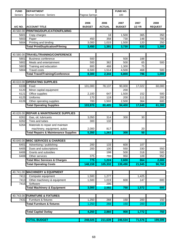| <b>FUND</b> | <b>DEPARTMENT</b>                               |                       |                       | <b>FUND NO.</b>       |                       |                        |
|-------------|-------------------------------------------------|-----------------------|-----------------------|-----------------------|-----------------------|------------------------|
| Seniors     | Human Services: Seniors                         | Pagosa Springs        |                       | 100                   |                       |                        |
| A/C NO.     | <b>ACCOUNT TITLE</b>                            | 2006<br><b>BUDGET</b> | 2006<br><b>ACTUAL</b> | 2007<br><b>BUDGET</b> | 2007<br><b>1/2 YR</b> | 2008<br><b>REQUEST</b> |
| 40.560.00   | <b>PRINTING/DUPLICATION/FILMING</b>             |                       |                       |                       |                       |                        |
|             |                                                 |                       |                       |                       |                       |                        |
| 5601        | Copy charges                                    |                       | 18                    | 1,500                 | 365                   | 350                    |
| 5603        | Paper                                           | 450                   | 358                   | 730                   | 148                   | 700                    |
| 5604        | Printing and binding                            | 3,000                 | 1,015                 | 1,500                 | 120                   | 250                    |
|             | <b>Total Print/Duplication/Filming</b>          | 3,450                 | 1,391                 | 3,730                 | 633                   | 1,300                  |
| 40.580.00   | TRAVEL/TRAINING/CONFERENCE                      |                       |                       |                       |                       |                        |
| 5801        | <b>Business conference</b>                      | 500                   |                       | 500                   | 188                   |                        |
| 5802        | Meals and entertainment                         | 500                   | 362                   | 500                   | 65                    | 500                    |
| 5803        | Training and education                          | 800                   | 468                   | 1,300                 | 75                    |                        |
| 5804        | <b>Travel costs</b>                             | 6,500                 | 1,514                 | 4,500                 | 468                   | 500                    |
|             | <b>Total Travel/Training/Conference</b>         | 8,300                 | 2,344                 | 6,800                 | 796                   | 1,000                  |
|             |                                                 |                       |                       |                       |                       |                        |
| 40.610.00   | <b>OPERATING SUPPLIES</b>                       |                       |                       |                       |                       |                        |
| 6108        | Food                                            | 101,000               | 78,137                | 90,000                | 17,022                | 60,000                 |
| 6120        | Minor capital equipment                         |                       |                       | 200                   |                       |                        |
| 6121        | Office supplies                                 | 2,100                 | 647                   | 1,500                 | 152                   | 500                    |
| 6125        | Uniforms                                        | 170                   | 119                   | 200                   | 111                   | 200                    |
| 6126        | Other operating supplies                        | 700                   | 1,502                 | 2,500                 | 364                   | 600                    |
|             | <b>Total Operating Supplies</b>                 | 103,970               | 80,405                | 94,400                | 17,649                | 61,300                 |
|             |                                                 |                       |                       |                       |                       |                        |
| 40.626.00   | <b>REPAIR &amp; MAINTENANCE SUPPLIES</b>        |                       |                       |                       |                       |                        |
| 6261        | Gas, oil, lubricants                            | 3,050                 | 314                   | 300                   | 30                    |                        |
| 6262        | Tires and tubes                                 | 300                   | 132                   |                       |                       |                        |
| 6264        | Materials to repair and maintain                |                       |                       |                       |                       |                        |
|             | machinery, equipment, autos                     | 2,000                 | 817                   |                       | 20                    |                        |
|             | <b>Total Repairs &amp; Maintenance Supplies</b> | 5,350                 | 1,263                 | 300                   | 50                    |                        |
|             |                                                 |                       |                       |                       |                       |                        |
|             | 40.640.00 MISC SERVICES & CHARGES               |                       |                       |                       |                       |                        |
|             | 6401 Advertising / publishing                   | 200                   | 133                   | 600                   | 107                   |                        |
| 6405        | Dues and subscriptions                          | 200                   | 100                   | 550                   | 330                   | 550                    |
| 6406        | Grants and subsidies                            |                       | 198                   | 500                   | 318                   | 500                    |
| 6408        | Other services                                  | 375                   | 793                   | 950                   | 109                   | 950                    |
|             | <b>Total Misc Services &amp; Charges</b>        | 775                   | 1,224                 | 2,600                 | 864                   | 2,000                  |
|             | <b>Total Operating Costs</b>                    | 148,159               | 105,332               | 139,490               | 21,945                | 90,760                 |
| 40.741.00   | <b>MACHINERY &amp; EQUIPMENT</b>                |                       |                       |                       |                       |                        |
| 7411        | Computer equipment                              | 1,500                 | 1,277                 |                       | 1,425                 |                        |
| 7413        | Other machinery & equipment                     | 1,500                 | 1,019                 | 600                   | 147                   | 600                    |
| 7415        | Software                                        |                       | 295                   |                       |                       |                        |
|             | <b>Total Machinery &amp; Equipment</b>          | 3,000                 | 2,592                 | 750                   | 1,572                 | 600                    |
|             |                                                 |                       |                       |                       |                       |                        |
|             | 40.743.00 FURNITURE & FIXTURES                  |                       |                       |                       |                       |                        |
| 7431        | Furniture & fixtures                            | 1,250                 | 268                   | 150                   | 200                   | 150                    |
|             | <b>Total Furniture &amp; fixtures</b>           | 1,250                 | 268                   | 150                   | 200                   | 150                    |
|             |                                                 |                       |                       |                       |                       |                        |
|             | <b>Total Capital Outlay</b>                     | 4,250                 | 2,860                 | 900                   | 1,772                 | 750                    |
|             |                                                 |                       |                       |                       |                       |                        |
|             | <b>TOTAL BUDGET</b>                             | 248,025               | 211,639               | 246,534               | 71,576                | 199,599                |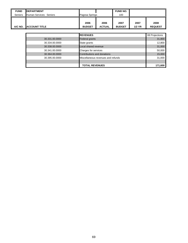| <b>FUND</b>    | <b>DEPARTMENT</b>       |                                    |                       | <b>FUND NO.</b>       |                  |                        |
|----------------|-------------------------|------------------------------------|-----------------------|-----------------------|------------------|------------------------|
| <b>Seniors</b> | Human Services: Seniors | Pagosa Springs                     |                       | 100                   |                  |                        |
| A/C NO.        | <b>ACCOUNT TITLE</b>    | 2006<br><b>BUDGET</b>              | 2006<br><b>ACTUAL</b> | 2007<br><b>BUDGET</b> | 2007<br>$1/2$ YR | 2008<br><b>REQUEST</b> |
|                |                         |                                    |                       |                       |                  |                        |
|                |                         | <b>REVENUES</b>                    |                       |                       | 08 Projections   |                        |
|                | 30.331.00.0000          | <b>Federal grants</b>              |                       |                       | 31,800           |                        |
|                | 30.334.00.0000          | State grants                       |                       |                       |                  | 12,800                 |
|                | 30.338.00.0000          | Local shared revenue               |                       |                       |                  | 31,000                 |
|                | 30.341.00.0000          | Charges for services               |                       |                       | 50,000           |                        |
|                | 30.364.00.0000          | Contributions and donations        |                       |                       | 15,000           |                        |
|                | 30.395.00.0000          | Miscellaneous revenues and refunds |                       | 31,000                |                  |                        |
|                |                         |                                    |                       |                       |                  |                        |
|                |                         | <b>TOTAL REVENUES</b>              |                       |                       |                  | 171,600                |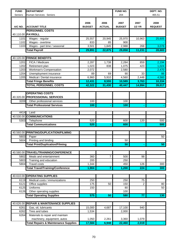| <b>FUND</b> | <b>DEPARTMENT</b>                               |               |                | FUND NO.      |                  | DEPT. NO.      |
|-------------|-------------------------------------------------|---------------|----------------|---------------|------------------|----------------|
| Seniors     | Human Services: Seniors                         |               |                | 204           |                  | 465.51         |
|             |                                                 |               |                |               |                  |                |
|             |                                                 | 2006          | 2006           | 2007          | 2007             | 2008           |
| A/C NO.     | <b>ACCOUNT TITLE</b>                            | <b>BUDGET</b> | <b>ACTUAL</b>  | <b>BUDGET</b> | <b>1/2 YR</b>    | <b>REQUEST</b> |
|             | <b>PERSONNEL COSTS</b>                          |               |                |               |                  |                |
|             | 40.110.00 PAYROLL                               |               |                |               |                  |                |
| 1101        | Wages - regular                                 | 25,557        | 20,945         | 25,970        | 10,963           | 25,605         |
| 1102        | Wages - overtime                                | 833           | 85             | 900           |                  |                |
| 1103        | Wages - part time / seasonal                    | 3,501         | 1,845          | 2,988         | 268              | 3,078          |
|             | <b>Total Payroll</b>                            | 29,891        | 22,875         | 29,858        | 11,231           | 28,683         |
|             |                                                 |               |                |               |                  |                |
|             | 40.120.00 FRINGE BENEFITS                       |               |                |               |                  |                |
| 1201        | FICA / Medicare                                 | 2,287         | 1,738          | 2,284         | 859              | 2,194          |
| 1202        | Retirement plan                                 | 1,023         | 838            | 1,075         | 423              | 1,024          |
| 1203        | Workman's Compensation                          | 2,072         |                | 2,580         |                  | 2,470          |
| 1204        | Unemployment insurance                          | 89            | 69             | 90            | 33               | 86             |
| 1205        | Medical / Dental insurance                      | 6,960         | 5,910          | 4,560         | 2,448            | 4,560          |
|             | <b>Total Fringe Benefits</b>                    | 12,431        | 8,555          | 10,589        | 3,763            | 10,334         |
|             | <b>TOTAL PERSONNEL COSTS</b>                    | 42,322        | 31,430         | 40,447        | 14,994           | 39,017         |
|             | <b>OPERATING COSTS</b>                          |               |                |               |                  |                |
|             | 40.320.00 PROFESSIONAL SERVICES                 |               |                |               |                  |                |
| 3209        | Other professional services                     | 100           |                | 100           |                  |                |
|             | <b>Total Professional Services</b>              | 100           |                | 100           |                  |                |
|             |                                                 |               |                |               |                  |                |
| 4414        | Land                                            |               |                |               |                  |                |
|             | 40.530.00 COMMUNICATIONS                        |               |                |               |                  |                |
| 5303        | Telephone                                       | 520           |                | 600           | 120              | 500            |
|             | <b>Total Communications</b>                     | 520           |                | 600           |                  | 500            |
|             |                                                 |               |                |               |                  |                |
| 40.560.00   | <b>PRINTING/DUPLICATION/FILMING</b>             |               |                |               |                  |                |
| 5603        | Paper                                           |               |                |               |                  | 50             |
| 5604        | Printing and binding                            |               |                | 50            |                  |                |
|             | <b>Total Print/Duplication/Filming</b>          |               |                | 50            |                  | 50             |
|             |                                                 |               |                |               |                  |                |
|             | 40.580.00 TRAVEL/TRAINING/CONFERENCE            |               |                |               |                  |                |
| 5802        | Meals and entertainment                         | 360           | $\overline{7}$ | 500           | 98               |                |
| 5803        | Training and education                          | 200           |                | 250           |                  |                |
| 5804        | <b>Travel costs</b>                             | 1,344         |                | 450           | 126              | 300            |
|             | <b>Total Travel/Training/Conference</b>         | 1,904         | $\mathbf{7}$   | 1,200         | $\overline{224}$ | 300            |
|             |                                                 |               |                |               |                  |                |
| 40.610.00   | <b>OPERATING SUPPLIES</b>                       |               |                |               |                  |                |
| 6119        | Medical costs / immunizations                   | 250           |                | 250           | 75               |                |
| 6121        | Office supplies                                 | 175           | 50             | 150           | $\overline{c}$   | 80             |
| 6125        | Uniforms                                        | 150           |                | 80            |                  | 50             |
| 6126        | Other operating supplies                        |               |                | 100           |                  |                |
|             | <b>Total Operating Supplies</b>                 | 575           | 50             | 580           | $\overline{77}$  | 130            |
| 40.626.00   | <b>REPAIR &amp; MAINTENANCE SUPPLIES</b>        |               |                |               |                  |                |
| 6261        | Gas, oil, lubricants                            | 15,000        | 4,687          | 17,100        | 940              |                |
| 6262        | Tires and tubes                                 | 1,534         |                | 2,000         |                  |                |
| 6264        | Materials to repair and maintain                |               |                |               |                  |                |
|             | machinery, equipment, autos                     | 1,050         | 2,261          | 3,360         | 1,079            |                |
|             | <b>Total Repairs &amp; Maintenance Supplies</b> | 17,584        | 6,948          | 22,460        | 2,019            |                |
|             |                                                 |               |                |               |                  |                |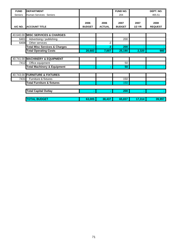| <b>FUND</b> | <b>DEPARTMENT</b>                        |               |                | <b>FUND NO.</b> |               | DEPT. NO.      |
|-------------|------------------------------------------|---------------|----------------|-----------------|---------------|----------------|
| Seniors     | Human Services: Seniors                  |               |                | 204             |               | 465.51         |
|             |                                          |               |                |                 |               |                |
|             |                                          | 2006          | 2006           | 2007            | 2007          | 2008           |
| A/C NO.     | <b>ACCOUNT TITLE</b>                     | <b>BUDGET</b> | <b>ACTUAL</b>  | <b>BUDGET</b>   | <b>1/2 YR</b> | <b>REQUEST</b> |
|             |                                          |               |                |                 |               |                |
|             | 40.640.00 MISC SERVICES & CHARGES        |               |                |                 |               |                |
| 6401        | Advertising / publishing                 |               |                | 200             |               |                |
| 6408        | Other services                           |               | $\overline{2}$ |                 |               |                |
|             | <b>Total Misc Services &amp; Charges</b> |               | $\overline{2}$ | 200             |               |                |
|             | <b>Total Operating Costs</b>             | 20,683        | 7,007          | 25,190          | 2,320         | 980            |
|             |                                          |               |                |                 |               |                |
|             | 40.741.00 MACHINERY & EQUIPMENT          |               |                |                 |               |                |
| 7412        | Office equipment                         |               |                | 50              |               |                |
|             | <b>Total Machinery &amp; Equipment</b>   |               |                | 50              | ۰             |                |
|             |                                          |               |                |                 |               |                |
|             | 40.743.00 FURNITURE & FIXTURES           |               |                |                 |               |                |
| 7431        | Furniture & fixtures                     |               |                | 150             |               |                |
|             | <b>Total Furniture &amp; fixtures</b>    |               |                | 150             |               |                |
|             |                                          |               |                |                 |               |                |
|             | <b>Total Capital Outlay</b>              |               |                | 200             |               |                |
|             |                                          |               |                |                 |               |                |
|             | <b>TOTAL BUDGET</b>                      | 63,005        | 38,437         | 65,837          | 17,314        | 39,997         |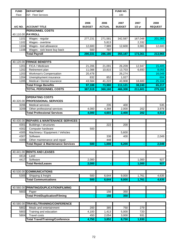| <b>FUND</b> | <b>DEPARTMENT</b>                              |               |               | FUND NO.      |          |                |
|-------------|------------------------------------------------|---------------|---------------|---------------|----------|----------------|
| Fleet       | ISF: Fleet Services                            |               |               | 100           |          |                |
|             |                                                |               |               |               |          |                |
|             |                                                | 2006          | 2006          | 2007          | 2007     | 2008           |
| A/C NO.     | <b>ACCOUNT TITLE</b>                           | <b>BUDGET</b> | <b>ACTUAL</b> | <b>BUDGET</b> | $1/2$ yr | <b>REQUEST</b> |
|             | <b>PERSONNEL COSTS</b>                         |               |               |               |          |                |
|             | 40.110.00 PAYROLL                              |               |               |               |          |                |
| 1101        | Wages - regular                                | 277,231       | 271,581       | 342,587       | 167,048  | 201,365        |
| 1102        | Wages - overtime                               |               | 5,813         |               | 2,332    |                |
| 1104        | Wages - tool allowance                         | 12,600        | 7,989         | 12,600        | 3,981    | 12,600         |
| 1108        | Wages - sick leave buy back                    | 500           | 797           |               |          |                |
|             | <b>Total Payroll</b>                           | 290,331       | 286,180       | 355,187       | 173,361  | 213,965        |
|             |                                                |               |               |               |          |                |
| 40.120.00   | <b>FRINGE BENEFITS</b>                         |               |               |               |          |                |
| 1201        | FICA / Medicare                                | 21,206        | 21,091        | 26,209        | 12,947   | 15,405         |
| 1202        | Retirement plan                                | 11,088        | 10,815        | 13,703        | 6,693    | 8,055          |
| 1203        | <b>Workman's Compensation</b>                  | 20,478        |               | 26,274        |          | 16,049         |
| 1204        | Unemployment insurance                         | 832           | 852           | 1,027         |          | 604            |
| 1205        | Medical / Dental insurance                     | 43,584        | 41,222        | 43,908        | 18,600   | 25,104         |
|             | <b>Total Fringe Benefits</b>                   | 97,188        | 73,980        | 111,121       | 38,240   | 65,217         |
|             | <b>TOTAL PERSONNEL COSTS</b>                   | 387,519       | 360,160       | 466,308       | 211,601  | 279,182        |
|             |                                                |               |               |               |          |                |
|             | <b>OPERATING COSTS</b>                         |               |               |               |          |                |
|             | 40.320.00 PROFESSIONAL SERVICES                |               |               |               |          |                |
| 3206        | <b>Medical services</b>                        |               | 235           | 400           |          | 535            |
| 3209        | Other professional services                    | 4,000         | 4,368         | 2,000         | 202      | 3,978          |
|             | <b>Total Professional Services</b>             | 4,000         | 4,603         | 2,400         | 202      | 4,513          |
|             |                                                |               |               |               |          |                |
| 40.430.00   | <b>REPAIRS &amp; MAINTENANCE SERVICES</b>      |               |               |               |          |                |
| 4301        | Buildings / structures                         |               | 222           | 200           |          |                |
| 4302        | Computer hardware                              | 500           |               |               |          |                |
| 4305        | Machinery / Equipment / Vehicles               |               |               | 5,600         |          |                |
| 4307        | Software                                       |               | 338           | 400           |          | 2,049          |
| 4309        | Other maintenance and repair                   |               | 448           |               |          |                |
|             | <b>Total Repair &amp; Maintenance Services</b> | 500           | 1,008         | 6,200         |          | 2,049          |
|             |                                                |               |               |               |          |                |
|             | 40.441.00 RENTS AND LEASES                     |               |               |               |          |                |
| 4414        | Land                                           |               |               |               |          |                |
| 4417        | Software                                       | 2,000         |               |               | 1,000    | 927            |
|             | <b>Total Rents/Leases</b>                      | 2,000         | ٠             | ٠             | 1,000    | 927            |
|             |                                                |               |               |               |          |                |
|             | 40.530.00 COMMUNICATIONS                       |               |               |               |          |                |
| 5305        | Shipping & freight                             | 500           | 6,644         | 9,000         | 1,761    | 4,635          |
|             | <b>Total Communications</b>                    | 500           |               |               |          |                |
|             |                                                |               | 6,644         | 9,000         | 1,761    | 4,635          |
|             |                                                |               |               |               |          |                |
|             | 40.560.00 PRINTING/DUPLICATION/FILMING         |               |               |               |          |                |
| 5603        | Paper                                          |               | 156           | 350           |          |                |
|             | <b>Total Print/Duplication/Filming</b>         |               | 156           | 350           |          |                |
|             |                                                |               |               |               |          |                |
| 40.580.00   | TRAVEL/TRAINING/CONFERENCE                     |               |               |               |          |                |
| 5802        | Meals and entertainment                        | 200           | 385           | 750           | 279      |                |
| 5803        | Training and education                         | 4,100         | 1,413         | 5,000         | 720      |                |
| 5804        | <b>Travel costs</b>                            | 450           | 2,054         | 3,000         | 931      |                |
|             | <b>Total Travel/Training/Conference</b>        | 4,750         | 3,852         | 8,750         | 1,930    |                |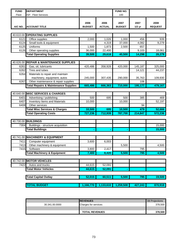| <b>FUND</b> | <b>DEPARTMENT</b>                               |               |               | FUND NO.      |          |                |
|-------------|-------------------------------------------------|---------------|---------------|---------------|----------|----------------|
| Fleet       | ISF: Fleet Services                             |               |               | 100           |          |                |
|             |                                                 |               |               |               |          |                |
|             |                                                 | 2006          | 2006          | 2007          | 2007     | 2008           |
| A/C NO.     | <b>ACCOUNT TITLE</b>                            | <b>BUDGET</b> | <b>ACTUAL</b> | <b>BUDGET</b> | $1/2$ yr | <b>REQUEST</b> |
|             |                                                 |               |               |               |          |                |
| 40.610.00   | <b>OPERATING SUPPLIES</b>                       |               |               |               |          |                |
| 6121        | Office supplies                                 | 2,000         | 1,026         | 1,000         | 456      | 939            |
| 6124        | Small tools & equipment                         |               | 4,319         | 37,000        | 4,082    | 9,279          |
| 6125        | Uniforms                                        | 1,500         | 1,873         | 2,500         | 657      |                |
| 6126        | Other operating supplies                        | 36,000        | 22,400        |               | 9,103    | 18,061         |
|             | <b>Total Operating Supplies</b>                 | 39,500        | 29,618        | 40,500        | 14,298   | 28,279         |
|             |                                                 |               |               |               |          |                |
| 40.626.00   | <b>REPAIR &amp; MAINTENANCE SUPPLIES</b>        |               |               |               |          |                |
| 6261        | Gas, oil, lubricants                            | 420,486       | 358,928       | 420,000       | 145,187  | 325,000        |
| 6262        | Tires and tubes                                 |               |               |               | 14,121   | 44,237         |
| 6264        | Materials to repair and maintain                |               |               |               |          |                |
|             | machinery, equipment, autos                     | 245,000       | 307,435       | 290,000       | 35,763   | 109,930        |
| 6267        | Other maintenance & repair supplies             |               |               |               | 106      |                |
|             | <b>Total Repairs &amp; Maintenance Supplies</b> | 665,486       | 666,363       | 710,000       | 195,177  | 479,167        |
|             |                                                 |               |               |               |          |                |
| 40.640.00   | <b>MISC SERVICES &amp; CHARGES</b>              |               |               |               |          |                |
| 6401        | Advertising / publishing                        | 500           | 695           | 500           | 385      | 469            |
| 6407        | Inventory Items and Materials                   | 10,000        |               | 10,000        |          | 52,197         |
| 6408        | Other services                                  |               |               |               | 94       |                |
|             | <b>Total Misc Services &amp; Charges</b>        | 10,500        | 695           | 10,500        | 479      | 52,666         |
|             | <b>Total Operating Costs</b>                    | 727,236       | 712,939       | 787,700       | 214,847  | 572,236        |
|             |                                                 |               |               |               |          |                |
|             | 40.730.00 BUILDINGS                             |               |               |               |          |                |
| 7304        | Buildings - structure acquisition               |               |               |               |          | 15,000         |
|             | <b>Total Buildings</b>                          |               |               |               |          | 15,000         |
|             |                                                 |               |               |               |          |                |
| 40.741.00   | <b>MACHINERY &amp; EQUIPMENT</b>                |               |               |               |          |                |
| 7411        | Computer equipment                              | 3,600         | 6,003         |               |          |                |
| 7413        | Other machinery & equipment                     |               |               | 5,500         |          | 4,500          |
| 7415        | Software                                        | 3,800         | 2,417         |               | 795      |                |
|             | <b>Total Machinery &amp; Equipment</b>          | 7,400         | 8,420         | 5,500         | 795      | 4,500          |
|             |                                                 |               |               |               |          |                |
| 40.742.00   | <b>MOTOR VEHICLES</b>                           |               |               |               |          |                |
| 7422        | Autos and trucks                                | 44,615        | 52,091        |               |          |                |
|             | <b>Total Motor Vehicles</b>                     | 44,615        | 52,091        | ۰             |          |                |
|             |                                                 |               |               |               |          |                |
|             |                                                 |               |               |               | 795      |                |
|             | <b>Total Capital Outlay</b>                     | 52,015        | 60,511        | 5,500         |          | 19,500         |
|             | <b>TOTAL BUDGET</b>                             | 1,166,770     | 1,133,610     | 1,259,508     | 427,243  | 870,918        |

|                | <b>IREVENUES</b>            | 08 Projections |
|----------------|-----------------------------|----------------|
| 30.341.00.0000 | <b>Charges for services</b> | 378,500        |
|                |                             |                |
|                | <b>TOTAL REVENUES</b>       | 378,500        |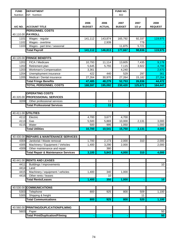| <b>FUND</b>  | <b>DEPARTMENT</b>                                            |                       |                       | FUND NO.              |                  |                        |
|--------------|--------------------------------------------------------------|-----------------------|-----------------------|-----------------------|------------------|------------------------|
| Nutrition    | ISF: Nutrition                                               |                       |                       | 602                   |                  |                        |
| A/C NO.      | <b>ACCOUNT TITLE</b>                                         | 2006<br><b>BUDGET</b> | 2006<br><b>ACTUAL</b> | 2007<br><b>BUDGET</b> | 2007<br>$1/2$ yr | 2008<br><b>REQUEST</b> |
|              | <b>PERSONNEL COSTS</b>                                       |                       |                       |                       |                  |                        |
| 40.110.00    | <b>PAYROLL</b>                                               |                       |                       |                       |                  |                        |
| 1101         | Wages - regular                                              | 141,112               | 143,874               | 165,792               | 92,337           | 119,975                |
| 1102         | Wages - overtime                                             |                       | 2,939                 |                       | 778              |                        |
| 1103         | Wages - part time / seasonal                                 |                       |                       | 11,875                | 5,721            |                        |
|              | <b>Total Payroll</b>                                         | 141,112               | 146,813               | 177,667               | 98,836           | 119,975                |
|              |                                                              |                       |                       |                       |                  |                        |
|              | 40.120.00 FRINGE BENEFITS                                    |                       |                       |                       |                  |                        |
| 1201         | FICA / Medicare                                              | 10,793                | 11,114                | 13,605                | 7,435            | 9,178                  |
| 1202         | Retirement plan                                              | 5,645                 | 5,755                 | 7,115                 | 3,922            | 4,799                  |
| 1203         | Workman's Compensation                                       | 3,361                 |                       | 4,240                 |                  | 2,870                  |
| 1204<br>1205 | Unemployment insurance<br>Medical / Dental insurance         | 422                   | 440                   | 529                   | 297              | 361                    |
|              |                                                              | 27,264                | 30,970                | 27,264                | 15,182<br>26,836 | 27,264                 |
|              | <b>Total Fringe Benefits</b><br><b>TOTAL PERSONNEL COSTS</b> | 47,485                | 48,279                | 52,753<br>230,420     |                  | 44,472                 |
|              |                                                              | 188,597               | 195,092               |                       | 125,672          | 164,447                |
|              | <b>OPERATING COSTS</b>                                       |                       |                       |                       |                  |                        |
| 40.320.00    | <b>PROFESSIONAL SERVICES</b>                                 |                       |                       |                       |                  |                        |
| 3209         | Other professional services                                  |                       | 11                    |                       |                  |                        |
|              | <b>Total Professional Services</b>                           |                       | 11                    |                       |                  |                        |
|              |                                                              |                       |                       |                       |                  |                        |
|              | 40.411.00 UTILITIES                                          |                       |                       |                       |                  |                        |
| 4112         | Electric                                                     | 4,700                 | 3,677                 | 4,700                 |                  |                        |
| 4113         | Gas                                                          | 5,500                 | 5,869                 | 10,000                | 2,131            | 3,000                  |
| 4115         | Water                                                        | 500                   | 995                   | 1,050                 |                  | 1,000                  |
|              | <b>Total Utilities</b>                                       | 10,700                | 10,541                | 15,750                | 2,131            | 4,000                  |
|              |                                                              |                       |                       |                       |                  |                        |
| 40.430.00    | <b>REPAIRS &amp; MAINTENANCE SERVICES</b>                    |                       |                       |                       |                  |                        |
| 4304         | Janitorial / Waste removal                                   | 1,700                 | 2,173                 | 2,000                 | 310              | 2,000                  |
| 4305         | Machinery / Equipment / Vehicles                             | 1,400                 | 3,290                 | 2,000                 |                  | 2,000                  |
| 4309         | Other maintenance and repair                                 |                       | 380                   |                       |                  |                        |
|              | <b>Total Repair &amp; Maintenance Services</b>               | 3,100                 | 5,843                 | 4,000                 | 310              | 4,000                  |
|              |                                                              |                       |                       |                       |                  |                        |
|              | 40.441.00 RENTS AND LEASES                                   |                       |                       |                       |                  |                        |
| 4411         | Buildings / improvements                                     |                       |                       |                       |                  | 10                     |
| 4414         | Land                                                         |                       |                       |                       |                  |                        |
| 4415         | Machinery / equipment / vehicles                             | 1,400                 | 340                   | 1,000                 |                  |                        |
| 4416         | Other rents / leases                                         |                       | 10                    |                       |                  |                        |
|              | <b>Total Rents/Leases</b>                                    | 1,400                 | 350                   | 1,000                 |                  | 10 <sub>1</sub>        |
|              |                                                              |                       |                       |                       |                  |                        |
| 40.530.00    | <b>COMMUNICATIONS</b>                                        |                       |                       |                       |                  |                        |
| 5303         | Telephone                                                    | 800                   | 925                   | 800                   | 509              | 1,100                  |
| 5305         | Shipping & freight                                           |                       |                       |                       | 11               |                        |
|              | <b>Total Communications</b>                                  | 800                   | 925                   | 800                   | 520              | 1,100                  |
|              |                                                              |                       |                       |                       |                  |                        |
| 40.560.00    | <b>PRINTING/DUPLICATION/FILMING</b>                          |                       |                       |                       |                  |                        |
| 5603         | Paper                                                        |                       |                       |                       |                  | 50                     |
|              | <b>Total Print/Duplication/Filming</b>                       |                       |                       |                       |                  | 50                     |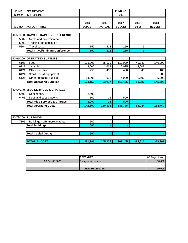| <b>FUND</b>      | <b>DEPARTMENT</b>                        |                       |                       | FUND NO.              |                  |                        |
|------------------|------------------------------------------|-----------------------|-----------------------|-----------------------|------------------|------------------------|
| <b>Nutrition</b> | <b>ISF: Nutrition</b>                    |                       |                       | 602                   |                  |                        |
| A/C NO.          | <b>ACCOUNT TITLE</b>                     | 2006<br><b>BUDGET</b> | 2006<br><b>ACTUAL</b> | 2007<br><b>BUDGET</b> | 2007<br>$1/2$ yr | 2008<br><b>REQUEST</b> |
|                  |                                          |                       |                       |                       |                  |                        |
|                  | 40.580.00 TRAVEL/TRAINING/CONFERENCE     |                       |                       |                       |                  |                        |
| 5802             | Meals and entertainment                  |                       |                       |                       |                  |                        |
| 5803             | Training and education                   |                       |                       |                       |                  |                        |
| 5804             | <b>Travel costs</b>                      | 150                   | 213                   | 250                   | 3                |                        |
|                  | <b>Total Travel/Training/Conference</b>  | 150                   | 213                   | 250                   | 3                |                        |
|                  |                                          |                       |                       |                       |                  |                        |
|                  | 40.610.00 OPERATING SUPPLIES             |                       |                       |                       |                  |                        |
| 6108             | Food                                     | 105,000               | 85,199                | 110,000               | 49,342           | 140,000                |
| 6117             | Janitorial                               | 3,000                 | 2,668                 | 2,025                 | 2,003            |                        |
| 6121             | Office supplies                          | 250                   | 438                   | 400                   | 45               | 100                    |
| 6124             | Small tools & equipment                  |                       |                       |                       |                  | 500                    |
| 6126             | Other operating supplies                 | 14,900                | 4,612                 | 4,000                 | 2,590            | 5,000                  |
|                  | <b>Total Operating Supplies</b>          | 123,150               | 92,917                | 116,425               | 53,980           | 145,600                |
|                  |                                          |                       |                       |                       |                  |                        |
|                  | 40.640.00 MISC SERVICES & CHARGES        |                       |                       |                       |                  |                        |
| 6403             | Contingency                              | 2,500                 |                       |                       |                  |                        |
| 6405             | Dues and subscriptions                   | 500                   | 35                    | 500                   |                  |                        |
|                  | <b>Total Misc Services &amp; Charges</b> | 3,000                 | 35                    | 500                   |                  |                        |
|                  | <b>Total Operating Costs</b>             | 142,300               | 110,836               | 138,725               | 56,944           | 154,760                |
|                  |                                          |                       |                       |                       |                  |                        |
|                  | 40.730.00 BUILDINGS                      |                       |                       |                       |                  |                        |
| 7305             | Buildings - L/H improvements             | 500                   |                       |                       |                  |                        |
|                  | <b>Total Buildings</b>                   | 500                   |                       |                       |                  |                        |

| <b>Total Capital Outlay</b> | 500     |         |         |         |         |
|-----------------------------|---------|---------|---------|---------|---------|
|                             |         |         |         |         |         |
| <b>ITOTAL BUDGET</b>        | 331.397 | 305.927 | 369.145 | 182.616 | 319.207 |

|                | <b>IREVENUES</b>            | 08 Projections |
|----------------|-----------------------------|----------------|
| 30.341.00.0000 | <b>Charges for services</b> | 30,000         |
|                |                             |                |
|                | <b>TOTAL REVENUES</b>       | 30,000         |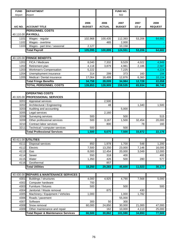| <b>FUND</b> | <b>DEPARTMENT</b>                                            |               |               | FUND NO.         |          |                |
|-------------|--------------------------------------------------------------|---------------|---------------|------------------|----------|----------------|
| Airport     | Airport                                                      |               |               | 502              |          |                |
|             |                                                              |               |               |                  |          |                |
|             |                                                              | 2006          | 2006          | 2007             | 2007     | 2008           |
| A/C NO.     | <b>ACCOUNT TITLE</b>                                         | <b>BUDGET</b> | <b>ACTUAL</b> | <b>BUDGET</b>    | $1/2$ yr | <b>REQUEST</b> |
|             | <b>PERSONNEL COSTS</b>                                       |               |               |                  |          |                |
|             | 40.110.00 PAYROLL                                            |               |               |                  |          |                |
| 1101        | Wages - regular                                              | 102,968       | 100,435       | 112,393          | 53,206   | 64,682         |
| 1102        | Wages - overtime                                             |               | 465           | 2,000            |          |                |
| 1103        | Wages - part time / seasonal                                 | 2,127         |               | 10,158           |          |                |
|             | <b>Total Payroll</b>                                         | 105,095       | 100,899       | 124,551          | 53,206   | 64,682         |
|             |                                                              |               |               |                  |          |                |
|             | 40.120.00 FRINGE BENEFITS                                    |               |               |                  |          |                |
| 1201        | FICA / Medicare                                              | 8,040         | 7,332         | 9,529            | 4,022    | 4,949          |
| 1202        | Retirement plan                                              | 4,118         | 3,879         | 4,981            | 2,186    | 2,587          |
| 1203        | Workman's Compensation                                       | 5,222         |               | 7,225            |          | 4,224          |
| 1204        | Unemployment insurance                                       | 314           | 299           | 373              | 160      | 194            |
| 1205        | Medical / Dental insurance                                   | 17,064        | 16,499        | 12,876<br>34,984 | 6,360    | 10,104         |
|             | <b>Total Fringe Benefits</b><br><b>TOTAL PERSONNEL COSTS</b> | 34,758        | 28,009        | 159,535          | 12,728   | 22,058         |
|             |                                                              | 139,853       | 128,909       |                  | 65,934   | 86,740         |
|             | <b>OPERATING COSTS</b>                                       |               |               |                  |          |                |
| 40.320.00   | <b>PROFESSIONAL SERVICES</b>                                 |               |               |                  |          |                |
| 3201        | Appraisal services                                           |               | 2,500         |                  |          |                |
| 3202        | Architectural / Engineering                                  |               | 48            |                  | 1,340    | 1,500          |
| 3203        | Auditing and accounting                                      |               |               | 5,000            |          |                |
| 3205        | Legal services                                               |               | 2,160         |                  |          |                |
| 3208        | Surveying services                                           | 500           |               | 500              |          | 515            |
| 3209        | Other professional services                                  | 500           | 3,167         | 1,500            | 32,454   | 20,000         |
| 3210        | Contract labor services                                      |               | 800           |                  | 78       | 160            |
| 3211        | Technical / computer services                                | 500           |               | 500              |          |                |
|             | <b>Total Professional Services</b>                           | 1,500         | 8,675         | 7,500            | 33,872   | 22,175         |
|             |                                                              |               |               |                  |          |                |
|             | 40.411.00 UTILITIES                                          |               |               |                  |          |                |
| 4111        | Disposal services                                            | 850           | 1,978         | 1,700            | 548      | 1,200          |
| 4112        | Electric                                                     | 7,500         | 13,250        | 23,000           | 7,146    | 16,000         |
| 4113        | Gas                                                          | 8,000         | 12,454        | 20,000           | 3,049    | 12,000         |
| 4114        | Sewer                                                        | 550           | 318           | 400              |          | 400            |
| 4115        | Water                                                        | 1,350         | 426           | 500              | 280      | 577            |
| 4116        | Geothermal                                                   |               | 857           |                  |          |                |
|             | <b>Total Utilities</b>                                       | 18,250        | 29,283        | 45,600           | 11,023   | 30,177         |
|             |                                                              |               |               |                  |          |                |
|             | 40.430.00 REPAIRS & MAINTENANCE SERVICES                     |               |               |                  |          |                |
| 4301        | Buildings / structures                                       | 4,000         | 4,925         | 4,790            | 7,568    | 5,000          |
| 4302        | Computer hardware                                            | 700           |               |                  |          |                |
| 4303        | Furniture / fixtures                                         | 500           |               | 500              |          | 500            |
| 4304        | Janitorial / Waste removal                                   |               | 875           |                  | 430      |                |
| 4305        | Machinery / Equipment / Vehicles                             | 1,000         |               | 1,000            | 1,782    |                |
| 4306        | Roads / pavement                                             |               |               | 55,000           |          |                |
| 4307        | Software                                                     | 300           | 50            | 300              |          |                |
| 4308        | Snow removal                                                 | 60,000        | 24,850        | 30,000           | 21,000   | 47,000         |
| 4309        | Other maintenance and repair                                 |               | 162           | 10,000           | 4,113    | 25,000         |
|             | <b>Total Repair &amp; Maintenance Services</b>               | 66,500        | 30,862        | 101,590          | 34,893   | 77,500         |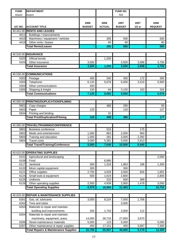| <b>FUND</b> | <b>DEPARTMENT</b>                               |                       |                       | <b>FUND NO.</b>       |                  |                        |
|-------------|-------------------------------------------------|-----------------------|-----------------------|-----------------------|------------------|------------------------|
| Airport     | Airport                                         |                       |                       | 502                   |                  |                        |
| A/C NO.     | <b>ACCOUNT TITLE</b>                            | 2006<br><b>BUDGET</b> | 2006<br><b>ACTUAL</b> | 2007<br><b>BUDGET</b> | 2007<br>$1/2$ yr | 2008<br><b>REQUEST</b> |
|             | 40.441.00 RENTS AND LEASES                      |                       |                       |                       |                  |                        |
| 4411        | <b>Buildings / improvements</b>                 |                       |                       |                       |                  |                        |
| 4415        | Machinery / equipment / vehicles                |                       | 335                   | 500                   |                  | 500                    |
| 4416        | Other rents / leases                            |                       | 60                    | 60                    |                  | 60                     |
|             | <b>Total Rents/Leases</b>                       |                       | 395                   | 560                   |                  | 560                    |
|             |                                                 |                       |                       |                       |                  |                        |
|             | 40.520.00 INSURANCE                             |                       |                       |                       |                  |                        |
| 5202        | Official bonds                                  |                       | 1,200                 |                       |                  |                        |
| 5203        | Other Insurance                                 | 3,500                 |                       | 3,500                 | 3,698            | 3,700                  |
|             | <b>Total Insurance</b>                          | 3,500                 | 1,200                 | 3,500                 | 3,698            | 3,700                  |
|             |                                                 |                       |                       |                       |                  |                        |
| 40.530.00   | <b>COMMUNICATIONS</b>                           |                       |                       |                       |                  |                        |
| 5302        | Postage                                         | 400                   | 340                   | 400                   | 172              | 350                    |
| 5303        | Telephone                                       | 6,120                 | 5,678                 | 6,000                 | 2,519            | 5,900                  |
| 5304        | Other communications                            | 450                   |                       |                       |                  |                        |
| 5305        | Shipping & freight                              | 150                   | 64                    | 3,150                 | 163              | 326                    |
|             | <b>Total Communications</b>                     | 7,120                 | 6,082                 | 9,550                 |                  | 6,576                  |
|             |                                                 |                       |                       |                       |                  |                        |
| 40.560.00   | PRINTING/DUPLICATION/FILMING                    |                       |                       |                       |                  |                        |
| 5601        | Copy charges                                    |                       | 468                   | 260                   |                  | 50                     |
| 5603        | Paper                                           | 120                   |                       | 120                   |                  | 127                    |
| 5604        | Printing and binding                            |                       | 31                    |                       |                  |                        |
|             | <b>Total Print/Duplication/Filming</b>          | 120                   | 499                   | 380                   |                  | 177                    |
|             |                                                 |                       |                       |                       |                  |                        |
|             | 40.580.00 TRAVEL/TRAINING/CONFERENCE            |                       |                       |                       |                  |                        |
| 5801        | <b>Business conference</b>                      |                       | 515                   |                       | 175              |                        |
| 5802        | Meals and entertainment                         | 1,000                 | 863                   | 2,000                 | 960              |                        |
| 5803        | Training and education                          | 1,000                 | 281                   | 3,000                 | 2,392            |                        |
| 5804        | <b>Travel costs</b>                             | 3,000                 | 5,381                 | 5,000                 | 2,913            |                        |
|             | <b>Total Travel/Training/Conference</b>         | 5,000                 | 7,040                 | 10,000                | 6,440            |                        |
|             |                                                 |                       |                       |                       |                  |                        |
| 40.610.00   | <b>OPERATING SUPPLIES</b>                       |                       |                       |                       |                  |                        |
| 6101        | Agricultural and landscaping                    |                       |                       |                       |                  | 2,000                  |
| 6108        | Food                                            |                       | 6,880                 |                       |                  |                        |
| 6117        | Janitorial                                      | 300                   | 1,318                 | 1,863                 | 196              | 1,300                  |
| 6120        | Minor capital equipment                         | 300                   |                       | 300                   |                  |                        |
| 6121        | Office supplies                                 | 2,750                 | 4,029                 | 3,000                 | 826              | 1,652                  |
| 6124        | Small tools & equipment                         | 500                   | 1,619                 | 2,800                 |                  | 2,800                  |
| 6125        | Uniforms                                        |                       | 210                   | 600                   | 389              |                        |
| 6126        | Other operating supplies                        | 2,500                 | 4,939                 | 2,900                 | 1,478            | 3,000                  |
|             | <b>Total Operating Supplies</b>                 | 6,375                 | 18,994                | 11,463                |                  | 10,752                 |
|             |                                                 |                       |                       |                       |                  |                        |
| 40.626.00   | <b>REPAIR &amp; MAINTENANCE SUPPLIES</b>        |                       |                       |                       |                  |                        |
| 6261        | Gas, oil, lubricants                            | 3,000                 | 8,224                 | 7,500                 | 1,706            |                        |
| 6262        | Tires and tubes                                 |                       |                       | 3,000                 |                  |                        |
| 6263        | Materials to repair and maintain                |                       |                       |                       |                  |                        |
|             | building and improvements                       | 250                   | 1,743                 | 3,000                 | 112              |                        |
| 6264        | Materials to repair and maintain                |                       |                       |                       |                  |                        |
|             | machinery, equipment, autos                     | 14,000                | 28,716                | 27,850                | 3,670            |                        |
| 6266        | Street maintenance materials                    | 5,000                 | 123                   | 5,000                 |                  | 5,000                  |
| 6267        | Other maintenance & repair supplies             | 450                   | 17,151                | 450                   | 3,687            | 7,300                  |
|             | <b>Total Repairs &amp; Maintenance Supplies</b> | 22,700                | 55,957                | 46,800                | 9,179            | 12,300                 |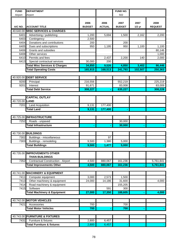| <b>FUND</b> | <b>DEPARTMENT</b>                        |                       |                       | FUND NO.              |                  |                        |
|-------------|------------------------------------------|-----------------------|-----------------------|-----------------------|------------------|------------------------|
| Airport     | Airport                                  |                       |                       | 502                   |                  |                        |
| A/C NO.     | <b>ACCOUNT TITLE</b>                     | 2006<br><b>BUDGET</b> | 2006<br><b>ACTUAL</b> | 2007<br><b>BUDGET</b> | 2007<br>$1/2$ yr | 2008<br><b>REQUEST</b> |
| 40.640.00   | <b>MISC SERVICES &amp; CHARGES</b>       |                       |                       |                       |                  |                        |
| 6401        | Advertising / publishing                 | 1,200                 | 5,694                 | 1,500                 | 2,162            | 2,200                  |
| 6403        | Contingency                              | 2,500                 |                       |                       |                  |                        |
| 6404        | Donations and contributions              | 200                   |                       | 200                   |                  |                        |
| 6405        | Dues and subscriptions                   | 950                   | 1,195                 | 950                   | 1,100            | 1,100                  |
| 6406        | Grants and subsidies                     |                       |                       |                       |                  | 80,146                 |
| 6408        | Other services                           |                       |                       |                       |                  | 1,000                  |
| 6410        | Permits and fees                         |                       | 2,437                 | 2,200                 | 140              | 2,000                  |
| 6413        | Special contractual services             | 30,000                | 200                   |                       |                  |                        |
|             | <b>Total Misc Services &amp; Charges</b> | 34,850                | 9,526                 | 4,850                 | 3,402            | 86,446                 |
|             | <b>Total Operating Costs</b>             | 165,915               | 168,513               | 241,793               | 102,507          | 250,363                |
|             |                                          |                       |                       |                       |                  |                        |
|             | 40.920.00 DEBT SERVICE                   |                       |                       |                       |                  |                        |
| 9200        | Principal                                | 216,556               |                       | 552,219               |                  | 225,219                |
| 9201        | Interest                                 | 91,671                |                       | 83,008                |                  | 83,009                 |
|             | <b>Total Debt Service</b>                | 308,227               |                       | 635,227               |                  | 308,228                |
|             |                                          |                       |                       |                       |                  |                        |
|             | <b>CAPITAL OUTLAY</b>                    |                       |                       |                       |                  |                        |
| 40.720.00   | LAND                                     |                       |                       |                       |                  |                        |
| 7201        | <b>Land Acquisition</b>                  | 9,131                 | 177,400               |                       |                  |                        |
|             | <b>Total Land</b>                        | 9,131                 | 177,400               |                       |                  |                        |
|             |                                          |                       |                       |                       |                  |                        |
|             | 40.725.00 INFRASTRUCTURE                 |                       |                       |                       |                  |                        |
| 7252        | Roads - unpaved                          |                       |                       | 30,000                |                  |                        |
|             | <b>Total Infrastructure</b>              |                       |                       | 30,000                |                  |                        |
|             |                                          |                       |                       |                       |                  |                        |
|             | 40.730.00 BUILDINGS                      |                       |                       |                       |                  |                        |
| 7302        | Buildings - miscellaneous                |                       | 97                    |                       |                  |                        |
| 7303        | Buildings - remodeling                   | 9,500                 | 1,380                 | 5,000                 |                  |                        |
|             | <b>Total Buildings</b>                   | 9,500                 | 1,477                 | 5,000                 |                  |                        |
|             |                                          |                       |                       |                       |                  |                        |
| 40.735.00   | <b>IMPROVEMENTS OTHER</b>                |                       |                       |                       |                  |                        |
|             | <b>THAN BUILDINGS</b>                    |                       |                       |                       |                  |                        |
| 7352        | Contractual Construction - Airport       | 4,500                 | 880,067               | 161,236               |                  | 5,761,841              |
|             | <b>Total Improvements Other</b>          | 4,500                 | 880,067               | 161,236               |                  | 5,761,841              |
|             |                                          |                       |                       |                       |                  |                        |
|             | 40.741.00 MACHINERY & EQUIPMENT          |                       |                       |                       |                  |                        |
| 7411        | Computer equipment                       | 3,000                 | 2,573                 | 1,500                 |                  |                        |
| 7413        | Other machinery & equipment              | 24,000                | 14,186                | 31,600                |                  | 4,000                  |
| 7414        | Road machinery & equipment               |                       |                       | 155,205               |                  |                        |
| 7415        | Software                                 |                       | 591                   | 300                   |                  |                        |
|             | <b>Total Machinery &amp; Equipment</b>   | 27,000                | 17,350                | 188,605               |                  | 4,000                  |
|             |                                          |                       |                       |                       |                  |                        |
|             | 40.742.00 MOTOR VEHICLES                 |                       |                       |                       |                  |                        |
| 7421        | Accessories                              | 700                   |                       | 700                   |                  |                        |
|             | <b>Total Motor Vehicles</b>              | 700                   |                       | 700                   |                  |                        |
|             |                                          |                       |                       |                       |                  |                        |
|             | 40.743.00 FURNITURE & FIXTURES           |                       |                       |                       |                  |                        |
| 7431        | Furniture & fixtures                     | 2,800                 | 6,457                 |                       |                  |                        |
|             | <b>Total Furniture &amp; fixtures</b>    | 2,800                 | 6,457                 |                       |                  |                        |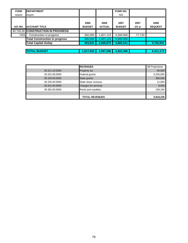| <b>FUND</b> | <b>IDEPARTMENT</b>                    |                       |                       | <b>FUND NO.</b>       |                  |                        |
|-------------|---------------------------------------|-----------------------|-----------------------|-----------------------|------------------|------------------------|
| Airport     | Airport                               |                       |                       | 502                   |                  |                        |
| A/C NO.     | <b>ACCOUNT TITLE</b>                  | 2006<br><b>BUDGET</b> | 2006<br><b>ACTUAL</b> | 2007<br><b>BUDGET</b> | 2007<br>$1/2$ yr | 2008<br><b>REQUEST</b> |
|             | 40.745.00 CONSTRUCTION IN PROGRESS    |                       |                       |                       |                  |                        |
| 7451        | Construction in progress              | 350,000               | 1,607,123             | 5,500,000             | 77,720           |                        |
|             | <b>Total Construction in progress</b> | 350,000               | 1,607,123             | 5,500,000             |                  |                        |
|             | <b>Total Capital Outlay</b>           | 403,631               | 2,689,875             | 5,885,541             | $\blacksquare$   | 5,765,841              |
|             |                                       |                       |                       |                       |                  |                        |
|             | <b>TOTAL BUDGET</b>                   | 1,017,626             | 2,987,296             | 6,922,096             |                  | 6,411,172              |

|                | <b>REVENUES</b>             | 08 Projections |
|----------------|-----------------------------|----------------|
| 30.311.10.0000 | <b>Property tax</b>         | 60,000         |
| 30.331.00.0000 | Federal grants              | 5,250,000      |
| 30.334.00.0000 | State grants                | 380,000        |
| 30.335.00.0000 | State share revenue         | 11,000         |
| 30.341.00.0000 | <b>Charges for services</b> | 8,000          |
| 30.362.00.0000 | Rents and royalties         | 109,230        |
|                |                             |                |
|                | <b>TOTAL REVENUES</b>       | 5,818,230      |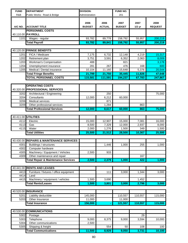| <b>FUND</b>  | <b>DEPARTMENT</b>                              | <b>DIVISION:</b>      |                       | FUND NO.              |                  |                        |
|--------------|------------------------------------------------|-----------------------|-----------------------|-----------------------|------------------|------------------------|
| R&B          | Public Works: Road & Bridge                    | Administration        |                       | 201                   |                  |                        |
| A/C NO.      | <b>ACCOUNT TITLE</b>                           | 2006<br><b>BUDGET</b> | 2006<br><b>ACTUAL</b> | 2007<br><b>BUDGET</b> | 2007<br>$1/2$ yr | 2008<br><b>REQUEST</b> |
|              | <b>PERSONNEL COSTS</b>                         |                       |                       |                       |                  |                        |
|              | 40.110.00 PAYROLL                              |                       |                       |                       |                  |                        |
| 1101         | Wages - regular                                | 93,782                | 89,778                | 158,792               | 55,957           | 200,219                |
|              | <b>Total Payroll</b>                           | 93,782                | 89,841                | 158,792               | 55,957           | 200,219                |
|              |                                                |                       |                       |                       |                  |                        |
| 1201         | 40.120.00 FRINGE BENEFITS<br>FICA / Medicare   |                       |                       |                       | 4,219            | 15,317                 |
| 1202         | Retirement plan                                | 7,175<br>3,751        | 6,732<br>3,591        | 12,148<br>6,352       | 2,063            | 8,009                  |
| 1203         | Workman's Compensation                         | 488                   |                       | 821                   |                  | 3,178                  |
| 1204         | Unemployment insurance                         | 281                   | 267                   | 476                   | 168              | 600                    |
| 1205         | Medical / Dental insurance                     | 10,104                | 11,160                | 15,648                | 5,376            | 20,544                 |
|              | <b>Total Fringe Benefits</b>                   | 21,799                | 21,750                | 35,445                | 11,826           | 47,648                 |
|              | <b>TOTAL PERSONNEL COSTS</b>                   | 115,581               | 111,591               | 194,237               | 67,783           | 247,867                |
|              |                                                |                       |                       |                       |                  |                        |
|              | <b>OPERATING COSTS</b>                         |                       |                       |                       |                  |                        |
|              | 40.320.00 PROFESSIONAL SERVICES                |                       |                       |                       |                  |                        |
| 3202         | Architectural / Engineering                    |                       | 250                   |                       |                  | 75,000                 |
| 3204         | Consultants                                    | 12,000                | 6,212                 | 60,000                |                  |                        |
| 3206         | Medical services                               |                       | 871                   |                       |                  |                        |
| 3209         | Other professional services                    |                       | 1,284                 |                       | 863              |                        |
|              | <b>Total Professional Services</b>             | 12,000                | 8,617                 | 60,000                | 863              | 75,000                 |
|              |                                                |                       |                       |                       |                  |                        |
|              | 40.411.00 UTILITIES                            |                       |                       |                       |                  |                        |
| 4112         | Electric                                       | 15,000                | 12,907                | 15,000                | 7,081            | 16,000                 |
| 4113         | Gas                                            | 8,500                 | 7,329                 | 12,000                | 2,937            | 8,000                  |
| 4115         | Water                                          | 2,000                 | 1,276                 | 1,500                 | 349              | 1,500                  |
|              | <b>Total Utilities</b>                         | 25,500                | 21,512                | 28,500                | 10,367           | 25,500                 |
|              | 40.430.00 REPAIRS & MAINTENANCE SERVICES       |                       |                       |                       |                  |                        |
|              | 4301 Buildings / structures                    |                       | 1,446                 | 1,000                 | 255              | 1,000                  |
| 4302         | Computer hardware                              |                       |                       |                       |                  |                        |
| 4305         | Machinery / Equipment / Vehicles               | 2,500                 | 933                   |                       |                  |                        |
| 4309         | Other maintenance and repair                   |                       |                       |                       | 167              |                        |
|              | <b>Total Repair &amp; Maintenance Services</b> | 2,500                 | 2,379                 | 1,000                 | 422              | 1,000                  |
|              |                                                |                       |                       |                       |                  |                        |
|              | 40.441.00 RENTS AND LEASES                     |                       |                       |                       |                  |                        |
| 4413         | Furniture / fixtures / office equipment        |                       | 111                   | 3,000                 | 1,344            | 3,000                  |
| 4414         | Land                                           |                       |                       |                       |                  |                        |
| 4415         | Machinery / equipment / vehicles               | 1,500                 | 3,690                 |                       | 1,452            |                        |
|              | <b>Total Rents/Leases</b>                      | 1,500                 | 3,801                 | 3,000                 | 2,796            | 3,000                  |
|              |                                                |                       |                       |                       |                  |                        |
|              | 40.520.00 INSURANCE                            |                       |                       |                       |                  |                        |
| 5201<br>5203 | Liability deductible<br>Other Insurance        | 145,000<br>11,000     |                       | 110,557<br>11,000     | 110,557          | 115,000                |
|              | <b>Total Insurance</b>                         | 156,000               |                       | 121,557               | 110,557          | 115,000                |
|              |                                                |                       |                       |                       |                  |                        |
|              | 40.530.00 COMMUNICATIONS                       |                       |                       |                       |                  |                        |
| 5302         | Postage                                        |                       |                       |                       | 29               |                        |
| 5303         | Telephone                                      | 9,000                 | 8,375                 | 9,000                 | 3,594            | 10,000                 |
| 5304         | Other communications                           | 2,500                 |                       |                       |                  |                        |

5305 Shipping & freight 554 50 108 100 **Total Communications 11,500** 11,500 **8,929** 9,050 3,731 10,100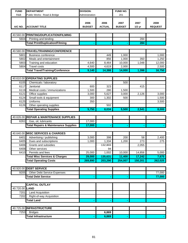| <b>FUND</b>  | <b>DEPARTMENT</b>                               | <b>DIVISION:</b>      |                       | FUND NO.              |              |                        |
|--------------|-------------------------------------------------|-----------------------|-----------------------|-----------------------|--------------|------------------------|
| R&B          | Public Works: Road & Bridge                     | Administration        |                       | 201                   |              |                        |
|              | <b>ACCOUNT TITLE</b>                            | 2006<br><b>BUDGET</b> | 2006<br><b>ACTUAL</b> | 2007<br><b>BUDGET</b> | 2007         | 2008<br><b>REQUEST</b> |
| A/C NO.      |                                                 |                       |                       |                       | $1/2$ yr     |                        |
|              |                                                 |                       |                       |                       |              |                        |
|              | 40.560.00 PRINTING/DUPLICATION/FILMING          |                       |                       |                       |              |                        |
| 5604         | Printing and binding                            |                       |                       |                       | 284          |                        |
|              | <b>Total Print/Duplication/Filming</b>          |                       |                       |                       | 284          |                        |
|              |                                                 |                       |                       |                       |              |                        |
| 40.580.00    | TRAVEL/TRAINING/CONFERENCE                      |                       |                       |                       |              |                        |
| 5801         | <b>Business conference</b>                      |                       | 449                   | 1,000                 |              | 1,000                  |
| 5802<br>5803 | Meals and entertainment                         | 4,640                 | 856<br>8,464          | 1,000<br>10,000       | 350<br>1,048 | 1,250                  |
| 5804         | Training and education<br><b>Travel costs</b>   | 4,500                 | 4,619                 | 2,000                 |              | 12,000<br>2,500        |
|              | <b>Total Travel/Training/Conference</b>         | 9,140                 | 14,388                | 14,000                | 1,398        | 16,750                 |
|              |                                                 |                       |                       |                       |              |                        |
|              | 40.610.00 OPERATING SUPPLIES                    |                       |                       |                       |              |                        |
| 6105         | Chemicals / laboratory                          |                       |                       | 500                   |              |                        |
| 6117         | Janitorial                                      | 600                   | 323                   |                       | 415          |                        |
| 6119         | Medical costs / immunizations                   | 1,500                 | 280                   | 1,500                 |              |                        |
| 6121         | Office supplies                                 | 3,000                 | 5,627                 | 3,000                 | 2,126        | 3,000                  |
| 6124         | Small tools & equipment                         | 300                   | 1,302                 | 500                   |              | 1,500                  |
| 6125         | Uniforms                                        | 350                   |                       |                       |              | 3,500                  |
| 6126         | Other operating supplies                        |                       | 502                   |                       |              |                        |
|              | <b>Total Operating Supplies</b>                 | 5,750                 | 8,034                 | 5,500                 | 2,541        | 8,000                  |
|              |                                                 |                       |                       |                       |              |                        |
| 40.626.00    | <b>REPAIR &amp; MAINTENANCE SUPPLIES</b>        |                       |                       |                       |              |                        |
| 6261         | Gas, oil, lubricants                            | 17,000                |                       |                       |              |                        |
|              | <b>Total Repairs &amp; Maintenance Supplies</b> | 17,000                |                       |                       |              |                        |
|              |                                                 |                       |                       |                       |              |                        |
| 40.640.00    | <b>MISC SERVICES &amp; CHARGES</b>              |                       |                       |                       |              |                        |
| 6401         | Advertising / publishing                        | 3,000                 | 398                   | 200                   | 58           | 2,400                  |
| 6405         | Dues and subscriptions                          | 1,000                 | 1,334                 | 1,200                 | 273          | 275                    |
| 6406         | Grants and subsidies                            |                       | 132,803               |                       | 2,055        |                        |
| 6408         | Other services                                  |                       | 94                    |                       |              |                        |
| 6410         | Permits and fees                                | 25,000                | 1,002                 | 10,000                | 14,856       | 5,000                  |
|              | <b>Total Misc Services &amp; Charges</b>        | 29,000                | 135,631               | 11,400                | 17,242       | 7,675                  |
|              | <b>Total Operating Costs</b>                    | 269,890               | 203,290               | 254,007               | 150,201      | 262,025                |
|              |                                                 |                       |                       |                       |              |                        |
|              | 40.920.00 DEBT SERVICE                          |                       |                       |                       |              |                        |
| 9205         | Other Debt Service Expenses                     |                       |                       |                       |              | 77,000                 |
|              | <b>Total Debt Service</b>                       |                       |                       |                       |              | 77,000                 |
|              |                                                 |                       |                       |                       |              |                        |
|              | <b>CAPITAL OUTLAY</b>                           |                       |                       |                       |              |                        |
| 40.720.00    | <b>LAND</b>                                     |                       |                       |                       |              |                        |
| 7201         | <b>Land Acquisition</b>                         |                       |                       |                       |              |                        |
| 7202         | Right-of-way Acquisition                        |                       |                       |                       |              |                        |
|              | <b>Total Land</b>                               |                       |                       |                       |              |                        |
|              |                                                 |                       |                       |                       |              |                        |
|              | 40.725.00 INFRASTRUCTURE                        |                       |                       |                       |              |                        |
| 7253         | <b>Bridges</b>                                  |                       | 6,869                 |                       |              |                        |
|              | <b>Total Infrastructure</b>                     |                       | 6,869                 | ۰                     |              |                        |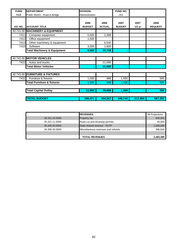| <b>FUND</b> | <b>DEPARTMENT</b>                      | <b>DIVISION:</b>      |                       | <b>FUND NO.</b>       |                  |                        |
|-------------|----------------------------------------|-----------------------|-----------------------|-----------------------|------------------|------------------------|
| R&B         | Public Works: Road & Bridge            | Administration        |                       | 201                   |                  |                        |
| A/C NO.     | <b>ACCOUNT TITLE</b>                   | 2006<br><b>BUDGET</b> | 2006<br><b>ACTUAL</b> | 2007<br><b>BUDGET</b> | 2007<br>$1/2$ yr | 2008<br><b>REQUEST</b> |
|             | 40.741.00 MACHINERY & EQUIPMENT        |                       |                       |                       |                  |                        |
| 7411        | Computer equipment                     | 5,000                 | 2,399                 |                       |                  |                        |
| 7412        | Office equipment                       | 1,500                 |                       |                       |                  |                        |
| 7413        | Other machinery & equipment            |                       | 6,540                 |                       |                  |                        |
| 7415        | Software                               | 3,000                 | 1,800                 |                       |                  |                        |
|             | <b>Total Machinery &amp; Equipment</b> | 9,500                 | 10,739                | ۰                     |                  |                        |
|             |                                        |                       |                       |                       |                  |                        |
|             | 40.742.00 MOTOR VEHICLES               |                       |                       |                       |                  |                        |
| 7422        | Autos and trucks                       |                       | 21,090                |                       |                  |                        |
|             | <b>Total Motor Vehicles</b>            |                       | 21,090                |                       |                  |                        |
|             |                                        |                       |                       |                       |                  |                        |
|             | 40.743.00 FURNITURE & FIXTURES         |                       |                       |                       |                  |                        |
| 7431        | Furniture & fixtures                   | 1,500                 | 988                   | 1,500                 |                  | 500                    |
|             | <b>Total Furniture &amp; fixtures</b>  | 1,500                 | 988                   | 1,500                 |                  | 500                    |
|             |                                        |                       |                       |                       |                  |                        |
|             | <b>Total Capital Outlay</b>            | 11,000                | 39,686                | 1,500                 |                  | 500                    |
|             |                                        |                       |                       |                       |                  |                        |
|             | <b>TOTAL BUDGET</b>                    | 396,471               | 354,567               | 449,744               | 217,984          | 587,392                |

|                | <b>IREVENUES</b>                   | 08 Projections |
|----------------|------------------------------------|----------------|
| 30.311.10.0000 | <b>Property tax</b>                | 546,651        |
| 30.322.11.0000 | Road cut and driveway permits      | 40,000         |
| 30.335.40.0000 | State shared revenue - HUTF        | 1,500,000      |
| 30.395.00.0000 | Miscellaneous revenues and refunds | 396,834        |
|                |                                    |                |
|                | <b>TOTAL REVENUES</b>              | 2,483,485      |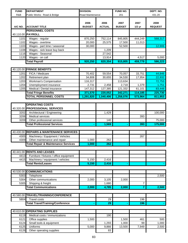| <b>FUND</b><br><b>DEPARTMENT</b><br><b>DIVISION:</b><br>FUND NO.<br>R&B<br>Public Works: Road & Bridge<br>Road Maintenance<br>201 | DEPT. NO.<br>431.20                        |
|-----------------------------------------------------------------------------------------------------------------------------------|--------------------------------------------|
|                                                                                                                                   |                                            |
|                                                                                                                                   |                                            |
| 2006<br>2006<br>2007<br>A/C NO.<br><b>BUDGET</b><br><b>ACTUAL</b><br><b>ACCOUNT TITLE</b><br><b>BUDGET</b>                        | 2008<br>2007<br>$1/2$ yr<br><b>REQUEST</b> |
| <b>PERSONNEL COSTS</b>                                                                                                            |                                            |
| 40.110.00 PAYROLL                                                                                                                 |                                            |
| 870,250<br>752,114<br>845,805<br>1101<br>Wages - regular                                                                          | 444,249<br>568,317                         |
| 1102<br>Wages - overtime<br>20,000<br>25,575<br>17,500                                                                            | 11,013                                     |
| 1103<br>Wages - part time / seasonal<br>52,500<br>30,000                                                                          | 12,906                                     |
| Wages - sick leave buy back<br>1,209<br>1108<br>Wages - Seasonal<br>27,542<br>1116                                                |                                            |
| 1120<br>Wages - on call<br>13,914                                                                                                 | 4,517<br>5,000                             |
| <b>Total Payroll</b><br>920,250<br>820,354<br>915,805                                                                             | 586,223<br>459,779                         |
|                                                                                                                                   |                                            |
| <b>FRINGE BENEFITS</b><br>40.120.00                                                                                               |                                            |
| 1201<br>FICA / Medicare<br>70,402<br>59,554<br>70,057                                                                             | 44,846<br>33,751                           |
| 1202<br>34,808<br>34,530<br>Retirement plan<br>30,655                                                                             | 22,932<br>17,954                           |
| 1203<br>Workman's Compensation<br>116,317<br>113,634                                                                              | 72,753                                     |
| 1204<br>Unemployment insurance<br>2,458<br>2,718<br>2,731                                                                         | 1,379<br>1,751                             |
| 1205<br>Medical / Dental insurance<br>147,312<br>127,385<br>121,332                                                               | 61,101<br>83,448                           |
| 371,570<br>220,052<br>342,271<br><b>Total Fringe Benefits</b>                                                                     | 225,730<br>114,185                         |
| <b>TOTAL PERSONNEL COSTS</b><br>1,291,820<br>1,040,406<br>1,258,076                                                               | 811,953<br>573,964                         |
|                                                                                                                                   |                                            |
| <b>OPERATING COSTS</b>                                                                                                            |                                            |
| 40.320.00<br><b>PROFESSIONAL SERVICES</b>                                                                                         |                                            |
| 1,429<br>3202<br>Architectural / Engineering                                                                                      | 100,000                                    |
| 3206<br><b>Medical services</b>                                                                                                   | 393                                        |
| 3209<br>140<br>Other professional services                                                                                        | 75,000                                     |
| <b>Total Professional Services</b><br>1,569                                                                                       | 175,000<br>393                             |
| 40.430.00 REPAIRS & MAINTENANCE SERVICES                                                                                          |                                            |
| 4305<br>Machinery / Equipment / Vehicles                                                                                          | 267                                        |
| 4309<br>262<br>Other maintenance and repair<br>1,000                                                                              |                                            |
| <b>Total Repair &amp; Maintenance Services</b><br>262<br>1,000                                                                    |                                            |
|                                                                                                                                   |                                            |
| 40.441.00 RENTS AND LEASES                                                                                                        |                                            |
| 4413<br>Furniture / fixtures / office equipment                                                                                   |                                            |
| Machinery / equipment / vehicles<br>4415<br>5,150<br>2,416                                                                        |                                            |
| <b>Total Rents/Leases</b><br>5,150<br>2,416                                                                                       |                                            |
|                                                                                                                                   |                                            |
| 40.530.00<br><b>COMMUNICATIONS</b>                                                                                                |                                            |
| 5303<br>Telephone                                                                                                                 | 2,500                                      |
| 5304<br>Other communications<br>3,105<br>2,000<br>2,000                                                                           |                                            |
| Shipping & freight<br>5305<br>1,680                                                                                               | $\overline{7}$                             |
| <b>Total Communications</b><br>2,000<br>4,785<br>2,000                                                                            | $\overline{7}$<br>2,500                    |
|                                                                                                                                   |                                            |
| 40.580.00 TRAVEL/TRAINING/CONFERENCE                                                                                              |                                            |
| 5804<br><b>Travel costs</b><br>$\overline{29}$                                                                                    | 196                                        |
| <b>Total Travel/Training/Conference</b><br>$\overline{29}$                                                                        | 196                                        |
|                                                                                                                                   |                                            |
|                                                                                                                                   |                                            |
| 40.610.00<br><b>OPERATING SUPPLIES</b>                                                                                            |                                            |
| 6119<br>Medical costs / immunizations<br>190                                                                                      |                                            |
| 6121<br>Office supplies<br>1,500<br>1,500<br>Small tools & equipment<br>1,293<br>6124<br>1,000                                    | 461<br>500<br>1,000<br>99                  |

6126 Other operating supplies 83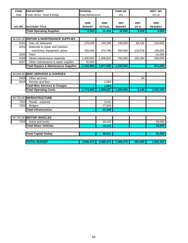| <b>FUND</b> | <b>DEPARTMENT</b>                               | <b>DIVISION:</b>      |                       | FUND NO.              |                  | DEPT. NO.              |
|-------------|-------------------------------------------------|-----------------------|-----------------------|-----------------------|------------------|------------------------|
| R&B         | Public Works: Road & Bridge                     | Road Maintenance      |                       | 201                   |                  | 431.20                 |
| A/C NO.     | <b>ACCOUNT TITLE</b>                            | 2006<br><b>BUDGET</b> | 2006<br><b>ACTUAL</b> | 2007<br><b>BUDGET</b> | 2007<br>$1/2$ yr | 2008<br><b>REQUEST</b> |
|             | <b>Total Operating Supplies</b>                 | 6,500                 | 11,432                | 16,000                | 8,509            | 4,000                  |
|             |                                                 |                       |                       |                       |                  |                        |
| 40.626.00   | <b>REPAIR &amp; MAINTENANCE SUPPLIES</b>        |                       |                       |                       |                  |                        |
| 6261        | Gas, oil, lubricants                            | 175,000               | 193,288               | 190,000               | 66,191           | 150,000                |
| 6264        | Materials to repair and maintain                |                       |                       |                       |                  |                        |
|             | machinery, equipment, autos                     | 250,000               | 374,790               | 250,000               | 133,578          | 150,000                |
| 6265        | Paint                                           |                       |                       |                       |                  | 21,000                 |
| 6266        | Street maintenance materials                    | 1,300,000             | 1,408,922             | 750,000               | 183,284          | 550,000                |
| 6267        | Other maintenance & repair supplies             | 35,000                |                       |                       |                  |                        |
|             | <b>Total Repairs &amp; Maintenance Supplies</b> | 1,760,000             | 1,977,000             | 1,190,000             |                  | 871,000                |
|             |                                                 |                       |                       |                       |                  |                        |
| 40.640.00   | <b>MISC SERVICES &amp; CHARGES</b>              |                       |                       |                       |                  |                        |
| 6408        | Other services                                  |                       |                       |                       | 94               |                        |
| 6410        | Permits and fees                                |                       | 1,064                 |                       |                  |                        |
|             | <b>Total Misc Services &amp; Charges</b>        |                       | 1,064                 |                       |                  |                        |
|             | <b>Total Operating Costs</b>                    | 1,774,650             | 1,998,557             | 1,208,000             | 9,105            | 1,052,500              |
|             |                                                 |                       |                       |                       |                  |                        |
|             | 40.725.00 INFRASTRUCTURE                        |                       |                       |                       |                  |                        |
| 7252        | Roads - unpaved                                 |                       | 3,541                 |                       |                  |                        |
| 7253        | <b>Bridges</b>                                  |                       | 27,828                |                       |                  |                        |
|             | <b>Total Infrastructure</b>                     |                       | 31,369                |                       |                  |                        |
|             |                                                 |                       |                       |                       |                  |                        |
|             | 40.742.00 MOTOR VEHICLES                        |                       |                       |                       |                  |                        |
| 7422        | Autos and trucks                                |                       | 18,142                |                       |                  | 28,000                 |
|             | <b>Total Motor Vehicles</b>                     |                       | 18,142                |                       |                  | 28,000                 |
|             |                                                 |                       |                       |                       |                  |                        |
|             | <b>Total Capital Outlay</b>                     |                       | 49,511                |                       |                  | 28,000                 |
|             |                                                 |                       |                       |                       |                  |                        |
|             | <b>TOTAL BUDGET</b>                             | 3,066,470             | 3,088,473             | 2,466,076             | 583,069          | 1,892,453              |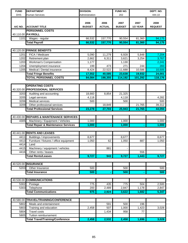| <b>FUND</b>  | <b>DEPARTMENT</b>                                    | <b>DIVISION:</b>      |                       | FUND NO.              |                  | DEPT. NO.              |
|--------------|------------------------------------------------------|-----------------------|-----------------------|-----------------------|------------------|------------------------|
| <b>DHS</b>   | <b>Human Services</b>                                | Administration        |                       | 202                   |                  | 444.10                 |
| A/C NO.      | <b>ACCOUNT TITLE</b>                                 | 2006<br><b>BUDGET</b> | 2006<br><b>ACTUAL</b> | 2007<br><b>BUDGET</b> | 2007<br>1/2 YEAR | 2008<br><b>REQUEST</b> |
|              | <b>PERSONNEL COSTS</b>                               |                       |                       |                       |                  |                        |
|              | 40.110.00 PAYROLL                                    |                       |                       |                       |                  |                        |
| 1101         | Wages - regular                                      | 66,532                | 157,770               | 90,554                | 81,360           | 94,175                 |
|              | <b>Total Payroll</b>                                 | 66,532                | 157,770               | 90,554                | 81,360           | 94,175                 |
|              |                                                      |                       |                       |                       |                  |                        |
|              | 40.120.00 FRINGE BENEFITS                            |                       |                       |                       |                  |                        |
| 1201         | FICA / Medicare                                      | 5,090                 | 11,279                | 6,928                 | 5,848            | 7,204                  |
| 1202         | Retirement plan                                      | 2,662                 | 6,311                 | 3,621                 | 3,254            | 3,767                  |
| 1203<br>1204 | Workman's Compensation                               | 1,177                 | 473                   | 1,130<br>271          | 244              | 2,241                  |
| 1205         | Unemployment insurance<br>Medical / Dental insurance | 199<br>8,424          | 22,522                | 11,688                | 10,586           | 283<br>10,505          |
|              | <b>Total Fringe Benefits</b>                         | 17,552                | 40,585                | 23,638                | 19,932           | 24,001                 |
|              | <b>TOTAL PERSONNEL COSTS</b>                         | 84,084                | 198,355               | 114,192               | 101,292          | 118,176                |
|              |                                                      |                       |                       |                       |                  |                        |
|              | <b>OPERATING COSTS</b>                               |                       |                       |                       |                  |                        |
|              | 40.320.00 PROFESSIONAL SERVICES                      |                       |                       |                       |                  |                        |
| 3203         | Auditing and accounting                              | 18,660                | 8,854                 | 21,325                |                  |                        |
| 3205         | Legal services                                       | 4,118                 |                       | 4,118                 |                  | 4,282                  |
| 3206         | Medical services                                     | 500                   |                       | 500                   |                  | 500                    |
| 3209         | Other professional services                          |                       | 18,849                |                       | 21,765           | 39,312                 |
|              | <b>Total Professional Services</b>                   | 23,278                | 27,703                | 25,943                | 21,765           | 44,094                 |
|              |                                                      |                       |                       |                       |                  |                        |
|              | 40.430.00 REPAIRS & MAINTENANCE SERVICES             |                       |                       |                       |                  |                        |
| 4305         | Machinery / Equipment / Vehicles                     | 1,000                 |                       | 1,000                 |                  | 1,000                  |
|              | <b>Total Repair &amp; Maintenance Services</b>       | 1,000                 |                       | 1,000                 |                  | 1,000                  |
|              |                                                      |                       |                       |                       |                  |                        |
| 40.441.00    | <b>RENTS AND LEASES</b>                              |                       |                       |                       |                  |                        |
| 4411         | Buildings / improvements                             | 8,677                 |                       | 8,677                 |                  | 8,677                  |
| 4413         | Furniture / fixtures / office equipment              | 1,050                 | 62                    | 1,050                 | 887              | 1,050                  |
| 4414         | Land                                                 |                       |                       |                       |                  |                        |
| 4415         | Machinery / equipment / vehicles                     |                       | 881                   |                       |                  |                        |
| 4416         | Other rents / leases                                 |                       |                       |                       | 556              |                        |
|              | <b>Total Rents/Leases</b>                            | 9,727                 | 943                   | 9,727                 | 1,443            | 9,727                  |
|              |                                                      |                       |                       |                       |                  |                        |
|              | 40.520.00 INSURANCE                                  |                       |                       |                       |                  |                        |
| 5203         | Other Insurance                                      | 500                   |                       | 500                   |                  | 500                    |
|              | <b>Total Insurance</b>                               | 500                   |                       | 500                   |                  | 500                    |
|              |                                                      |                       |                       |                       |                  |                        |
| 40.530.00    | <b>COMMUNICATIONS</b>                                |                       |                       |                       |                  |                        |
| 5302         | Postage                                              | 775                   | 435                   | 775                   | 504              | 2,500                  |
| 5303         | Telephone                                            | 200                   | 2,489                 | 2,847                 | 1,178            | 2,847                  |
|              | <b>Total Communications</b>                          | 975                   | 2,924                 | 3,622                 | 1,682            | 5,347                  |
|              | 40.580.00 TRAVEL/TRAINING/CONFERENCE                 |                       |                       |                       |                  |                        |
|              |                                                      |                       |                       |                       |                  |                        |
| 5802<br>5803 | Meals and entertainment                              |                       | 591<br>507            | 500<br>1,000          | 196              |                        |
| 5804         | Training and education<br><b>Travel costs</b>        | 2,458                 | 1,434                 | 958                   | 1,423<br>77      | 3,028                  |
| 5805         | Tuition reimbursement                                |                       |                       |                       |                  |                        |
|              | <b>Total Travel/Training/Conference</b>              | 2,458                 | 2,532                 | 2,458                 | 1,696            | 3,028                  |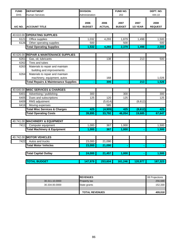| <b>FUND</b> | <b>DEPARTMENT</b>                               | <b>DIVISION:</b>      |                       | FUND NO.              |                  | DEPT. NO.              |
|-------------|-------------------------------------------------|-----------------------|-----------------------|-----------------------|------------------|------------------------|
| <b>DHS</b>  | Human Services                                  | Administration        |                       | 202                   |                  | 444.10                 |
| A/C NO.     | <b>ACCOUNT TITLE</b>                            | 2006<br><b>BUDGET</b> | 2006<br><b>ACTUAL</b> | 2007<br><b>BUDGET</b> | 2007<br>1/2 YEAR | 2008<br><b>REQUEST</b> |
|             |                                                 |                       |                       |                       |                  |                        |
|             | 40.610.00 OPERATING SUPPLIES                    |                       |                       |                       |                  |                        |
| 6121        | Office supplies                                 | 1,032                 | 4,293                 | 1,879                 | 1,498            | 1,500                  |
| 6126        | Other operating supplies                        | 500                   |                       | 500                   |                  | 500                    |
|             | <b>Total Operating Supplies</b>                 | 1,532                 | 4,293                 | 2,379                 | 1,498            | 2,000                  |
|             |                                                 |                       |                       |                       |                  |                        |
| 40.626.00   | <b>REPAIR &amp; MAINTENANCE SUPPLIES</b>        |                       |                       |                       |                  |                        |
| 6261        | Gas, oil, lubricants                            |                       | 138                   |                       | 213              | 500                    |
| 6262        | Tires and tubes                                 |                       |                       |                       |                  |                        |
| 6263        | Materials to repair and maintain                |                       |                       |                       |                  |                        |
|             | building and improvements                       |                       |                       |                       |                  |                        |
| 6264        | Materials to repair and maintain                |                       |                       |                       |                  |                        |
|             | machinery, equipment, autos                     |                       | 168                   |                       |                  | 1,026                  |
|             | <b>Total Repairs &amp; Maintenance Supplies</b> |                       | 306                   |                       | 213              | 1,526                  |
|             |                                                 |                       |                       |                       |                  |                        |
| 40.640.00   | <b>MISC SERVICES &amp; CHARGES</b>              |                       |                       |                       |                  |                        |
| 6401        | Advertising / publishing                        | 300                   |                       | 300                   |                  | 300                    |
| 6405        | Dues and subscriptions                          | 125                   | 120                   | 125                   |                  | 125                    |
| 6409        | RMS adjustment                                  |                       | (5,614)               |                       | (8,612)          |                        |
| 6416        | Moving expenses                                 |                       | 585                   |                       |                  |                        |
|             | <b>Total Misc Services &amp; Charges</b>        | 425                   | (4,909)               | 425                   | (8,612)          | 425                    |
|             | <b>Total Operating Costs</b>                    | 39,895                | 33,792                | 46,054                | 19,685           | 67,647                 |
|             |                                                 |                       |                       |                       |                  |                        |
| 40.741.00   | <b>MACHINERY &amp; EQUIPMENT</b>                |                       |                       |                       |                  |                        |
| 7411        | Computer equipment                              | 1,000                 | 367                   | 1,000                 |                  | 1,500                  |
|             | <b>Total Machinery &amp; Equipment</b>          | 1,000                 | 367                   | 1.000                 |                  | 1,500                  |
|             | 40.742.00 MOTOR VEHICLES                        |                       |                       |                       |                  |                        |
| 7422        | Autos and trucks                                | 23,000                | 21,090                |                       |                  |                        |
|             |                                                 |                       |                       |                       |                  |                        |
|             | <b>Total Motor Vehicles</b>                     | 23,000                | 21,090                |                       |                  |                        |
|             | <b>Total Capital Outlay</b>                     | 24,000                | 21,457                | 1,000                 |                  | 1,500                  |
|             |                                                 |                       |                       |                       |                  |                        |
|             | <b>OTAL BUDGET</b>                              | 147,979               | 253,604               | 161,246               | 120,977          | 187,323                |
|             |                                                 |                       |                       |                       |                  |                        |

|                | <b>IREVENUES</b>      | 08 Projections |
|----------------|-----------------------|----------------|
| 30.311.10.0000 | <b>Property tax</b>   | 256,688        |
| 30.334.00.0000 | State grants          | 152,330        |
|                |                       |                |
|                | <b>TOTAL REVENUES</b> | 409,018        |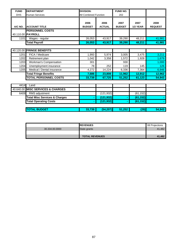| <b>FUND</b> | <b>DEPARTMENT</b>                            | <b>DIVISION:</b>            |                       | <b>FUND NO.</b>       |                         |                        |
|-------------|----------------------------------------------|-----------------------------|-----------------------|-----------------------|-------------------------|------------------------|
| <b>DHS</b>  | <b>Human Services</b>                        | <b>IM Combined Function</b> |                       | 202                   |                         |                        |
| A/C NO.     | <b>ACCOUNT TITLE</b>                         | 2006<br><b>BUDGET</b>       | 2006<br><b>ACTUAL</b> | 2007<br><b>BUDGET</b> | 2007<br><b>1/2 YEAR</b> | 2008<br><b>REQUEST</b> |
|             | <b>IPERSONNEL COSTS</b><br>40.110.00 PAYROLL |                             |                       |                       |                         |                        |
| 1101        | Wages - regular                              | 26,053                      | 43,917                | 39,290                | 48,211                  | 41,981                 |
|             | <b>Total Payroll</b>                         | 26,053                      | 43,917                | 39,290                | 48,211                  | 41,981                 |

|      | 40.120.00 FRINGE BENEFITS    |        |        |        |        |        |
|------|------------------------------|--------|--------|--------|--------|--------|
| 1201 | FICA / Medicare              | 1,993  | 5.974  | 3,005  | 3.475  | 3,211  |
| 1202 | Retirement plan              | 1.042  | 3,358  | 1,572  | 1,928  | 1,679  |
| 1203 | Workman's Compensation       | 301    |        | 930    |        | 1,000  |
| 1204 | Unemployment insurance       | 78     | 252    | 119    | 145    | 126    |
| 1205 | Medical / Dental insurance   | 4,272  | 14.224 | 6,336  | 7.364  | 6.946  |
|      | <b>Total Fringe Benefits</b> | 7,686  | 23,808 | 11,962 | 12.912 | 12.962 |
|      | <b>TOTAL PERSONNEL COSTS</b> | 33,739 | 67.725 | 51,252 | 61,123 | 54,943 |

| 4414 | Land                                     |        |            |        |           |        |
|------|------------------------------------------|--------|------------|--------|-----------|--------|
|      | 40.640.00 MISC SERVICES & CHARGES        |        |            |        |           |        |
| 6409 | RMS adjustment                           |        | (121, 932) |        | (61, 152) |        |
|      | <b>Total Misc Services &amp; Charges</b> |        | (121, 932) |        | (61, 152) |        |
|      | <b>Total Operating Costs</b>             |        | (121, 932) |        | (61, 152) |        |
|      |                                          |        |            |        |           |        |
|      | <b>TOTAL BUDGET</b>                      | 33.739 | (54, 207)  | 51,252 | (29)      | 54,943 |

|                | <b>IREVENUES</b>      | 08 Projections |
|----------------|-----------------------|----------------|
| 30.334.00.0000 | State grants          | 41,482         |
|                |                       |                |
|                | <b>TOTAL REVENUES</b> | 41.482         |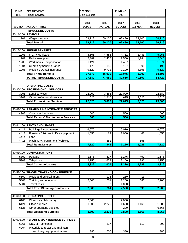| <b>FUND</b>  | <b>DEPARTMENT</b>                                  | <b>DIVISION:</b> |               | FUND NO.       |          |                |
|--------------|----------------------------------------------------|------------------|---------------|----------------|----------|----------------|
| <b>DHS</b>   | <b>Human Services</b>                              | Child Support    |               | 202            |          |                |
|              |                                                    |                  |               |                |          |                |
|              |                                                    | 2006             | 2006          | 2007           | 2007     | 2008           |
| A/C NO.      | <b>ACCOUNT TITLE</b>                               | <b>BUDGET</b>    | <b>ACTUAL</b> | <b>BUDGET</b>  | 1/2 YEAR | <b>REQUEST</b> |
|              | <b>PERSONNEL COSTS</b>                             |                  |               |                |          |                |
|              | 40.110.00 PAYROLL                                  |                  |               |                |          |                |
| 1101         | Wages - regular                                    | 59,712           | 60,120        | 62,490         | 32,100   | 66,126         |
|              | <b>Total Payroll</b>                               | 59,712           | 60,120        | 62,490         | 32,100   | 66,126         |
|              |                                                    |                  |               |                |          |                |
|              | 40.120.00 FRINGE BENEFITS                          |                  |               |                |          |                |
| 1201         | FICA / Medicare                                    | 4,568            | 4,553         | 4,781          | 2,433    | 5,058          |
| 1202         | Retirement plan                                    | 2,389            | 2,405         | 2,500          | 1,284    | 2,645          |
| 1203         | Workman's Compensation                             | 1,421            |               | 1,487          |          | 1,574          |
| 1204         | Unemployment insurance                             | 179              | 180           | 187            | 96       | 199            |
| 1205         | Medical / Dental insurance                         | 9,120            | 9,792         | 9,120          | 4,896    | 9,120          |
|              | <b>Total Fringe Benefits</b>                       | 17,677           | 16,930        | 18,075         | 8,709    | 18,596         |
|              | <b>TOTAL PERSONNEL COSTS</b>                       | 77,389           | 77,050        | 80,565         | 40,809   | 84,722         |
|              |                                                    |                  |               |                |          |                |
|              | <b>OPERATING COSTS</b>                             |                  |               |                |          |                |
| 40.320.00    | <b>PROFESSIONAL SERVICES</b>                       |                  |               |                |          |                |
| 3205         | Legal services                                     | 22,000           | 3,466         | 22,000         |          | 22,880         |
| 3209         | Other professional services                        | 625              | 2,210         | 625            | 2,620    | 2,625          |
|              | <b>Total Professional Services</b>                 | 22,625           | 5,676         | 22,625         | 2,620    | 25,505         |
|              |                                                    |                  |               |                |          |                |
|              | 40.430.00 REPAIRS & MAINTENANCE SERVICES           |                  |               |                |          |                |
|              |                                                    |                  |               |                |          |                |
| 4302         | Computer hardware                                  | 500              |               | 500            |          | 500            |
|              | <b>Total Repair &amp; Maintenance Services</b>     | 500              |               | 500            |          | 500            |
| 40.441.00    | <b>RENTS AND LEASES</b>                            |                  |               |                |          |                |
|              |                                                    |                  |               |                |          |                |
| 4411         | Buildings / improvements                           | 6,070            |               | 6,070          |          | 6,070          |
| 4413<br>4414 | Furniture / fixtures / office equipment<br>$L$ and | 1,050            | 62            | 1,050          | 467      | 1,050          |
| 4415         | Machinery / equipment / vehicles                   |                  | 881           |                | 556      |                |
|              | <b>Total Rents/Leases</b>                          | 7,120            | 943           | 7,120          | 1,023    | 7,120          |
|              |                                                    |                  |               |                |          |                |
|              | 40.530.00 COMMUNICATIONS                           |                  |               |                |          |                |
| 5302         | Postage                                            | 1,176            | 417           | 1,176          | 497      | 1,176          |
| 5303         | Telephone                                          | 2,150            | 1,658         | 2,150          | 786      | 2,150          |
|              | <b>Total Communications</b>                        | 3,326            | 2,075         | 3,326          | 1,283    | 3,326          |
|              |                                                    |                  |               |                |          |                |
| 40.580.00    | <b>TRAVEL/TRAINING/CONFERENCE</b>                  |                  |               |                |          |                |
|              |                                                    |                  |               |                |          |                |
| 5802         | Meals and entertainment                            |                  | 126           | 250            | 13       |                |
| 5803<br>5804 | Training and education<br><b>Travel costs</b>      | 2,500            | 651<br>7      | 1,250<br>1,000 | 686      | 2,200          |
|              |                                                    |                  |               |                |          |                |
|              | <b>Total Travel/Training/Conference</b>            | 2,500            | 784           | 2,500          | 699      | 2,200          |
|              |                                                    |                  |               |                |          |                |
| 40.610.00    | <b>OPERATING SUPPLIES</b>                          |                  |               |                |          |                |
| 6105         | Chemicals / laboratory                             | 2,000            |               | 2,000          |          |                |
| 6121         | Office supplies                                    | 1,600            | 2,226         | 1,600          | 1,165    | 1,800          |
| 6126         | Other operating supplies                           |                  |               | 200            |          | 6,566          |
|              | <b>Total Operating Supplies</b>                    | 3,600            | 2,226         | 3,800          | 1,165    | 8,366          |
|              |                                                    |                  |               |                |          |                |
| 40.626.00    | <b>REPAIR &amp; MAINTENANCE SUPPLIES</b>           |                  |               |                |          |                |
| 6261         | Gas, oil, lubricants                               |                  | 217           |                | 112      | 300            |
| 6264         | Materials to repair and maintain                   |                  |               |                |          |                |
|              | machinery, equipment, autos                        | 380              | 606           | 380            |          | 380            |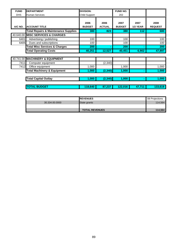| <b>FUND</b> | <b>DEPARTMENT</b>                               | <b>DIVISION:</b>      |                       | FUND NO.              |                  |                        |
|-------------|-------------------------------------------------|-----------------------|-----------------------|-----------------------|------------------|------------------------|
| <b>DHS</b>  | Human Services                                  | Child Support         |                       | 202                   |                  |                        |
| A/C NO.     | <b>ACCOUNT TITLE</b>                            | 2006<br><b>BUDGET</b> | 2006<br><b>ACTUAL</b> | 2007<br><b>BUDGET</b> | 2007<br>1/2 YEAR | 2008<br><b>REQUEST</b> |
|             | <b>Total Repairs &amp; Maintenance Supplies</b> | 380                   | 823                   | 380                   | 112              | 680                    |
|             | 40.640.00 MISC SERVICES & CHARGES               |                       |                       |                       |                  |                        |
| 6401        | Advertising / publishing                        | 100                   |                       | 100                   |                  | 100                    |
| 6405        | Dues and subscriptions                          | 100                   |                       | 100                   |                  | 100                    |
|             | <b>Total Misc Services &amp; Charges</b>        | 200                   | ۰                     | 200                   | ۰                | 200                    |
|             | <b>Total Operating Costs</b>                    | 40,251                | 12,527                | 40,451                | 6,902            | 47,897                 |
|             |                                                 |                       |                       |                       |                  |                        |
| 40.741.00   | <b>MACHINERY &amp; EQUIPMENT</b>                |                       |                       |                       |                  |                        |
| 7411        | Computer equipment                              |                       | (2, 340)              |                       |                  |                        |
| 7412        | Office equipment                                | 1,000                 |                       | 1,000                 |                  | 1,000                  |
|             | <b>Total Machinery &amp; Equipment</b>          | 1,000                 | (2, 340)              | 1,000                 | ۰                | 1,000                  |
|             |                                                 |                       |                       |                       |                  |                        |
|             | <b>Total Capital Outlay</b>                     | 1,000                 | (2, 340)              | 1,000                 |                  | 1,000                  |
|             |                                                 |                       |                       |                       |                  |                        |
|             | <b>TOTAL BUDGET</b>                             | 118,640               | 87,237                | 122,016               | 47,711           | 133,619                |

|                | <b>IREVENUES</b>      | 08 Projections |
|----------------|-----------------------|----------------|
| 30.334.00.0000 | State grants          | 114,564        |
|                |                       |                |
|                | <b>TOTAL REVENUES</b> | 114,564        |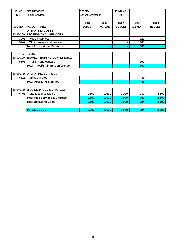| <b>FUND</b> | <b>DEPARTMENT</b>                        | <b>DIVISION:</b>          |               | <b>FUND NO.</b> |                 |                |
|-------------|------------------------------------------|---------------------------|---------------|-----------------|-----------------|----------------|
| <b>DHS</b>  | <b>Human Services</b>                    | <b>General Assistance</b> |               | 202             |                 |                |
|             |                                          |                           |               |                 |                 |                |
|             |                                          | 2006                      | 2006          | 2007            | 2007            | 2008           |
| A/C NO.     | <b>ACCOUNT TITLE</b>                     | <b>BUDGET</b>             | <b>ACTUAL</b> | <b>BUDGET</b>   | <b>1/2 YEAR</b> | <b>REQUEST</b> |
|             | <b>OPERATING COSTS</b>                   |                           |               |                 |                 |                |
|             | 40.320.00 PROFESSIONAL SERVICES          |                           |               |                 |                 |                |
| 3206        | <b>Medical services</b>                  |                           |               |                 | 120             |                |
| 3209        | Other professional services              |                           |               |                 | 265             |                |
|             | <b>Total Professional Services</b>       |                           |               |                 | 385             |                |
|             |                                          |                           |               |                 |                 |                |
| 4414        | Land                                     |                           |               |                 |                 |                |
|             | 40.580.00 TRAVEL/TRAINING/CONFERENCE     |                           |               |                 |                 |                |
| 5803        | Training and education                   |                           |               |                 | 360             |                |
|             | <b>Total Travel/Training/Conference</b>  |                           |               |                 | 360             |                |
|             |                                          |                           |               |                 |                 |                |
|             | 40.610.00 OPERATING SUPPLIES             |                           |               |                 |                 |                |
| 6121        | Office supplies                          |                           |               |                 | (43)            |                |
|             | <b>Total Operating Supplies</b>          |                           |               |                 | (43)            |                |
|             |                                          |                           |               |                 |                 |                |
|             | 40.640.00 MISC SERVICES & CHARGES        |                           |               |                 |                 |                |
| 6406        | Grants and subsidies                     | 1,500                     | 1,630         | 2,000           | 282             | 2,500          |
|             | <b>Total Misc Services &amp; Charges</b> | 1,500                     | 1,630         | 2,000           | 282             | 2,500          |
|             | <b>Total Operating Costs</b>             | 1,500                     | 1,630         | 2,000           | 984             | 2,500          |
|             |                                          |                           |               |                 |                 |                |
|             | <b>TOTAL BUDGET</b>                      | 1,500                     | 1,630         | 2,000           | 984             | 2,500          |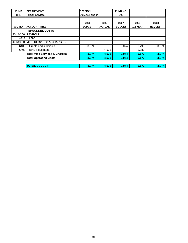| <b>FUND</b> | <b>DEPARTMENT</b>                        | <b>DIVISION:</b>      |                       | <b>FUND NO.</b>       |                         |                        |
|-------------|------------------------------------------|-----------------------|-----------------------|-----------------------|-------------------------|------------------------|
| <b>DHS</b>  | <b>Human Services</b>                    | Old Age Pension       |                       | 202                   |                         |                        |
| A/C NO.     | <b>ACCOUNT TITLE</b>                     | 2006<br><b>BUDGET</b> | 2006<br><b>ACTUAL</b> | 2007<br><b>BUDGET</b> | 2007<br><b>1/2 YEAR</b> | 2008<br><b>REQUEST</b> |
|             | <b>IPERSONNEL COSTS</b>                  |                       |                       |                       |                         |                        |
|             | 40.110.00 PAYROLL                        |                       |                       |                       |                         |                        |
| 4414        | Land                                     |                       |                       |                       |                         |                        |
|             | 40.640.00 MISC SERVICES & CHARGES        |                       |                       |                       |                         |                        |
| 6406        | Grants and subsidies                     | 3,074                 |                       | 3,074                 | 3,790                   | 3,074                  |
| 6409        | RMS adjustment                           |                       | 4,538                 |                       | 2,382                   |                        |
|             | <b>Total Misc Services &amp; Charges</b> | 3,074                 | 4,538                 | 3,074                 | 6,172                   | 3,074                  |
|             | <b>Total Operating Costs</b>             | 3,074                 | 4,538                 | 3,074                 | 6,172                   | 3,074                  |
|             |                                          |                       |                       |                       |                         |                        |
|             | <b>TOTAL BUDGET</b>                      | 3,074                 | 4,538                 | 3,074                 | 6,172                   | 3,074                  |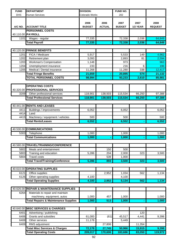| <b>FUND</b>  | <b>DEPARTMENT</b>                               | <b>DIVISION:</b> |               | FUND NO.       |          |                |
|--------------|-------------------------------------------------|------------------|---------------|----------------|----------|----------------|
| <b>DHS</b>   | <b>Human Services</b>                           | Colorado Works   |               | 202            |          |                |
|              |                                                 |                  |               |                |          |                |
|              |                                                 | 2006             | 2006          | 2007           | 2007     | 2008           |
| A/C NO.      | <b>ACCOUNT TITLE</b>                            | <b>BUDGET</b>    | <b>ACTUAL</b> | <b>BUDGET</b>  | 1/2 YEAR | <b>REQUEST</b> |
|              | <b>PERSONNEL COSTS</b>                          |                  |               |                |          |                |
|              | 40.110.00 PAYROLL                               |                  |               |                |          |                |
| 1101         | Wages - regular                                 | 77,335           |               | 72,338         | 2,036    | 64,849         |
|              | <b>Total Payroll</b>                            | 77,335           |               | 72,338         | 2,036    | 64,849         |
|              |                                                 |                  |               |                |          |                |
|              | 40.120.00 FRINGE BENEFITS                       |                  |               |                |          |                |
| 1201         | FICA / Medicare                                 | 5,917            |               | 5,533          | 149      | 4,962          |
| 1202         | Retirement plan                                 | 3,093            |               | 2,893          | 81       | 2,594          |
| 1203         | Workman's Compensation                          | 1,148            |               | 973            |          | 963            |
| 1204         | Unemployment insurance                          | 233              |               | 216            | 6        | 196            |
| 1205         | Medical / Dental insurance                      | 11,268           |               | 11,280         | 338      | 12,417         |
|              | <b>Total Fringe Benefits</b>                    | 21,659           |               | 20,895         | 574      | 21,132         |
|              | <b>TOTAL PERSONNEL COSTS</b>                    | 98,994           |               | 93,233         | 2,610    | 85,981         |
|              |                                                 |                  |               |                |          |                |
|              | <b>OPERATING COSTS</b>                          |                  |               |                |          |                |
|              | 40.320.00 PROFESSIONAL SERVICES                 |                  |               |                |          |                |
| 3209         | Other professional services                     | 118,901          | 138,503       | 115,534        | 66,250   | 97,388         |
|              | <b>Total Professional Services</b>              | 118,901          | 138,503       | 115,534        | 66,250   | 97,388         |
|              |                                                 |                  |               |                |          |                |
|              | 40.441.00 RENTS AND LEASES                      |                  |               |                |          |                |
| 4411         | Buildings / improvements                        | 6,052            |               | 6,052          |          | 6,052          |
| 4414         | Land                                            |                  |               |                |          |                |
| 4415         | Machinery / equipment / vehicles                | 500              |               | 500            |          | 500            |
|              | <b>Total Rents/Leases</b>                       | 6,552            |               | 6,552          |          | 6,552          |
|              |                                                 |                  |               |                |          |                |
|              | 40.530.00 COMMUNICATIONS                        |                  |               |                |          |                |
| 5303         | Telephone                                       | 1,000            |               | 1,000          |          | 1,000          |
|              | <b>Total Communications</b>                     | 1,000            |               | 1,000          |          | 1,000          |
|              |                                                 |                  |               |                |          |                |
|              | 40.580.00 TRAVEL/TRAINING/CONFERENCE            |                  |               |                |          |                |
| 5802         | Meals and entertainment                         |                  | 150           | 500            |          |                |
| 5803<br>5804 | Training and education<br><b>Travel costs</b>   | 5,286            | 204<br>539    | 2,000<br>1,000 | 323      | 3,500          |
|              | <b>Total Travel/Training/Conference</b>         | 5,286            | 893           | 3,500          | 323      | 3,500          |
|              |                                                 |                  |               |                |          |                |
| 40.610.00    | <b>OPERATING SUPPLIES</b>                       |                  |               |                |          |                |
| 6121         | Office supplies                                 |                  | 2,952         | 1,034          | 562      | 1,134          |
| 6126         | Other operating supplies                        | 4,100            |               | 4,100          |          |                |
|              | <b>Total Operating Supplies</b>                 | 4,100            | 2,952         | 5,134          | 562      | 1,134          |
|              |                                                 |                  |               |                |          |                |
| 40.626.00    | <b>REPAIR &amp; MAINTENANCE SUPPLIES</b>        |                  |               |                |          |                |
| 6264         | Materials to repair and maintain                |                  |               |                |          |                |
|              | machinery, equipment, autos                     | 1,000            | 457           | 1,000          |          | 1,000          |
|              | <b>Total Repairs &amp; Maintenance Supplies</b> | 1,000            | 513           | 1,000          |          | 1,000          |
|              |                                                 |                  |               |                |          |                |
| 40.640.00    | <b>MISC SERVICES &amp; CHARGES</b>              |                  |               |                |          |                |
| 6401         | Advertising / publishing                        |                  |               |                | 120      |                |
| 6406         | Grants and subsidies                            | 61,000           | (61)          | 45,517         | 4,441    | 9,398          |
| 6408         | Other services                                  | 11,178           |               | 5,449          |          |                |
| 6409         | RMS adjustment                                  |                  | 27,806        |                | 11,354   |                |
|              | <b>Total Misc Services &amp; Charges</b>        | 72,178           | 27,745        | 50,966         | 15,915   | 9,398          |
|              | <b>Total Operating Costs</b>                    | 209,017          | 170,606       | 183,686        | 83,050   | 119,972        |
|              |                                                 |                  |               |                |          |                |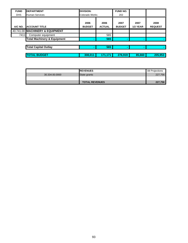| <b>FUND</b> | <b>IDEPARTMENT</b>                     | <b>DIVISION:</b> |               | <b>FUND NO.</b> |                 |                |
|-------------|----------------------------------------|------------------|---------------|-----------------|-----------------|----------------|
| <b>DHS</b>  | <b>Human Services</b>                  | Colorado Works   |               | 202             |                 |                |
|             |                                        | 2006             | 2006          | 2007            | 2007            | 2008           |
| A/C NO.     | <b>ACCOUNT TITLE</b>                   | <b>BUDGET</b>    | <b>ACTUAL</b> | <b>BUDGET</b>   | <b>1/2 YEAR</b> | <b>REQUEST</b> |
|             | 40.741.00 MACHINERY & EQUIPMENT        |                  |               |                 |                 |                |
| 7411        | Computer equipment                     |                  | 565           |                 |                 |                |
|             | <b>Total Machinery &amp; Equipment</b> |                  | 565           |                 | ۰               |                |
|             |                                        |                  |               |                 |                 |                |
|             | <b>Total Capital Outlay</b>            | ۰.               | 565           | ۰.              | ۰               |                |
|             |                                        |                  |               |                 |                 |                |
|             | <b>TOTAL BUDGET</b>                    | 308,011          | 171,171       | 276,919         | 85,660          | 205,953        |

|                | <b>IREVENUES</b>      | 08 Projections |
|----------------|-----------------------|----------------|
| 30.334.00.0000 | State grants          | 227,756        |
|                |                       |                |
|                | <b>TOTAL REVENUES</b> | 227,756        |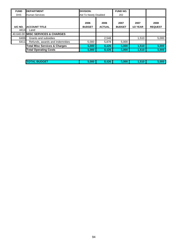| <b>FUND</b> | <b>DEPARTMENT</b>                        | <b>DIVISION:</b>      |                       | <b>FUND NO.</b>       |                  |                        |
|-------------|------------------------------------------|-----------------------|-----------------------|-----------------------|------------------|------------------------|
| <b>DHS</b>  | <b>Human Services</b>                    | Aid To Needy Disabled |                       | 202                   |                  |                        |
| A/C NO.     | <b>ACCOUNT TITLE</b>                     | 2006<br><b>BUDGET</b> | 2006<br><b>ACTUAL</b> | 2007<br><b>BUDGET</b> | 2007<br>1/2 YEAR | 2008<br><b>REQUEST</b> |
| 4414        | Land                                     |                       |                       |                       |                  |                        |
|             | 40.640.00 MISC SERVICES & CHARGES        |                       |                       |                       |                  |                        |
| 6406        | Grants and subsidies                     |                       | 2,548                 |                       | 1,510            | 5,000                  |
| 6411        | Refunds, awards and indemnities          | 5,000                 | 5,878                 | 5,000                 |                  |                        |
|             | <b>Total Misc Services &amp; Charges</b> | 5,000                 | 8,426                 | 5,000                 | 1,510            | 5,000                  |
|             | <b>Total Operating Costs</b>             | 5,000                 | 8,426                 | 5,000                 | 1,510            | 5,000                  |

| <b>ITO</b> | ---- | $\overline{AB}$<br>--- | - ---<br>w | i10 | <b>COOP</b> |
|------------|------|------------------------|------------|-----|-------------|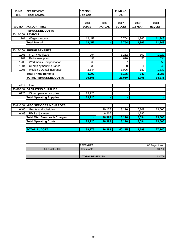| <b>FUND</b> | <b>DEPARTMENT</b>                           | <b>DIVISION:</b>      |                       | FUND NO.              |                  |                        |
|-------------|---------------------------------------------|-----------------------|-----------------------|-----------------------|------------------|------------------------|
| <b>DHS</b>  | <b>Human Services</b>                       | Child Care            |                       | 202                   |                  |                        |
| A/C NO.     | <b>ACCOUNT TITLE</b>                        | 2006<br><b>BUDGET</b> | 2006<br><b>ACTUAL</b> | 2007<br><b>BUDGET</b> | 2007<br>1/2 YEAR | 2008<br><b>REQUEST</b> |
|             | <b>PERSONNEL COSTS</b><br>40.110.00 PAYROLL |                       |                       |                       |                  |                        |
| 1101        | Wages - regular                             | 12,457                |                       | 16,754                | 1,365            | 11,249                 |
|             | <b>Total Payroll</b>                        | 12,457                |                       | 16,754                | 1,365            | 11,249                 |
|             |                                             |                       |                       |                       |                  |                        |
| 40.120.00   | <b>FRINGE BENEFITS</b>                      |                       |                       |                       |                  |                        |
| 1201        | FICA / Medicare                             | 954                   |                       | 1,282                 | 101              | 1,022                  |
| 1202        | Retirement plan                             | 498                   |                       | 670                   | 55               | 534                    |
| 1203        | Workman's Compensation                      | 65                    |                       | 87                    |                  | 58                     |
| 1204        | Unemployment insurance                      | 38                    |                       | 50                    | 4                | 40                     |
| 1205        | Medical / Dental insurance                  | 2.544                 |                       | 3,096                 | 180              | 1,332                  |
|             | <b>Total Fringe Benefits</b>                | 4,099                 |                       | 5,185                 | 340              | 2,986                  |
|             | <b>TOTAL PERSONNEL COSTS</b>                | 16,556                |                       | 21,939                | 1,705            | 14,235                 |
|             |                                             |                       |                       |                       |                  |                        |
| 4414        | Land                                        |                       |                       |                       |                  |                        |
|             | 40.610.00 OPERATING SUPPLIES                |                       |                       |                       |                  |                        |
| 6126        | Other operating supplies                    | 23,220                |                       |                       |                  |                        |
|             | <b>Total Operating Supplies</b>             | 23,220                |                       |                       |                  |                        |
| 40.640.00   | <b>MISC SERVICES &amp; CHARGES</b>          |                       |                       |                       |                  |                        |
| 6406        | Grants and subsidies                        |                       | 20,127                | 18,176                | 6,309            | 13,505                 |
| 6409        | RMS adjustment                              |                       | 6,266                 |                       | 1,785            |                        |
|             | <b>Total Misc Services &amp; Charges</b>    |                       | 26,393                | 18,176                | 8,094            | 13,505                 |
|             | <b>Total Operating Costs</b>                | 23,220                | 26,393                | 18,176                | 8,094            | 13,505                 |
|             |                                             |                       |                       |                       |                  |                        |
|             | <b>TOTAL BUDGET</b>                         | 39,776                | 26,393                | 40,115                | 9,799            | 27,740                 |

|                | <b>IREVENUES</b>      | 08 Projections |
|----------------|-----------------------|----------------|
| 30.334.00.0000 | State grants          | 13,700         |
|                |                       |                |
|                | <b>TOTAL REVENUES</b> | 13,700         |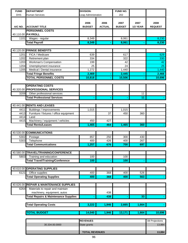| <b>FUND</b> | <b>DEPARTMENT</b>                               | <b>DIVISION:</b>      |                       | FUND NO.              |                  |                        |
|-------------|-------------------------------------------------|-----------------------|-----------------------|-----------------------|------------------|------------------------|
| <b>DHS</b>  | <b>Human Services</b>                           | Leap Administration   |                       | 202                   |                  |                        |
| A/C NO.     | <b>ACCOUNT TITLE</b>                            | 2006<br><b>BUDGET</b> | 2006<br><b>ACTUAL</b> | 2007<br><b>BUDGET</b> | 2007<br>1/2 YEAR | 2008<br><b>REQUEST</b> |
|             | <b>PERSONNEL COSTS</b>                          |                       |                       |                       |                  |                        |
|             | 40.110.00 PAYROLL                               |                       |                       |                       |                  |                        |
| 1101        | Wages - regular                                 | 8,349                 |                       | 8,061                 |                  | 8,230                  |
|             | <b>Total Payroll</b>                            | 8,349                 |                       | 8,061                 |                  | 8,230                  |
|             |                                                 |                       |                       |                       |                  |                        |
| 40.120.00   | <b>FRINGE BENEFITS</b>                          |                       |                       |                       |                  |                        |
| 1201        | FICA / Medicare                                 | 639                   |                       | 617                   |                  | 629                    |
| 1202        | Retirement plan                                 | 334                   |                       | 322                   |                  | 330                    |
| 1203        | Workman's Compensation                          | 199                   |                       | 42                    |                  | 42                     |
| 1204        | Unemployment insurance                          | 25                    |                       | 24                    |                  | 25                     |
| 1205        | Medical / Dental insurance                      | 1,272                 |                       | 1,440                 |                  | 1,440                  |
|             | <b>Total Fringe Benefits</b>                    | 2,469                 |                       | 2,445                 |                  | 2,466                  |
|             | <b>TOTAL PERSONNEL COSTS</b>                    | 10,818                |                       | 10,506                |                  | 10,696                 |
|             |                                                 |                       |                       |                       |                  |                        |
|             | <b>OPERATING COSTS</b>                          |                       |                       |                       |                  |                        |
| 40.320.00   | <b>PROFESSIONAL SERVICES</b>                    |                       |                       |                       |                  |                        |
| 3209        | Other professional services                     |                       |                       |                       | 11               |                        |
|             | <b>Total Professional Services</b>              |                       |                       |                       | 11               |                        |
|             |                                                 |                       |                       |                       |                  |                        |
|             | 40.441.00 RENTS AND LEASES                      |                       |                       |                       |                  |                        |
| 4411        | Buildings / improvements                        | 1,015                 |                       | 1,015                 |                  |                        |
| 4413        | Furniture / fixtures / office equipment         |                       | 37                    | 450                   | 360              |                        |
| 4414        | Land                                            |                       |                       |                       |                  |                        |
| 4415        | Machinery / equipment / vehicles                | 450                   | 427                   |                       |                  |                        |
|             | <b>Total Rents/Leases</b>                       | 1,465                 | 464                   | 1,465                 | 360              |                        |
|             |                                                 |                       |                       |                       |                  |                        |
|             | 40.530.00 COMMUNICATIONS                        |                       |                       |                       |                  |                        |
| 5302        | Postage                                         | 857                   | 250                   | 300                   | 430              |                        |
| 5303        | Telephone                                       | 400                   | 426                   | 400                   | 267              |                        |
|             | <b>Total Communications</b>                     | 1,257                 | 676                   | 700                   | 697              |                        |
|             |                                                 |                       |                       |                       |                  |                        |
|             | 40.580.00 TRAVEL/TRAINING/CONFERENCE            |                       |                       |                       |                  |                        |
| 5803        | Training and education                          | 100                   |                       | 100                   |                  |                        |
|             | <b>Total Travel/Training/Conference</b>         | 100                   |                       | 100                   |                  |                        |
|             |                                                 |                       |                       |                       |                  |                        |
| 40.610.00   | <b>OPERATING SUPPLIES</b>                       |                       |                       |                       |                  |                        |
| 6121        | Office supplies                                 | 400                   | 368                   | 400                   | 526              |                        |
|             | <b>Total Operating Supplies</b>                 | 400                   | 368                   | 400                   | 563              |                        |
|             |                                                 |                       |                       |                       |                  |                        |
| 40.626.00   | <b>REPAIR &amp; MAINTENANCE SUPPLIES</b>        |                       |                       |                       |                  |                        |
| 6264        | Materials to repair and maintain                |                       |                       |                       |                  |                        |
|             | machinery, equipment, autos                     |                       | 438                   |                       |                  |                        |
|             | <b>Total Repairs &amp; Maintenance Supplies</b> |                       | 438                   |                       | 33               |                        |
|             |                                                 |                       |                       |                       |                  |                        |
|             | <b>Total Operating Costs</b>                    | 3,222                 | 1,946                 | 2,665                 | 1,664            |                        |
|             |                                                 |                       |                       |                       |                  |                        |
|             | <b>TOTAL BUDGET</b>                             | 14,040                | 1,946                 | 13,171                | 1,664            | 10,696                 |
|             |                                                 |                       |                       |                       |                  |                        |
|             |                                                 | <b>REVENUES</b>       |                       |                       |                  | 08 Projections         |
|             | 30.334.00.0000                                  | State grants          |                       |                       |                  | 13,884                 |
|             |                                                 |                       |                       |                       |                  |                        |
|             |                                                 | <b>TOTAL REVENUES</b> |                       |                       |                  | 13,884                 |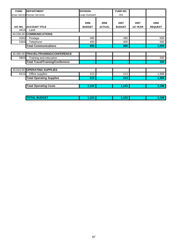| <b>FUND</b> | <b>DEPARTMENT</b>                       | <b>DIVISION:</b> |               | <b>FUND NO.</b> |          |                |
|-------------|-----------------------------------------|------------------|---------------|-----------------|----------|----------------|
|             | uman Service Human Services             | Leap Outreach    |               | 202             |          |                |
|             |                                         | 2006             | 2006          | 2007            | 2007     | 2008           |
| A/C NO.     | <b>ACCOUNT TITLE</b>                    | <b>BUDGET</b>    | <b>ACTUAL</b> | <b>BUDGET</b>   | 1/2 YEAR | <b>REQUEST</b> |
| 4414        | Land                                    |                  |               |                 |          |                |
|             | 40.530.00 COMMUNICATIONS                |                  |               |                 |          |                |
| 5302        | Postage                                 | 490              |               | 490             |          | 500            |
| 5303        | Telephone                               | 400              |               | 400             |          | 500            |
|             | <b>Total Communications</b>             | 890              | ۰             | 890             | ۰        | 1,000          |
|             |                                         |                  |               |                 |          |                |
|             | 40.580.00 TRAVEL/TRAINING/CONFERENCE    |                  |               |                 |          |                |
| 5803        | Training and education                  |                  |               |                 |          | 200            |
|             | <b>Total Travel/Training/Conference</b> | ۰                | ۰             | ۰               | ۰        | 200            |
|             |                                         |                  |               |                 |          |                |
|             | 40.610.00 OPERATING SUPPLIES            |                  |               |                 |          |                |
| 6121        | Office supplies                         | 213              |               | 213             |          | 1,988          |
|             | <b>Total Operating Supplies</b>         | 213              | ٠             | 213             | ۰        | 1,988          |
|             | <b>Total Operating Costs</b>            | 1,103            |               | 1,103           |          | 3,188          |
|             |                                         |                  |               |                 |          |                |

| F<br><b>TOT</b><br>-- | . | . |  |
|-----------------------|---|---|--|
|                       |   |   |  |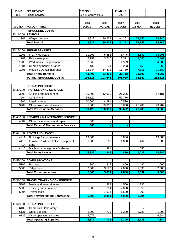| <b>FUND</b> | <b>DEPARTMENT</b>                                         | <b>DIVISION:</b>      |                       | FUND NO.              |                  |                        |
|-------------|-----------------------------------------------------------|-----------------------|-----------------------|-----------------------|------------------|------------------------|
| <b>DHS</b>  | <b>Human Services</b>                                     | 80 / 20 Child Welfare |                       | 202                   |                  |                        |
| A/C NO.     | <b>ACCOUNT TITLE</b>                                      | 2006<br><b>BUDGET</b> | 2006<br><b>ACTUAL</b> | 2007<br><b>BUDGET</b> | 2007<br>1/2 YEAR | 2008<br><b>REQUEST</b> |
|             | <b>PERSONNEL COSTS</b>                                    |                       |                       |                       |                  |                        |
|             | 40.110.00 PAYROLL                                         |                       |                       |                       |                  |                        |
| 1101        | Wages - regular                                           | 143,822               | 80,239                | 84,262                | 52,156           | 184,246                |
|             | <b>Total Payroll</b>                                      | 143,822               | 80,239                | 84,262                | 52,156           | 184,246                |
|             |                                                           |                       |                       |                       |                  |                        |
|             | 40.120.00 FRINGE BENEFITS                                 |                       |                       |                       |                  |                        |
| 1201        | FICA / Medicare                                           | 11,001                | 5,483                 | 6,445                 | 3,631            | 14,095                 |
| 1202        | Retirement plan                                           | 5,751                 | 3,210                 | 3,371                 | 2,086            | 7,369                  |
| 1203        | Workman's Compensation                                    | 2,965                 |                       | 1,929                 |                  | 4,383                  |
| 1204        | Unemployment insurance                                    | 432                   | 241                   | 253                   | 156              | 553                    |
| 1205        | Medical / Dental insurance                                | 22,344                | 14,472                | 11,760                | 7,818            | 21,682                 |
|             | <b>Total Fringe Benefits</b>                              | 42,493                | 23,406                | 23,758                | 13,691           | 48,082                 |
|             | <b>TOTAL PERSONNEL COSTS</b>                              | 186,315               | 103,645               | 108,020               | 65,847           | 232,328                |
|             |                                                           |                       |                       |                       |                  |                        |
|             | <b>OPERATING COSTS</b><br>40.320.00 PROFESSIONAL SERVICES |                       |                       |                       |                  |                        |
| 3203        | Auditing and accounting                                   | 25,800                | 12,900                | 21,326                |                  | 17,181                 |
| 3204        | Consultants                                               | 55,320                |                       | 50,776                |                  |                        |
| 3205        | Legal services                                            | 20,000                | 4,281                 | 16,520                |                  |                        |
| 3209        | Other professional services                               | 5,000                 | 89,810                | 5,000                 | 23,289           | 43,782                 |
|             | <b>Total Professional Services</b>                        | 106,120               | 106,991               | 93,622                | 23,289           | 60,963                 |
|             |                                                           |                       |                       |                       |                  |                        |
|             | 40.430.00 REPAIRS & MAINTENANCE SERVICES                  |                       |                       |                       |                  |                        |
| 4309        | Other maintenance and repair                              | 500                   |                       |                       |                  |                        |
|             | <b>Total Repair &amp; Maintenance Services</b>            | 500                   |                       |                       |                  |                        |
|             |                                                           |                       |                       |                       |                  |                        |
|             | 40.441.00 RENTS AND LEASES                                |                       |                       |                       |                  |                        |
| 4411        | Buildings / improvements                                  | 13,886                |                       | 13,886                |                  | 13,886                 |
| 4413        | Furniture / fixtures / office equipment                   | 1,000                 | 62                    | 1,000                 | 467              | 1,000                  |
| 4414        | Land                                                      |                       |                       |                       |                  |                        |
| 4415        | Machinery / equipment / vehicles                          |                       | 881                   |                       | 556              |                        |
|             | <b>Total Rents/Leases</b>                                 | 14,886                | 943                   | 14,886                | 1,023            | 14,886                 |
|             |                                                           |                       |                       |                       |                  |                        |
| 40.530.00   | <b>COMMUNICATIONS</b>                                     |                       |                       |                       |                  |                        |
| 5302        | Postage                                                   | 800                   | 417                   | 800                   | 497              | 1,000                  |
| 5303        | Telephone                                                 | 2,000                 | 3,197                 | 2,000                 | 1,895            | 2,500                  |
|             | <b>Total Communications</b>                               | 2,800                 | 3,614                 | 2,800                 | 2,392            | 3,500                  |
|             |                                                           |                       |                       |                       |                  |                        |
|             | 40.580.00 TRAVEL/TRAINING/CONFERENCE                      |                       |                       |                       |                  |                        |
| 5802        | Meals and entertainment                                   |                       | 989                   | 500                   | 236              |                        |
| 5803        | Training and education                                    | 5,500                 | 204                   | 2,000                 | 2,855            |                        |
| 5804        | <b>Travel costs</b>                                       |                       | 1,691                 | 1,500                 | 203              |                        |
|             | <b>Total Travel/Training/Conference</b>                   | 5,500                 | 2,884                 | 4,000                 | 3,294            |                        |
|             |                                                           |                       |                       |                       |                  |                        |
| 40.610.00   | <b>OPERATING SUPPLIES</b>                                 |                       |                       |                       |                  |                        |
| 6105        | Chemicals / laboratory                                    |                       |                       |                       | 12               |                        |
| 6121        | Office supplies                                           | 1,300                 | 7,733                 | 1,300                 | 2,723            | 1,300                  |
| 6126        | Other operating supplies                                  | 5,077                 |                       |                       |                  | 6,584                  |
|             | <b>Total Operating Supplies</b>                           | 6,377                 | 7,733                 | 1,300                 | 2,735            | 7,884                  |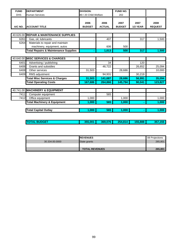| <b>FUND</b> | <b>DEPARTMENT</b>                               | <b>DIVISION:</b>      |                       | FUND NO.              |                  |                        |
|-------------|-------------------------------------------------|-----------------------|-----------------------|-----------------------|------------------|------------------------|
| <b>DHS</b>  | <b>Human Services</b>                           | 80 / 20 Child Welfare |                       | 202                   |                  |                        |
| A/C NO.     | <b>ACCOUNT TITLE</b>                            | 2006<br><b>BUDGET</b> | 2006<br><b>ACTUAL</b> | 2007<br><b>BUDGET</b> | 2007<br>1/2 YEAR | 2008<br><b>REQUEST</b> |
|             |                                                 |                       |                       |                       |                  |                        |
|             | 40.626.00 REPAIR & MAINTENANCE SUPPLIES         |                       |                       |                       |                  |                        |
| 6261        | Gas, oil, lubricants                            |                       | 407                   |                       | 317              | 1,500                  |
| 6264        | Materials to repair and maintain                |                       |                       |                       |                  |                        |
|             | machinery, equipment, autos                     |                       | 606                   | 500                   |                  |                        |
|             | <b>Total Repairs &amp; Maintenance Supplies</b> |                       | 1,013                 | 500                   | 317              | 1,500                  |
|             |                                                 |                       |                       |                       |                  |                        |
|             | 40.640.00 MISC SERVICES & CHARGES               |                       |                       |                       |                  |                        |
| 6401        | Advertising / publishing                        |                       | 34                    |                       | 120              |                        |
| 6406        | Grants and subsidies                            |                       | 46,722                |                       | 26,652           | 25,094                 |
| 6408        | Other services                                  | 31,503                |                       | 28,686                |                  | 10,000                 |
| 6409        | RMS adjustment                                  |                       | 94,931                |                       | 30,219           |                        |
|             | <b>Total Misc Services &amp; Charges</b>        | 31,503                | 141,687               | 28,686                | 56,991           | 35,094                 |
|             | <b>Total Operating Costs</b>                    | 167,686               | 264,866               | 145,794               | 90,041           | 123,827                |
|             |                                                 |                       |                       |                       |                  |                        |
|             | 40.741.00 MACHINERY & EQUIPMENT                 |                       |                       |                       |                  |                        |
| 7411        | Computer equipment                              |                       | 565                   |                       |                  |                        |
| 7412        | Office equipment                                | 1.000                 |                       | 1.000                 |                  | 1,000                  |
|             | <b>Total Machinery &amp; Equipment</b>          | 1,000                 | 565                   | 1,000                 |                  | 1,000                  |
|             | <b>Total Capital Outlay</b>                     | 1,000                 | 565                   | 1,000                 |                  | 1,000                  |
|             |                                                 |                       |                       |                       |                  |                        |
|             | <b>TOTAL BUDGET</b>                             | 355,001               | 369,076               | 254,814               | 155,888          | 357,155                |

|                | <b>IREVENUES</b>      | 08 Projections |
|----------------|-----------------------|----------------|
| 30.334.00.0000 | State grants          | 265,801        |
|                |                       |                |
|                | <b>TOTAL REVENUES</b> | 265.801        |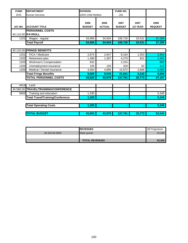| <b>FUND</b> | <b>DEPARTMENT</b>                           | <b>DIVISION:</b>      |                       | FUND NO.              |                  |                        |
|-------------|---------------------------------------------|-----------------------|-----------------------|-----------------------|------------------|------------------------|
| <b>DHS</b>  | <b>Human Services</b>                       | 100% Child Welfare    |                       | 202                   |                  |                        |
| A/C NO.     | <b>ACCOUNT TITLE</b>                        | 2006<br><b>BUDGET</b> | 2006<br><b>ACTUAL</b> | 2007<br><b>BUDGET</b> | 2007<br>1/2 YEAR | 2008<br><b>REQUEST</b> |
|             | <b>PERSONNEL COSTS</b><br>40.110.00 PAYROLL |                       |                       |                       |                  |                        |
| 1101        | Wages - regular                             | 34,956                | 34,934                | 106,720               | 20,531           | 37,289                 |
|             | <b>Total Payroll</b>                        | 34,956                | 34,934                | 106,720               | 20,531           | 37,289                 |
|             |                                             |                       |                       |                       |                  |                        |
|             | 40.120.00 FRINGE BENEFITS                   |                       |                       |                       |                  |                        |
| 1201        | FICA / Medicare                             | 2,674                 | 2,647                 | 8,164                 | 1,553            | 2,853                  |
| 1202        | Retirement plan                             | 1,398                 | 1,397                 | 4,270                 | 821              | 1,491                  |
| 1203        | Workman's Compensation                      | 832                   |                       | 2,315                 |                  | 892                    |
| 1204        | Unemployment insurance                      | 105                   | 105                   | 320                   | 62               | 112                    |
| 1205        | Medical / Dental insurance                  | 4,560                 | 4,896                 | 15,972                | 2,806            | 4,560                  |
|             | <b>Total Fringe Benefits</b>                | 9,569                 | 9,045                 | 31,041                | 5,242            | 9,908                  |
|             | <b>TOTAL PERSONNEL COSTS</b>                | 44,525                | 43,979                | 137,761               | 25,773           | 47,197                 |
|             |                                             |                       |                       |                       |                  |                        |
| 4414        | Land                                        |                       |                       |                       |                  |                        |
|             | 40.580.00 TRAVEL/TRAINING/CONFERENCE        |                       |                       |                       |                  |                        |
| 5803        | Training and education                      | 1,330                 |                       |                       |                  | 5,348                  |
|             | <b>Total Travel/Training/Conference</b>     | 1,330                 |                       |                       |                  | 5,348                  |
|             |                                             |                       |                       |                       |                  |                        |
|             | <b>Total Operating Costs</b>                | 1,330                 | ۰                     | ٠                     |                  | 5,348                  |
|             |                                             |                       |                       |                       |                  |                        |
|             | <b>TOTAL BUDGET</b>                         | 45,855                | 43,979                | 137,761               | 25,773           | 52,545                 |

|                | <b>IREVENUES</b>      | 08 Projections |
|----------------|-----------------------|----------------|
| 30.334.00.0000 | State grants          | 52,545         |
|                |                       |                |
|                | <b>TOTAL REVENUES</b> | 52,545         |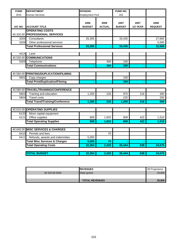| <b>FUND</b> | <b>DEPARTMENT</b>                        | <b>DIVISION:</b>        |                       | FUND NO.              |                  |                        |
|-------------|------------------------------------------|-------------------------|-----------------------|-----------------------|------------------|------------------------|
| <b>DHS</b>  | Human Services                           | <b>Employment First</b> |                       | 202                   |                  |                        |
| A/C NO.     | <b>ACCOUNT TITLE</b>                     | 2006<br><b>BUDGET</b>   | 2009<br><b>ACTUAL</b> | 2007<br><b>BUDGET</b> | 2007<br>1/2 YEAR | 2008<br><b>REQUEST</b> |
|             | <b>OPERATING COSTS</b>                   |                         |                       |                       |                  |                        |
|             | 40.320.00 PROFESSIONAL SERVICES          |                         |                       |                       |                  |                        |
| 3204        | Consultants                              | 25,355                  |                       | 33,435                |                  | 27,665                 |
| 3209        | Other professional services              |                         |                       |                       |                  | 5,000                  |
|             | <b>Total Professional Services</b>       | 25,355                  |                       | 33,435                |                  | 32,665                 |
|             |                                          |                         |                       |                       |                  |                        |
| 4414        | Land                                     |                         |                       |                       |                  |                        |
|             | 40.530.00 COMMUNICATIONS                 |                         |                       |                       |                  |                        |
| 5303        | Telephone                                |                         | 300                   | 100                   |                  |                        |
|             | <b>Total Communications</b>              |                         | 300                   | 100                   |                  |                        |
|             |                                          |                         |                       |                       |                  |                        |
|             | 40.560.00 PRINTING/DUPLICATION/FILMING   |                         |                       |                       |                  |                        |
| 5601        | Copy charges                             |                         |                       | 100                   |                  |                        |
|             | <b>Total Print/Duplication/Filming</b>   |                         |                       | 100                   |                  |                        |
|             |                                          |                         |                       |                       |                  |                        |
|             | 40.580.00 TRAVEL/TRAINING/CONFERENCE     |                         |                       |                       |                  |                        |
| 5803        | Training and education                   | 1,200                   | 226                   | 975                   | 216              | 300                    |
| 5804        | <b>Travel costs</b>                      |                         |                       | 225                   |                  | 200                    |
|             | <b>Total Travel/Training/Conference</b>  | 1,200                   | 226                   | 1,200                 | 216              | 500                    |
|             |                                          |                         |                       |                       |                  |                        |
|             | 40.610.00 OPERATING SUPPLIES             |                         |                       |                       |                  |                        |
| 6120        | Minor capital equipment                  |                         |                       |                       |                  |                        |
| 6121        | Office supplies                          | 809                     | 1,832                 | 609                   | 422              | 1,510                  |
|             | <b>Total Operating Supplies</b>          | 809                     | 1,832                 | 609                   | 422              | 1,510                  |
|             |                                          |                         |                       |                       |                  |                        |
|             | 40.640.00 MISC SERVICES & CHARGES        |                         |                       |                       |                  |                        |
| 6410        | Permits and fees                         |                         | 70                    |                       |                  |                        |
| 6411        | Refunds, awards and indemnities          | 5,000                   |                       |                       |                  |                        |
|             | <b>Total Misc Services &amp; Charges</b> | 5,000                   | 70                    |                       |                  |                        |
|             | <b>Total Operating Costs</b>             | 32,364                  | 2,428                 | 35,444                | 638              | 34,675                 |
|             |                                          |                         |                       |                       |                  |                        |
|             | <b>TOTAL BUDGET</b>                      | 32,364                  | 2,428                 | 35,444                | 638              | 34,675                 |

|                | <b>IREVENUES</b>      | 08 Projections |
|----------------|-----------------------|----------------|
| 30.334.00.0000 | State grants          | 29,806         |
|                |                       |                |
|                | <b>TOTAL REVENUES</b> | 29,806         |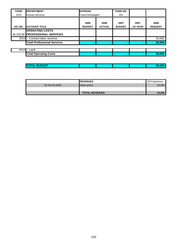| <b>FUND</b> | <b>DEPARTMENT</b>                                         | <b>DIVISION:</b>          |                       | <b>FUND NO.</b>       |                  |                        |
|-------------|-----------------------------------------------------------|---------------------------|-----------------------|-----------------------|------------------|------------------------|
| <b>DHS</b>  | <b>Human Services</b>                                     | <b>Fraud Investigator</b> |                       | 202                   |                  |                        |
| A/C NO.     | <b>ACCOUNT TITLE</b>                                      | 2006<br><b>BUDGET</b>     | 2006<br><b>ACTUAL</b> | 2007<br><b>BUDGET</b> | 2007<br>1/2 YEAR | 2008<br><b>REQUEST</b> |
|             | <b>OPERATING COSTS</b><br>40.320.00 PROFESSIONAL SERVICES |                           |                       |                       |                  |                        |
| 3210        | Contract labor services                                   |                           |                       |                       |                  | 20,000                 |
|             | <b>Total Professional Services</b>                        | ۰.                        |                       | -                     |                  | 20,000                 |
|             |                                                           |                           |                       |                       |                  |                        |
| 4414        | Land                                                      |                           |                       |                       |                  |                        |
|             | <b>Total Operating Costs</b>                              | $\blacksquare$            |                       |                       |                  | 20,000                 |

| P <sub>1</sub><br><b>ITOTAL</b> |  |  | <b>20.00</b> |
|---------------------------------|--|--|--------------|

|                | <b>IREVENUES</b>      | 08 Projections |
|----------------|-----------------------|----------------|
| 30.334.00.0000 | State grants          | 19,000         |
|                |                       |                |
|                | <b>TOTAL REVENUES</b> | 19,000         |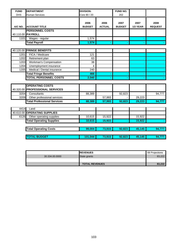| <b>FUND</b> | <b>DEPARTMENT</b>                                         | <b>DIVISION:</b>      |                       |                       |                  |                        |
|-------------|-----------------------------------------------------------|-----------------------|-----------------------|-----------------------|------------------|------------------------|
| <b>DHS</b>  | <b>Human Services</b>                                     | Core 80 / 20          |                       | 202                   |                  |                        |
| A/C NO.     | <b>ACCOUNT TITLE</b>                                      | 2006<br><b>BUDGET</b> | 2006<br><b>ACTUAL</b> | 2007<br><b>BUDGET</b> | 2007<br>1/2 YEAR | 2008<br><b>REQUEST</b> |
|             | <b>PERSONNEL COSTS</b>                                    |                       |                       |                       |                  |                        |
|             | 40.110.00 PAYROLL                                         |                       |                       |                       |                  |                        |
| 1101        | Wages - regular                                           | 1,574                 |                       |                       |                  |                        |
|             | <b>Total Payroll</b>                                      | 1,574                 |                       |                       |                  |                        |
|             |                                                           |                       |                       |                       |                  |                        |
|             | 40.120.00 FRINGE BENEFITS                                 |                       |                       |                       |                  |                        |
| 1201        | FICA / Medicare                                           | 121                   |                       |                       |                  |                        |
| 1202        | Retirement plan                                           | 63                    |                       |                       |                  |                        |
| 1203        | Workman's Compensation                                    | 38                    |                       |                       |                  |                        |
| 1204        | Unemployment insurance                                    | 4                     |                       |                       |                  |                        |
| 1205        | Medical / Dental insurance                                | 240                   |                       |                       |                  |                        |
|             | <b>Total Fringe Benefits</b>                              | 466                   |                       |                       |                  |                        |
|             | <b>TOTAL PERSONNEL COSTS</b>                              | 2,040                 |                       |                       |                  |                        |
|             |                                                           |                       |                       |                       |                  |                        |
|             | <b>OPERATING COSTS</b><br>40.320.00 PROFESSIONAL SERVICES |                       |                       |                       |                  |                        |
| 3204        | Consultants                                               | 88,389                |                       | 92,823                |                  | 94,777                 |
| 3209        | Other professional services                               |                       | 57,993                |                       | 29,223           |                        |
|             | <b>Total Professional Services</b>                        | 88,389                | 57,993                | 92,823                | 29,223           | 94,777                 |
|             |                                                           |                       |                       |                       |                  |                        |
| 4414        | Land                                                      |                       |                       |                       |                  |                        |
|             | 40.610.00 OPERATING SUPPLIES                              |                       |                       |                       |                  |                        |
| 6126        | Other operating supplies                                  | 10,615                | 15,922                |                       | 15,922           |                        |
|             | <b>Total Operating Supplies</b>                           | 10,615                | 15,922                |                       | 15,922           |                        |
|             | <b>Total Operating Costs</b>                              | 99,004                | 73,915                | 92,823                | 45,145           | 94,777                 |
|             |                                                           |                       |                       |                       |                  |                        |
|             | <b>TOTAL BUDGET</b>                                       | 101,044               | 73,915                | 92,823                | 45,145           | 94,777                 |

|                | <b>IREVENUES</b>      | 08 Projections |
|----------------|-----------------------|----------------|
| 30.334.00.0000 | State grants          | 83.222         |
|                |                       |                |
|                | <b>TOTAL REVENUES</b> | 83.222         |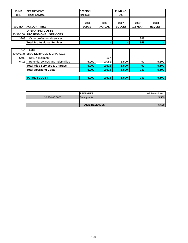| <b>FUND</b> | <b>DEPARTMENT</b>                                         | <b>DIVISION:</b>      |                       | <b>FUND NO.</b>       |                  |                        |
|-------------|-----------------------------------------------------------|-----------------------|-----------------------|-----------------------|------------------|------------------------|
| <b>DHS</b>  | <b>Human Services</b>                                     | Medicaid              |                       | 202                   |                  |                        |
| A/C NO.     | <b>ACCOUNT TITLE</b>                                      | 2006<br><b>BUDGET</b> | 2006<br><b>ACTUAL</b> | 2007<br><b>BUDGET</b> | 2007<br>1/2 YEAR | 2008<br><b>REQUEST</b> |
|             | <b>OPERATING COSTS</b><br>40.320.00 PROFESSIONAL SERVICES |                       |                       |                       |                  |                        |
| 3209        | Other professional services                               |                       |                       |                       | 848              |                        |
|             | <b>Total Professional Services</b>                        |                       |                       |                       | 848              |                        |
|             |                                                           |                       |                       |                       |                  |                        |
| 4414        | Land                                                      |                       |                       |                       |                  |                        |
|             | 40.640.00 MISC SERVICES & CHARGES                         |                       |                       |                       |                  |                        |
| 6409        | <b>RMS</b> adjustment                                     |                       | 567                   |                       |                  |                        |
| 6411        | Refunds, awards and indemnities                           | 5,000                 | 2,051                 | 5,500                 | 91               | 5,500                  |
|             | <b>Total Misc Services &amp; Charges</b>                  | 5,000                 | 2,618                 | 5,500                 | 91               | 5,500                  |
|             | <b>Total Operating Costs</b>                              | 5,000                 | 2,618                 | 5,500                 | 939              | 5,500                  |
|             |                                                           |                       |                       |                       |                  |                        |
|             | <b>TOTAL BUDGET</b>                                       | 5,000                 | 2,618                 | 5,500                 | 939              | 5,500                  |

|                | <b>IREVENUES</b>      | 08 Projections |
|----------------|-----------------------|----------------|
| 30.334.00.0000 | State grants          | 5,500          |
|                |                       |                |
|                | <b>TOTAL REVENUES</b> | 5,500          |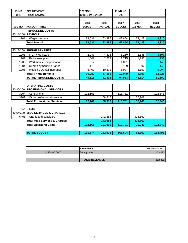| <b>FUND</b> | <b>DEPARTMENT</b>                        | <b>DIVISION:</b>   |               | FUND NO.      |           |                |
|-------------|------------------------------------------|--------------------|---------------|---------------|-----------|----------------|
| <b>DHS</b>  | <b>Human Services</b>                    | 100% Core Services |               | 202           |           |                |
|             |                                          |                    |               |               |           |                |
|             |                                          | 2006               | 2006          | 2007          | 2007      | 2008           |
| A/C NO.     | <b>ACCOUNT TITLE</b>                     | <b>BUDGET</b>      | <b>ACTUAL</b> | <b>BUDGET</b> | 1/2 YEAR  | <b>REQUEST</b> |
|             | <b>PERSONNEL COSTS</b>                   |                    |               |               |           |                |
|             | 40.110.00 PAYROLL                        |                    |               |               |           |                |
| 1101        | Wages - regular                          | 38,531             | 63,985        | 42,864        | 32,423    | 48,325         |
|             | <b>Total Payroll</b>                     | 38,531             | 63,985        | 42.864        | 32,423    | 48,325         |
|             |                                          |                    |               |               |           |                |
|             | 40.120.00 FRINGE BENEFITS                |                    |               |               |           |                |
| 1201        | FICA / Medicare                          | 2,947              | 4,828         | 3,280         | 2,346     | 3,697          |
| 1202        | Retirement plan                          | 1,542              | 2,559         | 1,715         | 1,297     | 1,933          |
| 1203        | Workman's Compensation                   | 917                |               | 1,021         |           | 1,146          |
| 1204        | Unemployment insurance                   | 116                | 192           | 129           | 97        | 145            |
| 1205        | Medical / Dental insurance               | 5,460              | 10,272        | 5,904         | 5,151     | 5,904          |
|             | <b>Total Fringe Benefits</b>             | 10,982             | 17,851        | 12,049        | 8,891     | 12,825         |
|             | <b>TOTAL PERSONNEL COSTS</b>             | 49,513             | 81,836        | 54,913        | 41,314    | 61,150         |
|             |                                          |                    |               |               |           |                |
|             | <b>OPERATING COSTS</b>                   |                    |               |               |           |                |
|             | 40.320.00 PROFESSIONAL SERVICES          |                    |               |               |           |                |
| 3204        | Consultants                              | 112,161            |               | 113,781       |           | 102,343        |
| 3209        | Other professional services              |                    | 58,516        |               | 36,908    |                |
|             | <b>Total Professional Services</b>       | 112,161            | 58,516        | 113,781       | 36,908    | 102,343        |
|             |                                          |                    |               |               |           |                |
| 4414        | Land                                     |                    |               |               |           |                |
|             | 40.640.00 MISC SERVICES & CHARGES        |                    |               |               |           |                |
| 6406        | Grants and subsidies                     |                    | 142,583       |               | (26, 862) |                |
|             | <b>Total Misc Services &amp; Charges</b> |                    | 142,583       |               | (26, 862) |                |
|             | <b>Total Operating Costs</b>             | 112,161            | 201,099       | 113,781       | 10,046    | 102,343        |
|             |                                          |                    |               |               |           |                |
|             | <b>TOTAL BUDGET</b>                      | 161,674            | 282,935       | 168,694       | 51,360    | 163,493        |

|                | <b>REVENUES</b>       | 08 Projections |
|----------------|-----------------------|----------------|
| 30.334.00.0000 | State grants          | 163,493        |
|                |                       |                |
|                | <b>TOTAL REVENUES</b> | 163.493        |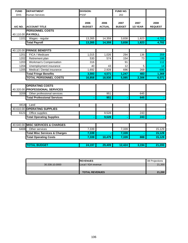| <b>FUND</b> | <b>DEPARTMENT</b>                                         | <b>DIVISION:</b>      |                       | FUND NO.              |                  |                        |
|-------------|-----------------------------------------------------------|-----------------------|-----------------------|-----------------------|------------------|------------------------|
| <b>DHS</b>  | <b>Human Services</b>                                     | <b>PSSF</b>           |                       | 202                   |                  |                        |
| A/C NO.     | <b>ACCOUNT TITLE</b>                                      | 2006<br><b>BUDGET</b> | 2006<br><b>ACTUAL</b> | 2007<br><b>BUDGET</b> | 2007<br>1/2 YEAR | 2008<br><b>REQUEST</b> |
|             | <b>PERSONNEL COSTS</b>                                    |                       |                       |                       |                  |                        |
|             | 40.110.00 PAYROLL                                         |                       |                       |                       |                  |                        |
| 1101        | Wages - regular                                           | 13,265                | 14,359                | 3,838                 | 1,823            | 4,702                  |
|             | <b>Total Payroll</b>                                      | 13,265                | 14,359                | 3,838                 | 1,823            | 4,702                  |
|             |                                                           |                       |                       |                       |                  |                        |
|             | 40.120.00 FRINGE BENEFITS                                 |                       |                       |                       |                  |                        |
| 1201        | FICA / Medicare                                           | 1,015                 | 1,026                 | 294                   | 136              | 359                    |
| 1202        | Retirement plan                                           | 530                   | 574                   | 154                   | 73               | 188                    |
| 1203        | Workman's Compensation                                    | 316                   |                       | 91                    |                  | 112                    |
| 1204        | Unemployment insurance                                    | 40                    | 43                    | 12                    | 5                | 14                     |
| 1205        | Medical / Dental insurance                                | 1,692                 | 2,928                 | 696                   | 269              | 696                    |
|             | <b>Total Fringe Benefits</b>                              | 3,593                 | 4,571                 | 1,247                 | 483              | 1,369                  |
|             | <b>TOTAL PERSONNEL COSTS</b>                              | 16,858                | 18,930                | 5,085                 | 2,306            | 6,071                  |
|             |                                                           |                       |                       |                       |                  |                        |
|             | <b>OPERATING COSTS</b><br>40.320.00 PROFESSIONAL SERVICES |                       |                       |                       |                  |                        |
| 3209        | Other professional services                               |                       | 951                   |                       | 645              |                        |
|             | <b>Total Professional Services</b>                        |                       | 951                   |                       | 645              |                        |
|             |                                                           |                       |                       |                       |                  |                        |
| 4414        | Land                                                      |                       |                       |                       |                  |                        |
|             | 40.610.00 OPERATING SUPPLIES                              |                       |                       |                       |                  |                        |
| 6121        | Office supplies                                           |                       | 9,528                 |                       | 243              |                        |
|             | <b>Total Operating Supplies</b>                           |                       | 9,528                 |                       | 243              |                        |
|             |                                                           |                       |                       |                       |                  |                        |
|             | 40.640.00 MISC SERVICES & CHARGES                         |                       |                       |                       |                  |                        |
| 6408        | Other services                                            | 7,339                 |                       | 7,339                 |                  | 15,129                 |
|             | <b>Total Misc Services &amp; Charges</b>                  | 7,339                 |                       | 7,339                 |                  | 15,129                 |
|             | <b>Total Operating Costs</b>                              | 7,339                 | 10,479                | 7,339                 | 888              | 15,129                 |
|             | <b>TOTAL BUDGET</b>                                       | 24,197                | 29.409                | 12,424                | 3,194            | 21.200                 |

|                | <b>IREVENUES</b>      | <b>08 Projections</b> |
|----------------|-----------------------|-----------------------|
| 30.338.10.0000 | Local / IGA revenue   | 21,200                |
|                |                       |                       |
|                | <b>TOTAL REVENUES</b> | 21,200                |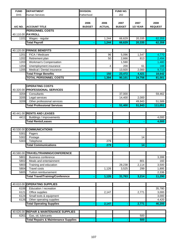| <b>DHS</b><br><b>Human Services</b><br>Fatherhood<br>202<br>2006<br>2006<br>2007<br>2007<br>2008<br><b>ACCOUNT TITLE</b><br><b>BUDGET</b><br><b>ACTUAL</b><br><b>BUDGET</b><br>1/2 YEAR<br><b>REQUEST</b><br>A/C NO.<br><b>PERSONNEL COSTS</b><br>40.110.00 PAYROLL<br>62,359<br>1101<br>1,244<br>66,629<br>20,335<br>Wages - regular<br><b>Total Payroll</b><br>1,244<br>66,629<br>20,335<br>62,359<br><b>FRINGE BENEFITS</b><br>40.120.00<br>4,770<br>1201<br>FICA / Medicare<br>96<br>5,096<br>1,547<br>50<br>2,494<br>1202<br>Retirement plan<br>2,666<br>813<br>Workman's Compensation<br>1203<br>1,590<br>1,480<br>Unemployment insurance<br>200<br>61<br>188<br>1204<br>4<br>Medical / Dental insurance<br>1205<br>13,920<br>2,000<br>9,710<br><b>Total Fringe Benefits</b><br>150<br>23,472<br>4,421<br>18,642<br><b>TOTAL PERSONNEL COSTS</b><br>1,394<br>90,101<br>24,756<br>81,001<br><b>OPERATING COSTS</b><br>40.320.00 PROFESSIONAL SERVICES<br>3204<br>Consultants<br>37,000<br>59,462<br>3205<br>2,000<br>Legal services<br>14,400<br>3209<br>Other professional services<br>49,943<br>51,589<br><b>Total Professional Services</b><br>111,051<br>51,400<br>51,943<br><b>RENTS AND LEASES</b><br>40.441.00<br>4411<br>Buildings / improvements<br>4,000<br><b>Total Rents/Leases</b><br>4,000<br><b>COMMUNICATIONS</b><br>40.530.00<br>5301<br>Pagers<br>5302<br>Postage<br>14<br>5303<br>Telephone<br>279<br><b>Total Communications</b><br>279<br>14 <sup>1</sup><br>40.580.00 TRAVEL/TRAINING/CONFERENCE<br>3,399<br>5801<br><b>Business conference</b><br>Meals and entertainment<br>5802<br>801<br>160<br>Training and education<br>28,238<br>2,114<br>3,500<br>5803<br><b>Travel costs</b><br>1,126<br>3,525<br>5804<br>299<br>1,895<br>Tuition reimbursement<br>5805<br>2,336<br><b>Total Travel/Training/Conference</b><br>31,763<br>11,290<br>1,126<br>3,214<br>40.610.00 OPERATING SUPPLIES<br>Education / recreation<br>35,780<br>6106<br>Office supplies<br>2,771<br>6121<br>2,147<br>3,000<br>Small tools & equipment<br>3,000<br>6124<br>Other operating supplies<br>4,420<br>6126<br><b>Total Operating Supplies</b><br>46,200<br>2,771<br>2,147<br><b>REPAIR &amp; MAINTENANCE SUPPLIES</b><br>40.626.00<br>Gas, oil, lubricants<br>6261<br>500 | <b>FUND</b> | <b>DEPARTMENT</b>                               | <b>DIVISION:</b> | FUND NO. |     |  |
|---------------------------------------------------------------------------------------------------------------------------------------------------------------------------------------------------------------------------------------------------------------------------------------------------------------------------------------------------------------------------------------------------------------------------------------------------------------------------------------------------------------------------------------------------------------------------------------------------------------------------------------------------------------------------------------------------------------------------------------------------------------------------------------------------------------------------------------------------------------------------------------------------------------------------------------------------------------------------------------------------------------------------------------------------------------------------------------------------------------------------------------------------------------------------------------------------------------------------------------------------------------------------------------------------------------------------------------------------------------------------------------------------------------------------------------------------------------------------------------------------------------------------------------------------------------------------------------------------------------------------------------------------------------------------------------------------------------------------------------------------------------------------------------------------------------------------------------------------------------------------------------------------------------------------------------------------------------------------------------------------------------------------------------------------------------------------------------------------------------------------------------------------------------------------------------------------------------------------------------------------------------------------------|-------------|-------------------------------------------------|------------------|----------|-----|--|
|                                                                                                                                                                                                                                                                                                                                                                                                                                                                                                                                                                                                                                                                                                                                                                                                                                                                                                                                                                                                                                                                                                                                                                                                                                                                                                                                                                                                                                                                                                                                                                                                                                                                                                                                                                                                                                                                                                                                                                                                                                                                                                                                                                                                                                                                                 |             |                                                 |                  |          |     |  |
|                                                                                                                                                                                                                                                                                                                                                                                                                                                                                                                                                                                                                                                                                                                                                                                                                                                                                                                                                                                                                                                                                                                                                                                                                                                                                                                                                                                                                                                                                                                                                                                                                                                                                                                                                                                                                                                                                                                                                                                                                                                                                                                                                                                                                                                                                 |             |                                                 |                  |          |     |  |
|                                                                                                                                                                                                                                                                                                                                                                                                                                                                                                                                                                                                                                                                                                                                                                                                                                                                                                                                                                                                                                                                                                                                                                                                                                                                                                                                                                                                                                                                                                                                                                                                                                                                                                                                                                                                                                                                                                                                                                                                                                                                                                                                                                                                                                                                                 |             |                                                 |                  |          |     |  |
|                                                                                                                                                                                                                                                                                                                                                                                                                                                                                                                                                                                                                                                                                                                                                                                                                                                                                                                                                                                                                                                                                                                                                                                                                                                                                                                                                                                                                                                                                                                                                                                                                                                                                                                                                                                                                                                                                                                                                                                                                                                                                                                                                                                                                                                                                 |             |                                                 |                  |          |     |  |
|                                                                                                                                                                                                                                                                                                                                                                                                                                                                                                                                                                                                                                                                                                                                                                                                                                                                                                                                                                                                                                                                                                                                                                                                                                                                                                                                                                                                                                                                                                                                                                                                                                                                                                                                                                                                                                                                                                                                                                                                                                                                                                                                                                                                                                                                                 |             |                                                 |                  |          |     |  |
|                                                                                                                                                                                                                                                                                                                                                                                                                                                                                                                                                                                                                                                                                                                                                                                                                                                                                                                                                                                                                                                                                                                                                                                                                                                                                                                                                                                                                                                                                                                                                                                                                                                                                                                                                                                                                                                                                                                                                                                                                                                                                                                                                                                                                                                                                 |             |                                                 |                  |          |     |  |
|                                                                                                                                                                                                                                                                                                                                                                                                                                                                                                                                                                                                                                                                                                                                                                                                                                                                                                                                                                                                                                                                                                                                                                                                                                                                                                                                                                                                                                                                                                                                                                                                                                                                                                                                                                                                                                                                                                                                                                                                                                                                                                                                                                                                                                                                                 |             |                                                 |                  |          |     |  |
|                                                                                                                                                                                                                                                                                                                                                                                                                                                                                                                                                                                                                                                                                                                                                                                                                                                                                                                                                                                                                                                                                                                                                                                                                                                                                                                                                                                                                                                                                                                                                                                                                                                                                                                                                                                                                                                                                                                                                                                                                                                                                                                                                                                                                                                                                 |             |                                                 |                  |          |     |  |
|                                                                                                                                                                                                                                                                                                                                                                                                                                                                                                                                                                                                                                                                                                                                                                                                                                                                                                                                                                                                                                                                                                                                                                                                                                                                                                                                                                                                                                                                                                                                                                                                                                                                                                                                                                                                                                                                                                                                                                                                                                                                                                                                                                                                                                                                                 |             |                                                 |                  |          |     |  |
|                                                                                                                                                                                                                                                                                                                                                                                                                                                                                                                                                                                                                                                                                                                                                                                                                                                                                                                                                                                                                                                                                                                                                                                                                                                                                                                                                                                                                                                                                                                                                                                                                                                                                                                                                                                                                                                                                                                                                                                                                                                                                                                                                                                                                                                                                 |             |                                                 |                  |          |     |  |
|                                                                                                                                                                                                                                                                                                                                                                                                                                                                                                                                                                                                                                                                                                                                                                                                                                                                                                                                                                                                                                                                                                                                                                                                                                                                                                                                                                                                                                                                                                                                                                                                                                                                                                                                                                                                                                                                                                                                                                                                                                                                                                                                                                                                                                                                                 |             |                                                 |                  |          |     |  |
|                                                                                                                                                                                                                                                                                                                                                                                                                                                                                                                                                                                                                                                                                                                                                                                                                                                                                                                                                                                                                                                                                                                                                                                                                                                                                                                                                                                                                                                                                                                                                                                                                                                                                                                                                                                                                                                                                                                                                                                                                                                                                                                                                                                                                                                                                 |             |                                                 |                  |          |     |  |
|                                                                                                                                                                                                                                                                                                                                                                                                                                                                                                                                                                                                                                                                                                                                                                                                                                                                                                                                                                                                                                                                                                                                                                                                                                                                                                                                                                                                                                                                                                                                                                                                                                                                                                                                                                                                                                                                                                                                                                                                                                                                                                                                                                                                                                                                                 |             |                                                 |                  |          |     |  |
|                                                                                                                                                                                                                                                                                                                                                                                                                                                                                                                                                                                                                                                                                                                                                                                                                                                                                                                                                                                                                                                                                                                                                                                                                                                                                                                                                                                                                                                                                                                                                                                                                                                                                                                                                                                                                                                                                                                                                                                                                                                                                                                                                                                                                                                                                 |             |                                                 |                  |          |     |  |
|                                                                                                                                                                                                                                                                                                                                                                                                                                                                                                                                                                                                                                                                                                                                                                                                                                                                                                                                                                                                                                                                                                                                                                                                                                                                                                                                                                                                                                                                                                                                                                                                                                                                                                                                                                                                                                                                                                                                                                                                                                                                                                                                                                                                                                                                                 |             |                                                 |                  |          |     |  |
|                                                                                                                                                                                                                                                                                                                                                                                                                                                                                                                                                                                                                                                                                                                                                                                                                                                                                                                                                                                                                                                                                                                                                                                                                                                                                                                                                                                                                                                                                                                                                                                                                                                                                                                                                                                                                                                                                                                                                                                                                                                                                                                                                                                                                                                                                 |             |                                                 |                  |          |     |  |
|                                                                                                                                                                                                                                                                                                                                                                                                                                                                                                                                                                                                                                                                                                                                                                                                                                                                                                                                                                                                                                                                                                                                                                                                                                                                                                                                                                                                                                                                                                                                                                                                                                                                                                                                                                                                                                                                                                                                                                                                                                                                                                                                                                                                                                                                                 |             |                                                 |                  |          |     |  |
|                                                                                                                                                                                                                                                                                                                                                                                                                                                                                                                                                                                                                                                                                                                                                                                                                                                                                                                                                                                                                                                                                                                                                                                                                                                                                                                                                                                                                                                                                                                                                                                                                                                                                                                                                                                                                                                                                                                                                                                                                                                                                                                                                                                                                                                                                 |             |                                                 |                  |          |     |  |
|                                                                                                                                                                                                                                                                                                                                                                                                                                                                                                                                                                                                                                                                                                                                                                                                                                                                                                                                                                                                                                                                                                                                                                                                                                                                                                                                                                                                                                                                                                                                                                                                                                                                                                                                                                                                                                                                                                                                                                                                                                                                                                                                                                                                                                                                                 |             |                                                 |                  |          |     |  |
|                                                                                                                                                                                                                                                                                                                                                                                                                                                                                                                                                                                                                                                                                                                                                                                                                                                                                                                                                                                                                                                                                                                                                                                                                                                                                                                                                                                                                                                                                                                                                                                                                                                                                                                                                                                                                                                                                                                                                                                                                                                                                                                                                                                                                                                                                 |             |                                                 |                  |          |     |  |
|                                                                                                                                                                                                                                                                                                                                                                                                                                                                                                                                                                                                                                                                                                                                                                                                                                                                                                                                                                                                                                                                                                                                                                                                                                                                                                                                                                                                                                                                                                                                                                                                                                                                                                                                                                                                                                                                                                                                                                                                                                                                                                                                                                                                                                                                                 |             |                                                 |                  |          |     |  |
|                                                                                                                                                                                                                                                                                                                                                                                                                                                                                                                                                                                                                                                                                                                                                                                                                                                                                                                                                                                                                                                                                                                                                                                                                                                                                                                                                                                                                                                                                                                                                                                                                                                                                                                                                                                                                                                                                                                                                                                                                                                                                                                                                                                                                                                                                 |             |                                                 |                  |          |     |  |
|                                                                                                                                                                                                                                                                                                                                                                                                                                                                                                                                                                                                                                                                                                                                                                                                                                                                                                                                                                                                                                                                                                                                                                                                                                                                                                                                                                                                                                                                                                                                                                                                                                                                                                                                                                                                                                                                                                                                                                                                                                                                                                                                                                                                                                                                                 |             |                                                 |                  |          |     |  |
|                                                                                                                                                                                                                                                                                                                                                                                                                                                                                                                                                                                                                                                                                                                                                                                                                                                                                                                                                                                                                                                                                                                                                                                                                                                                                                                                                                                                                                                                                                                                                                                                                                                                                                                                                                                                                                                                                                                                                                                                                                                                                                                                                                                                                                                                                 |             |                                                 |                  |          |     |  |
|                                                                                                                                                                                                                                                                                                                                                                                                                                                                                                                                                                                                                                                                                                                                                                                                                                                                                                                                                                                                                                                                                                                                                                                                                                                                                                                                                                                                                                                                                                                                                                                                                                                                                                                                                                                                                                                                                                                                                                                                                                                                                                                                                                                                                                                                                 |             |                                                 |                  |          |     |  |
|                                                                                                                                                                                                                                                                                                                                                                                                                                                                                                                                                                                                                                                                                                                                                                                                                                                                                                                                                                                                                                                                                                                                                                                                                                                                                                                                                                                                                                                                                                                                                                                                                                                                                                                                                                                                                                                                                                                                                                                                                                                                                                                                                                                                                                                                                 |             |                                                 |                  |          |     |  |
|                                                                                                                                                                                                                                                                                                                                                                                                                                                                                                                                                                                                                                                                                                                                                                                                                                                                                                                                                                                                                                                                                                                                                                                                                                                                                                                                                                                                                                                                                                                                                                                                                                                                                                                                                                                                                                                                                                                                                                                                                                                                                                                                                                                                                                                                                 |             |                                                 |                  |          |     |  |
|                                                                                                                                                                                                                                                                                                                                                                                                                                                                                                                                                                                                                                                                                                                                                                                                                                                                                                                                                                                                                                                                                                                                                                                                                                                                                                                                                                                                                                                                                                                                                                                                                                                                                                                                                                                                                                                                                                                                                                                                                                                                                                                                                                                                                                                                                 |             |                                                 |                  |          |     |  |
|                                                                                                                                                                                                                                                                                                                                                                                                                                                                                                                                                                                                                                                                                                                                                                                                                                                                                                                                                                                                                                                                                                                                                                                                                                                                                                                                                                                                                                                                                                                                                                                                                                                                                                                                                                                                                                                                                                                                                                                                                                                                                                                                                                                                                                                                                 |             |                                                 |                  |          |     |  |
|                                                                                                                                                                                                                                                                                                                                                                                                                                                                                                                                                                                                                                                                                                                                                                                                                                                                                                                                                                                                                                                                                                                                                                                                                                                                                                                                                                                                                                                                                                                                                                                                                                                                                                                                                                                                                                                                                                                                                                                                                                                                                                                                                                                                                                                                                 |             |                                                 |                  |          |     |  |
|                                                                                                                                                                                                                                                                                                                                                                                                                                                                                                                                                                                                                                                                                                                                                                                                                                                                                                                                                                                                                                                                                                                                                                                                                                                                                                                                                                                                                                                                                                                                                                                                                                                                                                                                                                                                                                                                                                                                                                                                                                                                                                                                                                                                                                                                                 |             |                                                 |                  |          |     |  |
|                                                                                                                                                                                                                                                                                                                                                                                                                                                                                                                                                                                                                                                                                                                                                                                                                                                                                                                                                                                                                                                                                                                                                                                                                                                                                                                                                                                                                                                                                                                                                                                                                                                                                                                                                                                                                                                                                                                                                                                                                                                                                                                                                                                                                                                                                 |             |                                                 |                  |          |     |  |
|                                                                                                                                                                                                                                                                                                                                                                                                                                                                                                                                                                                                                                                                                                                                                                                                                                                                                                                                                                                                                                                                                                                                                                                                                                                                                                                                                                                                                                                                                                                                                                                                                                                                                                                                                                                                                                                                                                                                                                                                                                                                                                                                                                                                                                                                                 |             |                                                 |                  |          |     |  |
|                                                                                                                                                                                                                                                                                                                                                                                                                                                                                                                                                                                                                                                                                                                                                                                                                                                                                                                                                                                                                                                                                                                                                                                                                                                                                                                                                                                                                                                                                                                                                                                                                                                                                                                                                                                                                                                                                                                                                                                                                                                                                                                                                                                                                                                                                 |             |                                                 |                  |          |     |  |
|                                                                                                                                                                                                                                                                                                                                                                                                                                                                                                                                                                                                                                                                                                                                                                                                                                                                                                                                                                                                                                                                                                                                                                                                                                                                                                                                                                                                                                                                                                                                                                                                                                                                                                                                                                                                                                                                                                                                                                                                                                                                                                                                                                                                                                                                                 |             |                                                 |                  |          |     |  |
|                                                                                                                                                                                                                                                                                                                                                                                                                                                                                                                                                                                                                                                                                                                                                                                                                                                                                                                                                                                                                                                                                                                                                                                                                                                                                                                                                                                                                                                                                                                                                                                                                                                                                                                                                                                                                                                                                                                                                                                                                                                                                                                                                                                                                                                                                 |             |                                                 |                  |          |     |  |
|                                                                                                                                                                                                                                                                                                                                                                                                                                                                                                                                                                                                                                                                                                                                                                                                                                                                                                                                                                                                                                                                                                                                                                                                                                                                                                                                                                                                                                                                                                                                                                                                                                                                                                                                                                                                                                                                                                                                                                                                                                                                                                                                                                                                                                                                                 |             |                                                 |                  |          |     |  |
|                                                                                                                                                                                                                                                                                                                                                                                                                                                                                                                                                                                                                                                                                                                                                                                                                                                                                                                                                                                                                                                                                                                                                                                                                                                                                                                                                                                                                                                                                                                                                                                                                                                                                                                                                                                                                                                                                                                                                                                                                                                                                                                                                                                                                                                                                 |             |                                                 |                  |          |     |  |
|                                                                                                                                                                                                                                                                                                                                                                                                                                                                                                                                                                                                                                                                                                                                                                                                                                                                                                                                                                                                                                                                                                                                                                                                                                                                                                                                                                                                                                                                                                                                                                                                                                                                                                                                                                                                                                                                                                                                                                                                                                                                                                                                                                                                                                                                                 |             |                                                 |                  |          |     |  |
|                                                                                                                                                                                                                                                                                                                                                                                                                                                                                                                                                                                                                                                                                                                                                                                                                                                                                                                                                                                                                                                                                                                                                                                                                                                                                                                                                                                                                                                                                                                                                                                                                                                                                                                                                                                                                                                                                                                                                                                                                                                                                                                                                                                                                                                                                 |             |                                                 |                  |          |     |  |
|                                                                                                                                                                                                                                                                                                                                                                                                                                                                                                                                                                                                                                                                                                                                                                                                                                                                                                                                                                                                                                                                                                                                                                                                                                                                                                                                                                                                                                                                                                                                                                                                                                                                                                                                                                                                                                                                                                                                                                                                                                                                                                                                                                                                                                                                                 |             |                                                 |                  |          |     |  |
|                                                                                                                                                                                                                                                                                                                                                                                                                                                                                                                                                                                                                                                                                                                                                                                                                                                                                                                                                                                                                                                                                                                                                                                                                                                                                                                                                                                                                                                                                                                                                                                                                                                                                                                                                                                                                                                                                                                                                                                                                                                                                                                                                                                                                                                                                 |             |                                                 |                  |          |     |  |
|                                                                                                                                                                                                                                                                                                                                                                                                                                                                                                                                                                                                                                                                                                                                                                                                                                                                                                                                                                                                                                                                                                                                                                                                                                                                                                                                                                                                                                                                                                                                                                                                                                                                                                                                                                                                                                                                                                                                                                                                                                                                                                                                                                                                                                                                                 |             |                                                 |                  |          |     |  |
|                                                                                                                                                                                                                                                                                                                                                                                                                                                                                                                                                                                                                                                                                                                                                                                                                                                                                                                                                                                                                                                                                                                                                                                                                                                                                                                                                                                                                                                                                                                                                                                                                                                                                                                                                                                                                                                                                                                                                                                                                                                                                                                                                                                                                                                                                 |             |                                                 |                  |          |     |  |
|                                                                                                                                                                                                                                                                                                                                                                                                                                                                                                                                                                                                                                                                                                                                                                                                                                                                                                                                                                                                                                                                                                                                                                                                                                                                                                                                                                                                                                                                                                                                                                                                                                                                                                                                                                                                                                                                                                                                                                                                                                                                                                                                                                                                                                                                                 |             |                                                 |                  |          |     |  |
|                                                                                                                                                                                                                                                                                                                                                                                                                                                                                                                                                                                                                                                                                                                                                                                                                                                                                                                                                                                                                                                                                                                                                                                                                                                                                                                                                                                                                                                                                                                                                                                                                                                                                                                                                                                                                                                                                                                                                                                                                                                                                                                                                                                                                                                                                 |             |                                                 |                  |          |     |  |
|                                                                                                                                                                                                                                                                                                                                                                                                                                                                                                                                                                                                                                                                                                                                                                                                                                                                                                                                                                                                                                                                                                                                                                                                                                                                                                                                                                                                                                                                                                                                                                                                                                                                                                                                                                                                                                                                                                                                                                                                                                                                                                                                                                                                                                                                                 |             |                                                 |                  |          |     |  |
|                                                                                                                                                                                                                                                                                                                                                                                                                                                                                                                                                                                                                                                                                                                                                                                                                                                                                                                                                                                                                                                                                                                                                                                                                                                                                                                                                                                                                                                                                                                                                                                                                                                                                                                                                                                                                                                                                                                                                                                                                                                                                                                                                                                                                                                                                 |             |                                                 |                  |          |     |  |
|                                                                                                                                                                                                                                                                                                                                                                                                                                                                                                                                                                                                                                                                                                                                                                                                                                                                                                                                                                                                                                                                                                                                                                                                                                                                                                                                                                                                                                                                                                                                                                                                                                                                                                                                                                                                                                                                                                                                                                                                                                                                                                                                                                                                                                                                                 |             |                                                 |                  |          |     |  |
|                                                                                                                                                                                                                                                                                                                                                                                                                                                                                                                                                                                                                                                                                                                                                                                                                                                                                                                                                                                                                                                                                                                                                                                                                                                                                                                                                                                                                                                                                                                                                                                                                                                                                                                                                                                                                                                                                                                                                                                                                                                                                                                                                                                                                                                                                 |             | <b>Total Repairs &amp; Maintenance Supplies</b> |                  |          | 500 |  |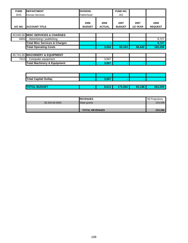| <b>FUND</b> | <b>DEPARTMENT</b>                        | <b>DIVISION:</b>      |                       | <b>FUND NO.</b>       |                         |                        |
|-------------|------------------------------------------|-----------------------|-----------------------|-----------------------|-------------------------|------------------------|
| <b>DHS</b>  | <b>Human Services</b>                    | Fatherhood            |                       | 202                   |                         |                        |
| A/C NO.     | <b>ACCOUNT TITLE</b>                     | 2006<br><b>BUDGET</b> | 2006<br><b>ACTUAL</b> | 2007<br><b>BUDGET</b> | 2007<br><b>1/2 YEAR</b> | 2008<br><b>REQUEST</b> |
|             | 40.640.00 MISC SERVICES & CHARGES        |                       |                       |                       |                         |                        |
| 6401        | Advertising / publishing                 |                       |                       |                       |                         | 9,727                  |
|             | <b>Total Misc Services &amp; Charges</b> |                       |                       |                       |                         | 9,727                  |
|             | <b>Total Operating Costs</b>             |                       | 3,552                 | 83,163                | 58,442                  | 182,268                |
|             |                                          |                       |                       |                       |                         |                        |
|             | 40.741.00 MACHINERY & EQUIPMENT          |                       |                       |                       |                         |                        |
| 7411        | Computer equipment                       |                       | 3,667                 |                       |                         |                        |
|             | <b>Total Machinery &amp; Equipment</b>   |                       | 3,667                 | $\blacksquare$        | $\blacksquare$          |                        |

| <b>Total Capital Outlay</b> | 3.667 | -       | -      |         |
|-----------------------------|-------|---------|--------|---------|
|                             |       |         |        |         |
| <b>TOTAL BUDGET</b>         | 8,613 | 173.264 | 83,198 | 263,269 |

|                | <b>IREVENUES</b>      | 08 Projections |
|----------------|-----------------------|----------------|
| 30.334.00.0000 | State grants          | 233,596        |
|                |                       |                |
|                | <b>TOTAL REVENUES</b> | 233,596        |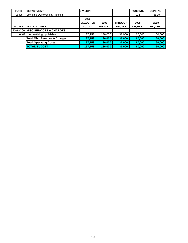| <b>FUND</b> | <b>DEPARTMENT</b>                        | <b>DIVISION:</b>                          |                       |                             | <b>FUND NO.</b>        | DEPT. NO.              |
|-------------|------------------------------------------|-------------------------------------------|-----------------------|-----------------------------|------------------------|------------------------|
| Tourism     | Economic Development: Tourism            |                                           |                       |                             | 212                    | 465.10                 |
| A/C NO.     | <b>ACCOUNT TITLE</b>                     | 2005<br><b>UNAUDITED</b><br><b>ACTUAL</b> | 2006<br><b>BUDGET</b> | <b>THROUGH</b><br>6/30/2006 | 2008<br><b>REQUEST</b> | 2009<br><b>REQUEST</b> |
|             | 40.640.00 MISC SERVICES & CHARGES        |                                           |                       |                             |                        |                        |
| 6401        | Advertising / publishing                 | 137,158                                   | 186,000               | 31,000                      | 60,000                 | 60,000                 |
|             | <b>Total Misc Services &amp; Charges</b> | 137,158                                   | 186,000               | 31,000                      | 60,000                 | 60,000                 |
|             | <b>Total Operating Costs</b>             | 137,158                                   | 186,000               | 31,000                      | 60,000                 | 60,000                 |
|             | <b>TOTAL BUDGET</b>                      | 137,158                                   | 186,000               | 31,000                      | 60,000                 | 60,000                 |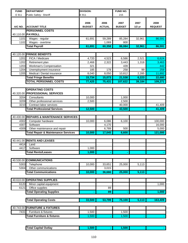| <b>FUND</b>  | <b>DEPARTMENT</b>                                | <b>DIVISION:</b> |                    | <b>FUND NO.</b> |          |                |
|--------------|--------------------------------------------------|------------------|--------------------|-----------------|----------|----------------|
| E 911        | Public Safety: Sheriff                           | E 911            |                    | 215             |          |                |
|              |                                                  |                  |                    |                 |          |                |
|              |                                                  | 2006             | 2006               | 2007            | 2007     | 2008           |
| A/C NO.      | <b>ACCOUNT TITLE</b>                             | <b>BUDGET</b>    | <b>ACTUAL</b>      | <b>BUDGET</b>   | $1/2$ yr | <b>REQUEST</b> |
|              | <b>PERSONNEL COSTS</b>                           |                  |                    |                 |          |                |
|              | 40.110.00 PAYROLL                                |                  |                    |                 |          |                |
| 1101         | Wages - regular                                  | 61,691           | 59,289             | 85,284          | 32,961   | 86,591         |
| 1102         | Wages - overtime                                 |                  | 1,069              | 800             |          |                |
|              | <b>Total Payroll</b>                             | 61,691           | 60,358             | 86,084          | 32,961   | 86,591         |
|              |                                                  |                  |                    |                 |          |                |
| 40.120.00    | <b>FRINGE BENEFITS</b>                           |                  |                    |                 |          |                |
| 1201<br>1202 | FICA / Medicare                                  | 4,720            | 4,523              | 6,586           | 2,521    | 6,624          |
| 1203         | Retirement plan<br><b>Workman's Compensation</b> | 2,468<br>321     | 2,322              | 3,443<br>439    | 1,318    | 3,463<br>442   |
| 1204         | Unemployment insurance                           | 185              | 178                | 258             | 99       | 259            |
| 1205         | Medical / Dental insurance                       | 8,040            | $\overline{8,050}$ | 10,812          | 2,285    | 11,892         |
|              | <b>Total Fringe Benefits</b>                     | 15,734           | 15,073             | 21,538          | 6,223    | 22,680         |
|              | <b>TOTAL PERSONNEL COSTS</b>                     | 77,425           | 75,431             | 107,622         | 39,184   | 109,271        |
|              |                                                  |                  |                    |                 |          |                |
|              | <b>OPERATING COSTS</b>                           |                  |                    |                 |          |                |
|              | 40.320.00 PROFESSIONAL SERVICES                  |                  |                    |                 |          |                |
| 3204         | Consultants                                      | 10,000           |                    | 1,000           |          |                |
| 3209         | Other professional services                      | 2,500            |                    | 2,500           |          |                |
| 3210         | Contract labor services                          |                  |                    | 40,000          |          | 41,409         |
|              | <b>Total Professional Services</b>               | 12,500           |                    | 43,500          |          | 41,409         |
|              |                                                  |                  |                    |                 |          |                |
|              | 40.430.00 REPAIRS & MAINTENANCE SERVICES         |                  |                    |                 |          |                |
| 4302         | Computer hardware                                | 10,000           | 6,086              | 6,100           |          | 100,000        |
| 4307         | Software                                         |                  | 4,170              |                 |          | 16,000         |
| 4309         | Other maintenance and repair                     |                  | 6,789              | 500             |          | 5,000          |
|              | <b>Total Repair &amp; Maintenance Services</b>   | 10,000           | 17,045             | 6,600           |          | 121,000        |
|              |                                                  |                  |                    |                 |          |                |
|              | 40.441.00 RENTS AND LEASES                       |                  |                    |                 |          |                |
|              | 4414 Land                                        |                  |                    |                 |          |                |
| 4417         | Software<br><b>Total Rents/Leases</b>            | 1,000<br>1,000   |                    |                 |          |                |
|              |                                                  |                  |                    |                 |          |                |
| 40.530.00    | <b>COMMUNICATIONS</b>                            |                  |                    |                 |          |                |
| 5303         | Telephone                                        | 10,000           | 33,651             | 25,000          | 5,113    |                |
| 5304         | Other communications                             |                  | 3,015              |                 |          |                |
|              | <b>Total Communications</b>                      | 10,000           | 36,666             | 25,000          | 5,113    |                |
|              |                                                  |                  |                    |                 |          |                |
| 40.610.00    | <b>OPERATING SUPPLIES</b>                        |                  |                    |                 |          |                |
| 6120         | Minor capital equipment                          |                  |                    |                 |          | 1,000          |
| 6121         | Office supplies                                  |                  | 89                 |                 |          |                |
|              | <b>Total Operating Supplies</b>                  |                  | 89                 |                 |          | 1,000          |
|              |                                                  |                  |                    |                 |          |                |
|              | <b>Total Operating Costs</b>                     | 33,500           | 53,799             | 75,100          | 5,113    | 163,409        |
|              |                                                  |                  |                    |                 |          |                |
| 40.743.00    | <b>FURNITURE &amp; FIXTURES</b>                  |                  |                    |                 |          |                |
| 7431         | Furniture & fixtures                             | 1,500            |                    | 1,500           |          |                |
|              | <b>Total Furniture &amp; fixtures</b>            | 1,500            |                    | 1,500           |          |                |
|              |                                                  |                  |                    |                 |          |                |

| <b>Total Capital Outlav</b> | $-0.0$ |  | 500 |  |  |
|-----------------------------|--------|--|-----|--|--|
|-----------------------------|--------|--|-----|--|--|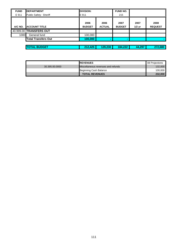| ║<br><b>FUND</b> | <b>IDEPARTMENT</b>         | <b>DIVISION:</b>      |                       |                       |                |                        |
|------------------|----------------------------|-----------------------|-----------------------|-----------------------|----------------|------------------------|
| E 911            | Public Safety: Sheriff     | E 911                 |                       | 215                   |                |                        |
| A/C NO.          | <b>ACCOUNT TITLE</b>       | 2006<br><b>BUDGET</b> | 2006<br><b>ACTUAL</b> | 2007<br><b>BUDGET</b> | 2007<br>1/2 yr | 2008<br><b>REQUEST</b> |
|                  | 40.999.00 TRANSFERS OUT    |                       |                       |                       |                |                        |
| 1000             | General fund               | 100,000               |                       |                       |                |                        |
|                  | <b>Total Transfers Out</b> | 100,000               | $\blacksquare$        | $\blacksquare$        |                |                        |
|                  |                            |                       |                       |                       |                |                        |
|                  | <b>TOTAL BUDGET</b>        | 212,425               | 129,230               | 184,222               | 44,297         | 272,680                |

|                | <b>IREVENUES</b>                   | 08 Projections |
|----------------|------------------------------------|----------------|
| 30.395.00.0000 | Miscellaneous revenues and refunds | 132,000        |
|                | Beginning Cash Balance             | 100,000        |
|                | <b>TOTAL REVENUES</b>              | 232,000        |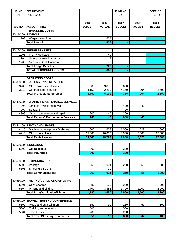| <b>FUND</b>      | <b>DEPARTMENT</b>                              |                       |                       | FUND NO.              |                  | DEPT. NO.              |
|------------------|------------------------------------------------|-----------------------|-----------------------|-----------------------|------------------|------------------------|
| <b>FAIR</b>      | <b>FAIR BOARD</b>                              |                       |                       | 220                   |                  | 451.40                 |
| A/C NO.          | <b>ACCOUNT TITLE</b>                           | 2006<br><b>BUDGET</b> | 2006<br><b>ACTUAL</b> | 2007<br><b>BUDGET</b> | 2007<br>thru Aug | 2008<br><b>REQUEST</b> |
|                  | <b>PERSONNEL COSTS</b>                         |                       |                       |                       |                  |                        |
|                  | 40.110.00 PAYROLL                              |                       |                       |                       |                  |                        |
| 1102             | Wages - overtime                               |                       | 634                   |                       |                  |                        |
|                  | <b>Total Payroll</b>                           |                       | 634                   |                       |                  |                        |
|                  |                                                |                       |                       |                       |                  |                        |
|                  | 40.120.00 FRINGE BENEFITS                      |                       |                       |                       |                  |                        |
| 1201             | FICA / Medicare                                |                       | 49                    |                       |                  |                        |
| 1204             | Unemployment insurance                         |                       | 2                     |                       |                  |                        |
| 1205             | Medical / Dental insurance                     |                       | 178                   |                       |                  |                        |
|                  | <b>Total Fringe Benefits</b>                   |                       | 229                   | ٠                     |                  |                        |
|                  | <b>TOTAL PERSONNEL COSTS</b>                   |                       | 863                   |                       |                  |                        |
|                  |                                                |                       |                       |                       |                  |                        |
|                  | <b>OPERATING COSTS</b>                         |                       |                       |                       |                  |                        |
|                  | 40.320.00 PROFESSIONAL SERVICES                |                       |                       |                       |                  |                        |
| 3209             | Other professional services                    | 600                   | 3,889                 | 600                   |                  |                        |
| 3210             | Contract labor services                        | 4,150                 | 2,250                 | 4,150                 | 204              | 2,500                  |
|                  | <b>Total Professional Services</b>             | 4,750                 | 6,139                 | 4,750                 | 204              | 2,500                  |
|                  |                                                |                       |                       |                       |                  |                        |
|                  | 40.430.00 REPAIRS & MAINTENANCE SERVICES       |                       |                       |                       |                  |                        |
| 4304             | Janitorial / Waste removal                     |                       |                       | 400                   | 43               |                        |
| 4307             | Software                                       |                       |                       | 80                    |                  |                        |
| 4309             | Other maintenance and repair                   | 200                   | 45                    | 200                   |                  |                        |
|                  | <b>Total Repair &amp; Maintenance Services</b> | 200                   | 45                    | 680                   | 43               |                        |
|                  |                                                |                       |                       |                       |                  |                        |
|                  | 40.441.00 RENTS AND LEASES                     |                       |                       |                       |                  |                        |
| 4415             | Machinery / equipment / vehicles               | 1,000                 | 639                   | 1,000                 | 523              | 600                    |
| 4416             | Other rents / leases                           | 15,000                | 16,090                | 18,000                | 7,800            | 17,000                 |
|                  | <b>Total Rents/Leases</b>                      | 16,000                | 16,729                | 19,000                | 8,323            | 17,600                 |
|                  |                                                |                       |                       |                       |                  |                        |
|                  | 40.520.00 INSURANCE                            |                       |                       |                       |                  |                        |
| $\frac{1}{5202}$ | <b>Official bonds</b>                          | 300                   |                       | 300                   |                  |                        |
|                  | <b>Total Insurance</b>                         | 300                   |                       | 300                   | ۰                |                        |
|                  |                                                |                       |                       |                       |                  |                        |
|                  | 40.530.00 COMMUNICATIONS                       |                       |                       |                       |                  |                        |
| 5302             | Postage                                        | 250                   | 901                   | 250                   | 58               | 1,000                  |
| 5305             | Shipping & freight                             |                       | 20                    |                       |                  |                        |
|                  | <b>Total Communications</b>                    | 250                   | 921                   | 250                   | 58               | 1,000                  |
|                  |                                                |                       |                       |                       |                  |                        |
| 40.560.00        | PRINTING/DUPLICATION/FILMING                   |                       |                       |                       |                  |                        |
| 5601             | Copy charges                                   | 80                    | 192                   | 200                   |                  | 200                    |
| 5604             | Printing and binding                           | 1,700                 | 3,358                 | 1,700                 | 1,700            | 2,000                  |
|                  | <b>Total Print/Duplication/Filming</b>         | 1,780                 | 3,550                 | 1,900                 | 1,700            | 2,200                  |
|                  |                                                |                       |                       |                       |                  |                        |
| 40.580.00        | <b>TRAVEL/TRAINING/CONFERENCE</b>              |                       |                       |                       |                  |                        |
| 5802             | Meals and entertainment                        | 150                   | 90                    | 150                   | 67               | 100                    |
| 5803             | Training and education                         | 500                   |                       | 500                   |                  |                        |
| 5804             | <b>Travel costs</b>                            | 200                   |                       | 200                   |                  |                        |
|                  | <b>Total Travel/Training/Conference</b>        | 850                   | 90                    | 850                   | 67               | 100                    |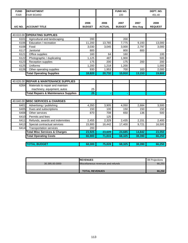| <b>FUND</b> | <b>DEPARTMENT</b>                               |                       |                       | FUND NO.              |                  | DEPT. NO.              |
|-------------|-------------------------------------------------|-----------------------|-----------------------|-----------------------|------------------|------------------------|
| <b>FAIR</b> | <b>FAIR BOARD</b>                               |                       |                       | 220                   |                  | 451.40                 |
| A/C NO.     | <b>ACCOUNT TITLE</b>                            | 2006<br><b>BUDGET</b> | 2006<br><b>ACTUAL</b> | 2007<br><b>BUDGET</b> | 2007<br>thru Aug | 2008<br><b>REQUEST</b> |
|             |                                                 |                       |                       |                       |                  |                        |
|             | 40.610.00 OPERATING SUPPLIES                    |                       |                       |                       |                  |                        |
| 6101        | Agricultural and landscaping                    | 200                   |                       | 200                   |                  |                        |
| 6106        | Education / recreation                          | 11,200                | 13,765                | 7,775                 | 9,193            | 13,000                 |
| 6108        | Food                                            | 3,030                 | 3,045                 | 3,000                 | 2,797            | 3,000                  |
| 6117        | Janitorial                                      | 800                   |                       | 800                   | 800              |                        |
| 6121        | Office supplies                                 | 160                   | 64                    | 160                   |                  | 100                    |
| 6122        | Photographic / duplicating                      | 1,125                 | 487                   | 1,900                 |                  | 500                    |
| 6123        | Reception supplies                              | 175                   | 200                   | 175                   | 200              | 200                    |
| 6125        | Uniforms                                        | 1,200                 | 1,218                 | 1,200                 |                  | 1,000                  |
| 6126        | Other operating supplies                        | 930                   | 1,953                 | 700                   | 163              | 2,000                  |
|             | <b>Total Operating Supplies</b>                 | 18,820                | 20,732                | 15,910                | 13,153           | 19,800                 |
|             |                                                 |                       |                       |                       |                  |                        |
| 40.626.00   | <b>REPAIR &amp; MAINTENANCE SUPPLIES</b>        |                       |                       |                       |                  |                        |
| 6264        | Materials to repair and maintain                |                       |                       |                       |                  |                        |
|             | machinery, equipment, autos                     | 25                    |                       |                       |                  |                        |
|             | <b>Total Repairs &amp; Maintenance Supplies</b> | $\overline{25}$       |                       |                       |                  |                        |
|             |                                                 |                       |                       |                       |                  |                        |
| 40.640.00   | <b>MISC SERVICES &amp; CHARGES</b>              |                       |                       |                       |                  |                        |
| 6401        | Advertising / publishing                        | 4,350                 | 3,905                 | 4,050                 | 2,684            | 3,500                  |
| 6405        | Dues and subscriptions                          | 150                   | 100                   | 150                   | 150              | 150                    |
| 6408        | Other services                                  | 870                   | 708                   | 650                   | 136              | 500                    |
| 6410        | Permits and fees                                |                       | 125                   |                       |                  |                        |
| 6411        | Refunds, awards and indemnities                 | 2,455                 | 2,329                 | 2,435                 | 2,151            | 2,400                  |
| 6413        | Special contractual services                    | 15,900                | 16,442                | 17,400                | 9,721            | 16,500                 |
| 6414        | <b>Transportation services</b>                  | 200                   |                       |                       |                  |                        |
|             | <b>Total Misc Services &amp; Charges</b>        | 23,925                | 23,609                | 24,685                | 14,842           | 23,050                 |
|             | <b>Total Operating Costs</b>                    | 66,900                | 71,815                | 68,325                | 38,390           | 66,250                 |
|             |                                                 |                       |                       |                       |                  |                        |
|             | <b>TOTAL BUDGET</b>                             | 68,300                | 75,828                | 68,325                | 38,390           | 66,250                 |

|                | <b>IREVENUES</b>                   | 08 Projections |
|----------------|------------------------------------|----------------|
| 30.395.00.0000 | Miscellaneous revenues and refunds | 66.250         |
|                |                                    |                |
|                | <b>TOTAL REVENUES</b>              | 66.250         |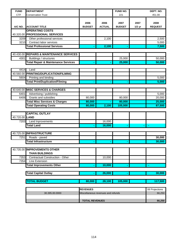| <b>FUND</b>    | <b>DEPARTMENT</b>                              |                       |                                    | FUND NO.      |          | DEPT. NO.         |  |
|----------------|------------------------------------------------|-----------------------|------------------------------------|---------------|----------|-------------------|--|
| <b>CTF</b>     | <b>Conservation Trust</b>                      |                       |                                    | 221           |          | 451.00            |  |
|                |                                                |                       |                                    |               |          |                   |  |
|                |                                                | 2006                  | 2006                               | 2007          | 2007     | 2008              |  |
| A/C NO.        | <b>ACCOUNT TITLE</b>                           | <b>BUDGET</b>         | <b>ACTUAL</b>                      | <b>BUDGET</b> | $1/2$ yr | <b>REQUEST</b>    |  |
|                | <b>OPERATING COSTS</b>                         |                       |                                    |               |          |                   |  |
|                | 40.320.00 PROFESSIONAL SERVICES                |                       |                                    |               |          |                   |  |
| 3209           | Other professional services                    |                       | 2,100                              |               |          | 2,500             |  |
| 3210           | Contract labor services                        |                       |                                    |               |          | 5,000             |  |
|                | <b>Total Professional Services</b>             |                       | 2,100                              |               |          | 7,500             |  |
|                |                                                |                       |                                    |               |          |                   |  |
|                | 40.430.00 REPAIRS & MAINTENANCE SERVICES       |                       |                                    |               |          |                   |  |
| 4301           | Buildings / structures                         |                       |                                    | 25,000        |          | 50,000            |  |
|                | <b>Total Repair &amp; Maintenance Services</b> |                       |                                    | 25,000        |          | 50,000            |  |
|                |                                                |                       |                                    |               |          |                   |  |
| 4414           | Land                                           |                       |                                    |               |          |                   |  |
|                | 40.560.00 PRINTING/DUPLICATION/FILMING         |                       |                                    |               |          |                   |  |
| 5604           | Printing and binding                           |                       |                                    |               |          | $\frac{1}{5,000}$ |  |
|                | <b>Total Print/Duplication/Filming</b>         |                       |                                    |               |          | 5,000             |  |
|                |                                                |                       |                                    |               |          |                   |  |
|                | 40.640.00 MISC SERVICES & CHARGES              |                       |                                    |               |          |                   |  |
| 6401           | Advertising / publishing                       |                       |                                    |               |          | 5,000             |  |
| 6406           | Grants and subsidies                           | 80,000                |                                    | 80,000        |          | 20,000            |  |
|                | <b>Total Misc Services &amp; Charges</b>       | 80,000                |                                    | 80,000        |          | 25,000            |  |
|                | <b>Total Operating Costs</b>                   | 80,000                | 2,100                              | 105,000       |          | 87,500            |  |
|                |                                                |                       |                                    |               |          |                   |  |
|                | <b>CAPITAL OUTLAY</b>                          |                       |                                    |               |          |                   |  |
| 40.720.00 LAND |                                                |                       |                                    |               |          |                   |  |
| 7203           | Land Inprovements                              |                       | 16,000                             |               |          |                   |  |
|                | <b>Total Land</b>                              |                       | 16,000                             |               |          |                   |  |
|                |                                                |                       |                                    |               |          |                   |  |
|                | 40.725.00 INFRASTRUCTURE                       |                       |                                    |               |          |                   |  |
| 7251           | Roads - paved                                  |                       |                                    |               |          | 30,000            |  |
|                | <b>Total Infrastructure</b>                    |                       |                                    |               |          | 30,000            |  |
|                |                                                |                       |                                    |               |          |                   |  |
|                | 40.735.00 IMPROVEMENTS OTHER                   |                       |                                    |               |          |                   |  |
|                | <b>THAN BUILDINGS</b>                          |                       |                                    |               |          |                   |  |
| 7353           | Contractual Construction - Other               |                       | 10,000                             |               |          |                   |  |
| 7354           | Line Extension                                 |                       |                                    |               |          |                   |  |
|                | <b>Total Improvements Other</b>                |                       | 10,000                             |               |          |                   |  |
|                |                                                |                       |                                    |               |          |                   |  |
|                | <b>Total Capital Outlay</b>                    |                       | 26,000                             |               |          | 30,000            |  |
|                |                                                |                       |                                    |               |          |                   |  |
|                | <b>TOTAL BUDGET</b>                            | 80,000                | 28,100                             | 105,000       |          | 117,500           |  |
|                |                                                |                       |                                    |               |          |                   |  |
|                |                                                |                       |                                    |               |          |                   |  |
|                |                                                | <b>REVENUES</b>       |                                    |               |          | 08 Projections    |  |
|                | 30.395.00.0000                                 |                       | Miscellaneous revenues and refunds |               |          | 66,250            |  |
|                |                                                |                       |                                    |               |          | 66,250            |  |
|                |                                                | <b>TOTAL REVENUES</b> |                                    |               |          |                   |  |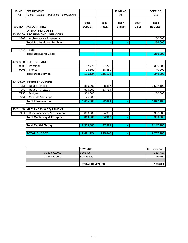| <b>FUND</b>  | <b>DEPARTMENT</b>                                         |                       |                       | FUND NO.              |                  | DEPT. NO.              |
|--------------|-----------------------------------------------------------|-----------------------|-----------------------|-----------------------|------------------|------------------------|
| <b>RCI</b>   | Capital Projects: Road Capital Improvements               |                       |                       | 305                   |                  | 0.00                   |
| A/C NO.      | <b>ACCOUNT TITLE</b>                                      | 2006<br><b>BUDGET</b> | 2006<br><b>Actual</b> | 2007<br><b>Budget</b> | 2007<br>$1/2$ yr | 2008<br><b>REQUEST</b> |
|              | <b>OPERATING COSTS</b><br>40.320.00 PROFESSIONAL SERVICES |                       |                       |                       |                  |                        |
| 3202         | Architectural / Engineering                               |                       |                       |                       |                  | 250,000                |
|              | <b>Total Professional Services</b>                        |                       |                       |                       |                  | 250,000                |
| 4414         | Land                                                      |                       |                       |                       |                  |                        |
|              | <b>Total Operating Costs</b>                              |                       |                       |                       |                  | 250,000                |
|              |                                                           |                       |                       |                       |                  |                        |
|              | 40.920.00 DEBT SERVICE                                    |                       |                       |                       |                  |                        |
| 9200<br>9201 | Principal<br>Interest                                     | 97,773                | 97,773                |                       |                  | 300,000                |
|              | <b>Total Debt Service</b>                                 | 18,351<br>116,124     | 18,350<br>116,123     |                       |                  | 40,000<br>340,000      |
|              |                                                           |                       |                       |                       |                  |                        |
|              | 40.725.00 INFRASTRUCTURE                                  |                       |                       |                       |                  |                        |
| 7251         | Roads - paved                                             | 850,000               | 8,887                 |                       |                  | 1,597,100              |
| 7252         | Roads - unpaved                                           | 500,000               | 63,734                |                       |                  |                        |
| 7253         | <b>Bridges</b>                                            | 300,000               |                       |                       |                  | 250,000                |
| 7254         | Culverts / drainage                                       | 45,000                |                       |                       |                  |                        |
|              | <b>Total Infrastructure</b>                               | 1,695,000             | 72,621                |                       |                  | 1,847,100              |
|              | 40.741.00 MACHINERY & EQUIPMENT                           |                       |                       |                       |                  |                        |
| 7414         | Road machinery & equipment                                | 860,000               | 24,903                |                       |                  | 300,000                |
|              | <b>Total Machinery &amp; Equipment</b>                    | 860,000               | 24,903                |                       |                  | 300,000                |
|              | <b>Total Capital Outlay</b>                               | 2,555,000             | 97,524                |                       |                  | 2,147,100              |
|              | <b>TOTAL BUDGET</b>                                       | 2,671,124             | 213,647               |                       |                  | 2,737,100              |

|                | <b>IREVENUES</b>      | 08 Projections |
|----------------|-----------------------|----------------|
| 30.313.00.0000 | Sales tax             | 1,696,683      |
| 30.334.00.0000 | State grants          | 1,186,617      |
|                |                       |                |
|                | <b>TOTAL REVENUES</b> | 2,883,300      |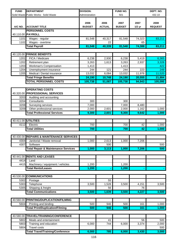| <b>FUND</b>       | <b>DEPARTMENT</b>                              | <b>DIVISION:</b>      |                       | FUND NO.              |                  | DEPT. NO.              |
|-------------------|------------------------------------------------|-----------------------|-----------------------|-----------------------|------------------|------------------------|
|                   | Solid Waste Public Works: Solid Waste          | Administration        |                       | 501                   |                  | 432.10                 |
| A/C NO.           | <b>ACCOUNT TITLE</b>                           | 2006<br><b>BUDGET</b> | 2006<br><b>ACTUAL</b> | 2007<br><b>BUDGET</b> | 2007<br>$1/2$ yr | 2008<br><b>REQUEST</b> |
|                   | <b>PERSONNEL COSTS</b>                         |                       |                       |                       |                  |                        |
|                   | 40.110.00 PAYROLL                              |                       |                       |                       |                  |                        |
| 1101              | Wages - regular                                | 81,548                | 40,317                | 81,548                | 74,323           | 83,211                 |
| 1102              | Wages - overtime                               |                       | 22                    |                       | 65               |                        |
|                   | <b>Total Payroll</b>                           | 81,548                | 40,339                | 81,548                | 74,388           | 83,211                 |
|                   |                                                |                       |                       |                       |                  |                        |
| 40.120.00<br>1201 | <b>FRINGE BENEFITS</b>                         | 6,238                 |                       |                       |                  | 6,365                  |
| 1202              | FICA / Medicare<br>Retirement plan             | 3,263                 | 2,930<br>1,613        | 6,238<br>3,263        | 5,419<br>2,937   | 3,328                  |
| 1203              | Workman's Compensation                         | 1,413                 |                       | 1,413                 |                  | 422                    |
| 1204              | Unemployment insurance                         | 244                   | 121                   | 244                   | 223              | 249                    |
| 1205              | Medical / Dental insurance                     | 13,032                | 6,084                 | 13,032                | 11,976           | 11,520                 |
|                   | <b>Total Fringe Benefits</b>                   | 24,190                | 10,748                | 24,190                | 20,555           | 21,884                 |
|                   | <b>TOTAL PERSONNEL COSTS</b>                   | 105,738               | 51,087                | 105,738               | 94,943           | 105,095                |
|                   |                                                |                       |                       |                       |                  |                        |
|                   | <b>OPERATING COSTS</b>                         |                       |                       |                       |                  |                        |
| 40.320.00         | <b>PROFESSIONAL SERVICES</b>                   |                       |                       |                       |                  |                        |
| 3203              | Auditing and accounting                        |                       |                       |                       |                  |                        |
| 3204              | Consultants                                    | 300                   |                       | 300                   |                  |                        |
| 3208              | Surveying services                             | 7,000                 |                       | 7,000                 | 8,480            |                        |
| 3209              | Other professional services                    | 2,000                 | 2,601                 | 2,000                 | 1,162            | 1,000                  |
|                   | <b>Total Professional Services</b>             | 9,300                 | 2,601                 | 9,300                 | 9,642            | 1,000                  |
|                   |                                                |                       |                       |                       |                  |                        |
| 40.411.00         | <b>UTILITIES</b>                               |                       |                       |                       |                  |                        |
| 4112              | Electric                                       | 700                   |                       | 700                   | 42               | 1,000                  |
|                   | <b>Total Utilities</b>                         | 700                   |                       | 700                   | 42               | 1,000                  |
|                   |                                                |                       |                       |                       |                  |                        |
| 40.430.00         | <b>REPAIRS &amp; MAINTENANCE SERVICES</b>      |                       |                       |                       |                  |                        |
| 4304              | Janitorial / Waste removal                     | 1,000                 | 2,613                 | 1,000                 | 7,206            |                        |
| 4307              | Software                                       |                       | 500                   |                       |                  | 500                    |
|                   | <b>Total Repair &amp; Maintenance Services</b> | 1,000                 | 3,113                 | 1,000                 | 7,206            | 500                    |
|                   |                                                |                       |                       |                       |                  |                        |
| 40.441.00<br>4414 | <b>RENTS AND LEASES</b><br>Land                |                       |                       |                       |                  |                        |
| 4415              | Machinery / equipment / vehicles               | 1,200                 |                       | 1,200                 |                  |                        |
|                   | <b>Total Rents/Leases</b>                      | 1,200                 |                       | 1,200                 |                  |                        |
|                   |                                                |                       |                       |                       |                  |                        |
| 40.530.00         | <b>COMMUNICATIONS</b>                          |                       |                       |                       |                  |                        |
| 5302              | Postage                                        |                       | 55                    |                       |                  |                        |
| 5303              | Telephone                                      | 3,500                 | 1,528                 | 3,500                 | 4,151            | 3,500                  |
| 5305              | Shipping & freight                             |                       | 56                    |                       | 76               |                        |
|                   | <b>Total Communications</b>                    | 3,500                 | 1,639                 | 3,500                 | 4,227            | 3,500                  |
|                   |                                                |                       |                       |                       |                  |                        |
| 40.560.00         | PRINTING/DUPLICATION/FILMING                   |                       |                       |                       |                  |                        |
| 5604              | Printing and binding                           | 500                   | 946                   | 500                   | 161              | 1,000                  |
|                   | <b>Total Print/Duplication/Filming</b>         | 500                   | 946                   | 500                   | 161              | 1,000                  |
|                   |                                                |                       |                       |                       |                  |                        |
| 40.580.00         | TRAVEL/TRAINING/CONFERENCE                     |                       |                       |                       |                  |                        |
| 5802              | Meals and entertainment                        |                       | 41                    |                       | 56               | 500                    |
| 5803              | Training and education                         | 6,000                 | 744                   | 6,000                 | 3,374            | 2,000                  |
| 5804              | <b>Travel costs</b>                            |                       |                       |                       |                  | 500                    |
|                   | <b>Total Travel/Training/Conference</b>        | 6,000                 | 785                   | 6,000                 | 3,430            | 3,000                  |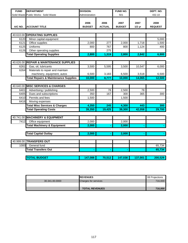| <b>FUND</b> | <b>DEPARTMENT</b>                               | <b>DIVISION:</b>      |                       | <b>FUND NO.</b>       |                  | DEPT. NO.              |
|-------------|-------------------------------------------------|-----------------------|-----------------------|-----------------------|------------------|------------------------|
|             | Solid Waste Public Works: Solid Waste           | Administration        |                       | 501                   |                  | 432.10                 |
| A/C NO.     | <b>ACCOUNT TITLE</b>                            | 2006<br><b>BUDGET</b> | 2006<br><b>ACTUAL</b> | 2007<br><b>BUDGET</b> | 2007<br>$1/2$ yr | 2008<br><b>REQUEST</b> |
|             |                                                 |                       |                       |                       |                  |                        |
|             | 40.610.00 OPERATING SUPPLIES                    |                       |                       |                       |                  |                        |
| 6120        | Minor capital equipment                         |                       |                       |                       |                  | 5,000                  |
| 6121        | Office supplies                                 | 2,000                 | 277                   | 2,000                 | 1,718            | 1,500                  |
| 6125        | Uniforms                                        | 800                   | 767                   | 800                   | 1,124            | 400                    |
| 6126        | Other operating supplies                        |                       | 275                   |                       |                  |                        |
|             | <b>Total Operating Supplies</b>                 | 2,800                 | 1,319                 | 2,800                 | 2,842            | 6,900                  |
|             |                                                 |                       |                       |                       |                  |                        |
| 40.626.00   | <b>REPAIR &amp; MAINTENANCE SUPPLIES</b>        |                       |                       |                       |                  |                        |
| 6261        | Gas, oil, lubricants                            | 3,500                 | 5,595                 | 3,500                 | 10,547           | 6,000                  |
| 6264        | Materials to repair and maintain                |                       |                       |                       |                  |                        |
|             | machinery, equipment, autos                     | 6,500                 | 3,183                 | 6,500                 | 3,518            | 6,500                  |
|             | <b>Total Repairs &amp; Maintenance Supplies</b> | 10,000                | 8,777                 | 10,000                | 14,065           | 12,500                 |
|             |                                                 |                       |                       |                       |                  |                        |
| 40.640.00   | <b>MISC SERVICES &amp; CHARGES</b>              |                       |                       |                       |                  |                        |
| 6401        | Advertising / publishing                        | 2,500                 | 78                    | 2,500                 | 78               |                        |
| 6405        | Dues and subscriptions                          | 350                   | 167                   | 300                   | 365              | 300                    |
| 6410        | Permits and fees                                | 1,500                 |                       | 1,500                 |                  |                        |
| 6416        | Moving expenses                                 |                       |                       |                       |                  |                        |
|             | <b>Total Misc Services &amp; Charges</b>        | 4,350                 | 245                   | 4,300                 | 443              | 300                    |
|             | <b>Total Operating Costs</b>                    | 39,350                | 19,425                | 39,300                | 42,058           | 29,700                 |
|             |                                                 |                       |                       |                       |                  |                        |
|             | 40.741.00 MACHINERY & EQUIPMENT                 |                       |                       |                       |                  |                        |
| 7412        | Office equipment                                | 2,000                 |                       | 2,000                 |                  |                        |
|             | <b>Total Machinery &amp; Equipment</b>          | 2,000                 |                       | 2,000                 |                  |                        |
|             |                                                 |                       |                       |                       |                  |                        |
|             | <b>Total Capital Outlay</b>                     | 2,000                 |                       | 2,000                 |                  |                        |
|             |                                                 |                       |                       |                       |                  |                        |
|             | 40.999.00 TRANSFERS OUT                         |                       |                       |                       |                  |                        |
| 1000        | General fund                                    |                       |                       |                       |                  | 65,734                 |
|             | <b>Total Transfers Out</b>                      |                       |                       |                       |                  | 65,734                 |
|             |                                                 |                       |                       |                       |                  |                        |
|             | <b>TOTAL BUDGET</b>                             | 147,088               | 70,512                | 147,038               | 137,001          | 200,529                |
|             |                                                 |                       |                       |                       |                  |                        |

|                | <b>IREVENUES</b>            | 08 Projections |
|----------------|-----------------------------|----------------|
| 30.341.00.0000 | <b>Charges for services</b> | 716,000        |
|                |                             |                |
|                | <b>TOTAL REVENUES</b>       | 716,000        |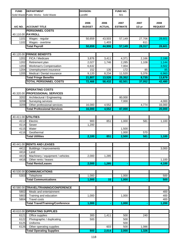| <b>FUND</b>  | <b>DEPARTMENT</b>                           | <b>DIVISION:</b>      |                       | FUND NO.                |                  |                        |
|--------------|---------------------------------------------|-----------------------|-----------------------|-------------------------|------------------|------------------------|
|              | Solid Waste Public Works: Solid Waste       | Landfill              |                       | 501                     |                  |                        |
| A/C NO.      | <b>ACCOUNT TITLE</b>                        | 2006<br><b>BUDGET</b> | 2006<br><b>ACTUAL</b> | 2007<br><b>ESTIMATE</b> | 2007<br>$1/2$ yr | 2008<br><b>REQUEST</b> |
|              | <b>PERSONNEL COSTS</b><br>40.110.00 PAYROLL |                       |                       |                         |                  |                        |
| 1101         | Wages - regular                             | 50,659                | 43,503                | 57,149                  | 27,706           | 28,601                 |
| 1102         | Wages - overtime                            |                       | 1,403                 |                         | 611              |                        |
|              | <b>Total Payroll</b>                        | 50,659                | 44,906                | 57,149                  | 28,317           | 28,601                 |
|              |                                             |                       |                       |                         |                  |                        |
|              | 40.120.00 FRINGE BENEFITS                   |                       |                       |                         |                  |                        |
| 1201<br>1202 | FICA / Medicare<br>Retirement plan          | 3,876<br>2,027        | 3,411<br>1,746        | 4,371<br>2,285          | 2,166<br>1,108   | 2,188<br>1,144         |
| 1203         | Workman's Compensation                      | 6,632                 |                       | 7,004                   |                  | 3,502                  |
| 1204         | Unemployment insurance                      | 152                   | 135                   | 172                     | 85               | 85                     |
| 1205         | Medical / Dental insurance                  | 9,120                 | 8,234                 | 11,520                  | 5,376            | 6,960                  |
|              | <b>Total Fringe Benefits</b>                | 21,807                | 13,526                | 25,352                  | 8,735            | 13,879                 |
|              | <b>TOTAL PERSONNEL COSTS</b>                | 72,466                | 58,432                | 82,501                  | 37,052           | 42,480                 |
|              |                                             |                       |                       |                         |                  |                        |
|              | <b>OPERATING COSTS</b>                      |                       |                       |                         |                  |                        |
|              | 40.320.00 PROFESSIONAL SERVICES             |                       |                       |                         |                  |                        |
| 3202         | Architectural / Engineering                 |                       |                       | 80,000                  |                  |                        |
| 3208         | Surveying services                          |                       |                       | 7,000                   |                  | 4,000                  |
| 3209         | Other professional services                 | 16,000                | 4,552                 |                         | 4,774            | 16,000                 |
|              | <b>Total Professional Services</b>          | 16,000                | 4,552                 | 87,000                  |                  | 20,000                 |
|              |                                             |                       |                       |                         |                  |                        |
|              | 40.411.00 UTILITIES                         |                       |                       |                         |                  |                        |
| 4112         | Electric                                    | 900                   | 851                   | 1,000                   | 581              | 1,100                  |
| 4114<br>4115 | Sewer<br>Water                              | 1,200                 |                       |                         |                  |                        |
| 4116         | Geothermal                                  |                       |                       | 1,500<br>1,000          | 570              |                        |
|              | <b>Total Utilities</b>                      | 2,100                 | 851                   | 2,500                   | 581              | 1,100                  |
|              |                                             |                       |                       |                         |                  |                        |
|              | 40.441.00 RENTS AND LEASES                  |                       |                       |                         |                  |                        |
| 4411         | Buildings / improvements                    |                       |                       |                         |                  | 3,000                  |
| 4414         | Land                                        |                       |                       |                         |                  |                        |
| 4415         | Machinery / equipment / vehicles            | 2,000                 | 1,285                 |                         |                  |                        |
| 4416         | Other rents / leases                        |                       |                       |                         |                  | 1,100                  |
|              | <b>Total Rents/Leases</b>                   | 2,000                 | 1,285                 |                         |                  | 4,100                  |
|              |                                             |                       |                       |                         |                  |                        |
|              | 40.530.00 COMMUNICATIONS                    |                       |                       |                         |                  |                        |
| 5303         | Telephone                                   | 1,000                 |                       | 1,000                   |                  | 500                    |
|              | <b>Total Communications</b>                 | 1,000                 | 33                    | 1,000                   |                  | 500                    |
|              | 40.580.00 TRAVEL/TRAINING/CONFERENCE        |                       |                       |                         |                  |                        |
| 5802         | Meals and entertainment                     |                       |                       |                         |                  |                        |
| 5803         | Training and education                      | 1,000                 |                       | 1,000                   |                  | 400<br>400             |
| 5804         | Travel costs                                |                       |                       |                         |                  | 400                    |
|              | <b>Total Travel/Training/Conference</b>     | 1,000                 |                       | 1,000                   |                  | 1,200                  |
|              |                                             |                       |                       |                         |                  |                        |
|              | 40.610.00 OPERATING SUPPLIES                |                       |                       |                         |                  |                        |
| 6121         | Office supplies                             | 300                   | 1,411                 | 500                     | 240              |                        |
| 6122         | Photographic / duplicating                  | 500                   |                       | 500                     |                  |                        |
| 6125         | Uniforms                                    |                       |                       | 500                     |                  |                        |
| 6126         | Other operating supplies                    |                       | 603                   | 500                     | 1,086            |                        |
|              | <b>Total Operating Supplies</b>             | 800                   | 2,014                 | 2,000                   | 1,326            |                        |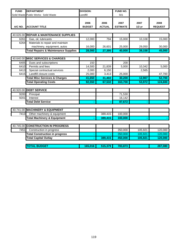| <b>FUND</b> | <b>DEPARTMENT</b>                               | <b>DIVISION:</b>      |                       | FUND NO.                |                  |                        |
|-------------|-------------------------------------------------|-----------------------|-----------------------|-------------------------|------------------|------------------------|
|             | Solid Waste Public Works: Solid Waste           | Landfill              |                       | 501                     |                  |                        |
| A/C NO.     | <b>ACCOUNT TITLE</b>                            | 2006<br><b>BUDGET</b> | 2006<br><b>ACTUAL</b> | 2007<br><b>ESTIMATE</b> | 2007<br>$1/2$ yr | 2008<br><b>REQUEST</b> |
|             |                                                 |                       |                       |                         |                  |                        |
|             | 40.626.00 REPAIR & MAINTENANCE SUPPLIES         |                       |                       |                         |                  |                        |
| 6261        | Gas, oil, lubricants                            | 12,000                | 794                   | 15,000                  | 10,108           | 15,000                 |
| 6264        | Materials to repair and maintain                |                       |                       |                         |                  |                        |
|             | machinery, equipment, autos                     | 16,000                | 26,601                | 25,000                  | 29,050           | 30,000                 |
|             | <b>Total Repairs &amp; Maintenance Supplies</b> | 28,000                | 27,395                | 40,000                  | 39,158           | 45,000                 |
|             |                                                 |                       |                       |                         |                  |                        |
|             | 40.640.00 MISC SERVICES & CHARGES               |                       |                       |                         |                  |                        |
| 6405        | Dues and subscriptions                          | 150                   |                       | 200                     |                  |                        |
| 6410        | Permits and fees                                | 14,500                | 21,839                | 5,000                   | 10,342           | 5,000                  |
| 6413        | Special contractual services                    | 2,000                 | 6,150                 |                         | 2,565            |                        |
| 6415        | Landfill closure costs                          | 25,000                | 3,413                 | 25,000                  |                  | 47,700                 |
|             | <b>Total Misc Services &amp; Charges</b>        | 41,650                | 31,402                | 30,200                  | 12,907           | 52,700                 |
|             | <b>Total Operating Costs</b>                    | 92,550                | 67,532                | 163,700                 | 53,972           | 124,600                |
|             |                                                 |                       |                       |                         |                  |                        |
|             | 40.920.00 DEBT SERVICE                          |                       |                       |                         |                  |                        |
| 9200        | Principal                                       |                       |                       | 71,530                  |                  |                        |
| 9201        | Interest                                        |                       |                       | 16,142                  |                  |                        |
|             | <b>Total Debt Service</b>                       |                       |                       | 87,672                  |                  |                        |
|             |                                                 |                       |                       |                         |                  |                        |
|             | 40.741.00 MACHINERY & EQUIPMENT                 |                       |                       |                         |                  |                        |
| 7413        | Other machinery & equipment                     |                       | 389,415               | 100,000                 |                  |                        |
|             | <b>Total Machinery &amp; Equipment</b>          |                       | 389,415               | 100,000                 |                  |                        |
|             |                                                 |                       |                       |                         |                  |                        |
|             | 40.745.00 CONSTRUCTION IN PROGRESS              |                       |                       |                         |                  |                        |
| 7451        | Construction in progress                        |                       |                       | 350,000                 | 105,921          | 120,000                |
|             | <b>Total Construction in progress</b>           |                       |                       | 350,000                 | 105,921          | 120,000                |
|             | <b>Total Capital Outlay</b>                     |                       | 389,415               | 450,000                 | 105,921          | 120,000                |
|             | <b>TOTAL BUDGET</b>                             | 165,016               | 515,379               | 783,873                 |                  | 287,080                |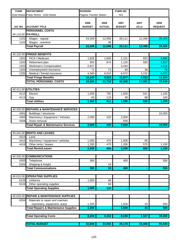| <b>FUND</b> | <b>DEPARTMENT</b>                               | <b>DIVISION:</b>        |                       | FUND NO.              |                  |                        |
|-------------|-------------------------------------------------|-------------------------|-----------------------|-----------------------|------------------|------------------------|
|             | Solid Waste Public Works: Solid Waste           | Pagosa Transfer Station |                       | 501                   |                  |                        |
| A/C NO.     | <b>ACCOUNT TITLE</b>                            | 2006<br><b>BUDGET</b>   | 2006<br><b>ACTUAL</b> | 2007<br><b>BUDGET</b> | 2007<br>$1/2$ yr | 2008<br><b>REQUEST</b> |
|             | <b>PERSONNEL COSTS</b>                          |                         |                       |                       |                  |                        |
|             | 40.110.00 PAYROLL                               |                         |                       |                       |                  |                        |
| 1101        | Wages - regular                                 | 24,349                  | 12,058                | 28,111                | 12,498           | 25,425                 |
| 1102        | Wages - overtime                                |                         | 38                    |                       |                  |                        |
|             | <b>Total Payroll</b>                            | 24,349                  | 12,096                | 28,111                | 12,498           | 25,425                 |
|             | 40.120.00 FRINGE BENEFITS                       |                         |                       |                       |                  |                        |
| 1201        | FICA / Medicare                                 | 1,826                   | 1,659                 | 2,151                 | 853              | 1,945                  |
| 1202        | Retirement plan                                 | 955                     | 974                   | 1,125                 | 500              | 1,017                  |
| 1203        | Workman's Compensation                          | 2,827                   |                       | 3,444                 |                  | 3,114                  |
| 1204        | Unemployment insurance                          | 72                      | 73                    | 85                    | 38               | 76                     |
| 1205        | Medical / Dental insurance                      | 4,560                   | 6,916                 | 6,072                 | 3,192            | 6,072                  |
|             | <b>Total Fringe Benefits</b>                    | 10,240                  | 9,622                 | 12,877                | 4,583            | 12,224                 |
|             | <b>TOTAL PERSONNEL COSTS</b>                    | 34,589                  | 21,718                | 40,988                | 17,081           | 37,649                 |
|             |                                                 |                         |                       |                       |                  |                        |
|             | 40.411.00 UTILITIES                             |                         |                       |                       |                  |                        |
| 4112        | Electric                                        | 1,400                   | 792                   | 1,500                 | 541              | 1,100                  |
| 4113        | Gas                                             | 60                      | 119                   | 90                    | 88               | 100                    |
|             | <b>Total Utilities</b>                          | 1,460                   | 911                   | 1,590                 | 629              | 1,200                  |
|             |                                                 |                         |                       |                       |                  |                        |
|             | 40.430.00 REPAIRS & MAINTENANCE SERVICES        |                         |                       |                       |                  |                        |
| 4301        | Buildings / structures                          |                         |                       |                       |                  | 15,000                 |
| 4305        | Machinery / Equipment / Vehicles                | 2,000                   | 220                   | 2,000                 |                  |                        |
| 4308        | Snow removal                                    |                         |                       | 500                   |                  |                        |
|             | <b>Total Repair &amp; Maintenance Services</b>  | 2,000                   | $\overline{220}$      | 2,500                 |                  | 15,000                 |
|             |                                                 |                         |                       |                       |                  |                        |
| 4414        | 40.441.00 RENTS AND LEASES<br>Land              |                         |                       |                       |                  |                        |
| 4415        | Machinery / equipment / vehicles                | 1,000                   | 475                   | 1,000                 | 95               |                        |
| 4416        | Other rents / leases                            | 1,200                   | 475                   | 1,200                 | 570              | 1,100                  |
|             | <b>Total Rents/Leases</b>                       | 2,200                   | 950                   | 2,200                 | 665              | 1,100                  |
|             |                                                 |                         |                       |                       |                  |                        |
|             | 40.530.00 COMMUNICATIONS                        |                         |                       |                       |                  |                        |
| 5303        | Telephone                                       | 360                     |                       | 400                   |                  | 500                    |
| 5305        | Shipping & freight                              |                         | 19                    |                       |                  |                        |
|             | <b>Total Communications</b>                     | 360                     | 19                    | 400                   |                  | 500                    |
|             |                                                 |                         |                       |                       |                  |                        |
|             | 40.610.00 OPERATING SUPPLIES                    |                         |                       |                       |                  |                        |
| 6125        | Uniforms                                        | 1,000                   | 48                    |                       |                  |                        |
| 6126        | Other operating supplies                        |                         | 84                    |                       |                  |                        |
|             | <b>Total Operating Supplies</b>                 | 1,000                   | 132                   |                       |                  |                        |
|             |                                                 |                         |                       |                       |                  |                        |
|             | 40.626.00 REPAIR & MAINTENANCE SUPPLIES         |                         |                       |                       |                  |                        |
| 6264        | Materials to repair and maintain                |                         |                       |                       |                  |                        |
|             | machinery, equipment, autos                     | 1,200                   |                       | 1,500                 | 33               | 500                    |
|             | <b>Total Repairs &amp; Maintenance Supplies</b> | 1,200                   |                       | 1,500                 | 33               | 500                    |
|             |                                                 |                         |                       |                       |                  |                        |
|             | <b>Total Operating Costs</b>                    | 8,220                   | 2,232                 | 8,190                 | 1,327            | 18,300                 |
|             | <b>TOTAL BUDGET</b>                             | 42,809                  | 23,950                | 49,178                | 18,408           | 55,949                 |
|             |                                                 |                         |                       |                       |                  |                        |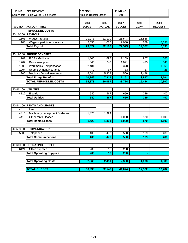| <b>FUND</b> | <b>DEPARTMENT</b>                     | <b>DIVISION:</b>                |                       | FUND NO.              |                  |                        |
|-------------|---------------------------------------|---------------------------------|-----------------------|-----------------------|------------------|------------------------|
|             | Solid Waste Public Works: Solid Waste | <b>Arboles Transfer Station</b> |                       | 501                   |                  |                        |
| A/C NO.     | <b>ACCOUNT TITLE</b>                  | 2006<br><b>BUDGET</b>           | 2006<br><b>ACTUAL</b> | 2007<br><b>BUDGET</b> | 2007<br>$1/2$ yr | 2008<br><b>REQUEST</b> |
|             | <b>PERSONNEL COSTS</b>                |                                 |                       |                       |                  |                        |
|             | 40.110.00 PAYROLL                     |                                 |                       |                       |                  |                        |
| 1101        | Wages - regular                       | 21,071                          | 21,100                | 25,543                | 11,868           |                        |
| 1103        | Wages - part time / seasonal          | 2,556                           | 1,086                 | 2,030                 | 639              | 8,698                  |
|             | <b>Total Payroll</b>                  | 23,627                          | 22,186                | 27,573                | 12,507           | 8,698                  |
|             |                                       |                                 |                       |                       |                  |                        |
|             | 40.120.00 FRINGE BENEFITS             |                                 |                       |                       |                  |                        |
| 1201        | FICA / Medicare                       | 1,806                           | 1,697                 | 2,109                 | 957              | 665                    |
| 1202        | Retirement plan                       | 843                             | 843                   | 1,021                 | 475              | 348                    |
| 1203        | <b>Workman's Compensation</b>         | 2,481                           |                       | 3,378                 |                  | 1,065                  |
| 1204        | Unemployment insurance                | 72                              | 67                    | 83                    | 37               | 26                     |
| 1205        | Medical / Dental insurance            | 5,544                           | 5,304                 | 4,560                 | 2,448            |                        |
|             | <b>Total Fringe Benefits</b>          | 10,746                          | 7,911                 | 11,151                | 3,917            | 2,104                  |
|             | <b>TOTAL PERSONNEL COSTS</b>          | 34,373                          | 30,097                | 38,724                | 16,424           | 10,802                 |
|             |                                       |                                 |                       |                       |                  |                        |
| 40.411.00   | <b>UTILITIES</b>                      |                                 |                       |                       |                  |                        |
| 4112        | Electric                              | 540                             | 567                   | 650                   | 329              | 400                    |
|             | <b>Total Utilities</b>                | 540                             | 567                   | 650                   | 329              | 400                    |
|             |                                       |                                 |                       |                       |                  |                        |
|             | 40.441.00 RENTS AND LEASES            |                                 |                       |                       |                  |                        |
| 4414        | Land                                  |                                 |                       |                       |                  |                        |
| 4415        | Machinery / equipment / vehicles      | 1,420                           | 1,394                 |                       |                  |                        |
| 4416        | Other rents / leases                  |                                 |                       | 1,000                 | 570              | 1,100                  |
|             | <b>Total Rents/Leases</b>             | 1,420                           | 1,394                 | 1,000                 | 570              | 1,100                  |
|             |                                       |                                 |                       |                       |                  |                        |
| 40.530.00   | <b>COMMUNICATIONS</b>                 |                                 |                       |                       |                  |                        |
| 5303        | Telephone                             | 400                             | 477                   | 500                   | 199              | 480                    |
|             | <b>Total Communications</b>           | 400                             | 477                   | 500                   | 199              | 480                    |
|             |                                       |                                 |                       |                       |                  |                        |
|             | 40.610.00 OPERATING SUPPLIES          |                                 |                       |                       |                  |                        |
| 6121        | Office supplies                       | 200                             | 13                    | 200                   |                  |                        |
|             | <b>Total Operating Supplies</b>       | 200                             | $\overline{13}$       | 200                   |                  |                        |
|             |                                       |                                 |                       |                       |                  |                        |
|             | <b>Total Operating Costs</b>          | 2,560                           | 2,451                 | 2,350                 | 1,098            | 1,980                  |
|             |                                       |                                 |                       |                       |                  |                        |
|             | <b>TOTAL BUDGET</b>                   | 36,933                          | 32,548                | 41,074                | 17,522           | 12,782                 |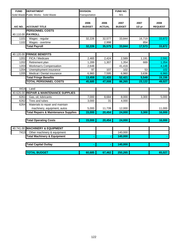| <b>FUND</b> | <b>DEPARTMENT</b>                               | <b>DIVISION:</b>      |                       | FUND NO.              |                  |                        |
|-------------|-------------------------------------------------|-----------------------|-----------------------|-----------------------|------------------|------------------------|
|             | Solid Waste Public Works: Solid Waste           | Transportation        |                       | 501                   |                  |                        |
| A/C NO.     | <b>ACCOUNT TITLE</b>                            | 2006<br><b>BUDGET</b> | 2006<br><b>ACTUAL</b> | 2007<br><b>BUDGET</b> | 2007<br>$1/2$ yr | 2008<br><b>REQUEST</b> |
|             | <b>PERSONNEL COSTS</b>                          |                       |                       |                       |                  |                        |
|             | 40.110.00 PAYROLL                               |                       |                       |                       |                  |                        |
| 1101        | Wages - regular                                 | 32,226                | 32,577                | 33,844                | 16,719           | 33,872                 |
| 1102        | Wages - overtime                                |                       | 2,998                 |                       | 854              |                        |
|             | <b>Total Payroll</b>                            | 32,226                | 35,575                | 33,844                | 17,573           | 33,872                 |
|             |                                                 |                       |                       |                       |                  |                        |
|             | 40.120.00 FRINGE BENEFITS                       |                       |                       |                       |                  |                        |
| 1201        | FICA / Medicare                                 | 2,465                 | 2,424                 | 2,589                 | 1,191            | 2,591                  |
| 1202        | Retirement plan                                 | 1,289                 | 1,307                 | 1,354                 | 669              | 1,354                  |
| 1203        | <b>Workman's Compensation</b>                   | 2,648                 |                       | 41,416                |                  | 4,148                  |
| 1204        | Unemployment insurance                          | 97                    | 107                   | 102                   | 53               | 102                    |
| 1205        | Medical / Dental insurance                      | 6,960                 | 7,595                 | 6,960                 | 3,636            | 6,960                  |
|             | <b>Total Fringe Benefits</b>                    | 13,459                | 11,433                | 52,421                | 5,549            | 15,155                 |
|             | <b>TOTAL PERSONNEL COSTS</b>                    | 45,685                | 47,008                | 86,265                | 23,122           | 49,027                 |
|             |                                                 |                       |                       |                       |                  |                        |
| 4414        | Land                                            |                       |                       |                       |                  |                        |
|             | 40.626.00 REPAIR & MAINTENANCE SUPPLIES         |                       |                       |                       |                  |                        |
| 6261        | Gas, oil, lubricants                            | 7,000                 | 8,684                 | 8,000                 | 3,300            | 5,000                  |
| 6262        | Tires and tubes                                 | 3,000                 | 31                    | 4,000                 |                  |                        |
| 6264        | Materials to repair and maintain                |                       |                       |                       |                  |                        |
|             | machinery, equipment, autos                     | 5,000                 | 11,739                | 12,000                |                  | 11,000                 |
|             | <b>Total Repairs &amp; Maintenance Supplies</b> | 15,000                | 20,454                | 24,000                | 3,300            | 16,000                 |
|             |                                                 |                       |                       |                       |                  |                        |
|             | <b>Total Operating Costs</b>                    | 15,000                | 20,454                | 24,000                |                  | 16,000                 |
|             |                                                 |                       |                       |                       |                  |                        |
|             | 40.741.00 MACHINERY & EQUIPMENT                 |                       |                       |                       |                  |                        |
| 7413        | Other machinery & equipment                     |                       |                       | 140,000               |                  |                        |
|             | <b>Total Machinery &amp; Equipment</b>          |                       |                       | 140,000               |                  |                        |
|             |                                                 |                       |                       |                       |                  |                        |
|             | <b>Total Capital Outlay</b>                     |                       |                       | 140,000               |                  |                        |
|             |                                                 |                       |                       |                       |                  |                        |
|             | <b>TOTAL BUDGET</b>                             | 60,685                | 67,462                | 250,265               |                  | 65,027                 |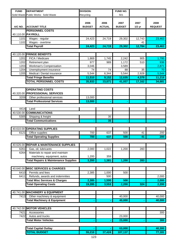| <b>FUND</b>  | <b>DEPARTMENT</b>                                | <b>DIVISION:</b>      |                       | FUND NO.              |                  |                        |  |
|--------------|--------------------------------------------------|-----------------------|-----------------------|-----------------------|------------------|------------------------|--|
|              | Solid Waste Public Works: Solid Waste            | Recycling             |                       | 501                   |                  |                        |  |
| A/C NO.      | <b>ACCOUNT TITLE</b>                             | 2006<br><b>BUDGET</b> | 2006<br><b>ACTUAL</b> | 2007<br><b>BUDGET</b> | 2007<br>$1/2$ yr | 2008<br><b>REQUEST</b> |  |
|              | <b>PERSONNEL COSTS</b>                           |                       |                       |                       |                  |                        |  |
|              | 40.110.00 PAYROLL                                |                       |                       |                       |                  |                        |  |
| 1101         | Wages - regular                                  | 24,423                | 24,719                | 29,302                | 12,743           | 23,463                 |  |
| 1102         | Wages - overtime                                 |                       |                       |                       | 41               |                        |  |
|              | <b>Total Payroll</b>                             | 24,423                | 24,719                | 29,302                | 12,784           | 23,463                 |  |
|              |                                                  |                       |                       |                       |                  |                        |  |
|              | 40.120.00 FRINGE BENEFITS                        |                       |                       |                       |                  |                        |  |
| 1201         | FICA / Medicare                                  | 1,869                 | 1,745                 | 2,242                 | 905              | 1,795                  |  |
| 1202<br>1203 | Retirement plan                                  | 977                   | 989                   | 1,172                 | 510              | 938                    |  |
| 1204         | Workman's Compensation<br>Unemployment insurance | 3,046<br>74           | 74                    | 3,589<br>88           | 35               | 2,871<br>70            |  |
| 1205         | Medical / Dental insurance                       | 5,544                 | 6,344                 | $\overline{5,544}$    | 2,928            | 5,544                  |  |
|              | <b>Total Fringe Benefits</b>                     | 11,510                | 9,152                 | 12,635                | 4,378            | 11,218                 |  |
|              | <b>TOTAL PERSONNEL COSTS</b>                     | 35,933                | 33,871                | 41,937                | 17,162           | 34,681                 |  |
|              |                                                  |                       |                       |                       |                  |                        |  |
|              | <b>OPERATING COSTS</b>                           |                       |                       |                       |                  |                        |  |
|              | 40.320.00 PROFESSIONAL SERVICES                  |                       |                       |                       |                  |                        |  |
| 3209         | Other professional services                      | 13,000                |                       |                       |                  |                        |  |
|              | <b>Total Professional Services</b>               | 13,000                |                       |                       |                  |                        |  |
|              |                                                  |                       |                       |                       |                  |                        |  |
| 4414         | Land                                             |                       |                       |                       |                  |                        |  |
|              | 40.530.00 COMMUNICATIONS                         |                       |                       |                       |                  |                        |  |
| 5305         | Shipping & freight                               |                       | 35                    |                       |                  |                        |  |
|              | <b>Total Communications</b>                      |                       | 35                    |                       |                  |                        |  |
|              |                                                  |                       |                       |                       |                  |                        |  |
|              | 40.610.00 OPERATING SUPPLIES                     |                       |                       |                       |                  |                        |  |
| 6121         | Office supplies                                  | 700                   | 637                   | 500                   | 41               | 200                    |  |
|              | <b>Total Operating Supplies</b>                  | 700                   | 637                   | 500                   | 41               | 200                    |  |
|              | 40.626.00 REPAIR & MAINTENANCE SUPPLIES          |                       |                       |                       |                  |                        |  |
| 6261         | Gas, oil, lubricants                             | 2,000                 | 1,022                 | 1,200                 | 283              |                        |  |
| 6264         | Materials to repair and maintain                 |                       |                       |                       |                  |                        |  |
|              | machinery, equipment, autos                      | 1,200                 | 359                   |                       |                  |                        |  |
|              | <b>Total Repairs &amp; Maintenance Supplies</b>  | 3,200                 | 1,381                 | 1,200                 | 283              |                        |  |
|              |                                                  |                       |                       |                       |                  |                        |  |
|              | 40.640.00 MISC SERVICES & CHARGES                |                       |                       |                       |                  |                        |  |
| 6410         | Permits and fees                                 | 2,385                 | 1,000                 | 500                   |                  |                        |  |
| 6411         | Refunds, awards and indemnities                  |                       | 500                   |                       |                  | 2,000                  |  |
|              | <b>Total Misc Services &amp; Charges</b>         | 2,385                 | 1,500                 | 500                   |                  | 2,000                  |  |
|              | <b>Total Operating Costs</b>                     | 19,285                | 3,553                 | 2,200                 | 324              | 2,200                  |  |
|              |                                                  |                       |                       |                       |                  |                        |  |
|              | 40.741.00 MACHINERY & EQUIPMENT                  |                       |                       |                       |                  |                        |  |
| 7413         | Other machinery & equipment                      |                       |                       | 40,000                |                  | 40,000                 |  |
|              | <b>Total Machinery &amp; Equipment</b>           |                       |                       | 40,000                |                  | 40,000                 |  |
|              |                                                  |                       |                       |                       |                  |                        |  |
| 40.742.00    | <b>MOTOR VEHICLES</b>                            |                       |                       |                       |                  |                        |  |
| 7421         | Accessories                                      |                       |                       |                       |                  | 300                    |  |
| 7422         | Autos and trucks                                 |                       |                       | 23,000                |                  |                        |  |
|              | <b>Total Motor Vehicles</b>                      |                       |                       | 23,000                |                  | 300                    |  |
|              | <b>Total Capital Outlay</b>                      |                       |                       | 63,000                |                  | 40,300                 |  |
|              | <b>TOTAL BUDGET</b>                              | 55,218                | 37,424                | 107,137               |                  | 77,181                 |  |